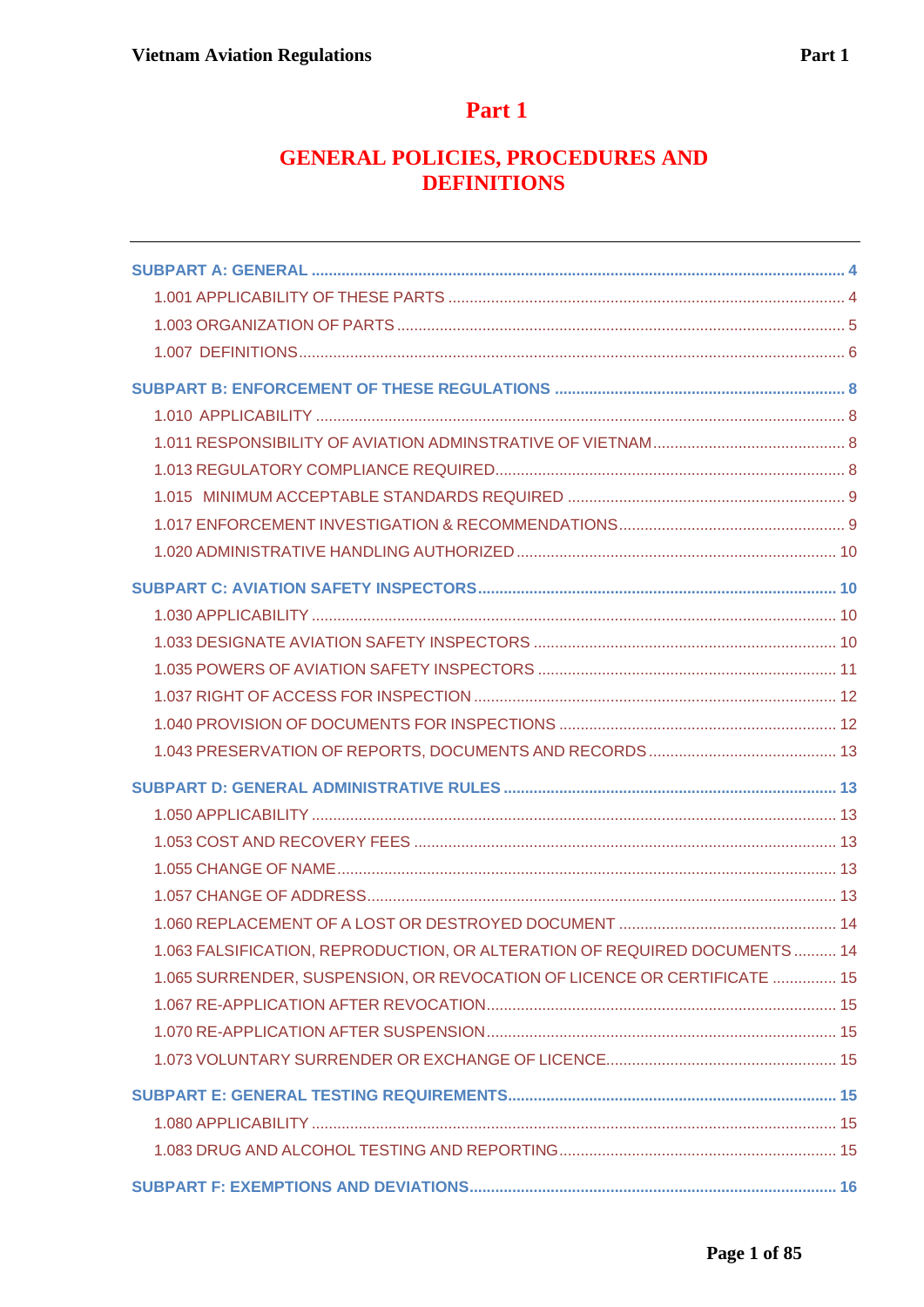# **Part 1**

# **GENERAL POLICIES, PROCEDURES AND DEFINITIONS**

| 1.063 FALSIFICATION, REPRODUCTION, OR ALTERATION OF REQUIRED DOCUMENTS 14 |  |
|---------------------------------------------------------------------------|--|
| 1.065 SURRENDER, SUSPENSION, OR REVOCATION OF LICENCE OR CERTIFICATE  15  |  |
|                                                                           |  |
|                                                                           |  |
|                                                                           |  |
|                                                                           |  |
|                                                                           |  |
|                                                                           |  |
|                                                                           |  |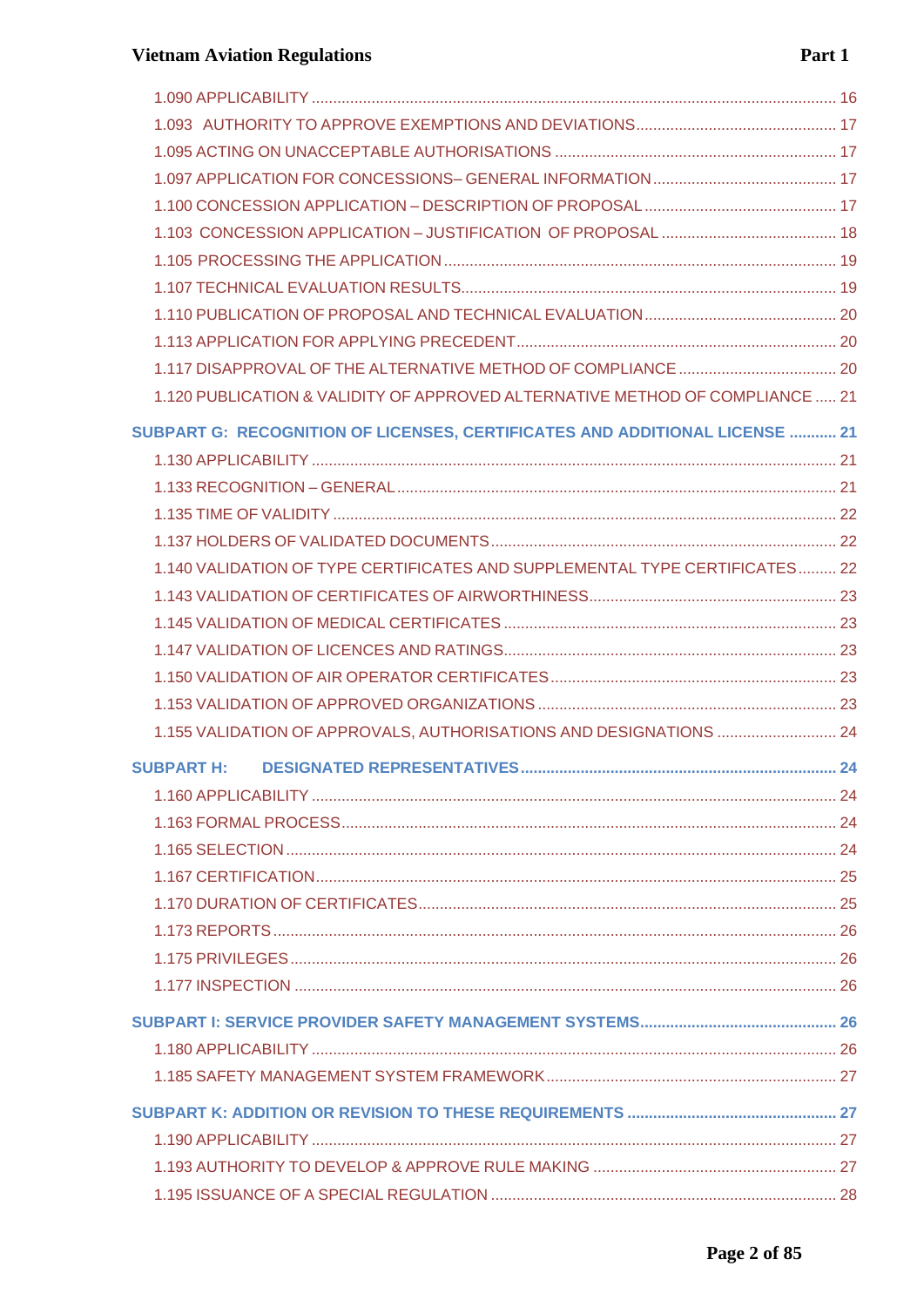|                   | 1.120 PUBLICATION & VALIDITY OF APPROVED ALTERNATIVE METHOD OF COMPLIANCE  21 |  |
|-------------------|-------------------------------------------------------------------------------|--|
|                   | SUBPART G: RECOGNITION OF LICENSES, CERTIFICATES AND ADDITIONAL LICENSE  21   |  |
|                   |                                                                               |  |
|                   |                                                                               |  |
|                   |                                                                               |  |
|                   |                                                                               |  |
|                   | 1.140 VALIDATION OF TYPE CERTIFICATES AND SUPPLEMENTAL TYPE CERTIFICATES 22   |  |
|                   |                                                                               |  |
|                   |                                                                               |  |
|                   |                                                                               |  |
|                   |                                                                               |  |
|                   |                                                                               |  |
|                   | 1.155 VALIDATION OF APPROVALS, AUTHORISATIONS AND DESIGNATIONS  24            |  |
| <b>SUBPART H:</b> |                                                                               |  |
|                   |                                                                               |  |
|                   |                                                                               |  |
|                   |                                                                               |  |
|                   |                                                                               |  |
|                   |                                                                               |  |
|                   |                                                                               |  |
|                   |                                                                               |  |
|                   |                                                                               |  |
|                   |                                                                               |  |
|                   |                                                                               |  |
|                   |                                                                               |  |
|                   |                                                                               |  |
|                   |                                                                               |  |
|                   |                                                                               |  |
|                   |                                                                               |  |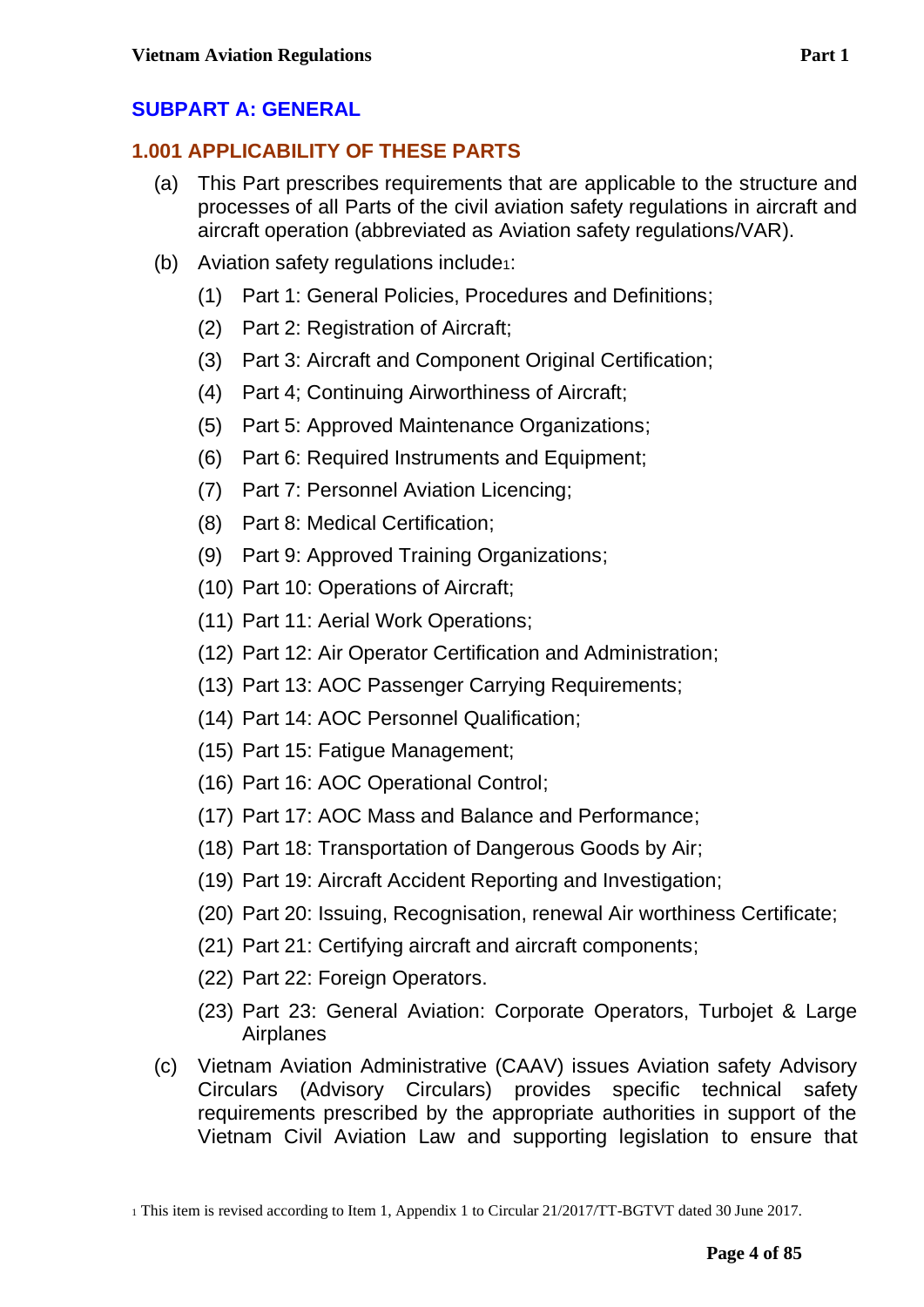# <span id="page-3-0"></span>**SUBPART A: GENERAL**

## <span id="page-3-1"></span>**1.001 APPLICABILITY OF THESE PARTS**

- (a) This Part prescribes requirements that are applicable to the structure and processes of all Parts of the civil aviation safety regulations in aircraft and aircraft operation (abbreviated as Aviation safety regulations/VAR).
- (b) Aviation safety regulations include1:
	- (1) Part 1: General Policies, Procedures and Definitions;
	- (2) Part 2: Registration of Aircraft;
	- (3) Part 3: Aircraft and Component Original Certification;
	- (4) Part 4; Continuing Airworthiness of Aircraft;
	- (5) Part 5: Approved Maintenance Organizations;
	- (6) Part 6: Required Instruments and Equipment;
	- (7) Part 7: Personnel Aviation Licencing;
	- (8) Part 8: Medical Certification;
	- (9) Part 9: Approved Training Organizations;
	- (10) Part 10: Operations of Aircraft;
	- (11) Part 11: Aerial Work Operations;
	- (12) Part 12: Air Operator Certification and Administration;
	- (13) Part 13: AOC Passenger Carrying Requirements;
	- (14) Part 14: AOC Personnel Qualification;
	- (15) Part 15: Fatigue Management;
	- (16) Part 16: AOC Operational Control;
	- (17) Part 17: AOC Mass and Balance and Performance;
	- (18) Part 18: Transportation of Dangerous Goods by Air;
	- (19) Part 19: Aircraft Accident Reporting and Investigation;
	- (20) Part 20: Issuing, Recognisation, renewal Air worthiness Certificate;
	- (21) Part 21: Certifying aircraft and aircraft components;
	- (22) Part 22: Foreign Operators.
	- (23) Part 23: General Aviation: Corporate Operators, Turbojet & Large Airplanes
- (c) Vietnam Aviation Administrative (CAAV) issues Aviation safety Advisory Circulars (Advisory Circulars) provides specific technical safety requirements prescribed by the appropriate authorities in support of the Vietnam Civil Aviation Law and supporting legislation to ensure that

<sup>1</sup> This item is revised according to Item 1, Appendix 1 to Circular 21/2017/TT-BGTVT dated 30 June 2017.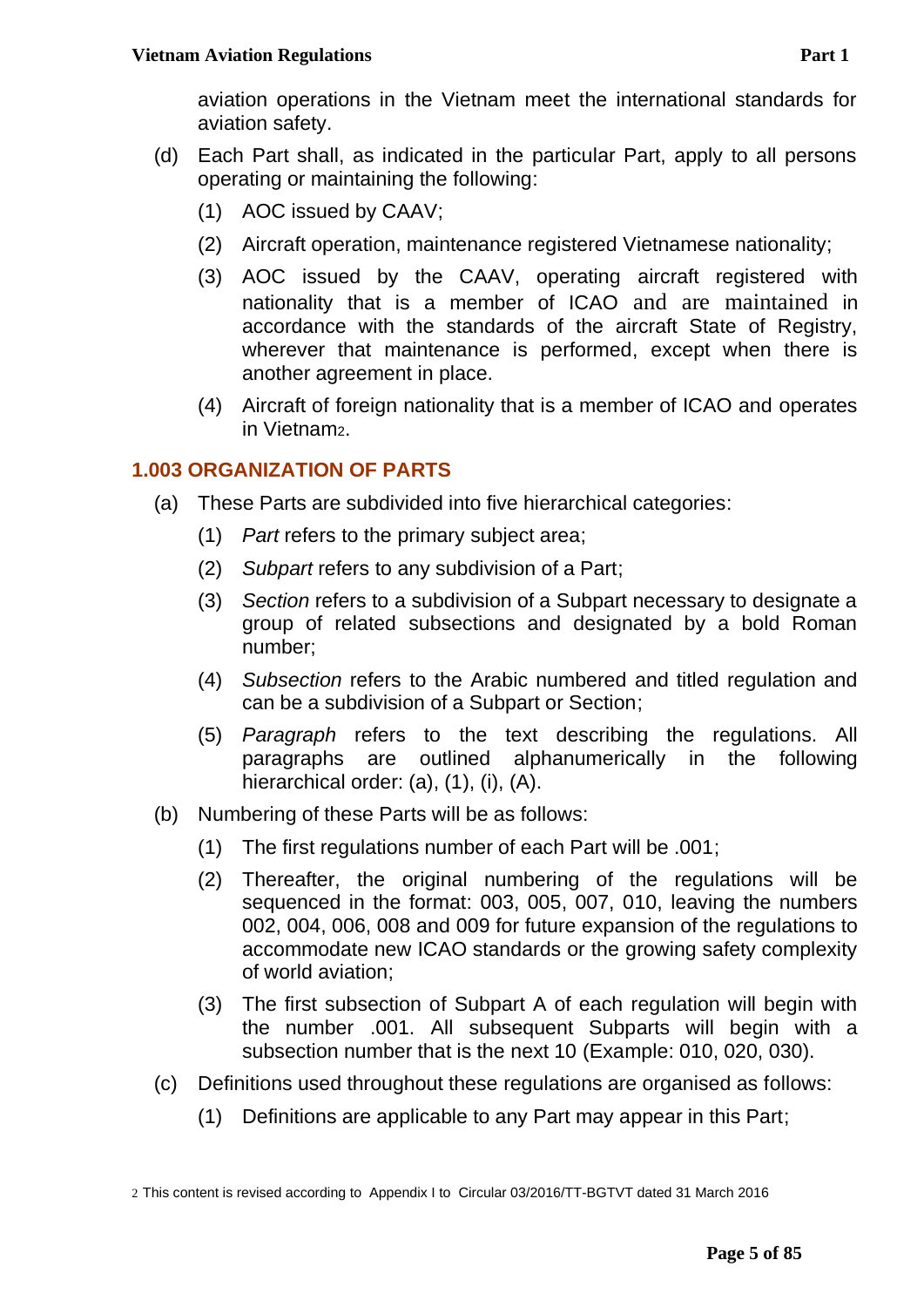- (d) Each Part shall, as indicated in the particular Part, apply to all persons operating or maintaining the following:
	- (1) AOC issued by CAAV;
	- (2) Aircraft operation, maintenance registered Vietnamese nationality;
	- (3) AOC issued by the CAAV, operating aircraft registered with nationality that is a member of ICAO and are maintained in accordance with the standards of the aircraft State of Registry, wherever that maintenance is performed, except when there is another agreement in place.
	- (4) Aircraft of foreign nationality that is a member of ICAO and operates in Vietnam2.

# <span id="page-4-0"></span>**1.003 ORGANIZATION OF PARTS**

- (a) These Parts are subdivided into five hierarchical categories:
	- (1) *Part* refers to the primary subject area;
	- (2) *Subpart* refers to any subdivision of a Part;
	- (3) *Section* refers to a subdivision of a Subpart necessary to designate a group of related subsections and designated by a bold Roman number;
	- (4) *Subsection* refers to the Arabic numbered and titled regulation and can be a subdivision of a Subpart or Section;
	- (5) *Paragraph* refers to the text describing the regulations. All paragraphs are outlined alphanumerically in the following hierarchical order: (a), (1), (i), (A).
- (b) Numbering of these Parts will be as follows:
	- (1) The first regulations number of each Part will be .001;
	- (2) Thereafter, the original numbering of the regulations will be sequenced in the format: 003, 005, 007, 010, leaving the numbers 002, 004, 006, 008 and 009 for future expansion of the regulations to accommodate new ICAO standards or the growing safety complexity of world aviation;
	- (3) The first subsection of Subpart A of each regulation will begin with the number .001. All subsequent Subparts will begin with a subsection number that is the next 10 (Example: 010, 020, 030).
- (c) Definitions used throughout these regulations are organised as follows:
	- (1) Definitions are applicable to any Part may appear in this Part;

<sup>2</sup> This content is revised according to Appendix I to Circular 03/2016/TT-BGTVT dated 31 March 2016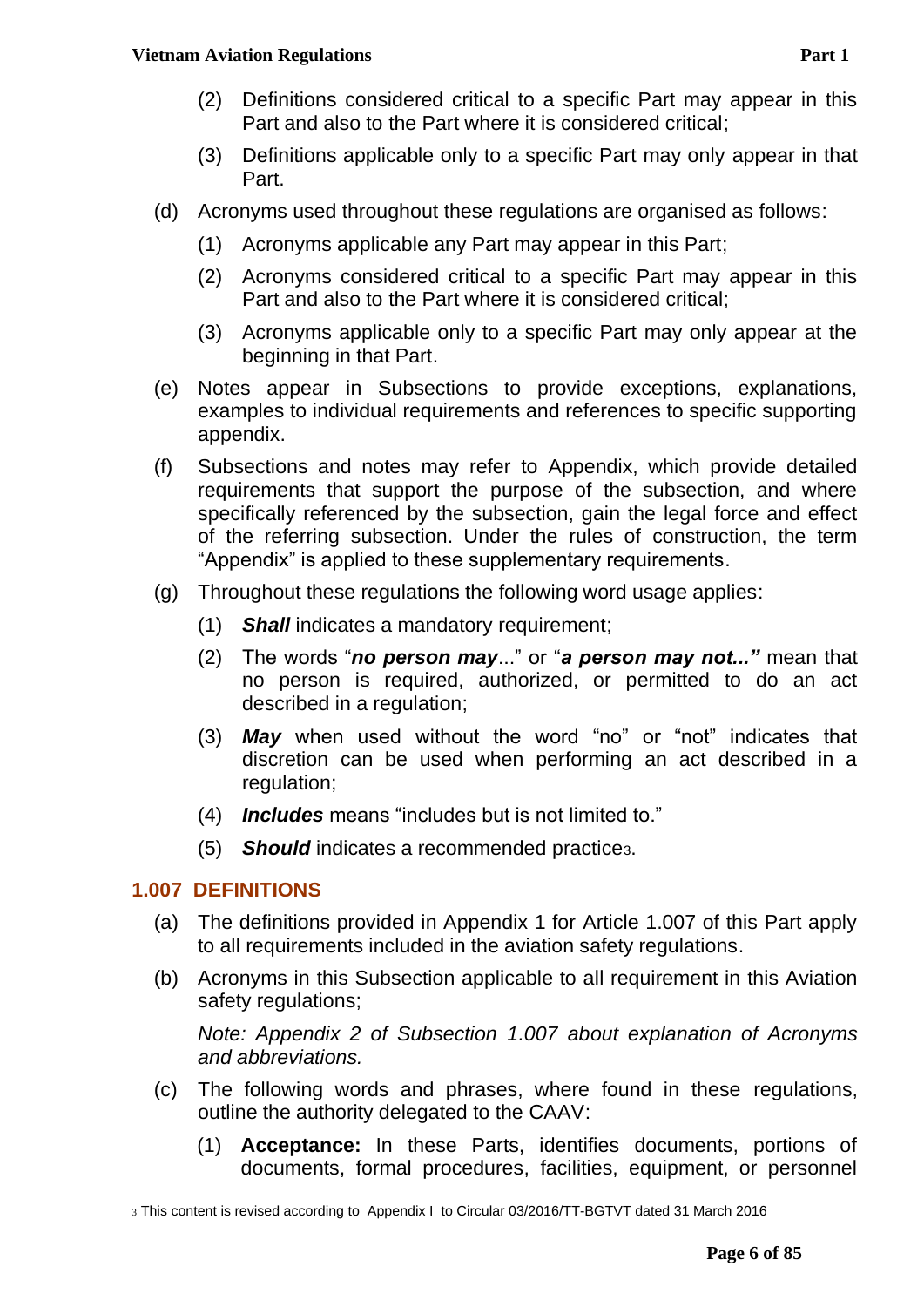- (2) Definitions considered critical to a specific Part may appear in this Part and also to the Part where it is considered critical;
- (3) Definitions applicable only to a specific Part may only appear in that Part.
- (d) Acronyms used throughout these regulations are organised as follows:
	- (1) Acronyms applicable any Part may appear in this Part;
	- (2) Acronyms considered critical to a specific Part may appear in this Part and also to the Part where it is considered critical;
	- (3) Acronyms applicable only to a specific Part may only appear at the beginning in that Part.
- (e) Notes appear in Subsections to provide exceptions, explanations, examples to individual requirements and references to specific supporting appendix.
- (f) Subsections and notes may refer to Appendix, which provide detailed requirements that support the purpose of the subsection, and where specifically referenced by the subsection, gain the legal force and effect of the referring subsection. Under the rules of construction, the term "Appendix" is applied to these supplementary requirements.
- (g) Throughout these regulations the following word usage applies:
	- (1) *Shall* indicates a mandatory requirement;
	- (2) The words "*no person may*..." or "*a person may not..."* mean that no person is required, authorized, or permitted to do an act described in a regulation;
	- (3) *May* when used without the word "no" or "not" indicates that discretion can be used when performing an act described in a regulation;
	- (4) *Includes* means "includes but is not limited to."
	- (5) *Should* indicates a recommended practice3.

# <span id="page-5-0"></span>**1.007 DEFINITIONS**

- (a) The definitions provided in Appendix 1 for Article 1.007 of this Part apply to all requirements included in the aviation safety regulations.
- (b) Acronyms in this Subsection applicable to all requirement in this Aviation safety regulations;

*Note: Appendix 2 of Subsection 1.007 about explanation of Acronyms and abbreviations.* 

- (c) The following words and phrases, where found in these regulations, outline the authority delegated to the CAAV:
	- (1) **Acceptance:** In these Parts, identifies documents, portions of documents, formal procedures, facilities, equipment, or personnel

<sup>3</sup> This content is revised according to Appendix I to Circular 03/2016/TT-BGTVT dated 31 March 2016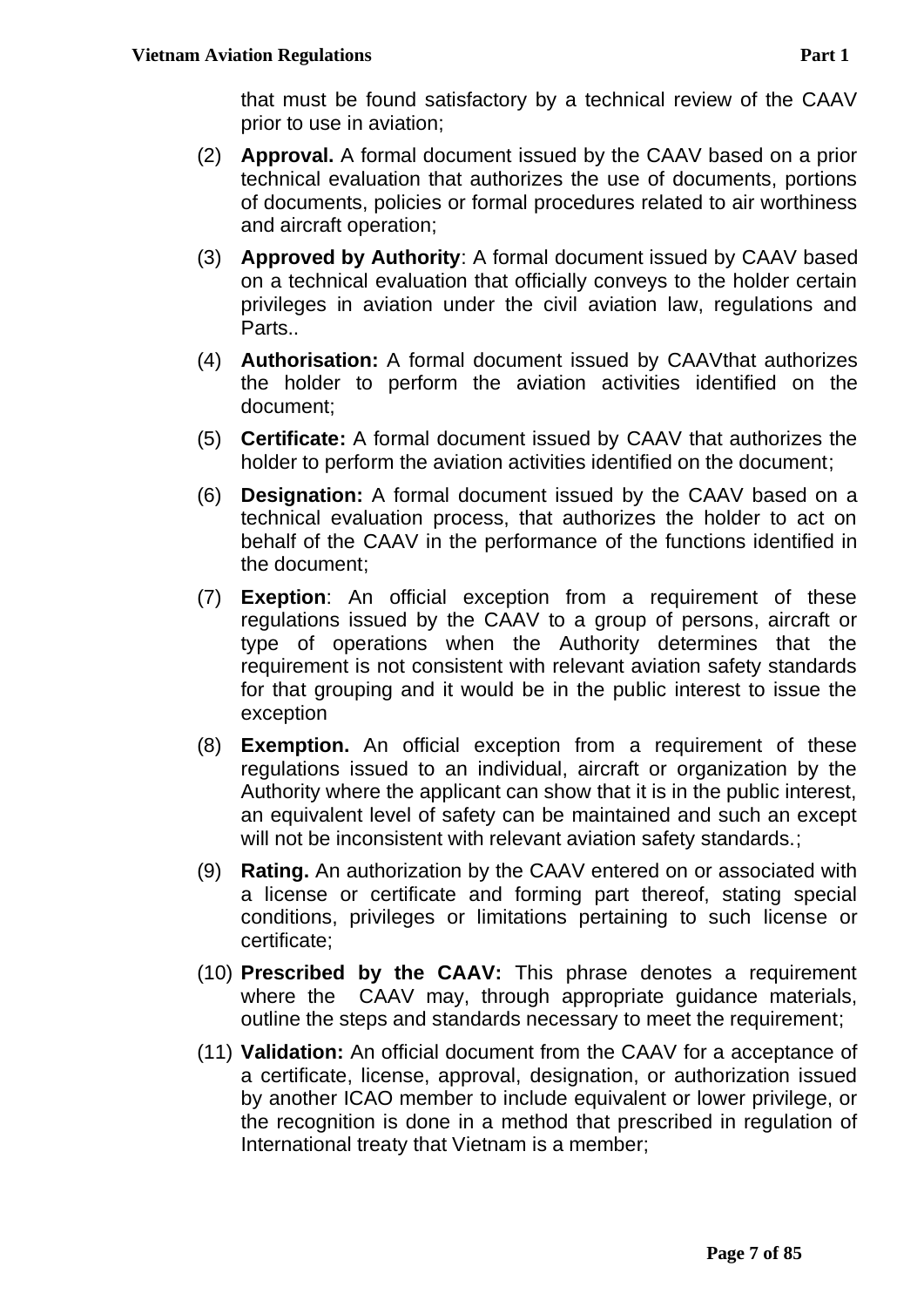that must be found satisfactory by a technical review of the CAAV prior to use in aviation;

- (2) **Approval.** A formal document issued by the CAAV based on a prior technical evaluation that authorizes the use of documents, portions of documents, policies or formal procedures related to air worthiness and aircraft operation;
- (3) **Approved by Authority**: A formal document issued by CAAV based on a technical evaluation that officially conveys to the holder certain privileges in aviation under the civil aviation law, regulations and Parts..
- (4) **Authorisation:** A formal document issued by CAAVthat authorizes the holder to perform the aviation activities identified on the document;
- (5) **Certificate:** A formal document issued by CAAV that authorizes the holder to perform the aviation activities identified on the document;
- (6) **Designation:** A formal document issued by the CAAV based on a technical evaluation process, that authorizes the holder to act on behalf of the CAAV in the performance of the functions identified in the document;
- (7) **Exeption**: An official exception from a requirement of these regulations issued by the CAAV to a group of persons, aircraft or type of operations when the Authority determines that the requirement is not consistent with relevant aviation safety standards for that grouping and it would be in the public interest to issue the exception
- (8) **Exemption.** An official exception from a requirement of these regulations issued to an individual, aircraft or organization by the Authority where the applicant can show that it is in the public interest, an equivalent level of safety can be maintained and such an except will not be inconsistent with relevant aviation safety standards.;
- (9) **Rating.** An authorization by the CAAV entered on or associated with a license or certificate and forming part thereof, stating special conditions, privileges or limitations pertaining to such license or certificate;
- (10) **Prescribed by the CAAV:** This phrase denotes a requirement where the CAAV may, through appropriate guidance materials, outline the steps and standards necessary to meet the requirement;
- (11) **Validation:** An official document from the CAAV for a acceptance of a certificate, license, approval, designation, or authorization issued by another ICAO member to include equivalent or lower privilege, or the recognition is done in a method that prescribed in regulation of International treaty that Vietnam is a member;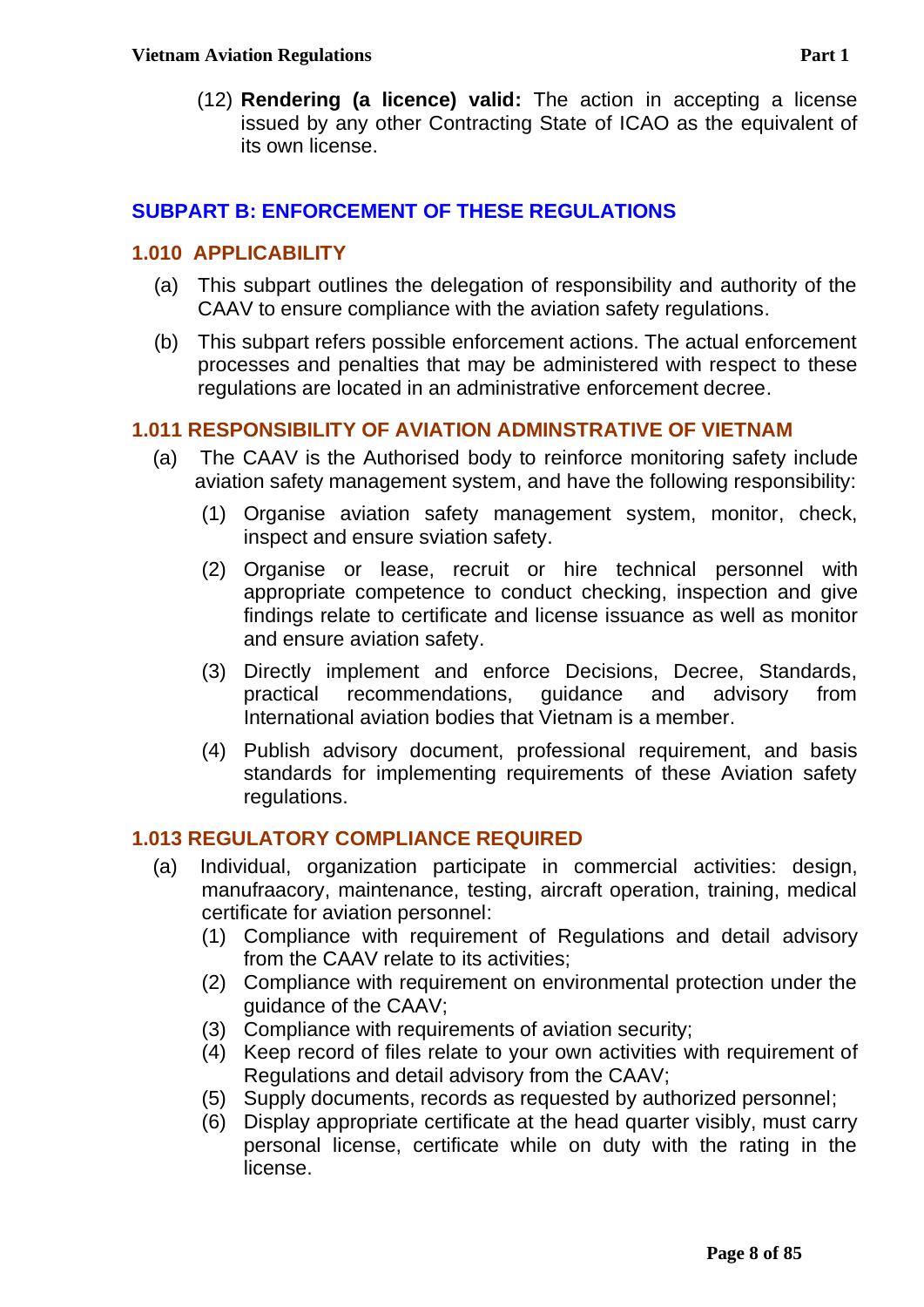(12) **Rendering (a licence) valid:** The action in accepting a license issued by any other Contracting State of ICAO as the equivalent of its own license.

## <span id="page-7-0"></span>**SUBPART B: ENFORCEMENT OF THESE REGULATIONS**

### <span id="page-7-1"></span>**1.010 APPLICABILITY**

- (a) This subpart outlines the delegation of responsibility and authority of the CAAV to ensure compliance with the aviation safety regulations.
- (b) This subpart refers possible enforcement actions. The actual enforcement processes and penalties that may be administered with respect to these regulations are located in an administrative enforcement decree.

### <span id="page-7-2"></span>**1.011 RESPONSIBILITY OF AVIATION ADMINSTRATIVE OF VIETNAM**

- (a) The CAAV is the Authorised body to reinforce monitoring safety include aviation safety management system, and have the following responsibility:
	- (1) Organise aviation safety management system, monitor, check, inspect and ensure sviation safety.
	- (2) Organise or lease, recruit or hire technical personnel with appropriate competence to conduct checking, inspection and give findings relate to certificate and license issuance as well as monitor and ensure aviation safety.
	- (3) Directly implement and enforce Decisions, Decree, Standards, practical recommendations, guidance and advisory from International aviation bodies that Vietnam is a member.
	- (4) Publish advisory document, professional requirement, and basis standards for implementing requirements of these Aviation safety regulations.

## <span id="page-7-3"></span>**1.013 REGULATORY COMPLIANCE REQUIRED**

- (a) Individual, organization participate in commercial activities: design, manufraacory, maintenance, testing, aircraft operation, training, medical certificate for aviation personnel:
	- (1) Compliance with requirement of Regulations and detail advisory from the CAAV relate to its activities;
	- (2) Compliance with requirement on environmental protection under the guidance of the CAAV;
	- (3) Compliance with requirements of aviation security;
	- (4) Keep record of files relate to your own activities with requirement of Regulations and detail advisory from the CAAV;
	- (5) Supply documents, records as requested by authorized personnel;
	- (6) Display appropriate certificate at the head quarter visibly, must carry personal license, certificate while on duty with the rating in the license.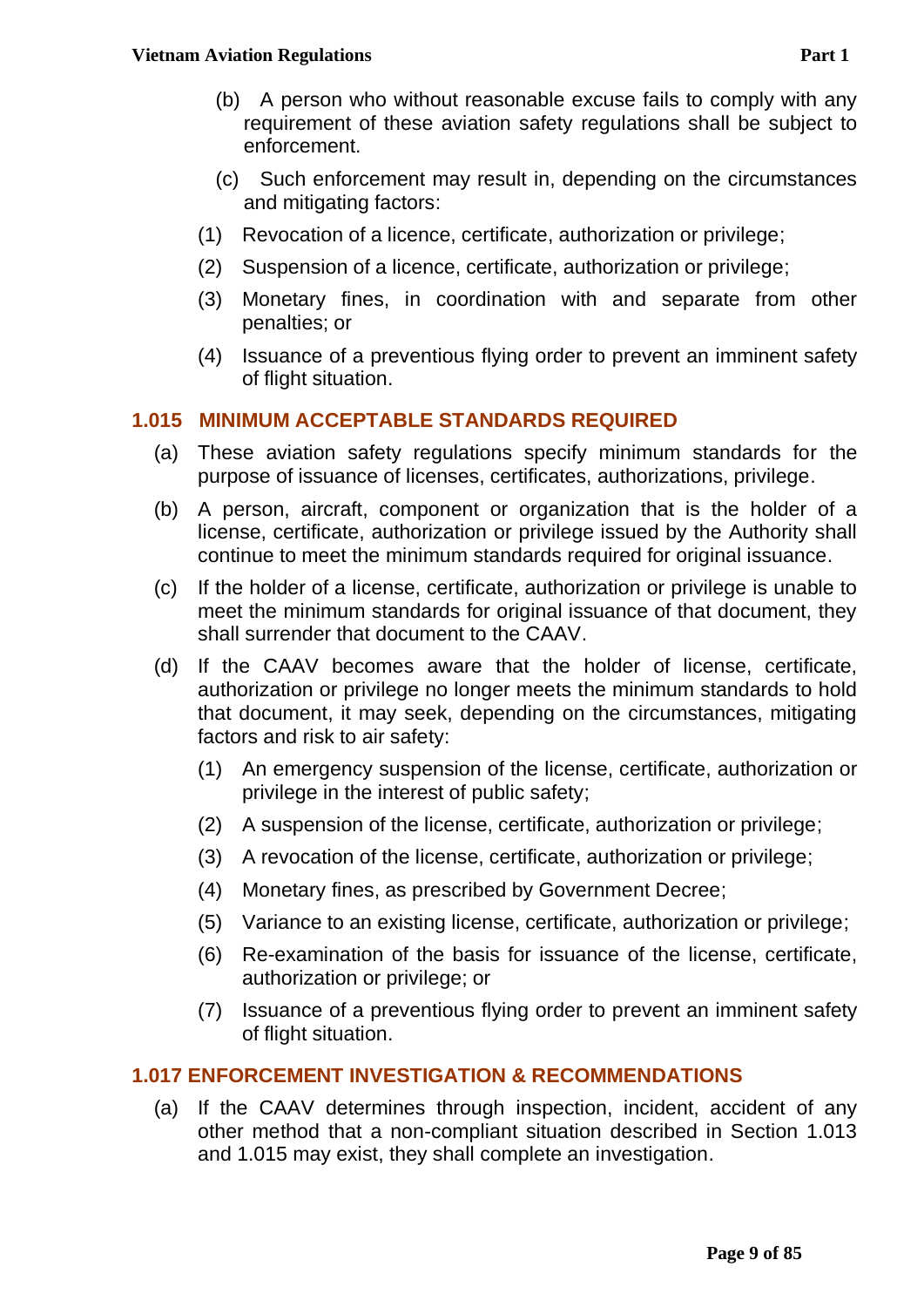- (c) Such enforcement may result in, depending on the circumstances and mitigating factors:
- (1) Revocation of a licence, certificate, authorization or privilege;
- (2) Suspension of a licence, certificate, authorization or privilege;
- (3) Monetary fines, in coordination with and separate from other penalties; or
- (4) Issuance of a preventious flying order to prevent an imminent safety of flight situation.

# <span id="page-8-0"></span>**1.015 MINIMUM ACCEPTABLE STANDARDS REQUIRED**

- (a) These aviation safety regulations specify minimum standards for the purpose of issuance of licenses, certificates, authorizations, privilege.
- (b) A person, aircraft, component or organization that is the holder of a license, certificate, authorization or privilege issued by the Authority shall continue to meet the minimum standards required for original issuance.
- (c) If the holder of a license, certificate, authorization or privilege is unable to meet the minimum standards for original issuance of that document, they shall surrender that document to the CAAV.
- (d) If the CAAV becomes aware that the holder of license, certificate, authorization or privilege no longer meets the minimum standards to hold that document, it may seek, depending on the circumstances, mitigating factors and risk to air safety:
	- (1) An emergency suspension of the license, certificate, authorization or privilege in the interest of public safety;
	- (2) A suspension of the license, certificate, authorization or privilege;
	- (3) A revocation of the license, certificate, authorization or privilege;
	- (4) Monetary fines, as prescribed by Government Decree;
	- (5) Variance to an existing license, certificate, authorization or privilege;
	- (6) Re-examination of the basis for issuance of the license, certificate, authorization or privilege; or
	- (7) Issuance of a preventious flying order to prevent an imminent safety of flight situation.

# <span id="page-8-1"></span>**1.017 ENFORCEMENT INVESTIGATION & RECOMMENDATIONS**

(a) If the CAAV determines through inspection, incident, accident of any other method that a non-compliant situation described in Section 1.013 and 1.015 may exist, they shall complete an investigation.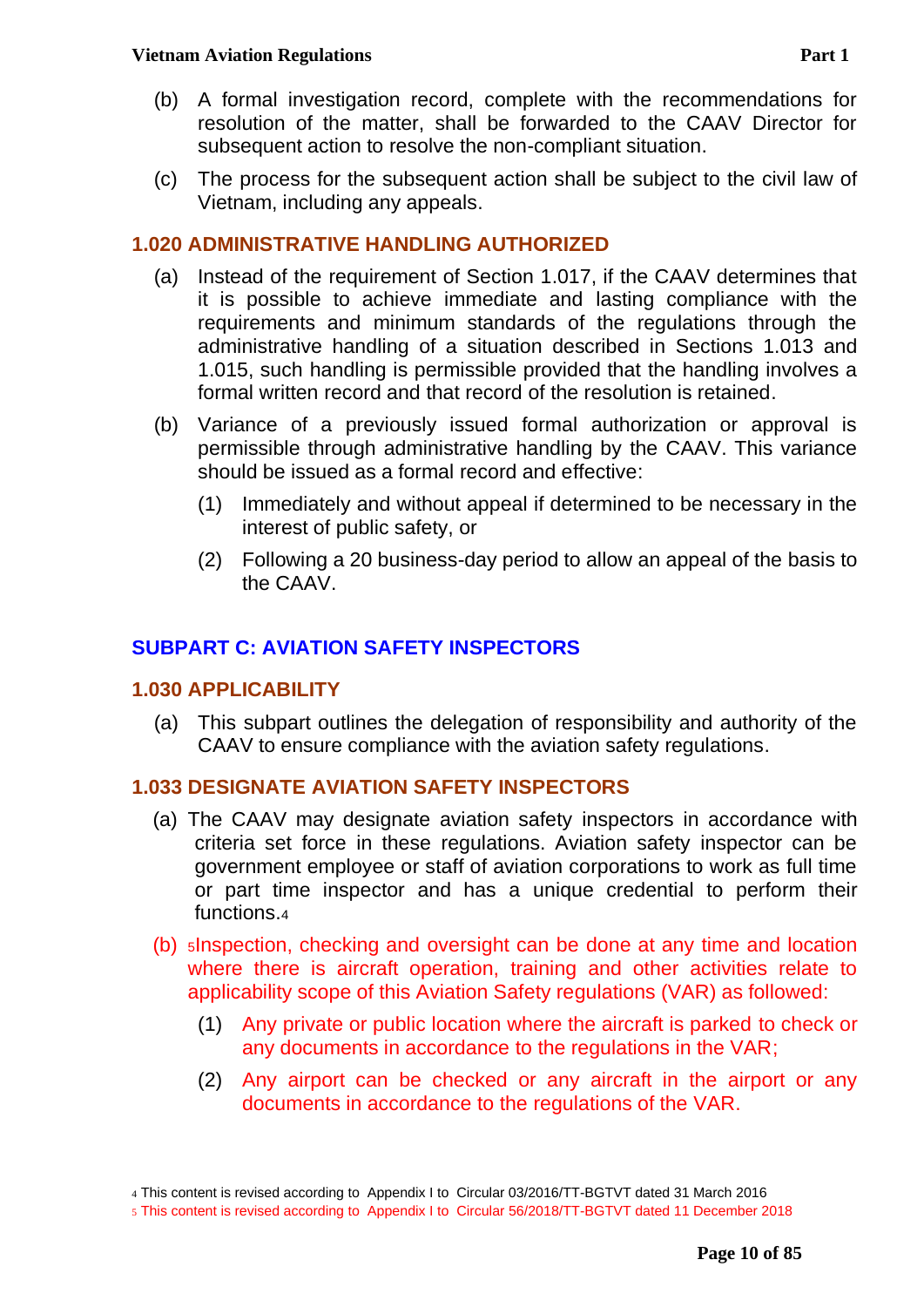- (b) A formal investigation record, complete with the recommendations for resolution of the matter, shall be forwarded to the CAAV Director for subsequent action to resolve the non-compliant situation.
- (c) The process for the subsequent action shall be subject to the civil law of Vietnam, including any appeals.

## <span id="page-9-0"></span>**1.020 ADMINISTRATIVE HANDLING AUTHORIZED**

- (a) Instead of the requirement of Section 1.017, if the CAAV determines that it is possible to achieve immediate and lasting compliance with the requirements and minimum standards of the regulations through the administrative handling of a situation described in Sections 1.013 and 1.015, such handling is permissible provided that the handling involves a formal written record and that record of the resolution is retained.
- (b) Variance of a previously issued formal authorization or approval is permissible through administrative handling by the CAAV. This variance should be issued as a formal record and effective:
	- (1) Immediately and without appeal if determined to be necessary in the interest of public safety, or
	- (2) Following a 20 business-day period to allow an appeal of the basis to the CAAV.

## <span id="page-9-1"></span>**SUBPART C: AVIATION SAFETY INSPECTORS**

### <span id="page-9-2"></span>**1.030 APPLICABILITY**

(a) This subpart outlines the delegation of responsibility and authority of the CAAV to ensure compliance with the aviation safety regulations.

### <span id="page-9-3"></span>**1.033 DESIGNATE AVIATION SAFETY INSPECTORS**

- (a) The CAAV may designate aviation safety inspectors in accordance with criteria set force in these regulations. Aviation safety inspector can be government employee or staff of aviation corporations to work as full time or part time inspector and has a unique credential to perform their functions 4
- (b) <sup>5</sup>Inspection, checking and oversight can be done at any time and location where there is aircraft operation, training and other activities relate to applicability scope of this Aviation Safety regulations (VAR) as followed:
	- (1) Any private or public location where the aircraft is parked to check or any documents in accordance to the regulations in the VAR;
	- (2) Any airport can be checked or any aircraft in the airport or any documents in accordance to the regulations of the VAR.

<sup>4</sup> This content is revised according to Appendix I to Circular 03/2016/TT-BGTVT dated 31 March 2016

<sup>5</sup> This content is revised according to Appendix I to Circular 56/2018/TT-BGTVT dated 11 December 2018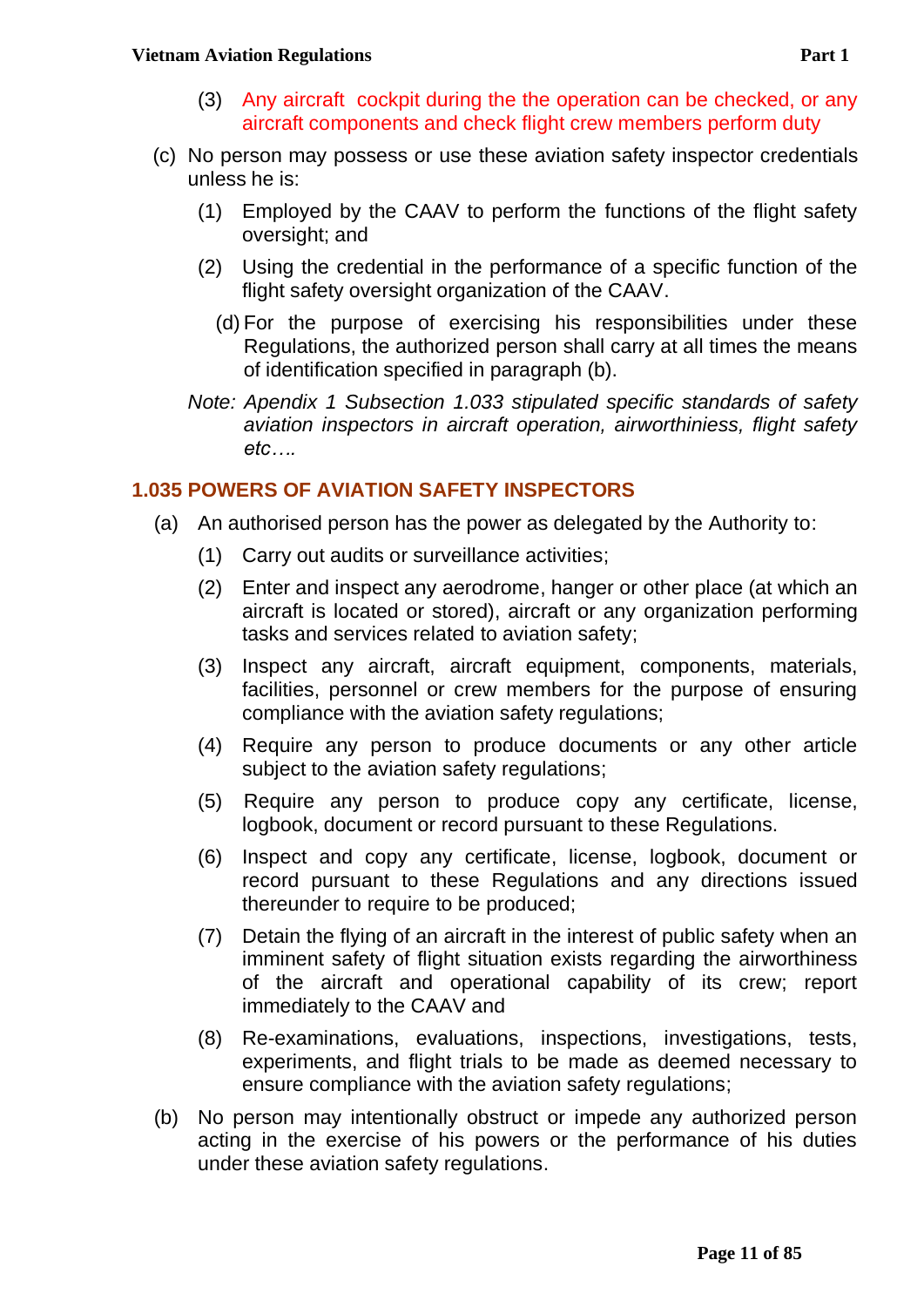#### **Vietnam Aviation Regulations** *Part 1**Part 1*

- (3) Any aircraft cockpit during the the operation can be checked, or any aircraft components and check flight crew members perform duty
- (c) No person may possess or use these aviation safety inspector credentials unless he is:
	- (1) Employed by the CAAV to perform the functions of the flight safety oversight; and
	- (2) Using the credential in the performance of a specific function of the flight safety oversight organization of the CAAV.
		- (d) For the purpose of exercising his responsibilities under these Regulations, the authorized person shall carry at all times the means of identification specified in paragraph (b).
	- *Note: Apendix 1 Subsection 1.033 stipulated specific standards of safety aviation inspectors in aircraft operation, airworthiniess, flight safety etc….*

### <span id="page-10-0"></span>**1.035 POWERS OF AVIATION SAFETY INSPECTORS**

- (a) An authorised person has the power as delegated by the Authority to:
	- (1) Carry out audits or surveillance activities;
	- (2) Enter and inspect any aerodrome, hanger or other place (at which an aircraft is located or stored), aircraft or any organization performing tasks and services related to aviation safety;
	- (3) Inspect any aircraft, aircraft equipment, components, materials, facilities, personnel or crew members for the purpose of ensuring compliance with the aviation safety regulations;
	- (4) Require any person to produce documents or any other article subject to the aviation safety regulations;
	- (5) Require any person to produce copy any certificate, license, logbook, document or record pursuant to these Regulations.
	- (6) Inspect and copy any certificate, license, logbook, document or record pursuant to these Regulations and any directions issued thereunder to require to be produced;
	- (7) Detain the flying of an aircraft in the interest of public safety when an imminent safety of flight situation exists regarding the airworthiness of the aircraft and operational capability of its crew; report immediately to the CAAV and
	- (8) Re-examinations, evaluations, inspections, investigations, tests, experiments, and flight trials to be made as deemed necessary to ensure compliance with the aviation safety regulations;
- (b) No person may intentionally obstruct or impede any authorized person acting in the exercise of his powers or the performance of his duties under these aviation safety regulations.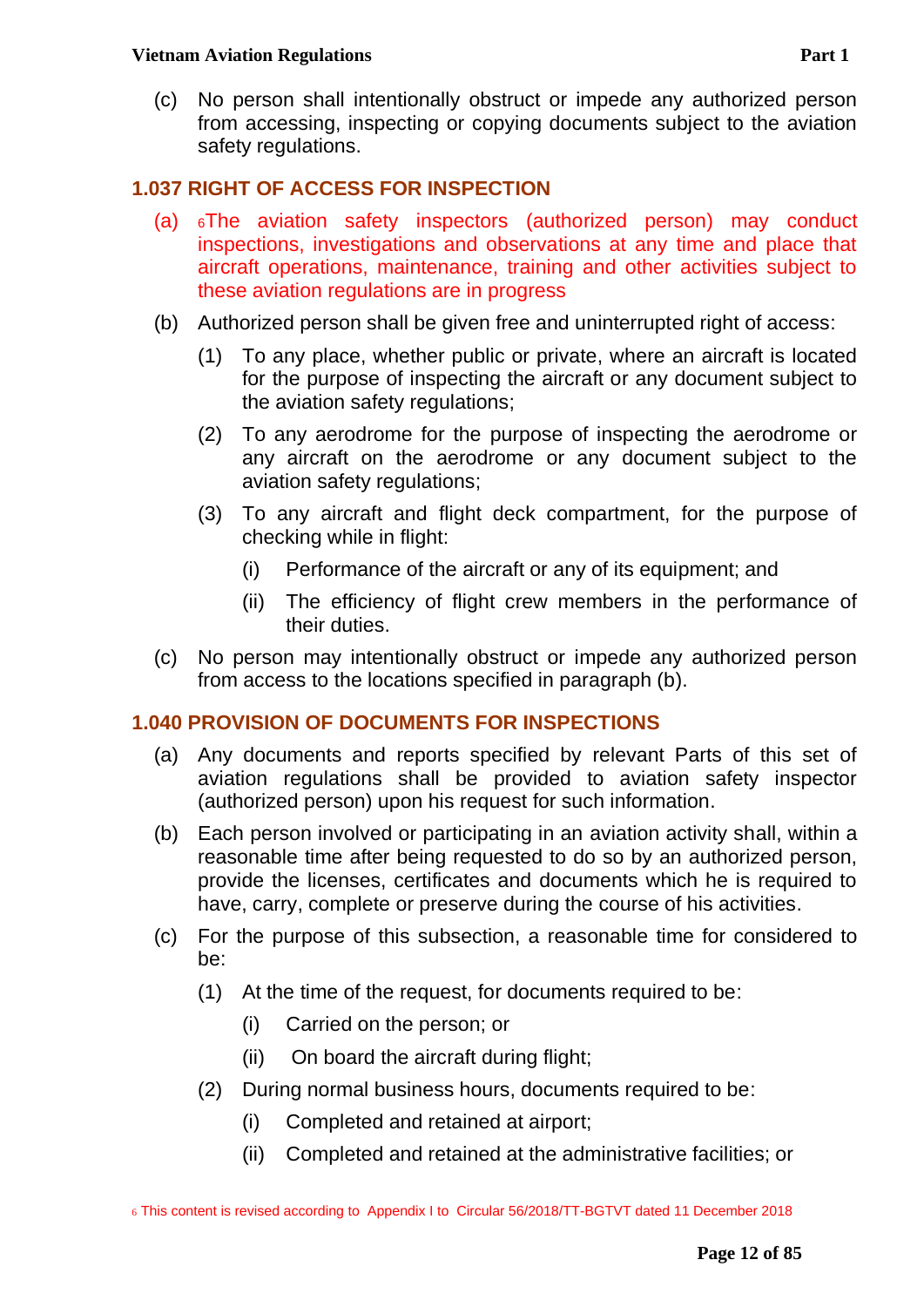#### **Vietnam Aviation Regulations Part 1**

# <span id="page-11-0"></span>**1.037 RIGHT OF ACCESS FOR INSPECTION**

- (a) <sup>6</sup>The aviation safety inspectors (authorized person) may conduct inspections, investigations and observations at any time and place that aircraft operations, maintenance, training and other activities subject to these aviation regulations are in progress
- (b) Authorized person shall be given free and uninterrupted right of access:
	- (1) To any place, whether public or private, where an aircraft is located for the purpose of inspecting the aircraft or any document subject to the aviation safety regulations;
	- (2) To any aerodrome for the purpose of inspecting the aerodrome or any aircraft on the aerodrome or any document subject to the aviation safety regulations;
	- (3) To any aircraft and flight deck compartment, for the purpose of checking while in flight:
		- (i) Performance of the aircraft or any of its equipment; and
		- (ii) The efficiency of flight crew members in the performance of their duties.
- (c) No person may intentionally obstruct or impede any authorized person from access to the locations specified in paragraph (b).

## <span id="page-11-1"></span>**1.040 PROVISION OF DOCUMENTS FOR INSPECTIONS**

- (a) Any documents and reports specified by relevant Parts of this set of aviation regulations shall be provided to aviation safety inspector (authorized person) upon his request for such information.
- (b) Each person involved or participating in an aviation activity shall, within a reasonable time after being requested to do so by an authorized person, provide the licenses, certificates and documents which he is required to have, carry, complete or preserve during the course of his activities.
- (c) For the purpose of this subsection, a reasonable time for considered to be:
	- (1) At the time of the request, for documents required to be:
		- (i) Carried on the person; or
		- (ii) On board the aircraft during flight;
	- (2) During normal business hours, documents required to be:
		- (i) Completed and retained at airport;
		- (ii) Completed and retained at the administrative facilities; or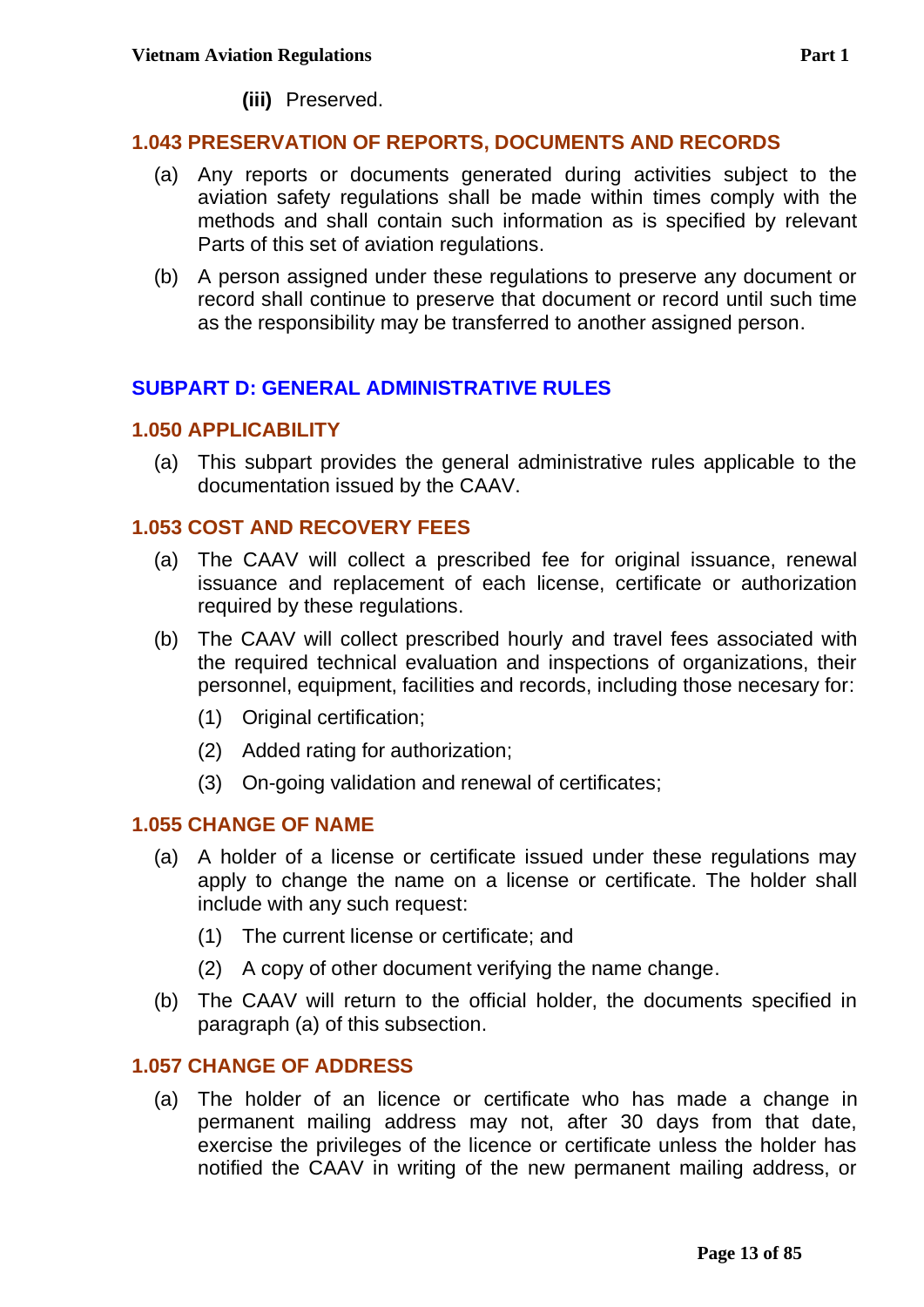**(iii)** Preserved.

### <span id="page-12-0"></span>**1.043 PRESERVATION OF REPORTS, DOCUMENTS AND RECORDS**

- (a) Any reports or documents generated during activities subject to the aviation safety regulations shall be made within times comply with the methods and shall contain such information as is specified by relevant Parts of this set of aviation regulations.
- (b) A person assigned under these regulations to preserve any document or record shall continue to preserve that document or record until such time as the responsibility may be transferred to another assigned person.

### <span id="page-12-1"></span>**SUBPART D: GENERAL ADMINISTRATIVE RULES**

### <span id="page-12-2"></span>**1.050 APPLICABILITY**

(a) This subpart provides the general administrative rules applicable to the documentation issued by the CAAV.

### <span id="page-12-3"></span>**1.053 COST AND RECOVERY FEES**

- (a) The CAAV will collect a prescribed fee for original issuance, renewal issuance and replacement of each license, certificate or authorization required by these regulations.
- (b) The CAAV will collect prescribed hourly and travel fees associated with the required technical evaluation and inspections of organizations, their personnel, equipment, facilities and records, including those necesary for:
	- (1) Original certification;
	- (2) Added rating for authorization;
	- (3) On-going validation and renewal of certificates;

### <span id="page-12-4"></span>**1.055 CHANGE OF NAME**

- (a) A holder of a license or certificate issued under these regulations may apply to change the name on a license or certificate. The holder shall include with any such request:
	- (1) The current license or certificate; and
	- (2) A copy of other document verifying the name change.
- (b) The CAAV will return to the official holder, the documents specified in paragraph (a) of this subsection.

### <span id="page-12-5"></span>**1.057 CHANGE OF ADDRESS**

(a) The holder of an licence or certificate who has made a change in permanent mailing address may not, after 30 days from that date, exercise the privileges of the licence or certificate unless the holder has notified the CAAV in writing of the new permanent mailing address, or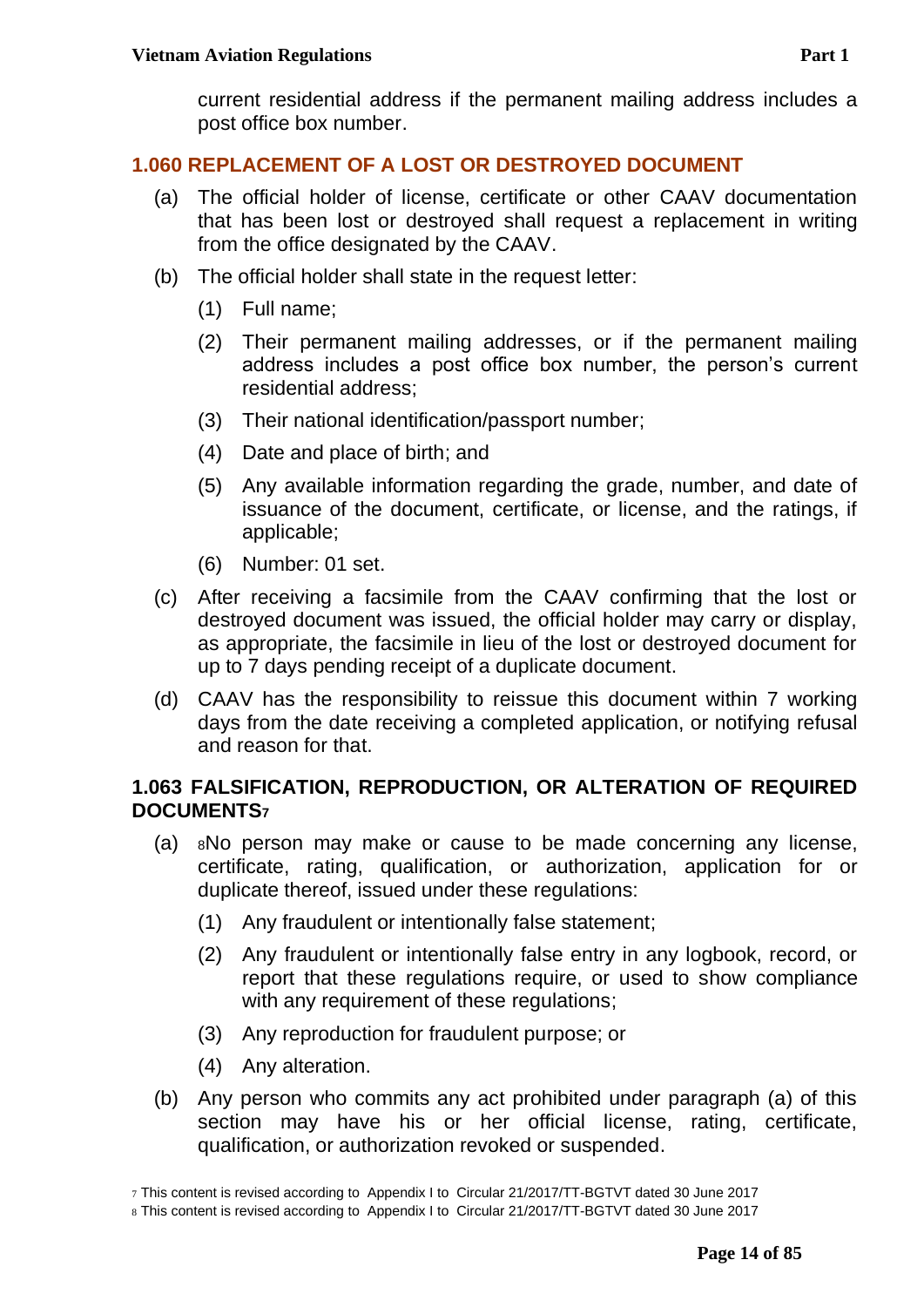current residential address if the permanent mailing address includes a post office box number.

### <span id="page-13-0"></span>**1.060 REPLACEMENT OF A LOST OR DESTROYED DOCUMENT**

- (a) The official holder of license, certificate or other CAAV documentation that has been lost or destroyed shall request a replacement in writing from the office designated by the CAAV.
- (b) The official holder shall state in the request letter:
	- (1) Full name;
	- (2) Their permanent mailing addresses, or if the permanent mailing address includes a post office box number, the person's current residential address;
	- (3) Their national identification/passport number;
	- (4) Date and place of birth; and
	- (5) Any available information regarding the grade, number, and date of issuance of the document, certificate, or license, and the ratings, if applicable;
	- (6) Number: 01 set.
- (c) After receiving a facsimile from the CAAV confirming that the lost or destroyed document was issued, the official holder may carry or display, as appropriate, the facsimile in lieu of the lost or destroyed document for up to 7 days pending receipt of a duplicate document.
- (d) CAAV has the responsibility to reissue this document within 7 working days from the date receiving a completed application, or notifying refusal and reason for that.

### <span id="page-13-1"></span>**1.063 FALSIFICATION, REPRODUCTION, OR ALTERATION OF REQUIRED DOCUMENTS<sup>7</sup>**

- (a) <sup>8</sup>No person may make or cause to be made concerning any license, certificate, rating, qualification, or authorization, application for or duplicate thereof, issued under these regulations:
	- (1) Any fraudulent or intentionally false statement;
	- (2) Any fraudulent or intentionally false entry in any logbook, record, or report that these regulations require, or used to show compliance with any requirement of these regulations;
	- (3) Any reproduction for fraudulent purpose; or
	- (4) Any alteration.
- (b) Any person who commits any act prohibited under paragraph (a) of this section may have his or her official license, rating, certificate, qualification, or authorization revoked or suspended.

<sup>7</sup> This content is revised according to Appendix I to Circular 21/2017/TT-BGTVT dated 30 June 2017

<sup>8</sup> This content is revised according to Appendix I to Circular 21/2017/TT-BGTVT dated 30 June 2017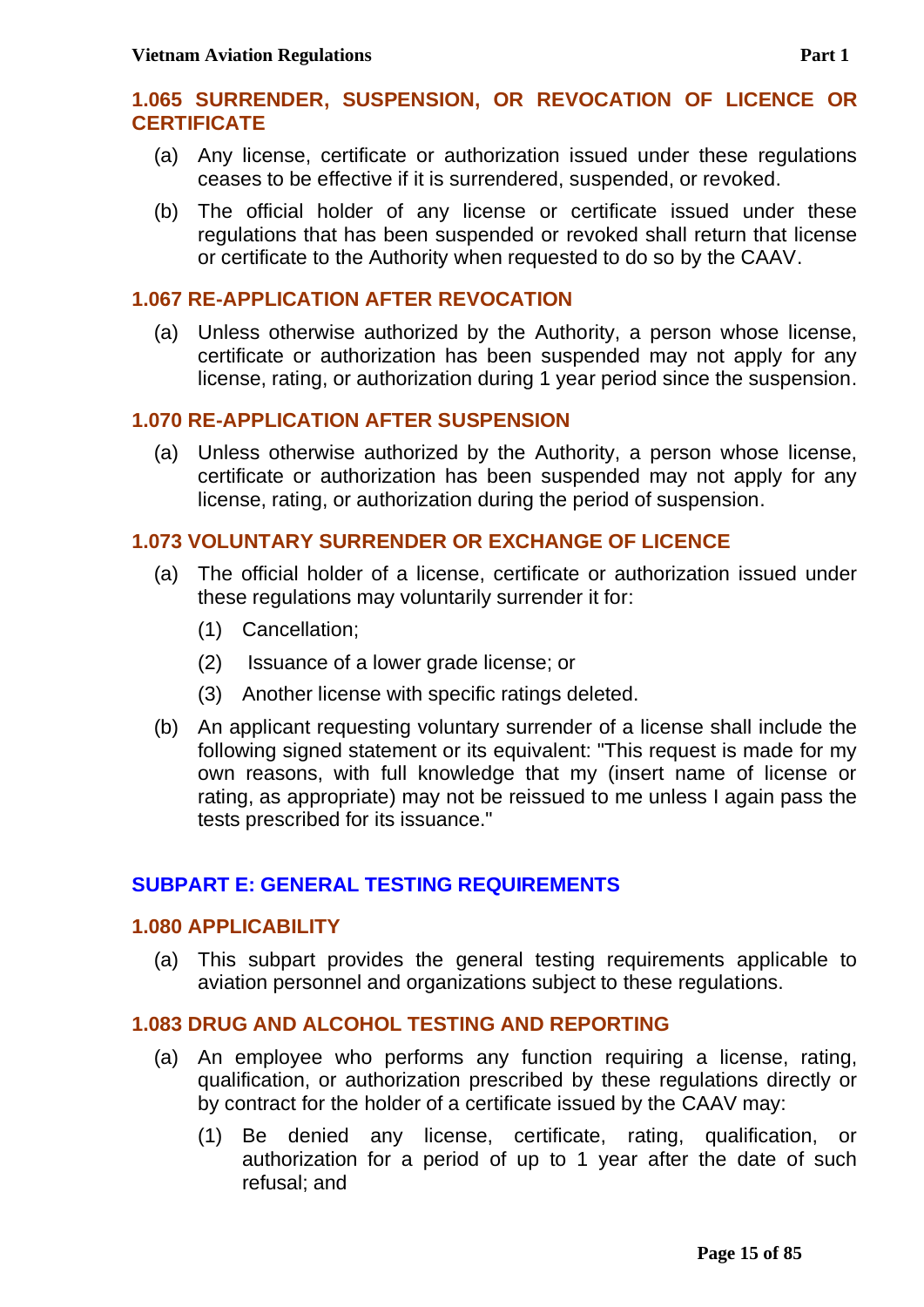## <span id="page-14-0"></span>**1.065 SURRENDER, SUSPENSION, OR REVOCATION OF LICENCE OR CERTIFICATE**

- (a) Any license, certificate or authorization issued under these regulations ceases to be effective if it is surrendered, suspended, or revoked.
- (b) The official holder of any license or certificate issued under these regulations that has been suspended or revoked shall return that license or certificate to the Authority when requested to do so by the CAAV.

### <span id="page-14-1"></span>**1.067 RE-APPLICATION AFTER REVOCATION**

(a) Unless otherwise authorized by the Authority, a person whose license, certificate or authorization has been suspended may not apply for any license, rating, or authorization during 1 year period since the suspension.

### <span id="page-14-2"></span>**1.070 RE-APPLICATION AFTER SUSPENSION**

(a) Unless otherwise authorized by the Authority, a person whose license, certificate or authorization has been suspended may not apply for any license, rating, or authorization during the period of suspension.

### <span id="page-14-3"></span>**1.073 VOLUNTARY SURRENDER OR EXCHANGE OF LICENCE**

- (a) The official holder of a license, certificate or authorization issued under these regulations may voluntarily surrender it for:
	- (1) Cancellation;
	- (2) Issuance of a lower grade license; or
	- (3) Another license with specific ratings deleted.
- (b) An applicant requesting voluntary surrender of a license shall include the following signed statement or its equivalent: "This request is made for my own reasons, with full knowledge that my (insert name of license or rating, as appropriate) may not be reissued to me unless I again pass the tests prescribed for its issuance."

### <span id="page-14-4"></span>**SUBPART E: GENERAL TESTING REQUIREMENTS**

### <span id="page-14-5"></span>**1.080 APPLICABILITY**

(a) This subpart provides the general testing requirements applicable to aviation personnel and organizations subject to these regulations.

### <span id="page-14-6"></span>**1.083 DRUG AND ALCOHOL TESTING AND REPORTING**

- (a) An employee who performs any function requiring a license, rating, qualification, or authorization prescribed by these regulations directly or by contract for the holder of a certificate issued by the CAAV may:
	- (1) Be denied any license, certificate, rating, qualification, or authorization for a period of up to 1 year after the date of such refusal; and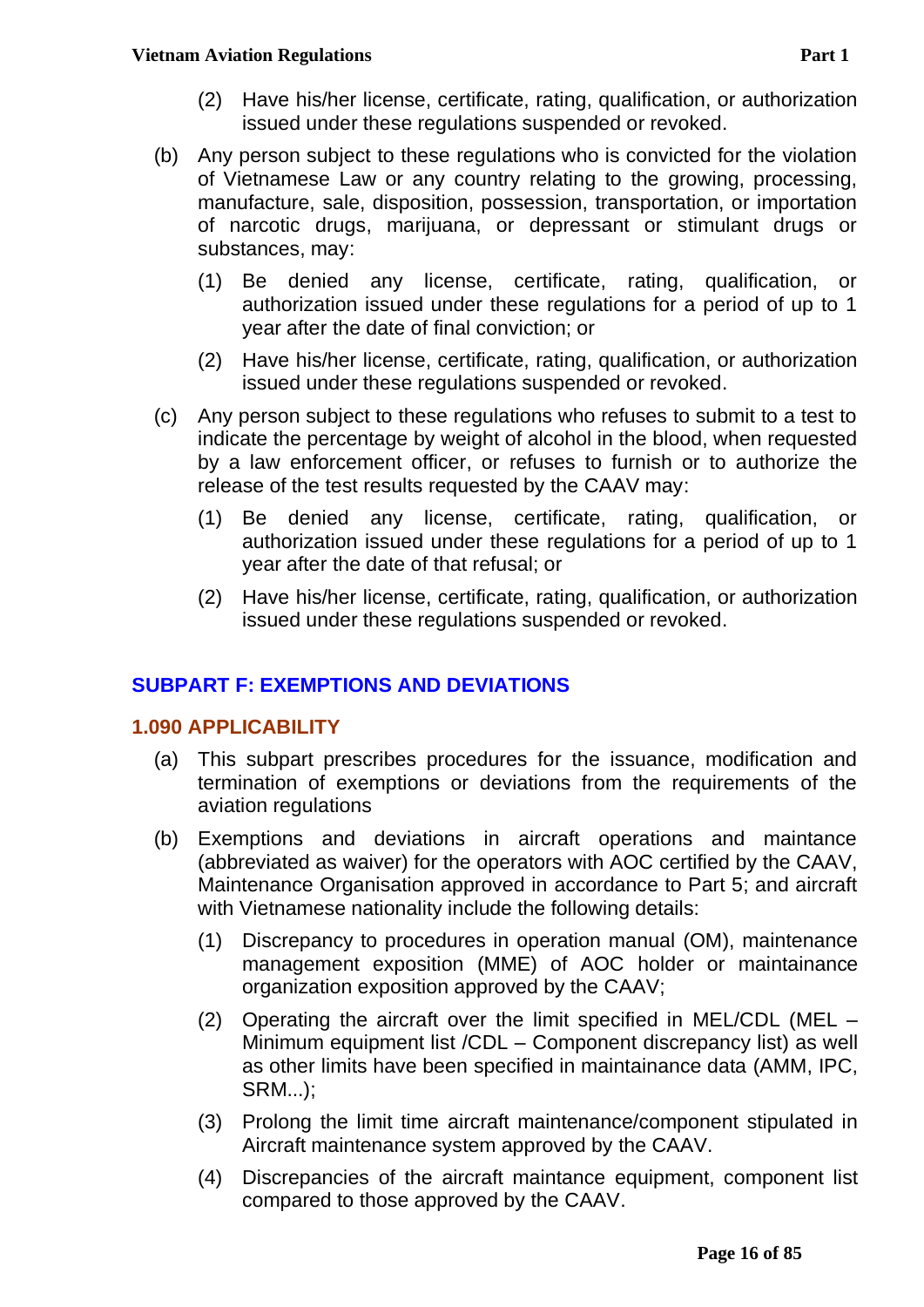- (b) Any person subject to these regulations who is convicted for the violation of Vietnamese Law or any country relating to the growing, processing, manufacture, sale, disposition, possession, transportation, or importation of narcotic drugs, marijuana, or depressant or stimulant drugs or substances, may:
	- (1) Be denied any license, certificate, rating, qualification, or authorization issued under these regulations for a period of up to 1 year after the date of final conviction; or
	- (2) Have his/her license, certificate, rating, qualification, or authorization issued under these regulations suspended or revoked.
- (c) Any person subject to these regulations who refuses to submit to a test to indicate the percentage by weight of alcohol in the blood, when requested by a law enforcement officer, or refuses to furnish or to authorize the release of the test results requested by the CAAV may:
	- (1) Be denied any license, certificate, rating, qualification, or authorization issued under these regulations for a period of up to 1 year after the date of that refusal; or
	- (2) Have his/her license, certificate, rating, qualification, or authorization issued under these regulations suspended or revoked.

# <span id="page-15-0"></span>**SUBPART F: EXEMPTIONS AND DEVIATIONS**

# <span id="page-15-1"></span>**1.090 APPLICABILITY**

- (a) This subpart prescribes procedures for the issuance, modification and termination of exemptions or deviations from the requirements of the aviation regulations
- (b) Exemptions and deviations in aircraft operations and maintance (abbreviated as waiver) for the operators with AOC certified by the CAAV, Maintenance Organisation approved in accordance to Part 5; and aircraft with Vietnamese nationality include the following details:
	- (1) Discrepancy to procedures in operation manual (OM), maintenance management exposition (MME) of AOC holder or maintainance organization exposition approved by the CAAV;
	- (2) Operating the aircraft over the limit specified in MEL/CDL (MEL Minimum equipment list /CDL – Component discrepancy list) as well as other limits have been specified in maintainance data (AMM, IPC, SRM...);
	- (3) Prolong the limit time aircraft maintenance/component stipulated in Aircraft maintenance system approved by the CAAV.
	- (4) Discrepancies of the aircraft maintance equipment, component list compared to those approved by the CAAV.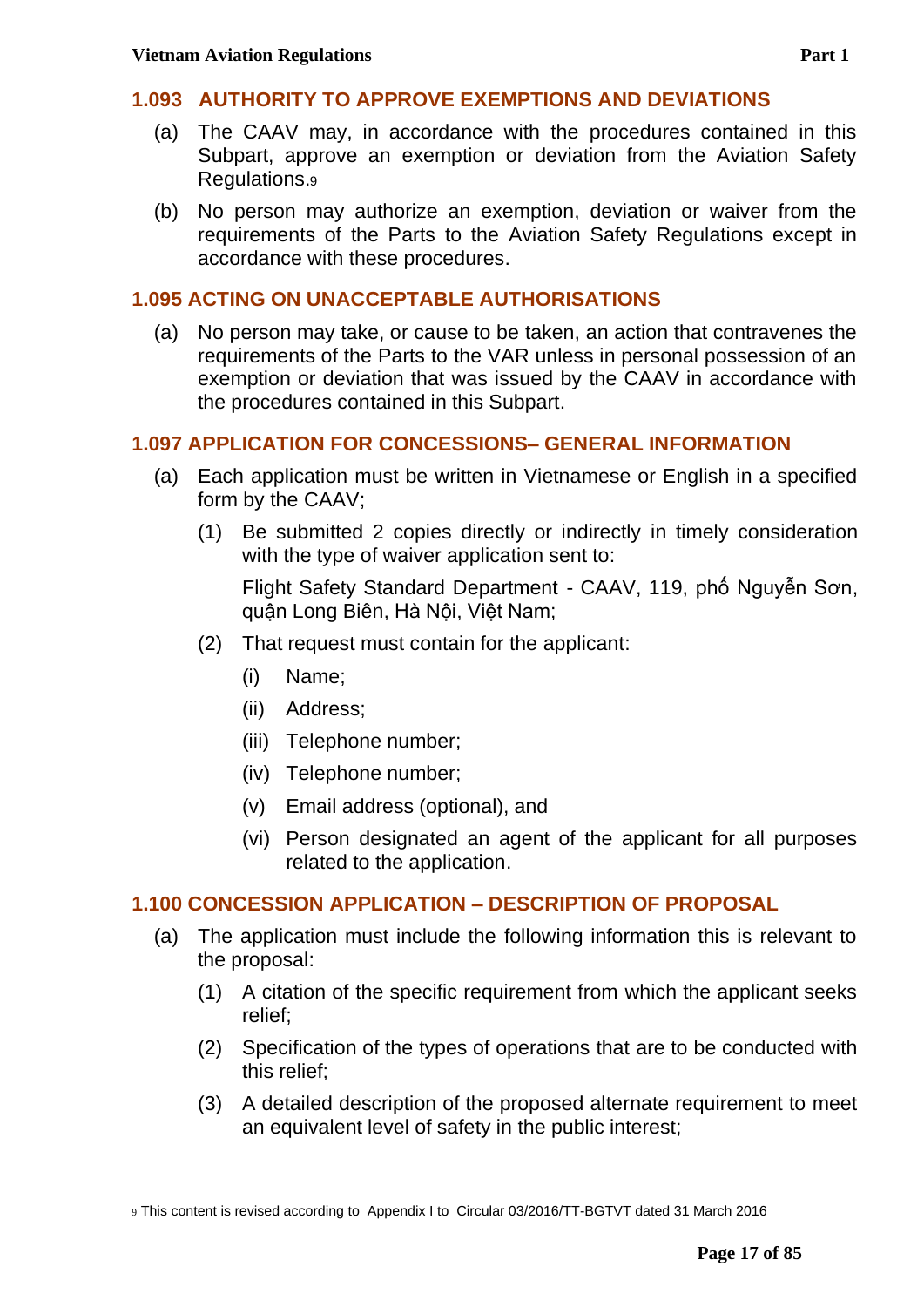### <span id="page-16-0"></span>**1.093 AUTHORITY TO APPROVE EXEMPTIONS AND DEVIATIONS**

- (a) The CAAV may, in accordance with the procedures contained in this Subpart, approve an exemption or deviation from the Aviation Safety Regulations.<sup>9</sup>
- (b) No person may authorize an exemption, deviation or waiver from the requirements of the Parts to the Aviation Safety Regulations except in accordance with these procedures.

### <span id="page-16-1"></span>**1.095 ACTING ON UNACCEPTABLE AUTHORISATIONS**

(a) No person may take, or cause to be taken, an action that contravenes the requirements of the Parts to the VAR unless in personal possession of an exemption or deviation that was issued by the CAAV in accordance with the procedures contained in this Subpart.

### <span id="page-16-2"></span>**1.097 APPLICATION FOR CONCESSIONS– GENERAL INFORMATION**

- (a) Each application must be written in Vietnamese or English in a specified form by the CAAV;
	- (1) Be submitted 2 copies directly or indirectly in timely consideration with the type of waiver application sent to:

Flight Safety Standard Department - CAAV, 119, phố Nguyễn Sơn, quận Long Biên, Hà Nội, Việt Nam;

- (2) That request must contain for the applicant:
	- (i) Name;
	- (ii) Address;
	- (iii) Telephone number;
	- (iv) Telephone number;
	- (v) Email address (optional), and
	- (vi) Person designated an agent of the applicant for all purposes related to the application.

### <span id="page-16-3"></span>**1.100 CONCESSION APPLICATION – DESCRIPTION OF PROPOSAL**

- (a) The application must include the following information this is relevant to the proposal:
	- (1) A citation of the specific requirement from which the applicant seeks relief;
	- (2) Specification of the types of operations that are to be conducted with this relief;
	- (3) A detailed description of the proposed alternate requirement to meet an equivalent level of safety in the public interest;

<sup>9</sup> This content is revised according to Appendix I to Circular 03/2016/TT-BGTVT dated 31 March 2016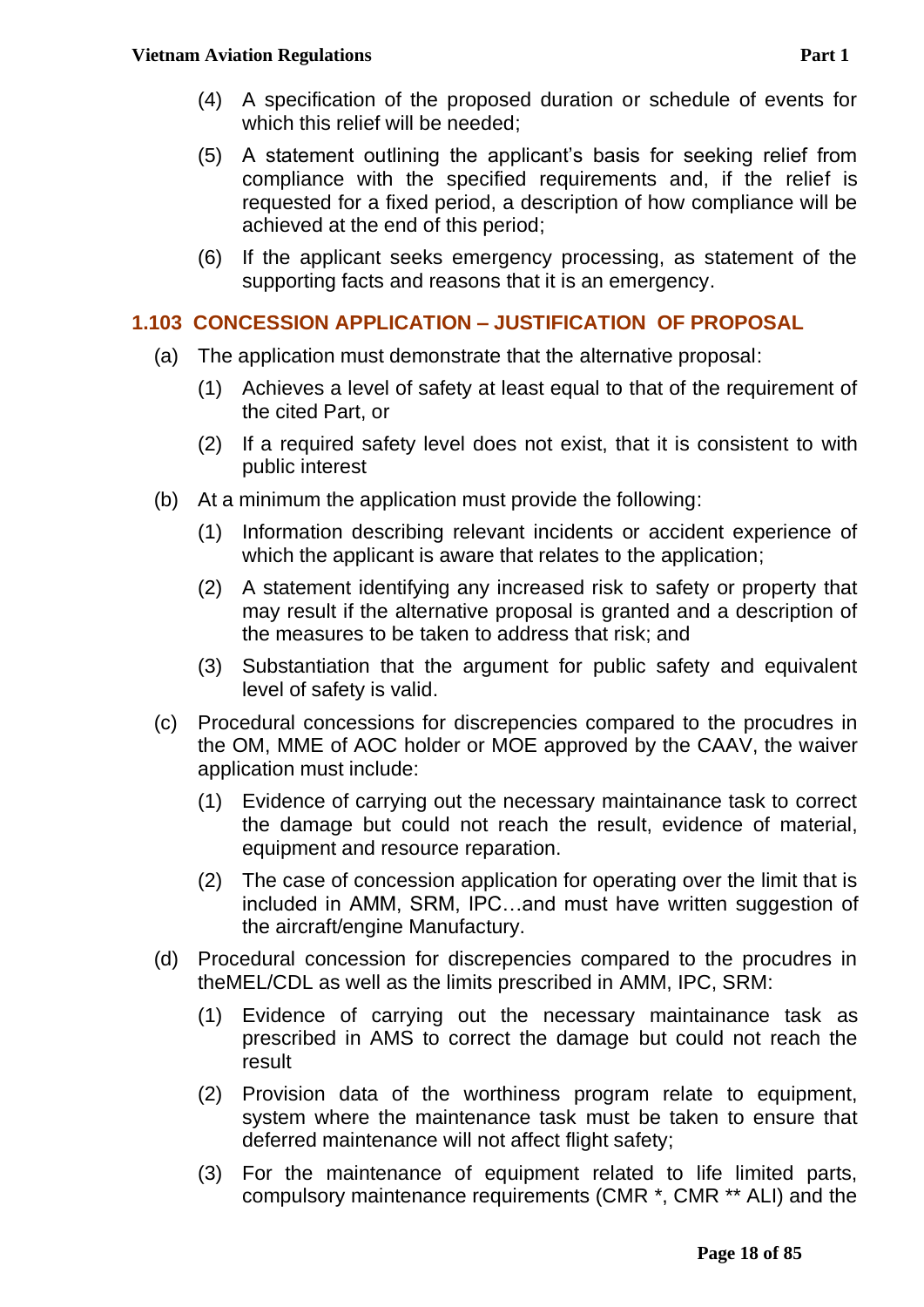- (4) A specification of the proposed duration or schedule of events for which this relief will be needed;
- (5) A statement outlining the applicant's basis for seeking relief from compliance with the specified requirements and, if the relief is requested for a fixed period, a description of how compliance will be achieved at the end of this period;
- (6) If the applicant seeks emergency processing, as statement of the supporting facts and reasons that it is an emergency.

# <span id="page-17-0"></span>**1.103 CONCESSION APPLICATION – JUSTIFICATION OF PROPOSAL**

- (a) The application must demonstrate that the alternative proposal:
	- (1) Achieves a level of safety at least equal to that of the requirement of the cited Part, or
	- (2) If a required safety level does not exist, that it is consistent to with public interest
- (b) At a minimum the application must provide the following:
	- (1) Information describing relevant incidents or accident experience of which the applicant is aware that relates to the application:
	- (2) A statement identifying any increased risk to safety or property that may result if the alternative proposal is granted and a description of the measures to be taken to address that risk; and
	- (3) Substantiation that the argument for public safety and equivalent level of safety is valid.
- (c) Procedural concessions for discrepencies compared to the procudres in the OM, MME of AOC holder or MOE approved by the CAAV, the waiver application must include:
	- (1) Evidence of carrying out the necessary maintainance task to correct the damage but could not reach the result, evidence of material, equipment and resource reparation.
	- (2) The case of concession application for operating over the limit that is included in AMM, SRM, IPC…and must have written suggestion of the aircraft/engine Manufactury.
- (d) Procedural concession for discrepencies compared to the procudres in theMEL/CDL as well as the limits prescribed in AMM, IPC, SRM:
	- (1) Evidence of carrying out the necessary maintainance task as prescribed in AMS to correct the damage but could not reach the result
	- (2) Provision data of the worthiness program relate to equipment, system where the maintenance task must be taken to ensure that deferred maintenance will not affect flight safety;
	- (3) For the maintenance of equipment related to life limited parts, compulsory maintenance requirements (CMR \*, CMR \*\* ALI) and the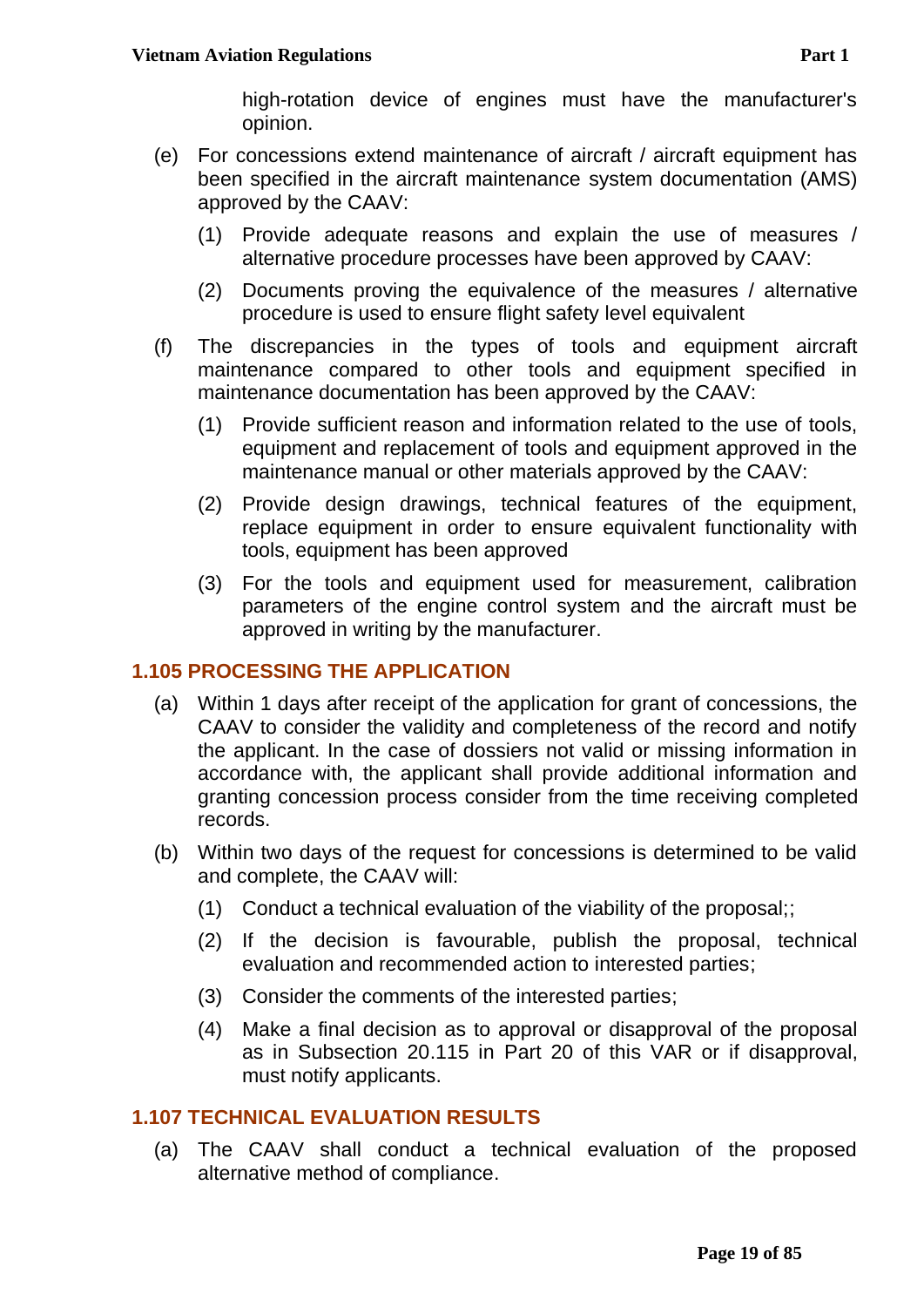high-rotation device of engines must have the manufacturer's opinion.

- (e) For concessions extend maintenance of aircraft / aircraft equipment has been specified in the aircraft maintenance system documentation (AMS) approved by the CAAV:
	- (1) Provide adequate reasons and explain the use of measures / alternative procedure processes have been approved by CAAV:
	- (2) Documents proving the equivalence of the measures / alternative procedure is used to ensure flight safety level equivalent
- (f) The discrepancies in the types of tools and equipment aircraft maintenance compared to other tools and equipment specified in maintenance documentation has been approved by the CAAV:
	- (1) Provide sufficient reason and information related to the use of tools, equipment and replacement of tools and equipment approved in the maintenance manual or other materials approved by the CAAV:
	- (2) Provide design drawings, technical features of the equipment, replace equipment in order to ensure equivalent functionality with tools, equipment has been approved
	- (3) For the tools and equipment used for measurement, calibration parameters of the engine control system and the aircraft must be approved in writing by the manufacturer.

## <span id="page-18-0"></span>**1.105 PROCESSING THE APPLICATION**

- (a) Within 1 days after receipt of the application for grant of concessions, the CAAV to consider the validity and completeness of the record and notify the applicant. In the case of dossiers not valid or missing information in accordance with, the applicant shall provide additional information and granting concession process consider from the time receiving completed records.
- (b) Within two days of the request for concessions is determined to be valid and complete, the CAAV will:
	- (1) Conduct a technical evaluation of the viability of the proposal;;
	- (2) If the decision is favourable, publish the proposal, technical evaluation and recommended action to interested parties;
	- (3) Consider the comments of the interested parties;
	- (4) Make a final decision as to approval or disapproval of the proposal as in Subsection 20.115 in Part 20 of this VAR or if disapproval, must notify applicants.

### <span id="page-18-1"></span>**1.107 TECHNICAL EVALUATION RESULTS**

(a) The CAAV shall conduct a technical evaluation of the proposed alternative method of compliance.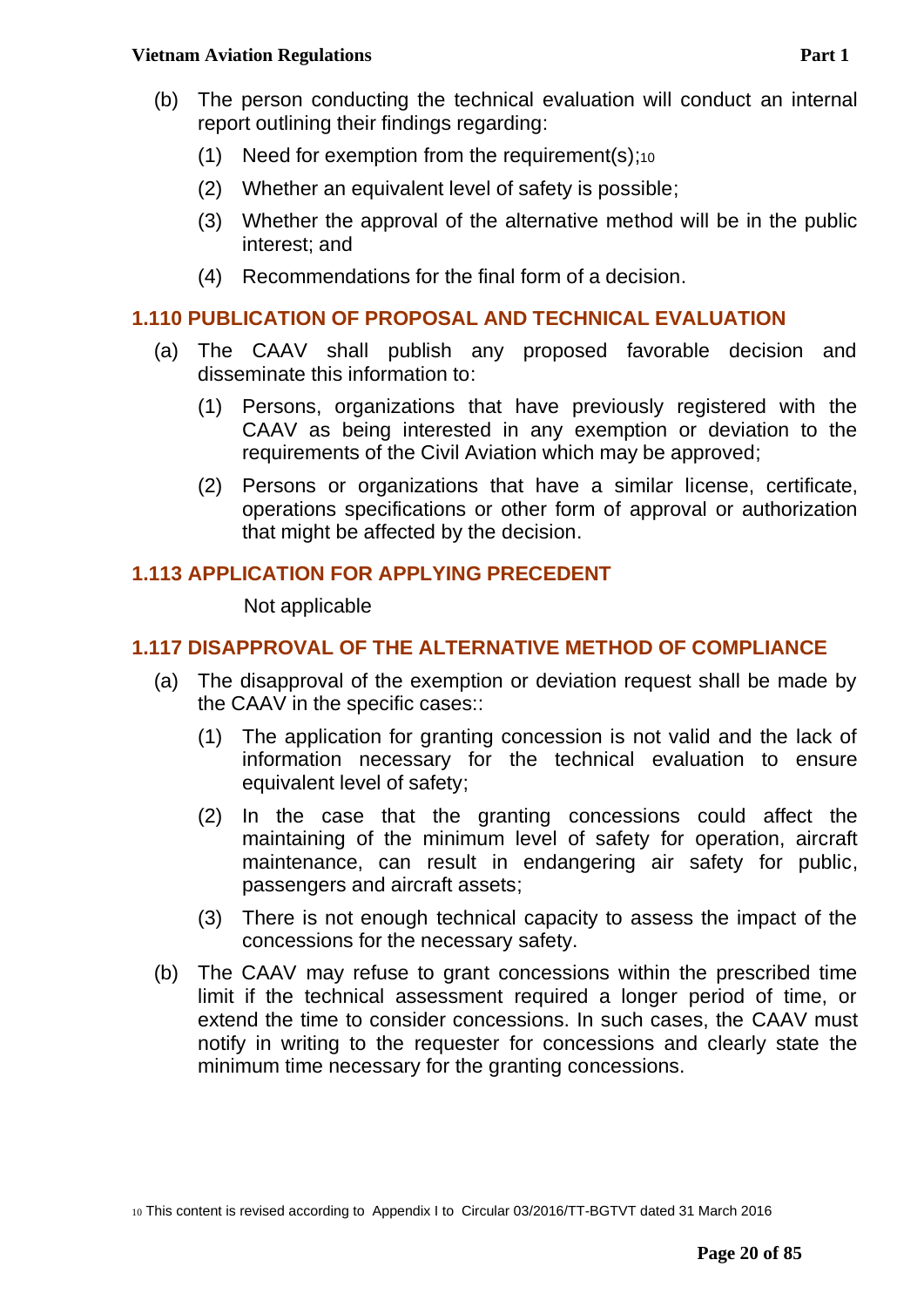#### **Vietnam Aviation Regulations Part 1**

- (b) The person conducting the technical evaluation will conduct an internal report outlining their findings regarding:
	- $(1)$  Need for exemption from the requirement(s);<sup>10</sup>
	- (2) Whether an equivalent level of safety is possible;
	- (3) Whether the approval of the alternative method will be in the public interest; and
	- (4) Recommendations for the final form of a decision.

## <span id="page-19-0"></span>**1.110 PUBLICATION OF PROPOSAL AND TECHNICAL EVALUATION**

- (a) The CAAV shall publish any proposed favorable decision and disseminate this information to:
	- (1) Persons, organizations that have previously registered with the CAAV as being interested in any exemption or deviation to the requirements of the Civil Aviation which may be approved;
	- (2) Persons or organizations that have a similar license, certificate, operations specifications or other form of approval or authorization that might be affected by the decision.

### <span id="page-19-1"></span>**1.113 APPLICATION FOR APPLYING PRECEDENT**

Not applicable

## <span id="page-19-2"></span>**1.117 DISAPPROVAL OF THE ALTERNATIVE METHOD OF COMPLIANCE**

- (a) The disapproval of the exemption or deviation request shall be made by the CAAV in the specific cases::
	- (1) The application for granting concession is not valid and the lack of information necessary for the technical evaluation to ensure equivalent level of safety;
	- (2) In the case that the granting concessions could affect the maintaining of the minimum level of safety for operation, aircraft maintenance, can result in endangering air safety for public, passengers and aircraft assets;
	- (3) There is not enough technical capacity to assess the impact of the concessions for the necessary safety.
- (b) The CAAV may refuse to grant concessions within the prescribed time limit if the technical assessment required a longer period of time, or extend the time to consider concessions. In such cases, the CAAV must notify in writing to the requester for concessions and clearly state the minimum time necessary for the granting concessions.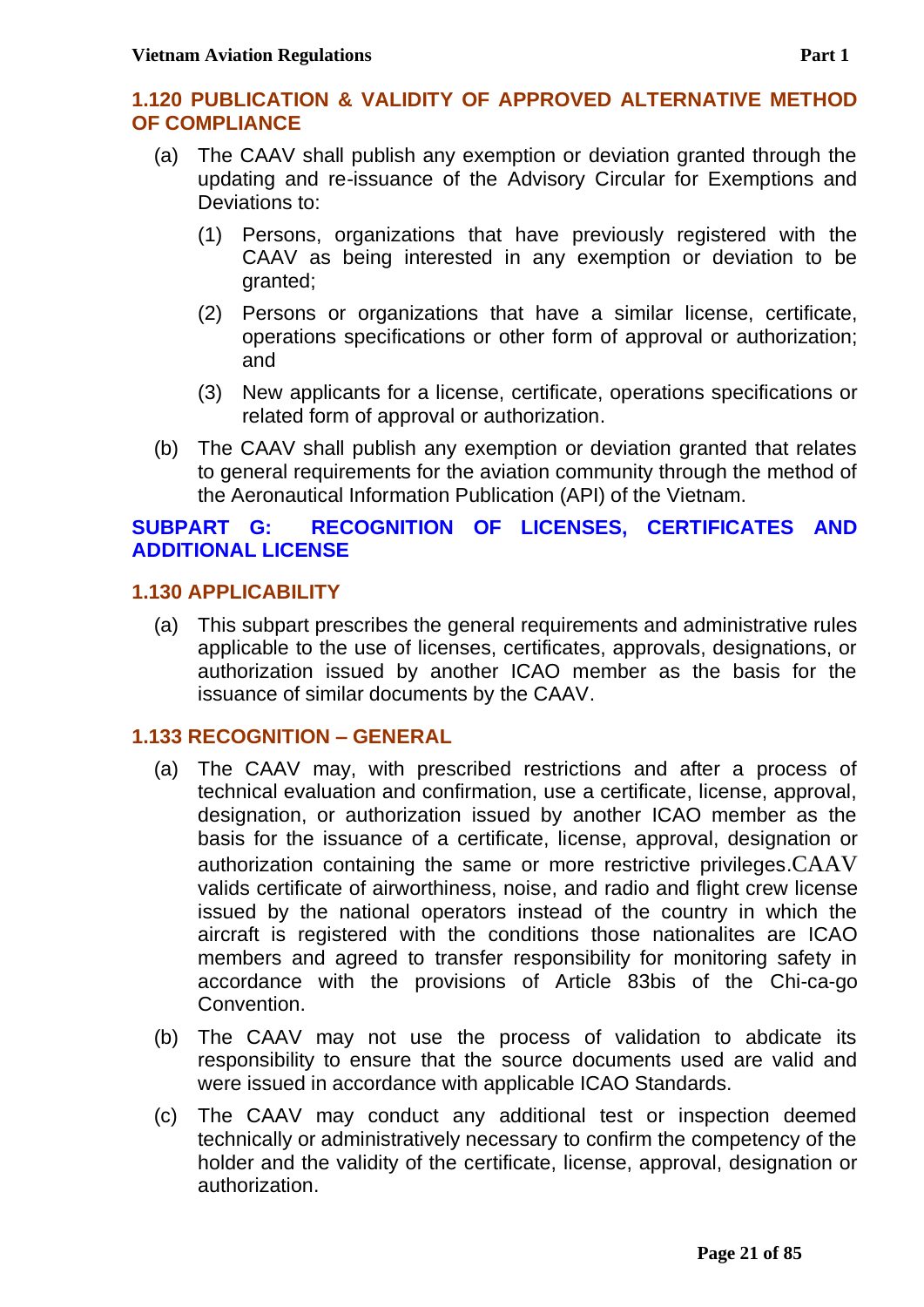## <span id="page-20-0"></span>**1.120 PUBLICATION & VALIDITY OF APPROVED ALTERNATIVE METHOD OF COMPLIANCE**

- (a) The CAAV shall publish any exemption or deviation granted through the updating and re-issuance of the Advisory Circular for Exemptions and Deviations to:
	- (1) Persons, organizations that have previously registered with the CAAV as being interested in any exemption or deviation to be granted;
	- (2) Persons or organizations that have a similar license, certificate, operations specifications or other form of approval or authorization; and
	- (3) New applicants for a license, certificate, operations specifications or related form of approval or authorization.
- (b) The CAAV shall publish any exemption or deviation granted that relates to general requirements for the aviation community through the method of the Aeronautical Information Publication (API) of the Vietnam.

## <span id="page-20-1"></span>**SUBPART G: RECOGNITION OF LICENSES, CERTIFICATES AND ADDITIONAL LICENSE**

## <span id="page-20-2"></span>**1.130 APPLICABILITY**

(a) This subpart prescribes the general requirements and administrative rules applicable to the use of licenses, certificates, approvals, designations, or authorization issued by another ICAO member as the basis for the issuance of similar documents by the CAAV.

## <span id="page-20-3"></span>**1.133 RECOGNITION – GENERAL**

- (a) The CAAV may, with prescribed restrictions and after a process of technical evaluation and confirmation, use a certificate, license, approval, designation, or authorization issued by another ICAO member as the basis for the issuance of a certificate, license, approval, designation or authorization containing the same or more restrictive privileges.CAAV valids certificate of airworthiness, noise, and radio and flight crew license issued by the national operators instead of the country in which the aircraft is registered with the conditions those nationalites are ICAO members and agreed to transfer responsibility for monitoring safety in accordance with the provisions of Article 83bis of the Chi-ca-go Convention.
- (b) The CAAV may not use the process of validation to abdicate its responsibility to ensure that the source documents used are valid and were issued in accordance with applicable ICAO Standards.
- (c) The CAAV may conduct any additional test or inspection deemed technically or administratively necessary to confirm the competency of the holder and the validity of the certificate, license, approval, designation or authorization.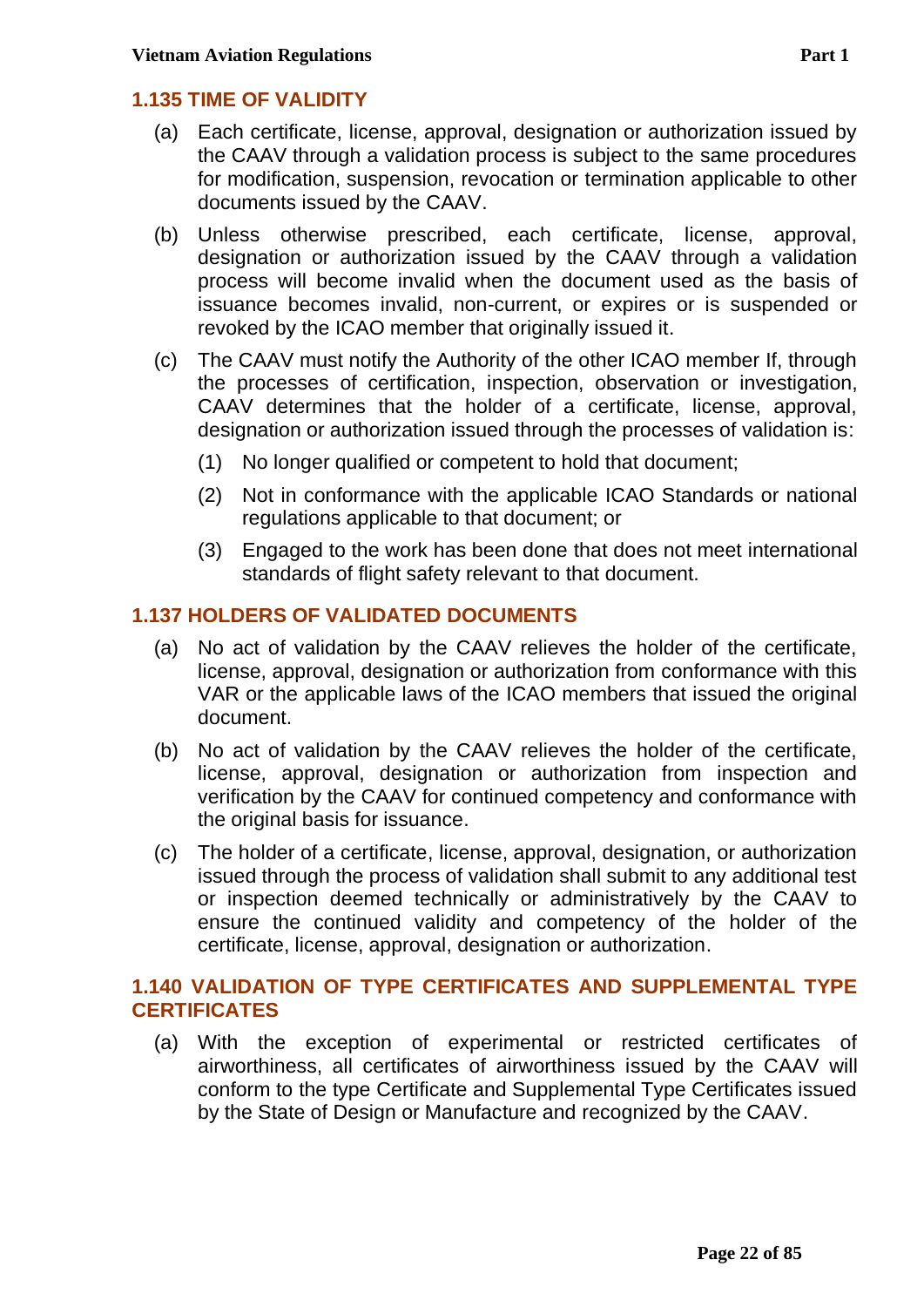## <span id="page-21-0"></span>**1.135 TIME OF VALIDITY**

- (a) Each certificate, license, approval, designation or authorization issued by the CAAV through a validation process is subject to the same procedures for modification, suspension, revocation or termination applicable to other documents issued by the CAAV.
- (b) Unless otherwise prescribed, each certificate, license, approval, designation or authorization issued by the CAAV through a validation process will become invalid when the document used as the basis of issuance becomes invalid, non-current, or expires or is suspended or revoked by the ICAO member that originally issued it.
- (c) The CAAV must notify the Authority of the other ICAO member If, through the processes of certification, inspection, observation or investigation, CAAV determines that the holder of a certificate, license, approval, designation or authorization issued through the processes of validation is:
	- (1) No longer qualified or competent to hold that document;
	- (2) Not in conformance with the applicable ICAO Standards or national regulations applicable to that document; or
	- (3) Engaged to the work has been done that does not meet international standards of flight safety relevant to that document.

### <span id="page-21-1"></span>**1.137 HOLDERS OF VALIDATED DOCUMENTS**

- (a) No act of validation by the CAAV relieves the holder of the certificate, license, approval, designation or authorization from conformance with this VAR or the applicable laws of the ICAO members that issued the original document.
- (b) No act of validation by the CAAV relieves the holder of the certificate, license, approval, designation or authorization from inspection and verification by the CAAV for continued competency and conformance with the original basis for issuance.
- (c) The holder of a certificate, license, approval, designation, or authorization issued through the process of validation shall submit to any additional test or inspection deemed technically or administratively by the CAAV to ensure the continued validity and competency of the holder of the certificate, license, approval, designation or authorization.

## <span id="page-21-2"></span>**1.140 VALIDATION OF TYPE CERTIFICATES AND SUPPLEMENTAL TYPE CERTIFICATES**

(a) With the exception of experimental or restricted certificates of airworthiness, all certificates of airworthiness issued by the CAAV will conform to the type Certificate and Supplemental Type Certificates issued by the State of Design or Manufacture and recognized by the CAAV.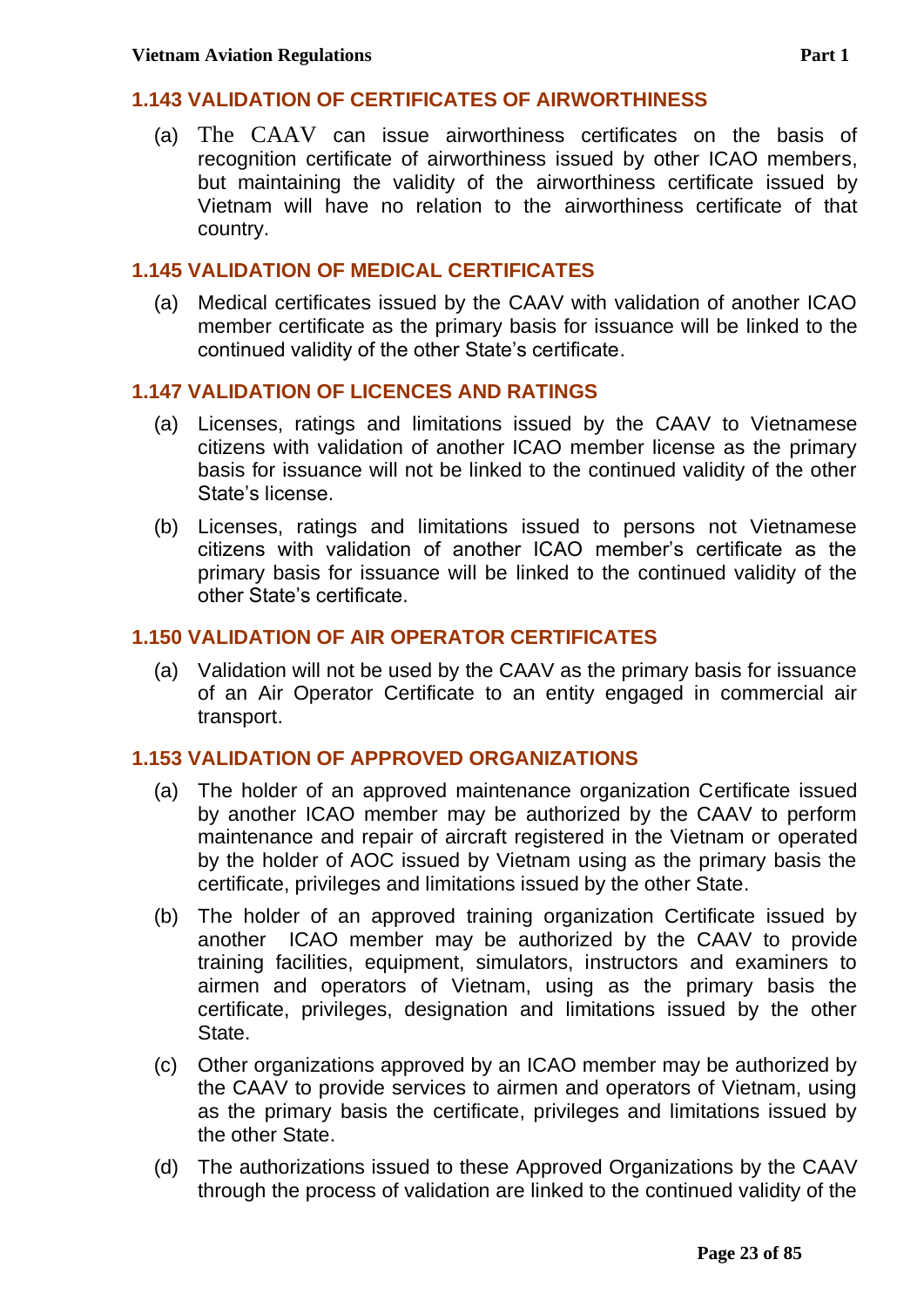## <span id="page-22-0"></span>**1.143 VALIDATION OF CERTIFICATES OF AIRWORTHINESS**

(a) The CAAV can issue airworthiness certificates on the basis of recognition certificate of airworthiness issued by other ICAO members, but maintaining the validity of the airworthiness certificate issued by Vietnam will have no relation to the airworthiness certificate of that country.

### <span id="page-22-1"></span>**1.145 VALIDATION OF MEDICAL CERTIFICATES**

(a) Medical certificates issued by the CAAV with validation of another ICAO member certificate as the primary basis for issuance will be linked to the continued validity of the other State's certificate.

## <span id="page-22-2"></span>**1.147 VALIDATION OF LICENCES AND RATINGS**

- (a) Licenses, ratings and limitations issued by the CAAV to Vietnamese citizens with validation of another ICAO member license as the primary basis for issuance will not be linked to the continued validity of the other State's license.
- (b) Licenses, ratings and limitations issued to persons not Vietnamese citizens with validation of another ICAO member's certificate as the primary basis for issuance will be linked to the continued validity of the other State's certificate.

### <span id="page-22-3"></span>**1.150 VALIDATION OF AIR OPERATOR CERTIFICATES**

(a) Validation will not be used by the CAAV as the primary basis for issuance of an Air Operator Certificate to an entity engaged in commercial air transport.

## <span id="page-22-4"></span>**1.153 VALIDATION OF APPROVED ORGANIZATIONS**

- (a) The holder of an approved maintenance organization Certificate issued by another ICAO member may be authorized by the CAAV to perform maintenance and repair of aircraft registered in the Vietnam or operated by the holder of AOC issued by Vietnam using as the primary basis the certificate, privileges and limitations issued by the other State.
- (b) The holder of an approved training organization Certificate issued by another ICAO member may be authorized by the CAAV to provide training facilities, equipment, simulators, instructors and examiners to airmen and operators of Vietnam, using as the primary basis the certificate, privileges, designation and limitations issued by the other State.
- (c) Other organizations approved by an ICAO member may be authorized by the CAAV to provide services to airmen and operators of Vietnam, using as the primary basis the certificate, privileges and limitations issued by the other State.
- (d) The authorizations issued to these Approved Organizations by the CAAV through the process of validation are linked to the continued validity of the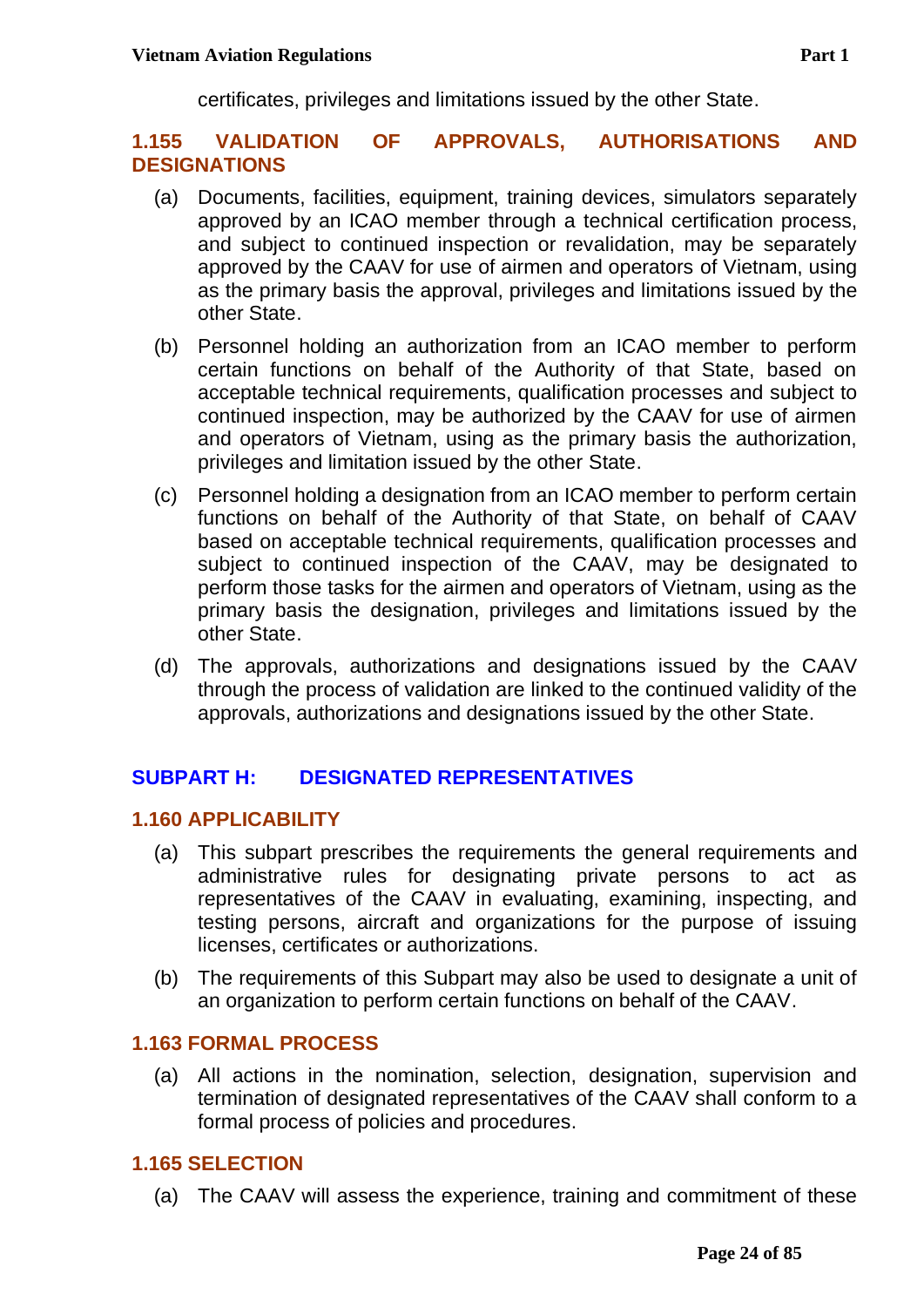### <span id="page-23-0"></span>**1.155 VALIDATION OF APPROVALS, AUTHORISATIONS AND DESIGNATIONS**

- (a) Documents, facilities, equipment, training devices, simulators separately approved by an ICAO member through a technical certification process, and subject to continued inspection or revalidation, may be separately approved by the CAAV for use of airmen and operators of Vietnam, using as the primary basis the approval, privileges and limitations issued by the other State.
- (b) Personnel holding an authorization from an ICAO member to perform certain functions on behalf of the Authority of that State, based on acceptable technical requirements, qualification processes and subject to continued inspection, may be authorized by the CAAV for use of airmen and operators of Vietnam, using as the primary basis the authorization, privileges and limitation issued by the other State.
- (c) Personnel holding a designation from an ICAO member to perform certain functions on behalf of the Authority of that State, on behalf of CAAV based on acceptable technical requirements, qualification processes and subject to continued inspection of the CAAV, may be designated to perform those tasks for the airmen and operators of Vietnam, using as the primary basis the designation, privileges and limitations issued by the other State.
- (d) The approvals, authorizations and designations issued by the CAAV through the process of validation are linked to the continued validity of the approvals, authorizations and designations issued by the other State.

## <span id="page-23-1"></span>**SUBPART H: DESIGNATED REPRESENTATIVES**

### <span id="page-23-2"></span>**1.160 APPLICABILITY**

- (a) This subpart prescribes the requirements the general requirements and administrative rules for designating private persons to act as representatives of the CAAV in evaluating, examining, inspecting, and testing persons, aircraft and organizations for the purpose of issuing licenses, certificates or authorizations.
- (b) The requirements of this Subpart may also be used to designate a unit of an organization to perform certain functions on behalf of the CAAV.

## <span id="page-23-3"></span>**1.163 FORMAL PROCESS**

(a) All actions in the nomination, selection, designation, supervision and termination of designated representatives of the CAAV shall conform to a formal process of policies and procedures.

## <span id="page-23-4"></span>**1.165 SELECTION**

(a) The CAAV will assess the experience, training and commitment of these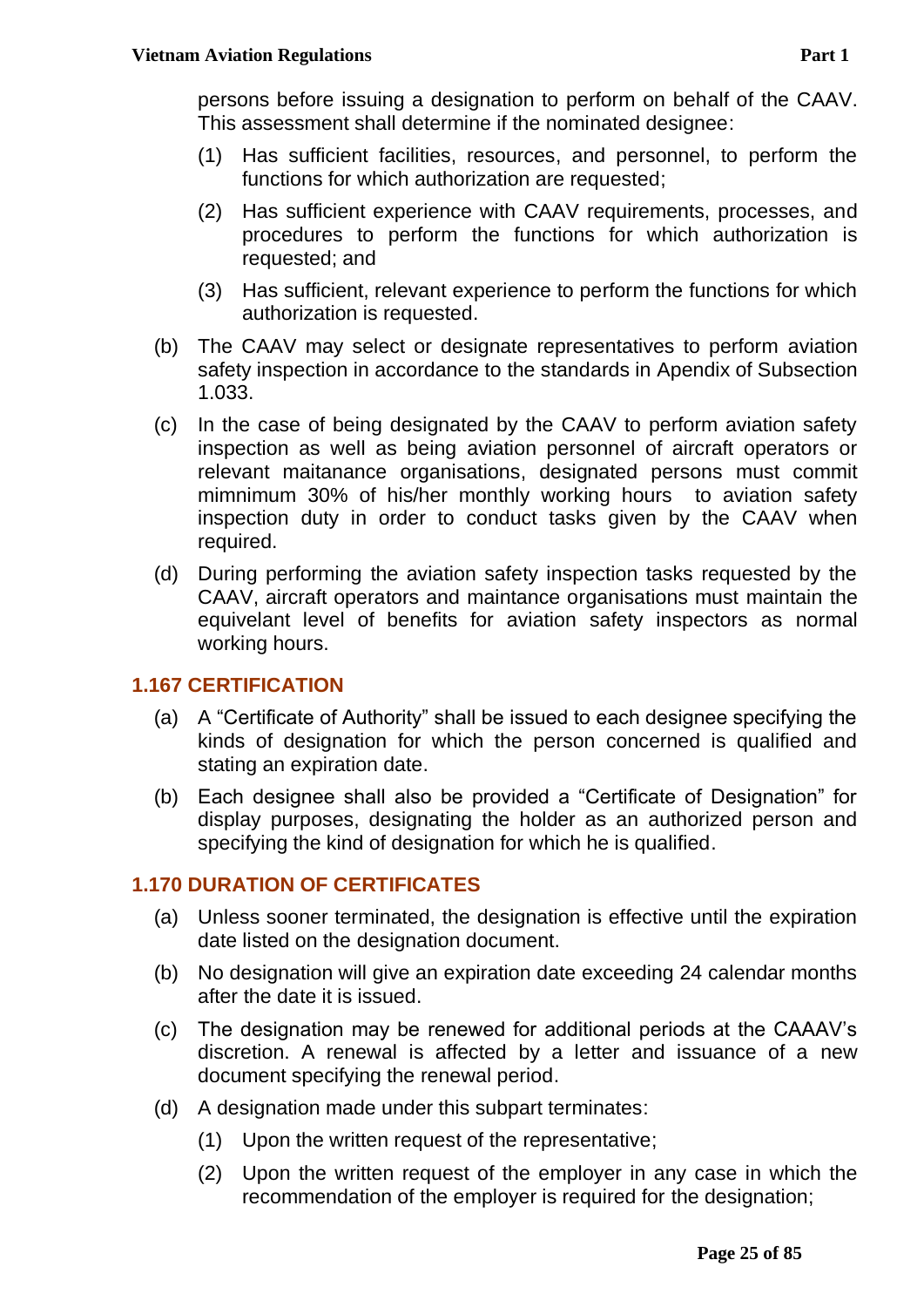persons before issuing a designation to perform on behalf of the CAAV. This assessment shall determine if the nominated designee:

- (1) Has sufficient facilities, resources, and personnel, to perform the functions for which authorization are requested;
- (2) Has sufficient experience with CAAV requirements, processes, and procedures to perform the functions for which authorization is requested; and
- (3) Has sufficient, relevant experience to perform the functions for which authorization is requested.
- (b) The CAAV may select or designate representatives to perform aviation safety inspection in accordance to the standards in Apendix of Subsection 1.033.
- (c) In the case of being designated by the CAAV to perform aviation safety inspection as well as being aviation personnel of aircraft operators or relevant maitanance organisations, designated persons must commit mimnimum 30% of his/her monthly working hours to aviation safety inspection duty in order to conduct tasks given by the CAAV when required.
- (d) During performing the aviation safety inspection tasks requested by the CAAV, aircraft operators and maintance organisations must maintain the equivelant level of benefits for aviation safety inspectors as normal working hours.

### <span id="page-24-0"></span>**1.167 CERTIFICATION**

- (a) A "Certificate of Authority" shall be issued to each designee specifying the kinds of designation for which the person concerned is qualified and stating an expiration date.
- (b) Each designee shall also be provided a "Certificate of Designation" for display purposes, designating the holder as an authorized person and specifying the kind of designation for which he is qualified.

## <span id="page-24-1"></span>**1.170 DURATION OF CERTIFICATES**

- (a) Unless sooner terminated, the designation is effective until the expiration date listed on the designation document.
- (b) No designation will give an expiration date exceeding 24 calendar months after the date it is issued.
- (c) The designation may be renewed for additional periods at the CAAAV's discretion. A renewal is affected by a letter and issuance of a new document specifying the renewal period.
- (d) A designation made under this subpart terminates:
	- (1) Upon the written request of the representative;
	- (2) Upon the written request of the employer in any case in which the recommendation of the employer is required for the designation;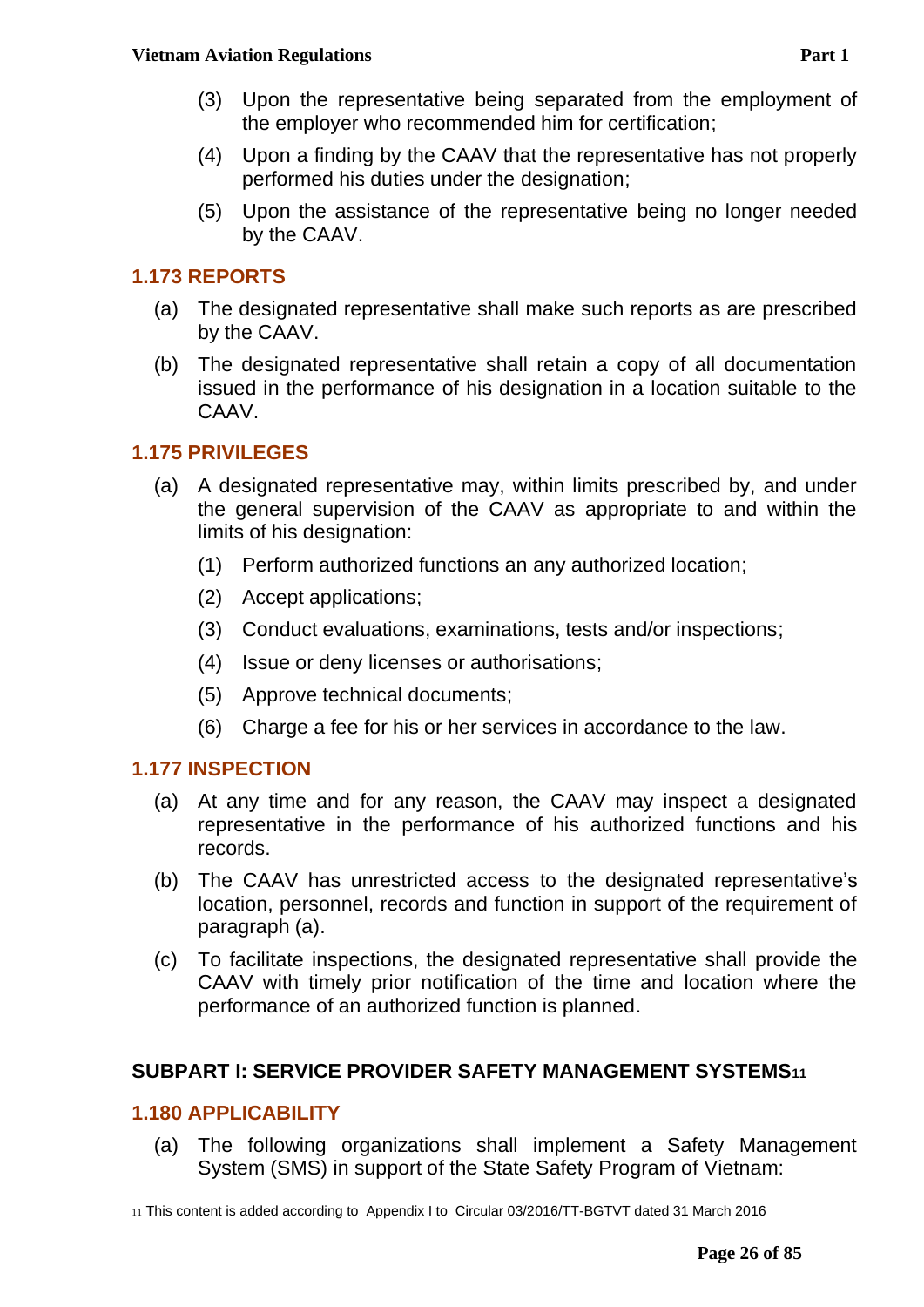- (3) Upon the representative being separated from the employment of the employer who recommended him for certification;
- (4) Upon a finding by the CAAV that the representative has not properly performed his duties under the designation;
- (5) Upon the assistance of the representative being no longer needed by the CAAV.

# <span id="page-25-0"></span>**1.173 REPORTS**

- (a) The designated representative shall make such reports as are prescribed by the CAAV.
- (b) The designated representative shall retain a copy of all documentation issued in the performance of his designation in a location suitable to the CAAV.

# <span id="page-25-1"></span>**1.175 PRIVILEGES**

- (a) A designated representative may, within limits prescribed by, and under the general supervision of the CAAV as appropriate to and within the limits of his designation:
	- (1) Perform authorized functions an any authorized location;
	- (2) Accept applications;
	- (3) Conduct evaluations, examinations, tests and/or inspections;
	- (4) Issue or deny licenses or authorisations;
	- (5) Approve technical documents;
	- (6) Charge a fee for his or her services in accordance to the law.

## <span id="page-25-2"></span>**1.177 INSPECTION**

- (a) At any time and for any reason, the CAAV may inspect a designated representative in the performance of his authorized functions and his records.
- (b) The CAAV has unrestricted access to the designated representative's location, personnel, records and function in support of the requirement of paragraph (a).
- (c) To facilitate inspections, the designated representative shall provide the CAAV with timely prior notification of the time and location where the performance of an authorized function is planned.

## <span id="page-25-3"></span>**SUBPART I: SERVICE PROVIDER SAFETY MANAGEMENT SYSTEMS<sup>11</sup>**

## <span id="page-25-4"></span>**1.180 APPLICABILITY**

(a) The following organizations shall implement a Safety Management System (SMS) in support of the State Safety Program of Vietnam:

<sup>11</sup> This content is added according to Appendix I to Circular 03/2016/TT-BGTVT dated 31 March 2016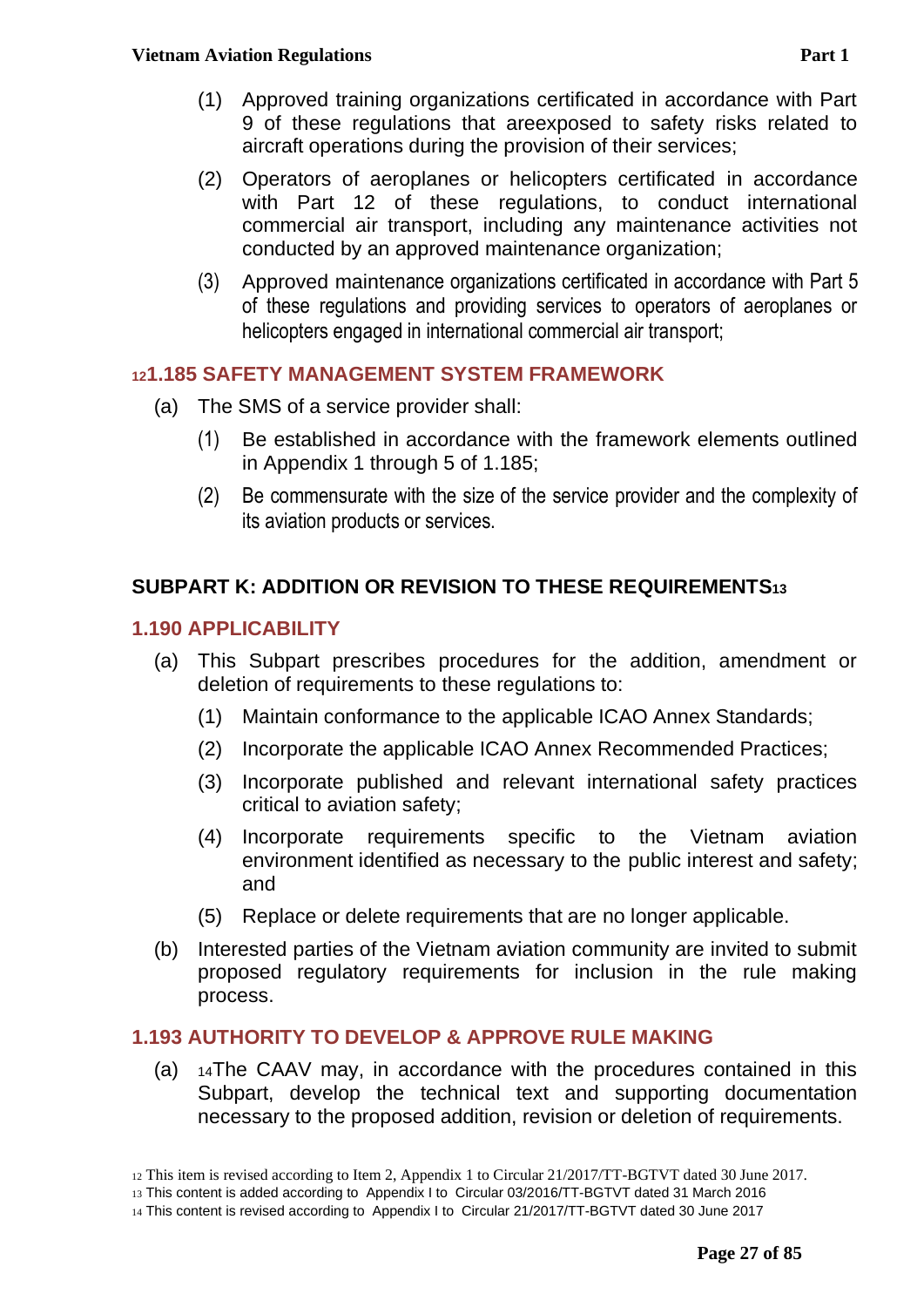- (2) Operators of aeroplanes or helicopters certificated in accordance with Part 12 of these regulations, to conduct international commercial air transport, including any maintenance activities not conducted by an approved maintenance organization;
- (3) Approved maintenance organizations certificated in accordance with Part 5 of these regulations and providing services to operators of aeroplanes or helicopters engaged in international commercial air transport;

# <span id="page-26-0"></span>**<sup>12</sup>1.185 SAFETY MANAGEMENT SYSTEM FRAMEWORK**

- (a) The SMS of a service provider shall:
	- (1) Be established in accordance with the framework elements outlined in Appendix 1 through 5 of 1.185;
	- (2) Be commensurate with the size of the service provider and the complexity of its aviation products or services.

# <span id="page-26-1"></span>**SUBPART K: ADDITION OR REVISION TO THESE REQUIREMENTS<sup>13</sup>**

### <span id="page-26-2"></span>**1.190 APPLICABILITY**

- (a) This Subpart prescribes procedures for the addition, amendment or deletion of requirements to these regulations to:
	- (1) Maintain conformance to the applicable ICAO Annex Standards;
	- (2) Incorporate the applicable ICAO Annex Recommended Practices;
	- (3) Incorporate published and relevant international safety practices critical to aviation safety;
	- (4) Incorporate requirements specific to the Vietnam aviation environment identified as necessary to the public interest and safety; and
	- (5) Replace or delete requirements that are no longer applicable.
- (b) Interested parties of the Vietnam aviation community are invited to submit proposed regulatory requirements for inclusion in the rule making process.

## <span id="page-26-3"></span>**1.193 AUTHORITY TO DEVELOP & APPROVE RULE MAKING**

(a) <sup>14</sup>The CAAV may, in accordance with the procedures contained in this Subpart, develop the technical text and supporting documentation necessary to the proposed addition, revision or deletion of requirements.

<sup>12</sup> This item is revised according to Item 2, Appendix 1 to Circular 21/2017/TT-BGTVT dated 30 June 2017.

<sup>13</sup> This content is added according to Appendix I to Circular 03/2016/TT-BGTVT dated 31 March 2016

<sup>14</sup> This content is revised according to Appendix I to Circular 21/2017/TT-BGTVT dated 30 June 2017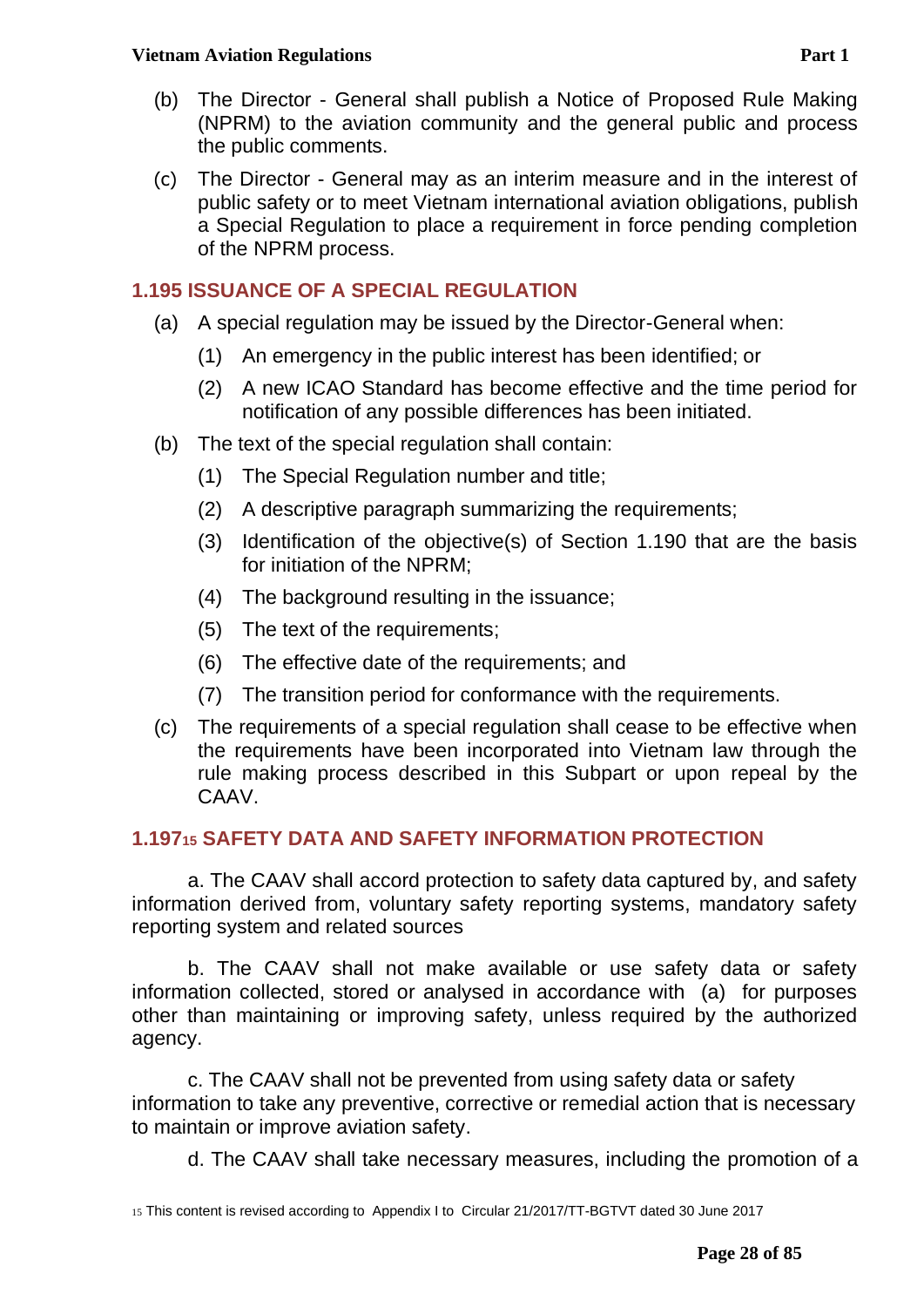- (b) The Director General shall publish a Notice of Proposed Rule Making (NPRM) to the aviation community and the general public and process the public comments.
- (c) The Director General may as an interim measure and in the interest of public safety or to meet Vietnam international aviation obligations, publish a Special Regulation to place a requirement in force pending completion of the NPRM process.

# <span id="page-27-0"></span>**1.195 ISSUANCE OF A SPECIAL REGULATION**

- (a) A special regulation may be issued by the Director-General when:
	- (1) An emergency in the public interest has been identified; or
	- (2) A new ICAO Standard has become effective and the time period for notification of any possible differences has been initiated.
- (b) The text of the special regulation shall contain:
	- (1) The Special Regulation number and title;
	- (2) A descriptive paragraph summarizing the requirements;
	- (3) Identification of the objective(s) of Section 1.190 that are the basis for initiation of the NPRM;
	- (4) The background resulting in the issuance;
	- (5) The text of the requirements;
	- (6) The effective date of the requirements; and
	- (7) The transition period for conformance with the requirements.
- (c) The requirements of a special regulation shall cease to be effective when the requirements have been incorporated into Vietnam law through the rule making process described in this Subpart or upon repeal by the CAAV.

# **1.197<sup>15</sup> SAFETY DATA AND SAFETY INFORMATION PROTECTION**

a. The CAAV shall accord protection to safety data captured by, and safety information derived from, voluntary safety reporting systems, mandatory safety reporting system and related sources

b. The CAAV shall not make available or use safety data or safety information collected, stored or analysed in accordance with (a) for purposes other than maintaining or improving safety, unless required by the authorized agency.

c. The CAAV shall not be prevented from using safety data or safety information to take any preventive, corrective or remedial action that is necessary to maintain or improve aviation safety.

d. The CAAV shall take necessary measures, including the promotion of a

<sup>15</sup> This content is revised according to Appendix I to Circular 21/2017/TT-BGTVT dated 30 June 2017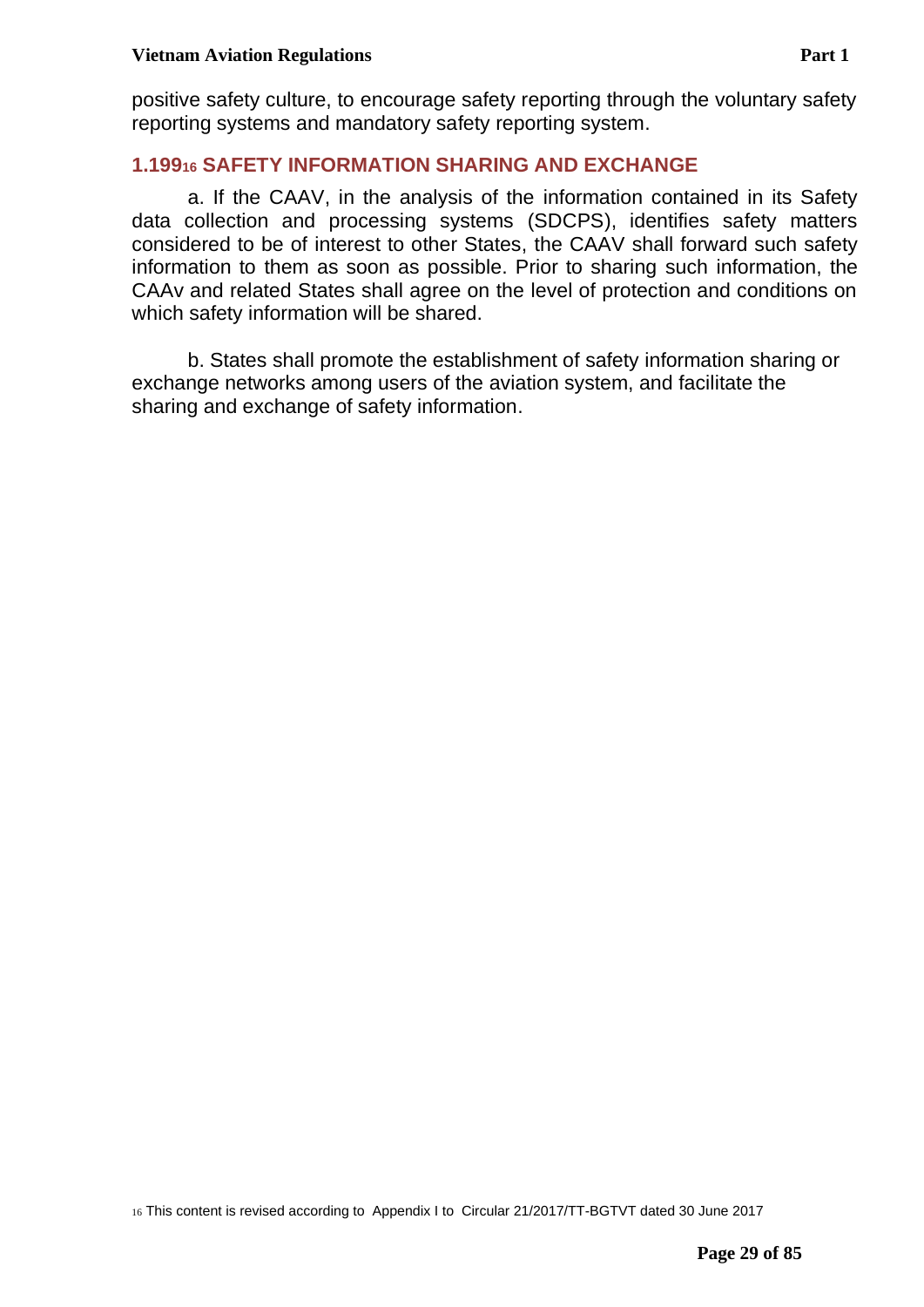positive safety culture, to encourage safety reporting through the voluntary safety reporting systems and mandatory safety reporting system.

# **1.199<sup>16</sup> SAFETY INFORMATION SHARING AND EXCHANGE**

a. If the CAAV, in the analysis of the information contained in its Safety data collection and processing systems (SDCPS), identifies safety matters considered to be of interest to other States, the CAAV shall forward such safety information to them as soon as possible. Prior to sharing such information, the CAAv and related States shall agree on the level of protection and conditions on which safety information will be shared.

b. States shall promote the establishment of safety information sharing or exchange networks among users of the aviation system, and facilitate the sharing and exchange of safety information.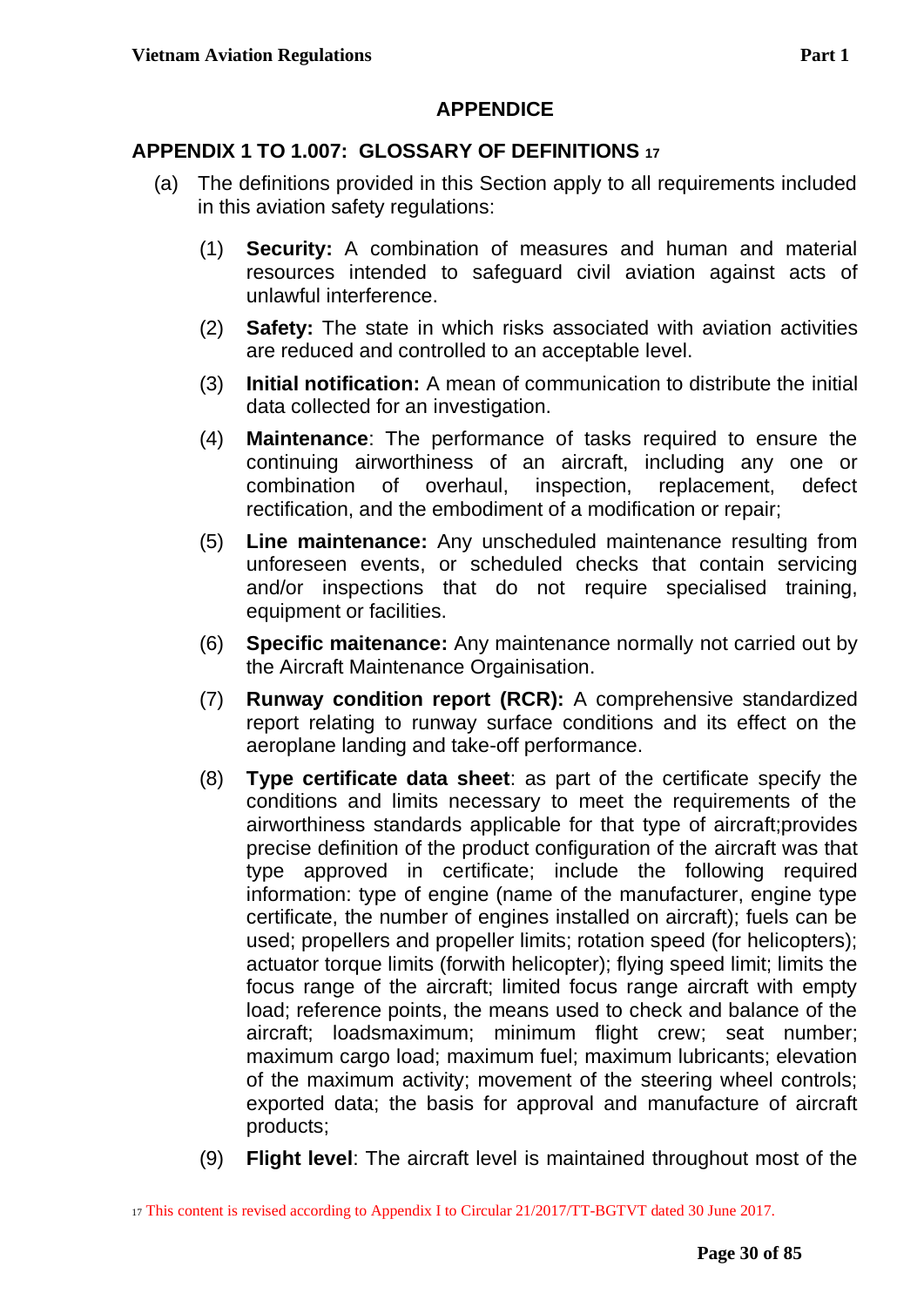### **APPENDICE**

### <span id="page-29-1"></span><span id="page-29-0"></span>**APPENDIX 1 TO 1.007: GLOSSARY OF DEFINITIONS <sup>17</sup>**

- (a) The definitions provided in this Section apply to all requirements included in this aviation safety regulations:
	- (1) **Security:** A combination of measures and human and material resources intended to safeguard civil aviation against acts of unlawful interference.
	- (2) **Safety:** The state in which risks associated with aviation activities are reduced and controlled to an acceptable level.
	- (3) **Initial notification:** A mean of communication to distribute the initial data collected for an investigation.
	- (4) **Maintenance**: The performance of tasks required to ensure the continuing airworthiness of an aircraft, including any one or combination of overhaul, inspection, replacement, defect rectification, and the embodiment of a modification or repair;
	- (5) **Line maintenance:** Any unscheduled maintenance resulting from unforeseen events, or scheduled checks that contain servicing and/or inspections that do not require specialised training, equipment or facilities.
	- (6) **Specific maitenance:** Any maintenance normally not carried out by the Aircraft Maintenance Orgainisation.
	- (7) **Runway condition report (RCR):** A comprehensive standardized report relating to runway surface conditions and its effect on the aeroplane landing and take-off performance.
	- (8) **Type certificate data sheet**: as part of the certificate specify the conditions and limits necessary to meet the requirements of the airworthiness standards applicable for that type of aircraft;provides precise definition of the product configuration of the aircraft was that type approved in certificate; include the following required information: type of engine (name of the manufacturer, engine type certificate, the number of engines installed on aircraft); fuels can be used; propellers and propeller limits; rotation speed (for helicopters); actuator torque limits (forwith helicopter); flying speed limit; limits the focus range of the aircraft; limited focus range aircraft with empty load; reference points, the means used to check and balance of the aircraft; loadsmaximum; minimum flight crew; seat number; maximum cargo load; maximum fuel; maximum lubricants; elevation of the maximum activity; movement of the steering wheel controls; exported data; the basis for approval and manufacture of aircraft products;
	- (9) **Flight level**: The aircraft level is maintained throughout most of the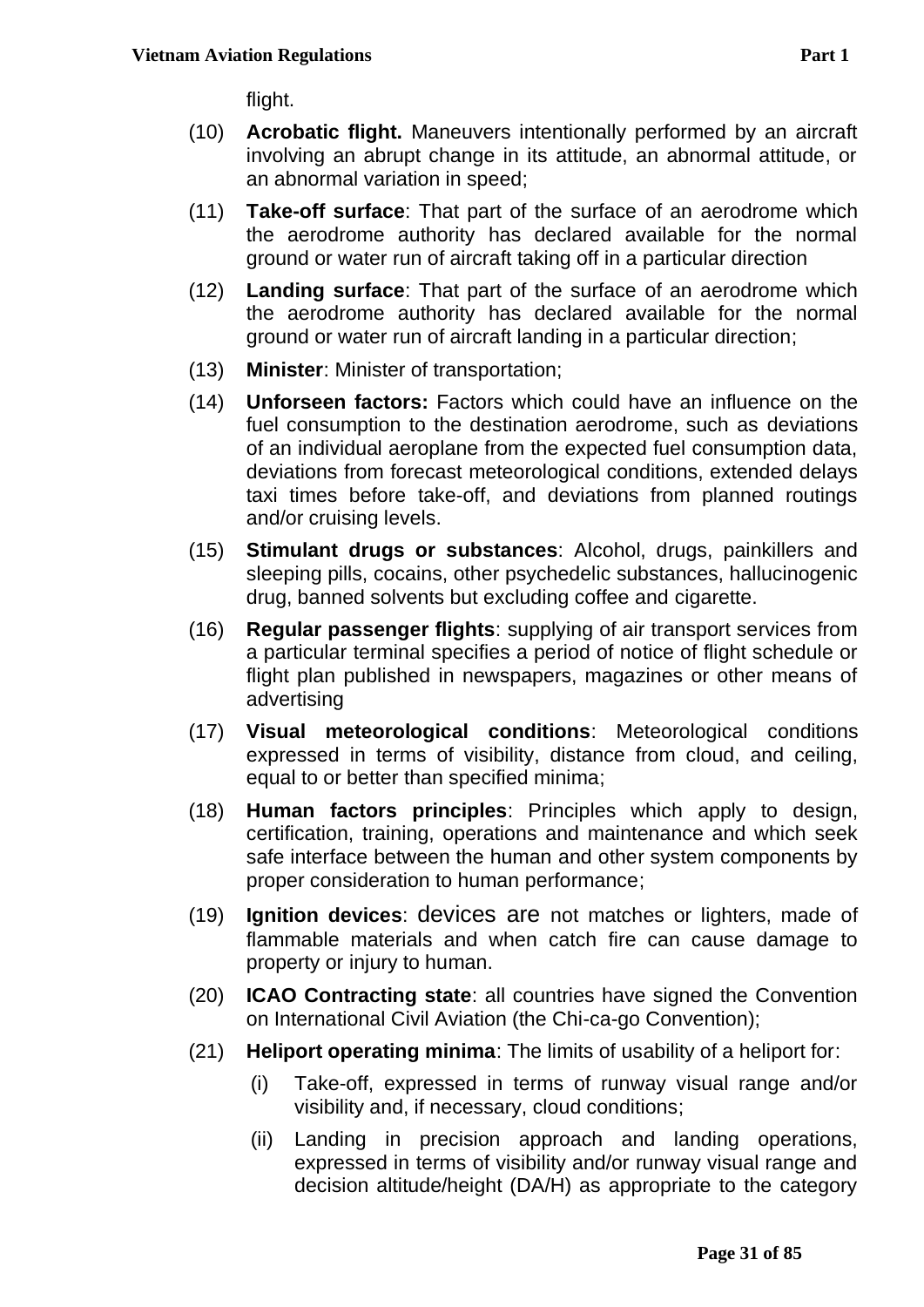flight.

- (10) **Acrobatic flight.** Maneuvers intentionally performed by an aircraft involving an abrupt change in its attitude, an abnormal attitude, or an abnormal variation in speed;
- (11) **Take-off surface**: That part of the surface of an aerodrome which the aerodrome authority has declared available for the normal ground or water run of aircraft taking off in a particular direction
- (12) **Landing surface**: That part of the surface of an aerodrome which the aerodrome authority has declared available for the normal ground or water run of aircraft landing in a particular direction;
- (13) **Minister**: Minister of transportation;
- (14) **Unforseen factors:** Factors which could have an influence on the fuel consumption to the destination aerodrome, such as deviations of an individual aeroplane from the expected fuel consumption data, deviations from forecast meteorological conditions, extended delays taxi times before take-off, and deviations from planned routings and/or cruising levels.
- (15) **Stimulant drugs or substances**: Alcohol, drugs, painkillers and sleeping pills, cocains, other psychedelic substances, hallucinogenic drug, banned solvents but excluding coffee and cigarette.
- (16) **Regular passenger flights**: supplying of air transport services from a particular terminal specifies a period of notice of flight schedule or flight plan published in newspapers, magazines or other means of advertising
- (17) **Visual meteorological conditions**: Meteorological conditions expressed in terms of visibility, distance from cloud, and ceiling, equal to or better than specified minima;
- (18) **Human factors principles**: Principles which apply to design, certification, training, operations and maintenance and which seek safe interface between the human and other system components by proper consideration to human performance;
- (19) **Ignition devices**: devices are not matches or lighters, made of flammable materials and when catch fire can cause damage to property or injury to human.
- (20) **ICAO Contracting state**: all countries have signed the Convention on International Civil Aviation (the Chi-ca-go Convention);
- (21) **Heliport operating minima**: The limits of usability of a heliport for:
	- (i) Take-off, expressed in terms of runway visual range and/or visibility and, if necessary, cloud conditions;
	- (ii) Landing in precision approach and landing operations, expressed in terms of visibility and/or runway visual range and decision altitude/height (DA/H) as appropriate to the category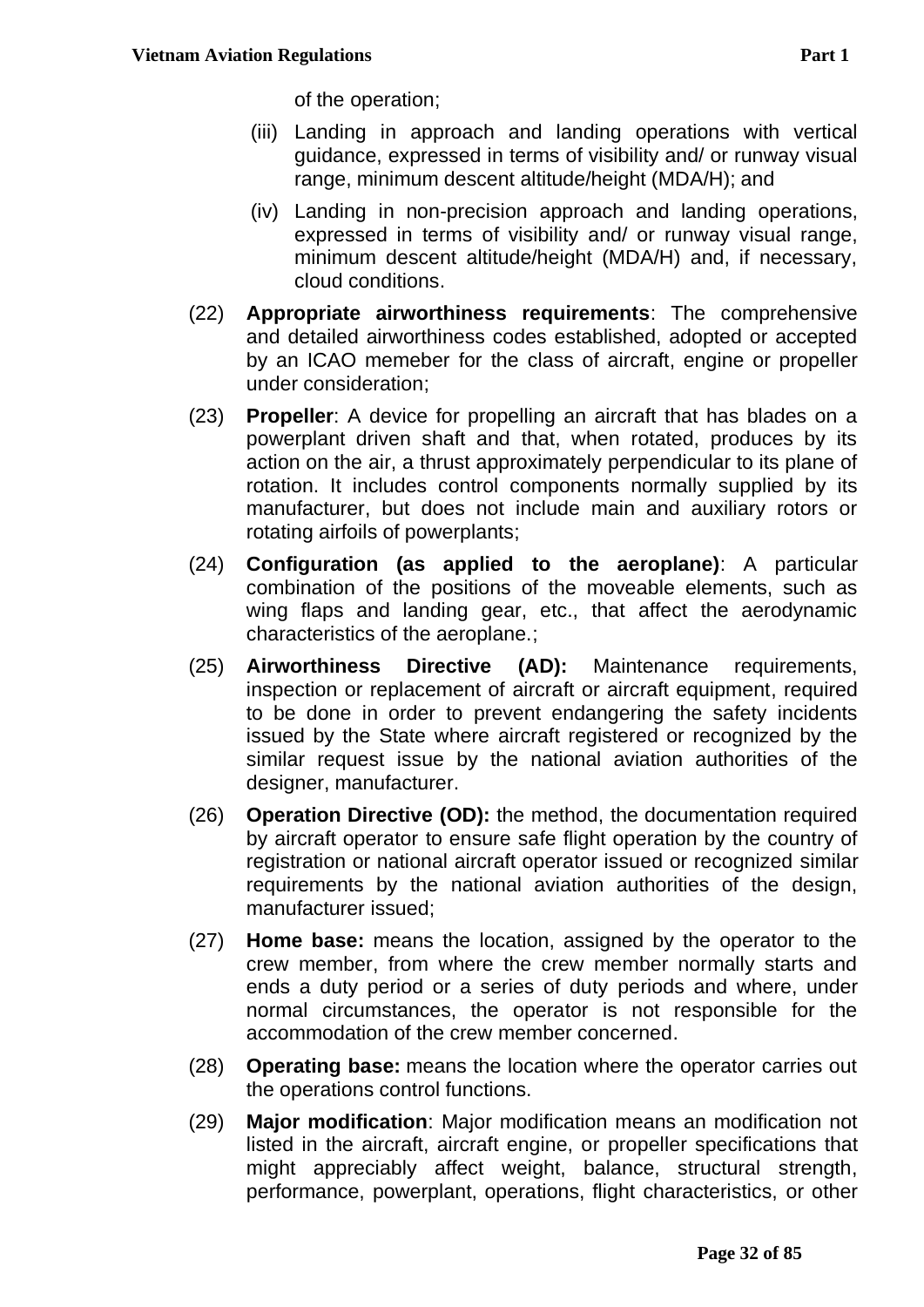of the operation;

- (iii) Landing in approach and landing operations with vertical guidance, expressed in terms of visibility and/ or runway visual range, minimum descent altitude/height (MDA/H); and
- (iv) Landing in non-precision approach and landing operations, expressed in terms of visibility and/ or runway visual range, minimum descent altitude/height (MDA/H) and, if necessary, cloud conditions.
- (22) **Appropriate airworthiness requirements**: The comprehensive and detailed airworthiness codes established, adopted or accepted by an ICAO memeber for the class of aircraft, engine or propeller under consideration;
- (23) **Propeller**: A device for propelling an aircraft that has blades on a powerplant driven shaft and that, when rotated, produces by its action on the air, a thrust approximately perpendicular to its plane of rotation. It includes control components normally supplied by its manufacturer, but does not include main and auxiliary rotors or rotating airfoils of powerplants;
- (24) **Configuration (as applied to the aeroplane)**: A particular combination of the positions of the moveable elements, such as wing flaps and landing gear, etc., that affect the aerodynamic characteristics of the aeroplane.;
- (25) **Airworthiness Directive (AD):** Maintenance requirements, inspection or replacement of aircraft or aircraft equipment, required to be done in order to prevent endangering the safety incidents issued by the State where aircraft registered or recognized by the similar request issue by the national aviation authorities of the designer, manufacturer.
- (26) **Operation Directive (OD):** the method, the documentation required by aircraft operator to ensure safe flight operation by the country of registration or national aircraft operator issued or recognized similar requirements by the national aviation authorities of the design, manufacturer issued;
- (27) **Home base:** means the location, assigned by the operator to the crew member, from where the crew member normally starts and ends a duty period or a series of duty periods and where, under normal circumstances, the operator is not responsible for the accommodation of the crew member concerned.
- (28) **Operating base:** means the location where the operator carries out the operations control functions.
- (29) **Major modification**: Major modification means an modification not listed in the aircraft, aircraft engine, or propeller specifications that might appreciably affect weight, balance, structural strength, performance, powerplant, operations, flight characteristics, or other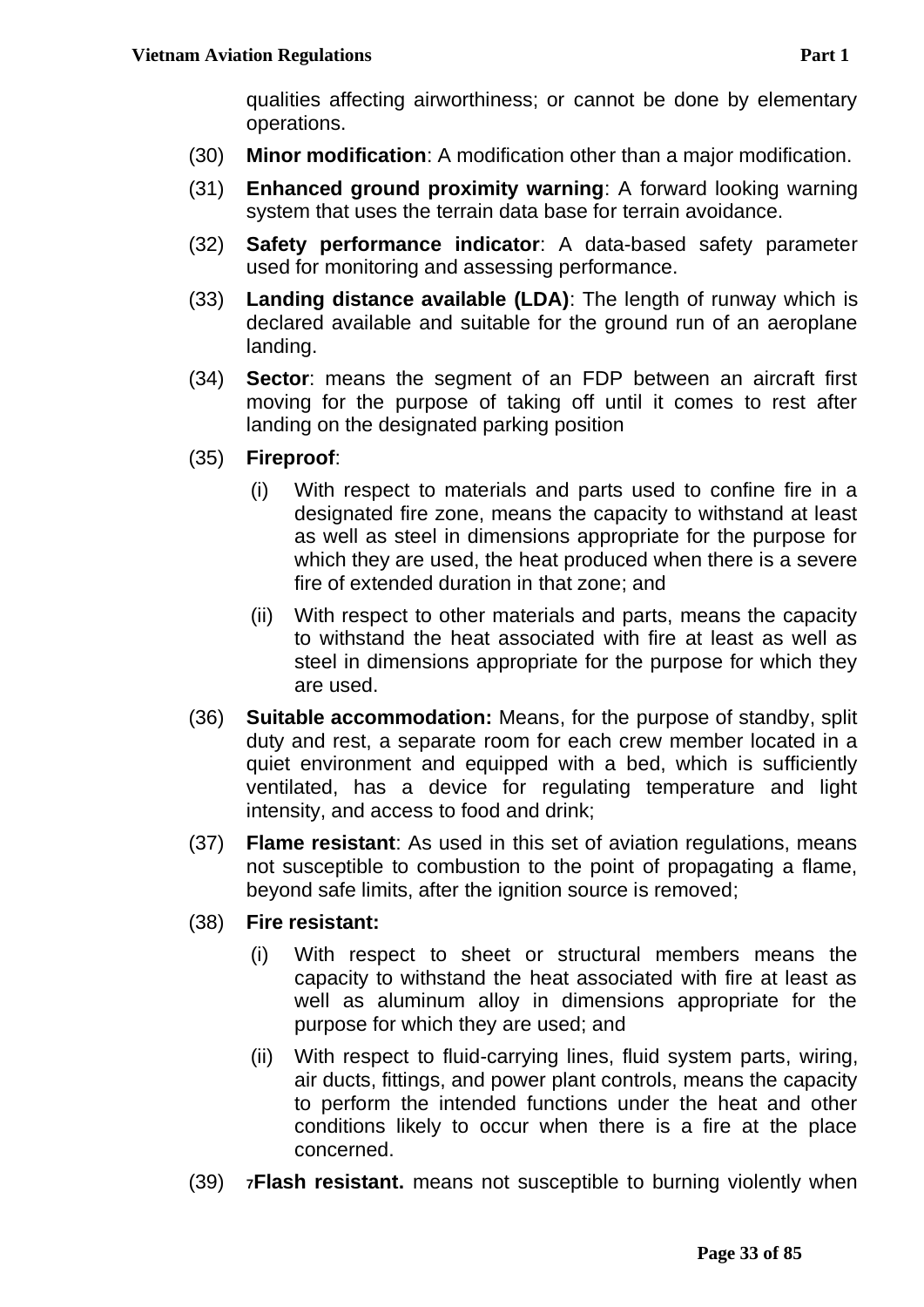qualities affecting airworthiness; or cannot be done by elementary operations.

- (30) **Minor modification**: A modification other than a major modification.
- (31) **Enhanced ground proximity warning**: A forward looking warning system that uses the terrain data base for terrain avoidance.
- (32) **Safety performance indicator**: A data-based safety parameter used for monitoring and assessing performance.
- (33) **Landing distance available (LDA)**: The length of runway which is declared available and suitable for the ground run of an aeroplane landing.
- (34) **Sector**: means the segment of an FDP between an aircraft first moving for the purpose of taking off until it comes to rest after landing on the designated parking position
- (35) **Fireproof**:
	- (i) With respect to materials and parts used to confine fire in a designated fire zone, means the capacity to withstand at least as well as steel in dimensions appropriate for the purpose for which they are used, the heat produced when there is a severe fire of extended duration in that zone; and
	- (ii) With respect to other materials and parts, means the capacity to withstand the heat associated with fire at least as well as steel in dimensions appropriate for the purpose for which they are used.
- (36) **Suitable accommodation:** Means, for the purpose of standby, split duty and rest, a separate room for each crew member located in a quiet environment and equipped with a bed, which is sufficiently ventilated, has a device for regulating temperature and light intensity, and access to food and drink;
- (37) **Flame resistant**: As used in this set of aviation regulations, means not susceptible to combustion to the point of propagating a flame, beyond safe limits, after the ignition source is removed;
- (38) **Fire resistant:**
	- (i) With respect to sheet or structural members means the capacity to withstand the heat associated with fire at least as well as aluminum alloy in dimensions appropriate for the purpose for which they are used; and
	- (ii) With respect to fluid-carrying lines, fluid system parts, wiring, air ducts, fittings, and power plant controls, means the capacity to perform the intended functions under the heat and other conditions likely to occur when there is a fire at the place concerned.
- (39) **<sup>7</sup>Flash resistant.** means not susceptible to burning violently when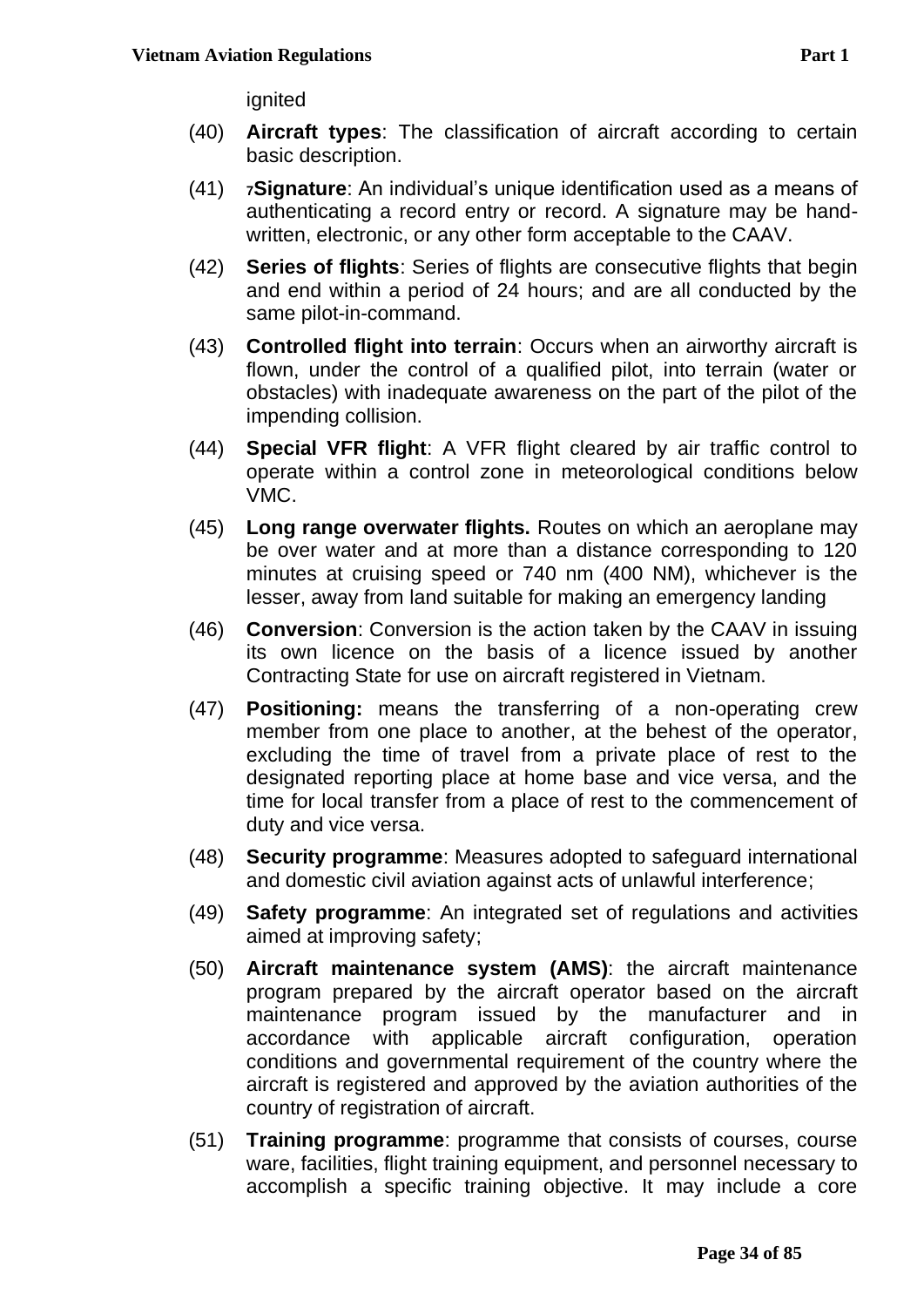ignited

- (40) **Aircraft types**: The classification of aircraft according to certain basic description.
- (41) **<sup>7</sup>Signature**: An individual's unique identification used as a means of authenticating a record entry or record. A signature may be handwritten, electronic, or any other form acceptable to the CAAV.
- (42) **Series of flights**: Series of flights are consecutive flights that begin and end within a period of 24 hours; and are all conducted by the same pilot-in-command.
- (43) **Controlled flight into terrain**: Occurs when an airworthy aircraft is flown, under the control of a qualified pilot, into terrain (water or obstacles) with inadequate awareness on the part of the pilot of the impending collision.
- (44) **Special VFR flight**: A VFR flight cleared by air traffic control to operate within a control zone in meteorological conditions below VMC.
- (45) **Long range overwater flights.** Routes on which an aeroplane may be over water and at more than a distance corresponding to 120 minutes at cruising speed or 740 nm (400 NM), whichever is the lesser, away from land suitable for making an emergency landing
- (46) **Conversion**: Conversion is the action taken by the CAAV in issuing its own licence on the basis of a licence issued by another Contracting State for use on aircraft registered in Vietnam.
- (47) **Positioning:** means the transferring of a non-operating crew member from one place to another, at the behest of the operator, excluding the time of travel from a private place of rest to the designated reporting place at home base and vice versa, and the time for local transfer from a place of rest to the commencement of duty and vice versa.
- (48) **Security programme**: Measures adopted to safeguard international and domestic civil aviation against acts of unlawful interference;
- (49) **Safety programme**: An integrated set of regulations and activities aimed at improving safety;
- (50) **Aircraft maintenance system (AMS)**: the aircraft maintenance program prepared by the aircraft operator based on the aircraft maintenance program issued by the manufacturer and in accordance with applicable aircraft configuration, operation conditions and governmental requirement of the country where the aircraft is registered and approved by the aviation authorities of the country of registration of aircraft.
- (51) **Training programme**: programme that consists of courses, course ware, facilities, flight training equipment, and personnel necessary to accomplish a specific training objective. It may include a core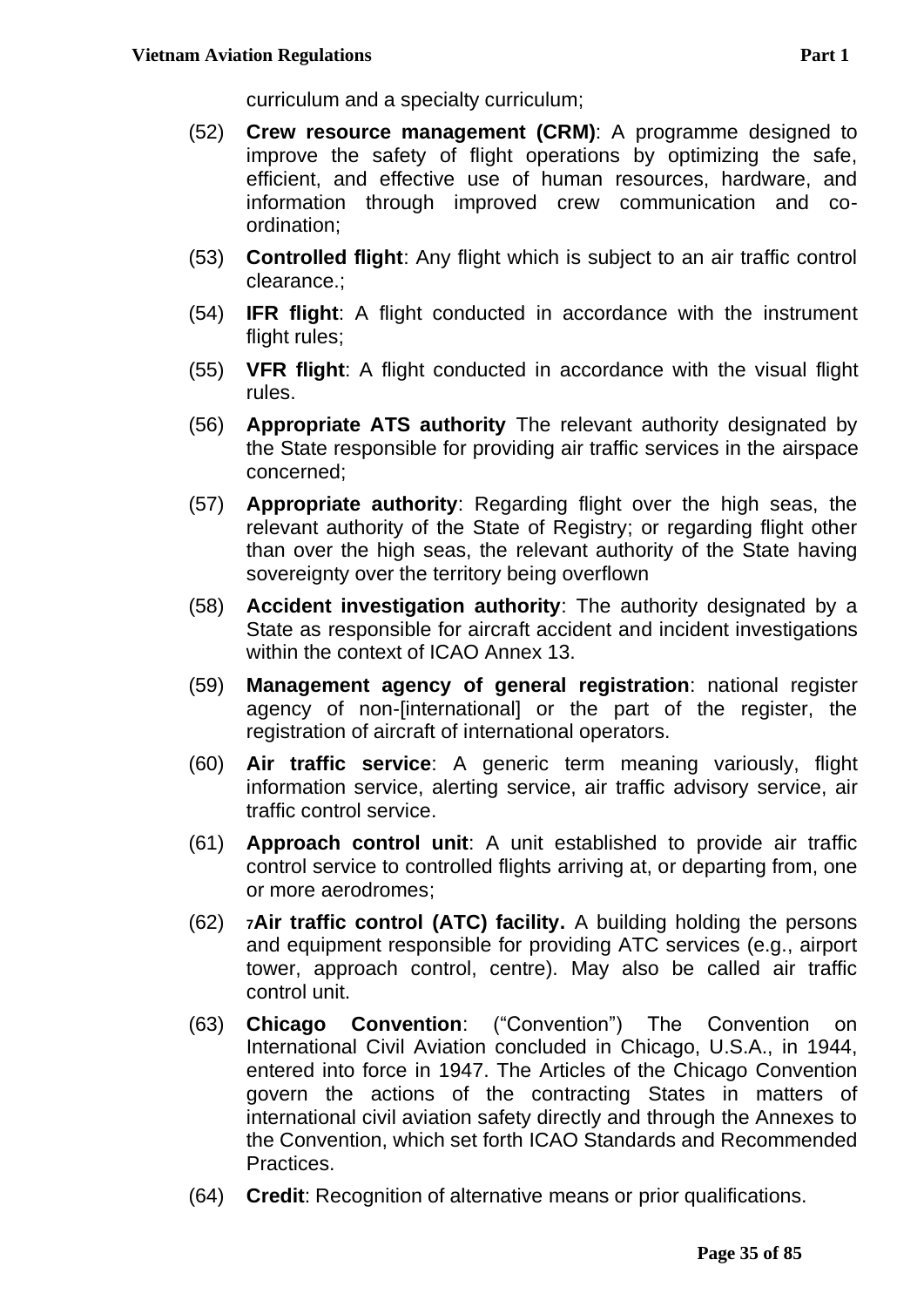- (52) **Crew resource management (CRM)**: A programme designed to improve the safety of flight operations by optimizing the safe, efficient, and effective use of human resources, hardware, and information through improved crew communication and coordination;
- (53) **Controlled flight**: Any flight which is subject to an air traffic control clearance.;
- (54) **IFR flight**: A flight conducted in accordance with the instrument flight rules;
- (55) **VFR flight**: A flight conducted in accordance with the visual flight rules.
- (56) **Appropriate ATS authority** The relevant authority designated by the State responsible for providing air traffic services in the airspace concerned;
- (57) **Appropriate authority**: Regarding flight over the high seas, the relevant authority of the State of Registry; or regarding flight other than over the high seas, the relevant authority of the State having sovereignty over the territory being overflown
- (58) **Accident investigation authority**: The authority designated by a State as responsible for aircraft accident and incident investigations within the context of ICAO Annex 13.
- (59) **Management agency of general registration**: national register agency of non-[international] or the part of the register, the registration of aircraft of international operators.
- (60) **Air traffic service**: A generic term meaning variously, flight information service, alerting service, air traffic advisory service, air traffic control service.
- (61) **Approach control unit**: A unit established to provide air traffic control service to controlled flights arriving at, or departing from, one or more aerodromes;
- (62) **<sup>7</sup>Air traffic control (ATC) facility.** A building holding the persons and equipment responsible for providing ATC services (e.g., airport tower, approach control, centre). May also be called air traffic control unit.
- (63) **Chicago Convention**: ("Convention") The Convention on International Civil Aviation concluded in Chicago, U.S.A., in 1944, entered into force in 1947. The Articles of the Chicago Convention govern the actions of the contracting States in matters of international civil aviation safety directly and through the Annexes to the Convention, which set forth ICAO Standards and Recommended Practices.
- (64) **Credit**: Recognition of alternative means or prior qualifications.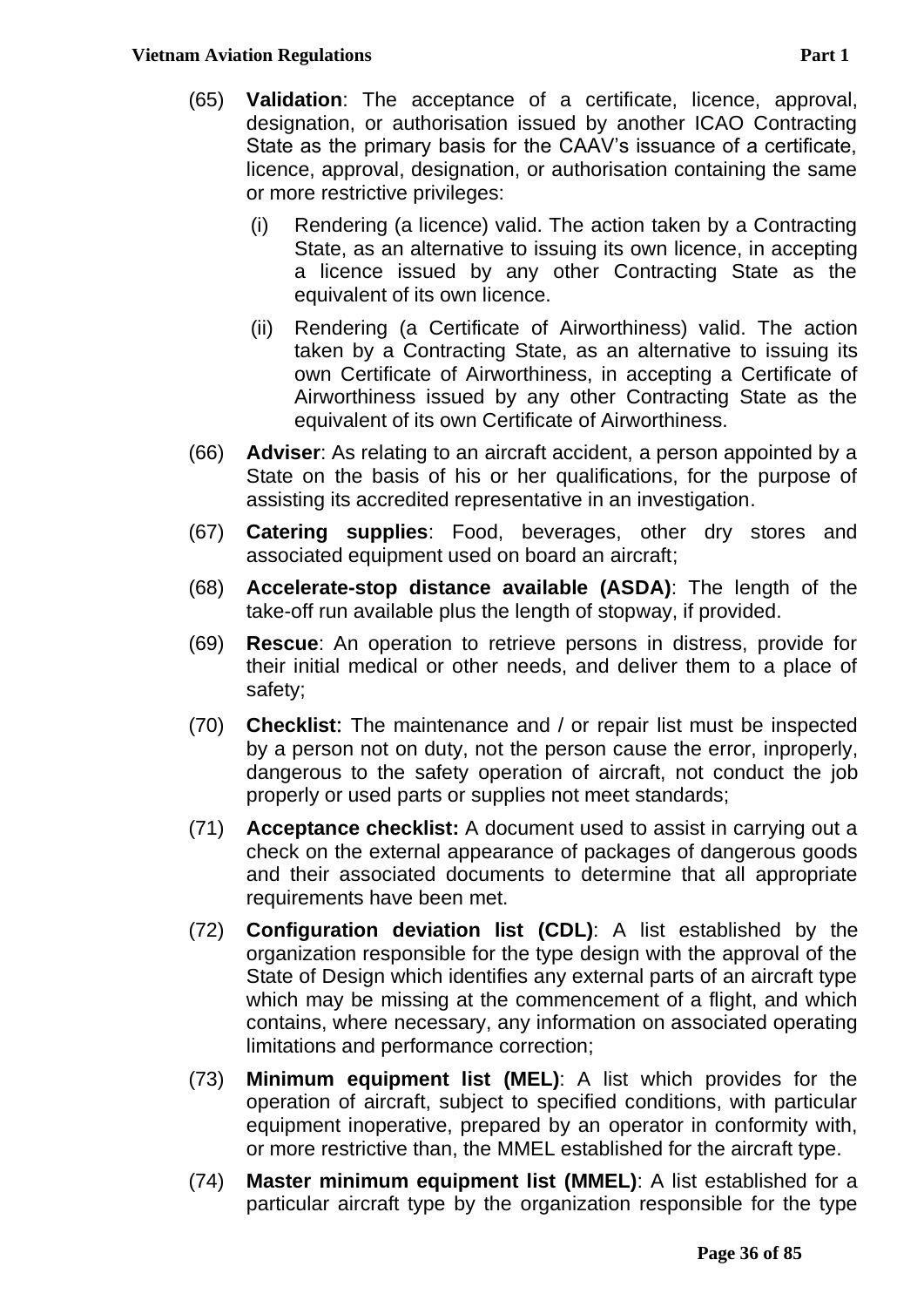- (65) **Validation**: The acceptance of a certificate, licence, approval, designation, or authorisation issued by another ICAO Contracting State as the primary basis for the CAAV's issuance of a certificate, licence, approval, designation, or authorisation containing the same or more restrictive privileges:
	- (i) Rendering (a licence) valid. The action taken by a Contracting State, as an alternative to issuing its own licence, in accepting a licence issued by any other Contracting State as the equivalent of its own licence.
	- (ii) Rendering (a Certificate of Airworthiness) valid. The action taken by a Contracting State, as an alternative to issuing its own Certificate of Airworthiness, in accepting a Certificate of Airworthiness issued by any other Contracting State as the equivalent of its own Certificate of Airworthiness.
- (66) **Adviser**: As relating to an aircraft accident, a person appointed by a State on the basis of his or her qualifications, for the purpose of assisting its accredited representative in an investigation.
- (67) **Catering supplies**: Food, beverages, other dry stores and associated equipment used on board an aircraft;
- (68) **Accelerate-stop distance available (ASDA)**: The length of the take-off run available plus the length of stopway, if provided.
- (69) **Rescue**: An operation to retrieve persons in distress, provide for their initial medical or other needs, and deliver them to a place of safety;
- (70) **Checklist**: The maintenance and / or repair list must be inspected by a person not on duty, not the person cause the error, inproperly, dangerous to the safety operation of aircraft, not conduct the job properly or used parts or supplies not meet standards;
- (71) **Acceptance checklist:** A document used to assist in carrying out a check on the external appearance of packages of dangerous goods and their associated documents to determine that all appropriate requirements have been met.
- (72) **Configuration deviation list (CDL)**: A list established by the organization responsible for the type design with the approval of the State of Design which identifies any external parts of an aircraft type which may be missing at the commencement of a flight, and which contains, where necessary, any information on associated operating limitations and performance correction;
- (73) **Minimum equipment list (MEL)**: A list which provides for the operation of aircraft, subject to specified conditions, with particular equipment inoperative, prepared by an operator in conformity with, or more restrictive than, the MMEL established for the aircraft type.
- (74) **Master minimum equipment list (MMEL)**: A list established for a particular aircraft type by the organization responsible for the type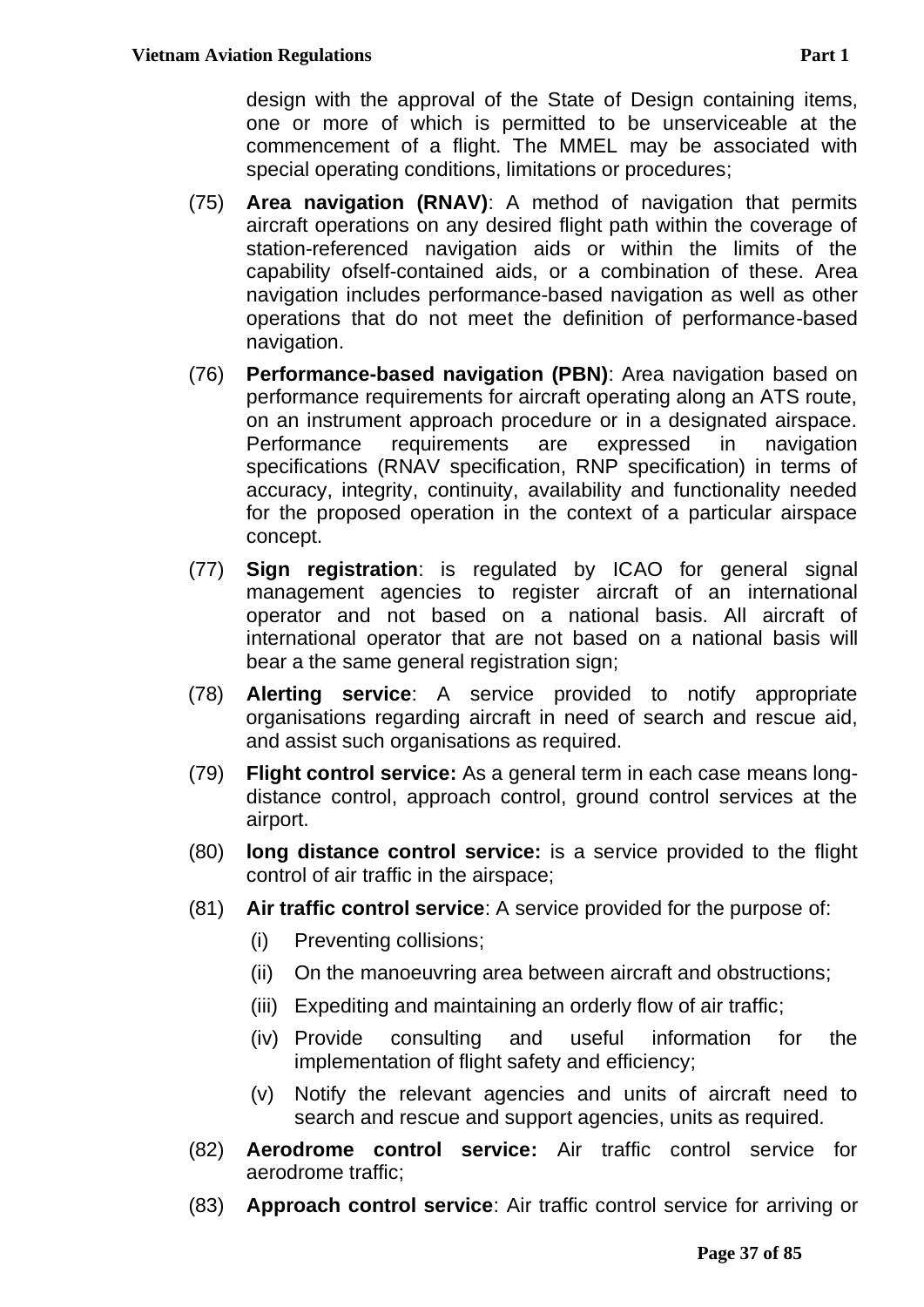design with the approval of the State of Design containing items, one or more of which is permitted to be unserviceable at the commencement of a flight. The MMEL may be associated with special operating conditions, limitations or procedures;

- (75) **Area navigation (RNAV)**: A method of navigation that permits aircraft operations on any desired flight path within the coverage of station-referenced navigation aids or within the limits of the capability ofself-contained aids, or a combination of these. Area navigation includes performance-based navigation as well as other operations that do not meet the definition of performance-based navigation.
- (76) **Performance-based navigation (PBN)**: Area navigation based on performance requirements for aircraft operating along an ATS route, on an instrument approach procedure or in a designated airspace. Performance requirements are expressed in navigation specifications (RNAV specification, RNP specification) in terms of accuracy, integrity, continuity, availability and functionality needed for the proposed operation in the context of a particular airspace concept.
- (77) **Sign registration**: is regulated by ICAO for general signal management agencies to register aircraft of an international operator and not based on a national basis. All aircraft of international operator that are not based on a national basis will bear a the same general registration sign;
- (78) **Alerting service**: A service provided to notify appropriate organisations regarding aircraft in need of search and rescue aid, and assist such organisations as required.
- (79) **Flight control service:** As a general term in each case means longdistance control, approach control, ground control services at the airport.
- (80) **long distance control service:** is a service provided to the flight control of air traffic in the airspace;
- (81) **Air traffic control service**: A service provided for the purpose of:
	- (i) Preventing collisions;
	- (ii) On the manoeuvring area between aircraft and obstructions;
	- (iii) Expediting and maintaining an orderly flow of air traffic;
	- (iv) Provide consulting and useful information for the implementation of flight safety and efficiency;
	- (v) Notify the relevant agencies and units of aircraft need to search and rescue and support agencies, units as required.
- (82) **Aerodrome control service:** Air traffic control service for aerodrome traffic;
- (83) **Approach control service**: Air traffic control service for arriving or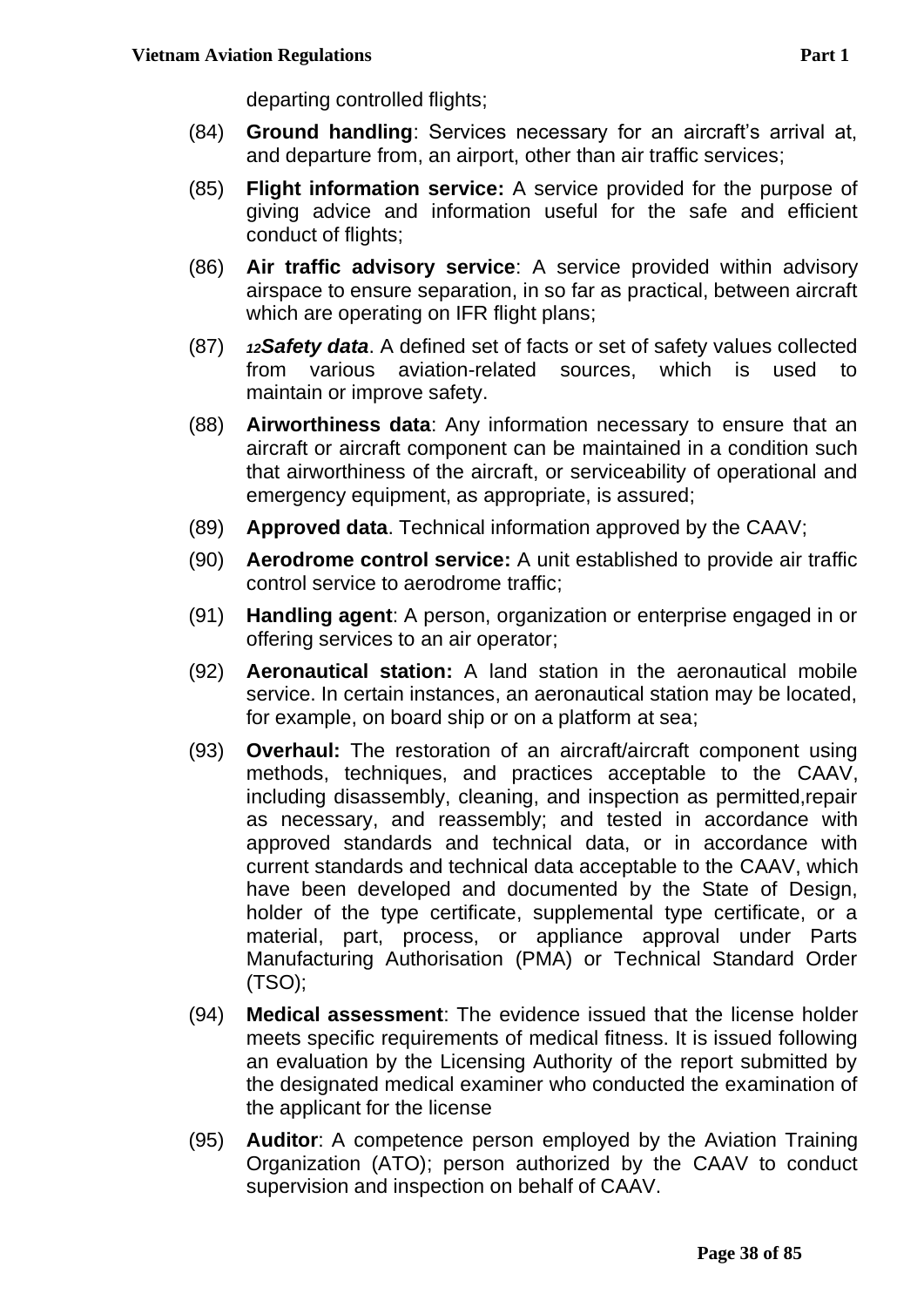departing controlled flights;

- (84) **Ground handling**: Services necessary for an aircraft's arrival at, and departure from, an airport, other than air traffic services;
- (85) **Flight information service:** A service provided for the purpose of giving advice and information useful for the safe and efficient conduct of flights;
- (86) **Air traffic advisory service**: A service provided within advisory airspace to ensure separation, in so far as practical, between aircraft which are operating on IFR flight plans;
- (87) *<sup>12</sup>Safety data*. A defined set of facts or set of safety values collected from various aviation-related sources, which is used to maintain or improve safety.
- (88) **Airworthiness data**: Any information necessary to ensure that an aircraft or aircraft component can be maintained in a condition such that airworthiness of the aircraft, or serviceability of operational and emergency equipment, as appropriate, is assured;
- (89) **Approved data**. Technical information approved by the CAAV;
- (90) **Aerodrome control service:** A unit established to provide air traffic control service to aerodrome traffic;
- (91) **Handling agent**: A person, organization or enterprise engaged in or offering services to an air operator;
- (92) **Aeronautical station:** A land station in the aeronautical mobile service. In certain instances, an aeronautical station may be located, for example, on board ship or on a platform at sea;
- (93) **Overhaul:** The restoration of an aircraft/aircraft component using methods, techniques, and practices acceptable to the CAAV, including disassembly, cleaning, and inspection as permitted,repair as necessary, and reassembly; and tested in accordance with approved standards and technical data, or in accordance with current standards and technical data acceptable to the CAAV, which have been developed and documented by the State of Design, holder of the type certificate, supplemental type certificate, or a material, part, process, or appliance approval under Parts Manufacturing Authorisation (PMA) or Technical Standard Order (TSO);
- (94) **Medical assessment**: The evidence issued that the license holder meets specific requirements of medical fitness. It is issued following an evaluation by the Licensing Authority of the report submitted by the designated medical examiner who conducted the examination of the applicant for the license
- (95) **Auditor**: A competence person employed by the Aviation Training Organization (ATO); person authorized by the CAAV to conduct supervision and inspection on behalf of CAAV.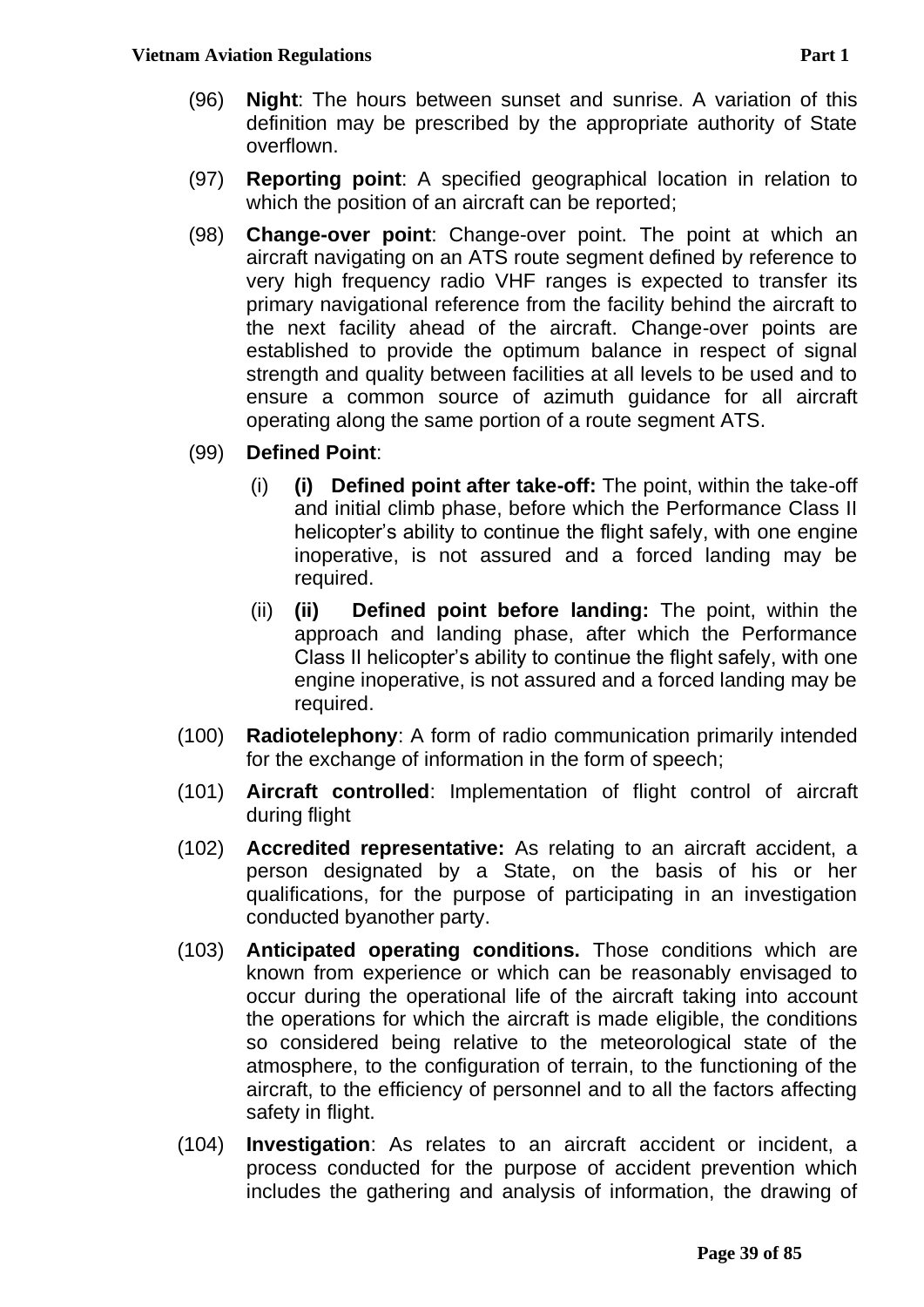- (96) **Night**: The hours between sunset and sunrise. A variation of this definition may be prescribed by the appropriate authority of State overflown.
- (97) **Reporting point**: A specified geographical location in relation to which the position of an aircraft can be reported;
- (98) **Change-over point**: Change-over point. The point at which an aircraft navigating on an ATS route segment defined by reference to very high frequency radio VHF ranges is expected to transfer its primary navigational reference from the facility behind the aircraft to the next facility ahead of the aircraft. Change-over points are established to provide the optimum balance in respect of signal strength and quality between facilities at all levels to be used and to ensure a common source of azimuth guidance for all aircraft operating along the same portion of a route segment ATS.
- (99) **Defined Point**:
	- (i) **(i) Defined point after take-off:** The point, within the take-off and initial climb phase, before which the Performance Class II helicopter's ability to continue the flight safely, with one engine inoperative, is not assured and a forced landing may be required.
	- (ii) **(ii) Defined point before landing:** The point, within the approach and landing phase, after which the Performance Class II helicopter's ability to continue the flight safely, with one engine inoperative, is not assured and a forced landing may be required.
- (100) **Radiotelephony**: A form of radio communication primarily intended for the exchange of information in the form of speech;
- (101) **Aircraft controlled**: Implementation of flight control of aircraft during flight
- (102) **Accredited representative:** As relating to an aircraft accident, a person designated by a State, on the basis of his or her qualifications, for the purpose of participating in an investigation conducted byanother party.
- (103) **Anticipated operating conditions.** Those conditions which are known from experience or which can be reasonably envisaged to occur during the operational life of the aircraft taking into account the operations for which the aircraft is made eligible, the conditions so considered being relative to the meteorological state of the atmosphere, to the configuration of terrain, to the functioning of the aircraft, to the efficiency of personnel and to all the factors affecting safety in flight.
- (104) **Investigation**: As relates to an aircraft accident or incident, a process conducted for the purpose of accident prevention which includes the gathering and analysis of information, the drawing of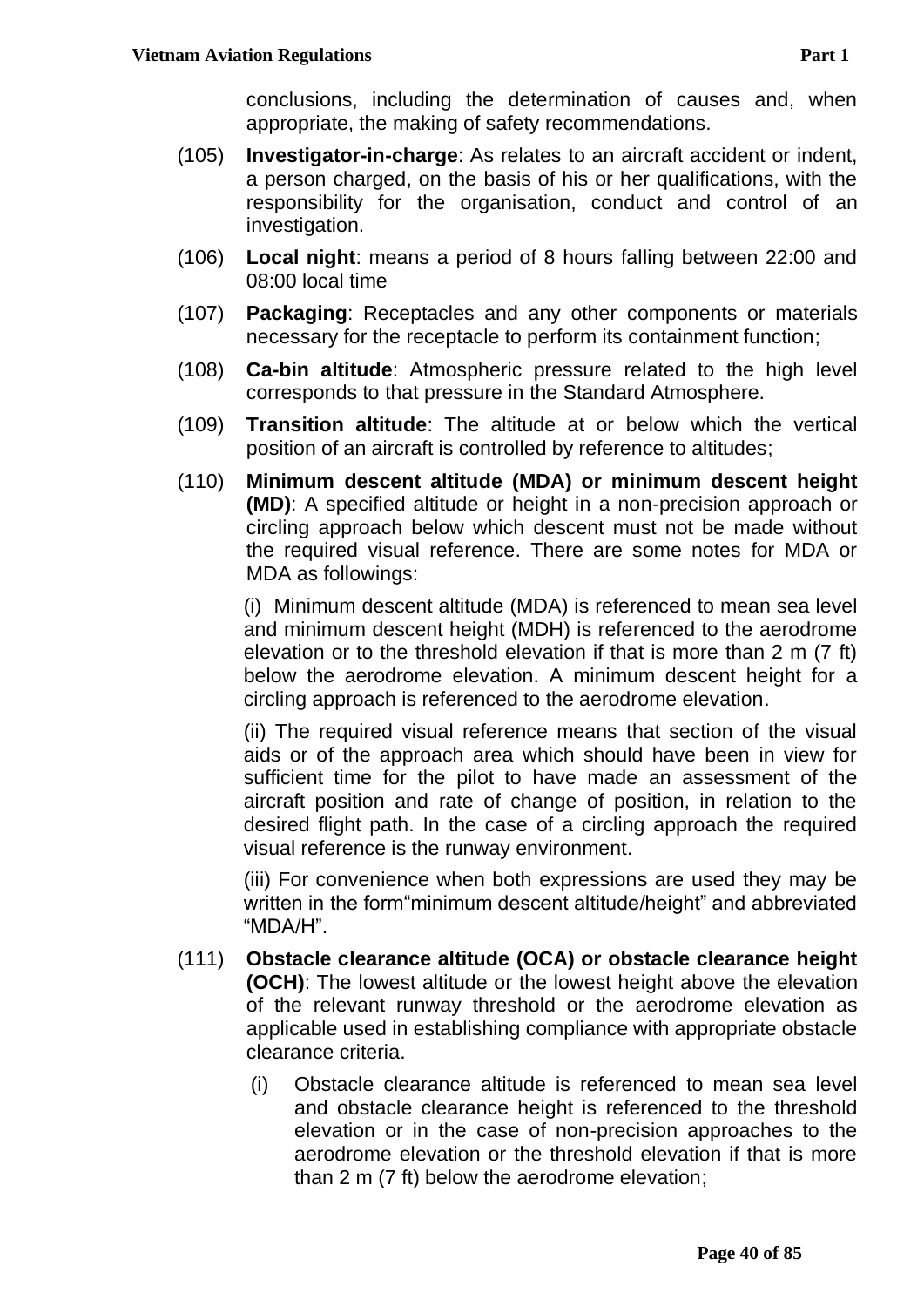conclusions, including the determination of causes and, when appropriate, the making of safety recommendations.

- (105) **Investigator-in-charge**: As relates to an aircraft accident or indent, a person charged, on the basis of his or her qualifications, with the responsibility for the organisation, conduct and control of an investigation.
- (106) **Local night**: means a period of 8 hours falling between 22:00 and 08:00 local time
- (107) **Packaging**: Receptacles and any other components or materials necessary for the receptacle to perform its containment function;
- (108) **Ca-bin altitude**: Atmospheric pressure related to the high level corresponds to that pressure in the Standard Atmosphere.
- (109) **Transition altitude**: The altitude at or below which the vertical position of an aircraft is controlled by reference to altitudes;
- (110) **Minimum descent altitude (MDA) or minimum descent height (MD)**: A specified altitude or height in a non-precision approach or circling approach below which descent must not be made without the required visual reference. There are some notes for MDA or MDA as followings:

(i) Minimum descent altitude (MDA) is referenced to mean sea level and minimum descent height (MDH) is referenced to the aerodrome elevation or to the threshold elevation if that is more than 2 m (7 ft) below the aerodrome elevation. A minimum descent height for a circling approach is referenced to the aerodrome elevation.

(ii) The required visual reference means that section of the visual aids or of the approach area which should have been in view for sufficient time for the pilot to have made an assessment of the aircraft position and rate of change of position, in relation to the desired flight path. In the case of a circling approach the required visual reference is the runway environment.

(iii) For convenience when both expressions are used they may be written in the form"minimum descent altitude/height" and abbreviated "MDA/H".

- (111) **Obstacle clearance altitude (OCA) or obstacle clearance height (OCH)**: The lowest altitude or the lowest height above the elevation of the relevant runway threshold or the aerodrome elevation as applicable used in establishing compliance with appropriate obstacle clearance criteria.
	- (i) Obstacle clearance altitude is referenced to mean sea level and obstacle clearance height is referenced to the threshold elevation or in the case of non-precision approaches to the aerodrome elevation or the threshold elevation if that is more than 2 m (7 ft) below the aerodrome elevation;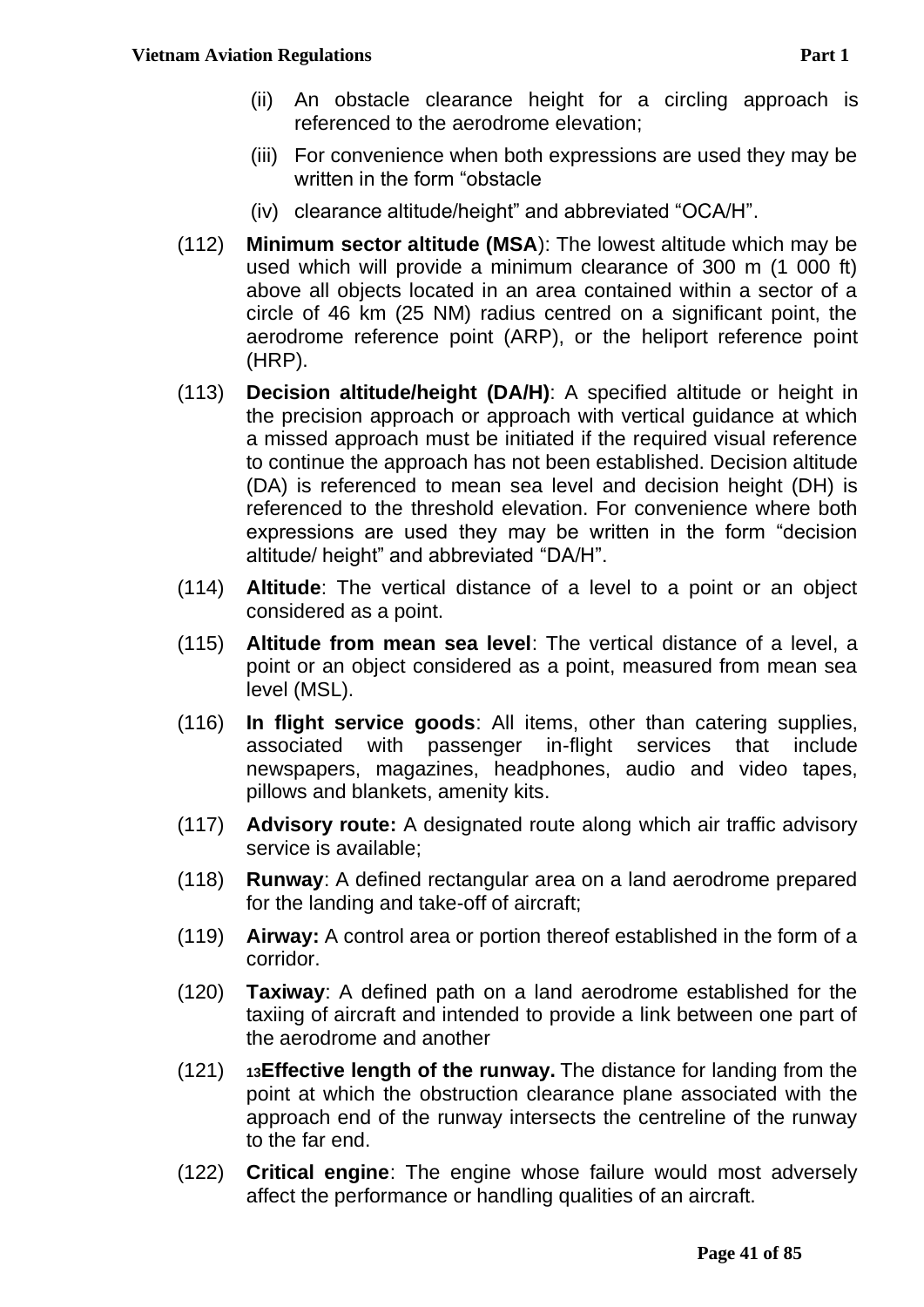- (ii) An obstacle clearance height for a circling approach is referenced to the aerodrome elevation;
- (iii) For convenience when both expressions are used they may be written in the form "obstacle
- (iv) clearance altitude/height" and abbreviated "OCA/H".
- (112) **Minimum sector altitude (MSA**): The lowest altitude which may be used which will provide a minimum clearance of 300 m (1 000 ft) above all objects located in an area contained within a sector of a circle of 46 km (25 NM) radius centred on a significant point, the aerodrome reference point (ARP), or the heliport reference point (HRP).
- (113) **Decision altitude/height (DA/H)**: A specified altitude or height in the precision approach or approach with vertical guidance at which a missed approach must be initiated if the required visual reference to continue the approach has not been established. Decision altitude (DA) is referenced to mean sea level and decision height (DH) is referenced to the threshold elevation. For convenience where both expressions are used they may be written in the form "decision altitude/ height" and abbreviated "DA/H".
- (114) **Altitude**: The vertical distance of a level to a point or an object considered as a point.
- (115) **Altitude from mean sea level**: The vertical distance of a level, a point or an object considered as a point, measured from mean sea level (MSL).
- (116) **In flight service goods**: All items, other than catering supplies, associated with passenger in-flight services that include newspapers, magazines, headphones, audio and video tapes, pillows and blankets, amenity kits.
- (117) **Advisory route:** A designated route along which air traffic advisory service is available;
- (118) **Runway**: A defined rectangular area on a land aerodrome prepared for the landing and take-off of aircraft;
- (119) **Airway:** A control area or portion thereof established in the form of a corridor.
- (120) **Taxiway**: A defined path on a land aerodrome established for the taxiing of aircraft and intended to provide a link between one part of the aerodrome and another
- (121) **<sup>13</sup>Effective length of the runway.** The distance for landing from the point at which the obstruction clearance plane associated with the approach end of the runway intersects the centreline of the runway to the far end.
- (122) **Critical engine**: The engine whose failure would most adversely affect the performance or handling qualities of an aircraft.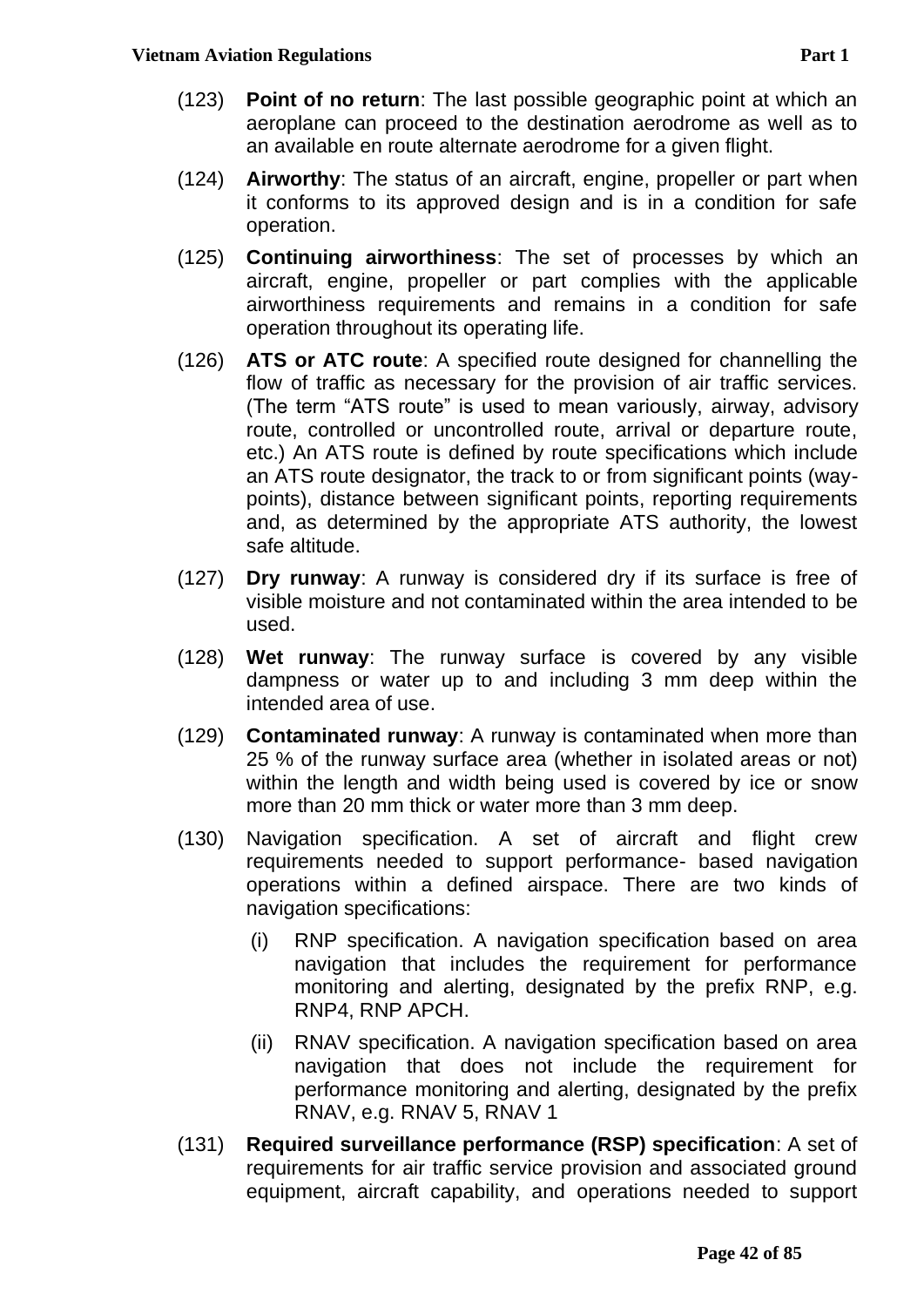- (123) **Point of no return**: The last possible geographic point at which an aeroplane can proceed to the destination aerodrome as well as to an available en route alternate aerodrome for a given flight.
- (124) **Airworthy**: The status of an aircraft, engine, propeller or part when it conforms to its approved design and is in a condition for safe operation.
- (125) **Continuing airworthiness**: The set of processes by which an aircraft, engine, propeller or part complies with the applicable airworthiness requirements and remains in a condition for safe operation throughout its operating life.
- (126) **ATS or ATC route**: A specified route designed for channelling the flow of traffic as necessary for the provision of air traffic services. (The term "ATS route" is used to mean variously, airway, advisory route, controlled or uncontrolled route, arrival or departure route, etc.) An ATS route is defined by route specifications which include an ATS route designator, the track to or from significant points (waypoints), distance between significant points, reporting requirements and, as determined by the appropriate ATS authority, the lowest safe altitude.
- (127) **Dry runway**: A runway is considered dry if its surface is free of visible moisture and not contaminated within the area intended to be used.
- (128) **Wet runway**: The runway surface is covered by any visible dampness or water up to and including 3 mm deep within the intended area of use.
- (129) **Contaminated runway**: A runway is contaminated when more than 25 % of the runway surface area (whether in isolated areas or not) within the length and width being used is covered by ice or snow more than 20 mm thick or water more than 3 mm deep.
- (130) Navigation specification. A set of aircraft and flight crew requirements needed to support performance- based navigation operations within a defined airspace. There are two kinds of navigation specifications:
	- (i) RNP specification. A navigation specification based on area navigation that includes the requirement for performance monitoring and alerting, designated by the prefix RNP, e.g. RNP4, RNP APCH.
	- (ii) RNAV specification. A navigation specification based on area navigation that does not include the requirement for performance monitoring and alerting, designated by the prefix RNAV, e.g. RNAV 5, RNAV 1
- (131) **Required surveillance performance (RSP) specification**: A set of requirements for air traffic service provision and associated ground equipment, aircraft capability, and operations needed to support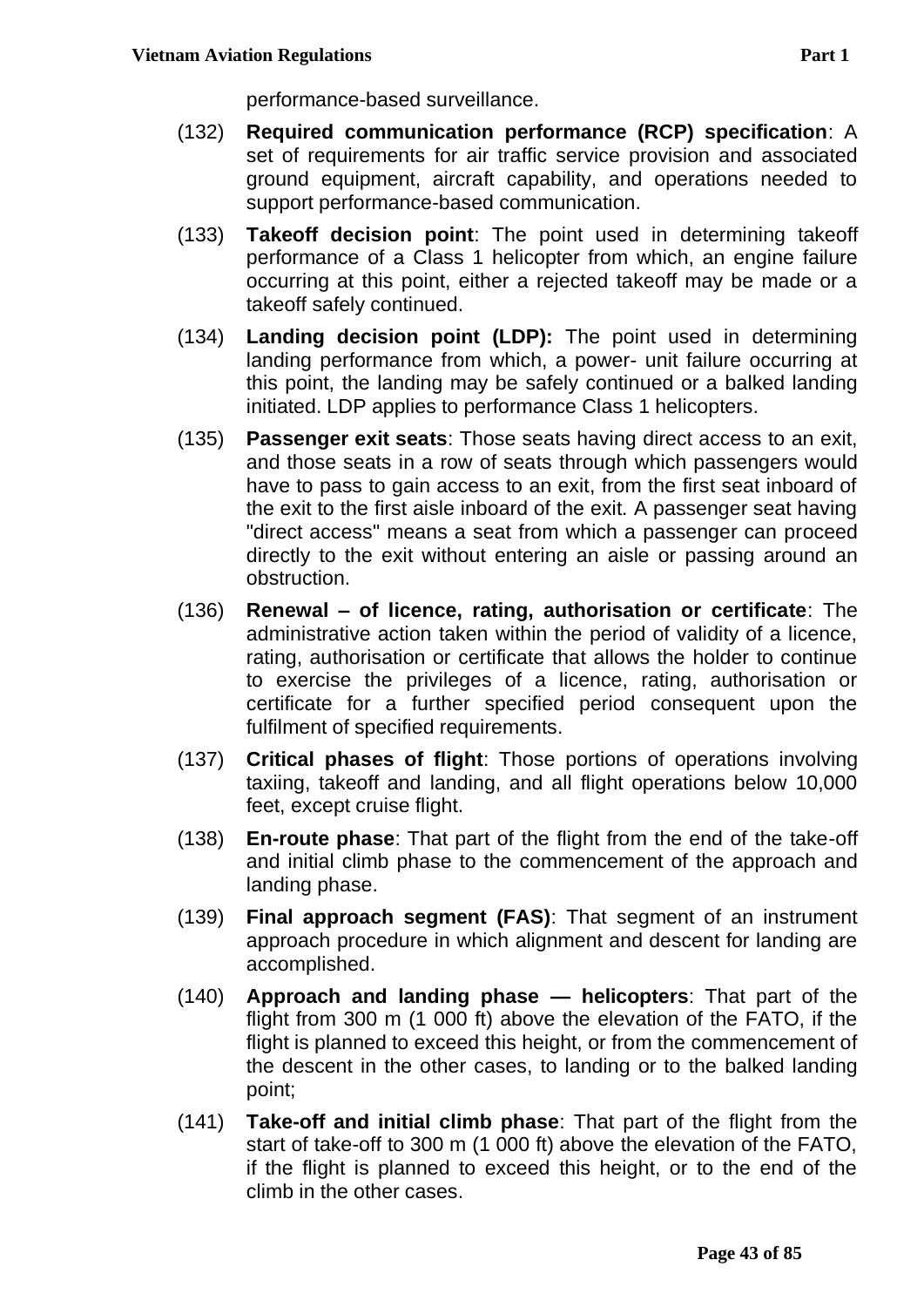performance-based surveillance.

- (132) **Required communication performance (RCP) specification**: A set of requirements for air traffic service provision and associated ground equipment, aircraft capability, and operations needed to support performance-based communication.
- (133) **Takeoff decision point**: The point used in determining takeoff performance of a Class 1 helicopter from which, an engine failure occurring at this point, either a rejected takeoff may be made or a takeoff safely continued.
- (134) **Landing decision point (LDP):** The point used in determining landing performance from which, a power- unit failure occurring at this point, the landing may be safely continued or a balked landing initiated. LDP applies to performance Class 1 helicopters.
- (135) **Passenger exit seats**: Those seats having direct access to an exit, and those seats in a row of seats through which passengers would have to pass to gain access to an exit, from the first seat inboard of the exit to the first aisle inboard of the exit. A passenger seat having "direct access" means a seat from which a passenger can proceed directly to the exit without entering an aisle or passing around an obstruction.
- (136) **Renewal – of licence, rating, authorisation or certificate**: The administrative action taken within the period of validity of a licence, rating, authorisation or certificate that allows the holder to continue to exercise the privileges of a licence, rating, authorisation or certificate for a further specified period consequent upon the fulfilment of specified requirements.
- (137) **Critical phases of flight**: Those portions of operations involving taxiing, takeoff and landing, and all flight operations below 10,000 feet, except cruise flight.
- (138) **En-route phase**: That part of the flight from the end of the take-off and initial climb phase to the commencement of the approach and landing phase.
- (139) **Final approach segment (FAS)**: That segment of an instrument approach procedure in which alignment and descent for landing are accomplished.
- (140) **Approach and landing phase — helicopters**: That part of the flight from 300 m (1 000 ft) above the elevation of the FATO, if the flight is planned to exceed this height, or from the commencement of the descent in the other cases, to landing or to the balked landing point;
- (141) **Take-off and initial climb phase**: That part of the flight from the start of take-off to 300 m (1 000 ft) above the elevation of the FATO, if the flight is planned to exceed this height, or to the end of the climb in the other cases.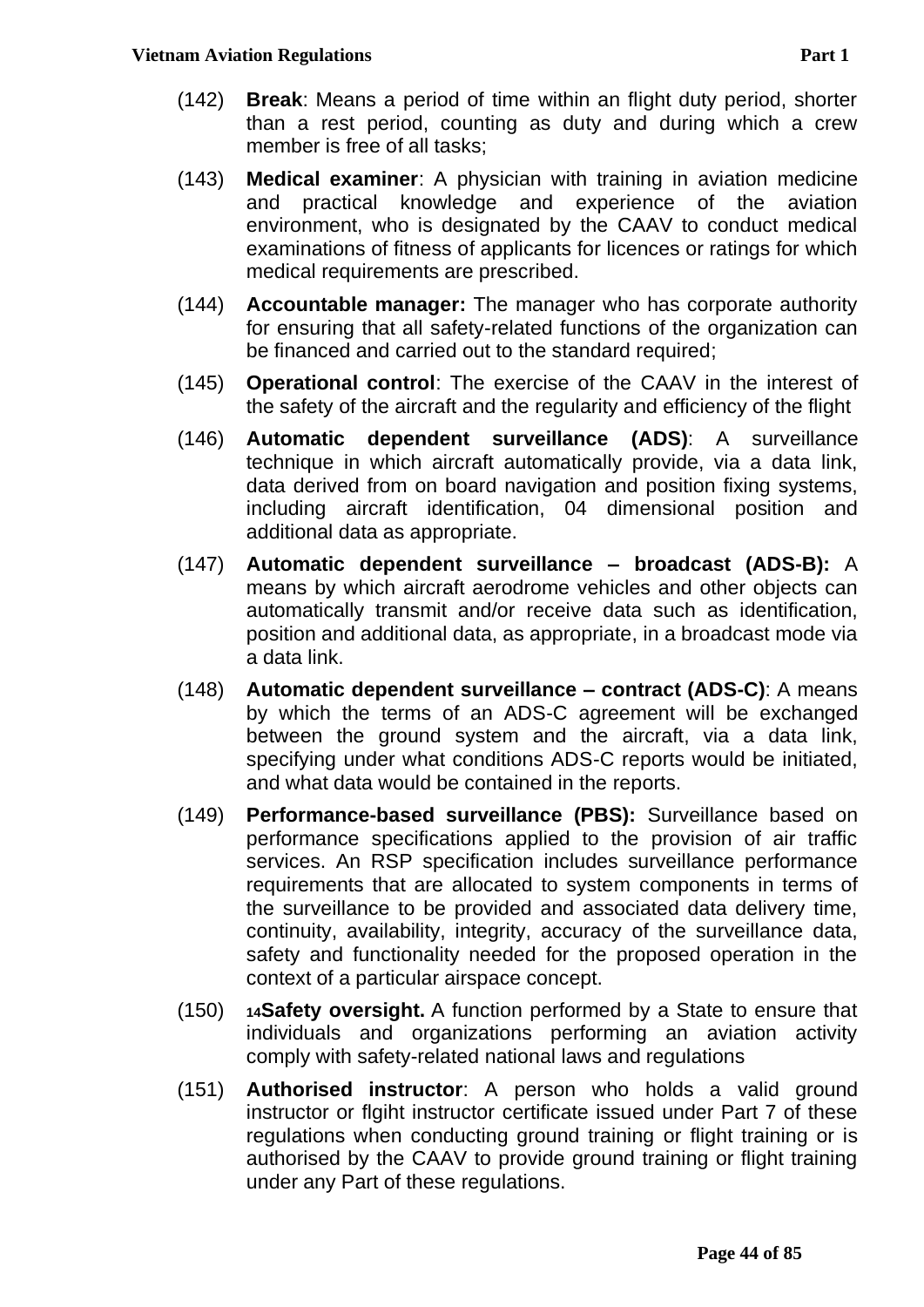- (143) **Medical examiner**: A physician with training in aviation medicine and practical knowledge and experience of the aviation environment, who is designated by the CAAV to conduct medical examinations of fitness of applicants for licences or ratings for which medical requirements are prescribed.
- (144) **Accountable manager:** The manager who has corporate authority for ensuring that all safety-related functions of the organization can be financed and carried out to the standard required;
- (145) **Operational control**: The exercise of the CAAV in the interest of the safety of the aircraft and the regularity and efficiency of the flight
- (146) **Automatic dependent surveillance (ADS)**: A surveillance technique in which aircraft automatically provide, via a data link, data derived from on board navigation and position fixing systems, including aircraft identification, 04 dimensional position and additional data as appropriate.
- (147) **Automatic dependent surveillance – broadcast (ADS-B):** A means by which aircraft aerodrome vehicles and other objects can automatically transmit and/or receive data such as identification, position and additional data, as appropriate, in a broadcast mode via a data link.
- (148) **Automatic dependent surveillance – contract (ADS-C)**: A means by which the terms of an ADS-C agreement will be exchanged between the ground system and the aircraft, via a data link, specifying under what conditions ADS-C reports would be initiated, and what data would be contained in the reports.
- (149) **Performance-based surveillance (PBS):** Surveillance based on performance specifications applied to the provision of air traffic services. An RSP specification includes surveillance performance requirements that are allocated to system components in terms of the surveillance to be provided and associated data delivery time, continuity, availability, integrity, accuracy of the surveillance data, safety and functionality needed for the proposed operation in the context of a particular airspace concept.
- (150) **<sup>14</sup>Safety oversight.** A function performed by a State to ensure that individuals and organizations performing an aviation activity comply with safety-related national laws and regulations
- (151) **Authorised instructor**: A person who holds a valid ground instructor or flgiht instructor certificate issued under Part 7 of these regulations when conducting ground training or flight training or is authorised by the CAAV to provide ground training or flight training under any Part of these regulations.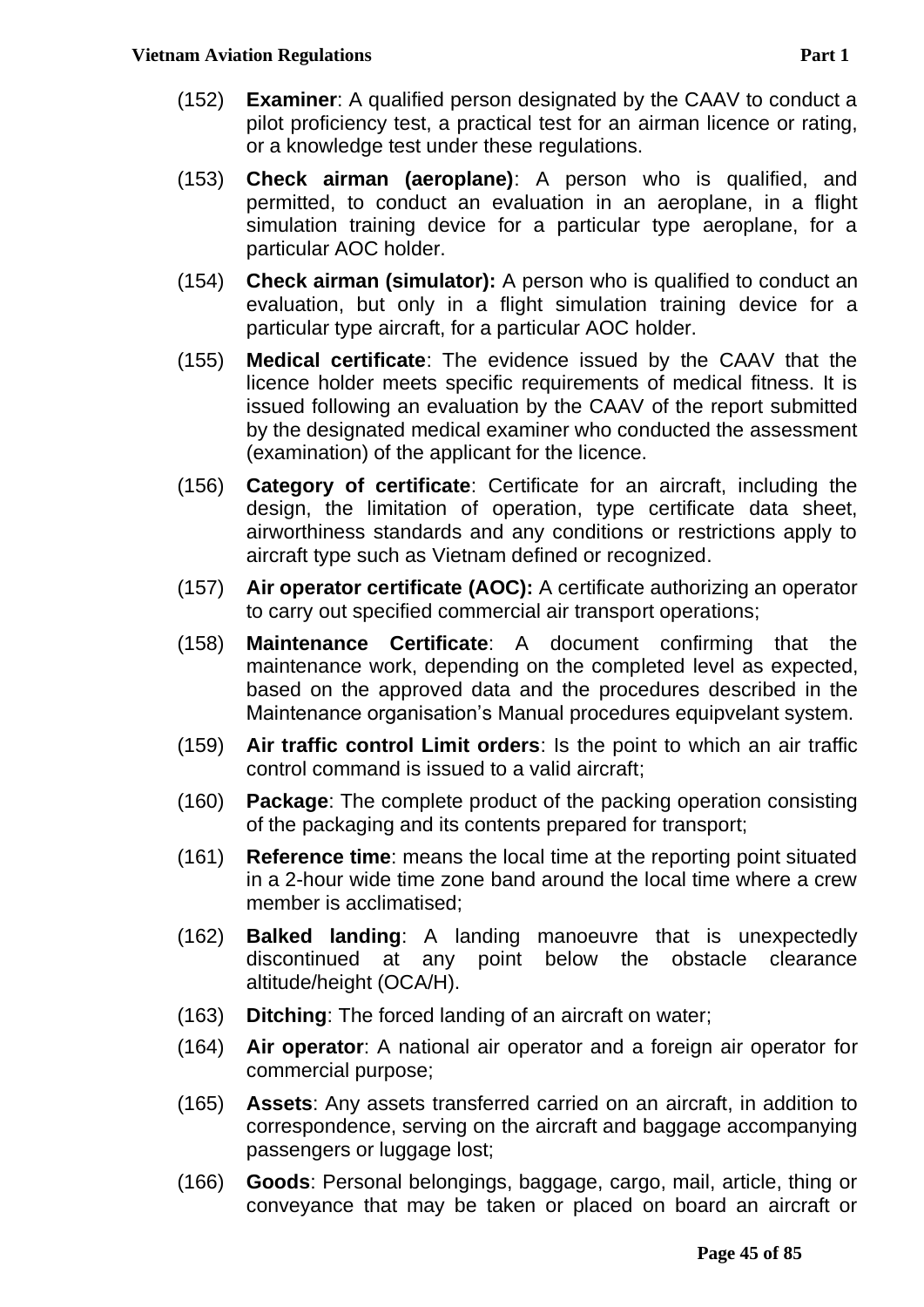- (153) **Check airman (aeroplane)**: A person who is qualified, and permitted, to conduct an evaluation in an aeroplane, in a flight simulation training device for a particular type aeroplane, for a particular AOC holder.
- (154) **Check airman (simulator):** A person who is qualified to conduct an evaluation, but only in a flight simulation training device for a particular type aircraft, for a particular AOC holder.
- (155) **Medical certificate**: The evidence issued by the CAAV that the licence holder meets specific requirements of medical fitness. It is issued following an evaluation by the CAAV of the report submitted by the designated medical examiner who conducted the assessment (examination) of the applicant for the licence.
- (156) **Category of certificate**: Certificate for an aircraft, including the design, the limitation of operation, type certificate data sheet, airworthiness standards and any conditions or restrictions apply to aircraft type such as Vietnam defined or recognized.
- (157) **Air operator certificate (AOC):** A certificate authorizing an operator to carry out specified commercial air transport operations;
- (158) **Maintenance Certificate**: A document confirming that the maintenance work, depending on the completed level as expected, based on the approved data and the procedures described in the Maintenance organisation's Manual procedures equipvelant system.
- (159) **Air traffic control Limit orders**: Is the point to which an air traffic control command is issued to a valid aircraft;
- (160) **Package**: The complete product of the packing operation consisting of the packaging and its contents prepared for transport;
- (161) **Reference time**: means the local time at the reporting point situated in a 2-hour wide time zone band around the local time where a crew member is acclimatised;
- (162) **Balked landing**: A landing manoeuvre that is unexpectedly discontinued at any point below the obstacle clearance altitude/height (OCA/H).
- (163) **Ditching**: The forced landing of an aircraft on water;
- (164) **Air operator**: A national air operator and a foreign air operator for commercial purpose;
- (165) **Assets**: Any assets transferred carried on an aircraft, in addition to correspondence, serving on the aircraft and baggage accompanying passengers or luggage lost;
- (166) **Goods**: Personal belongings, baggage, cargo, mail, article, thing or conveyance that may be taken or placed on board an aircraft or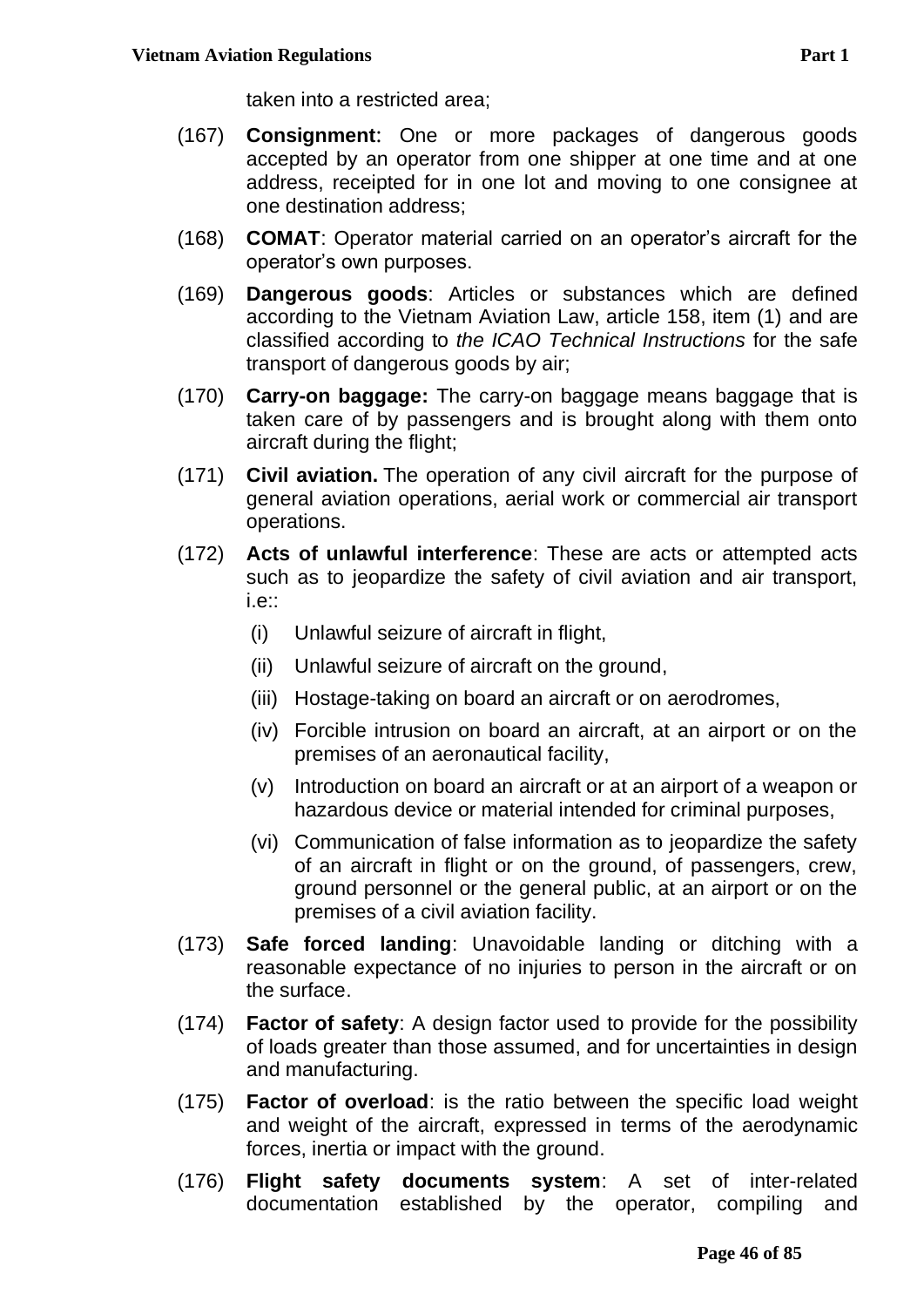taken into a restricted area;

- (167) **Consignment**: One or more packages of dangerous goods accepted by an operator from one shipper at one time and at one address, receipted for in one lot and moving to one consignee at one destination address;
- (168) **COMAT**: Operator material carried on an operator's aircraft for the operator's own purposes.
- (169) **Dangerous goods**: Articles or substances which are defined according to the Vietnam Aviation Law, article 158, item (1) and are classified according to *the ICAO Technical Instructions* for the safe transport of dangerous goods by air;
- (170) **Carry-on baggage:** The carry-on baggage means baggage that is taken care of by passengers and is brought along with them onto aircraft during the flight;
- (171) **Civil aviation.** The operation of any civil aircraft for the purpose of general aviation operations, aerial work or commercial air transport operations.
- (172) **Acts of unlawful interference**: These are acts or attempted acts such as to jeopardize the safety of civil aviation and air transport, i.e::
	- (i) Unlawful seizure of aircraft in flight,
	- (ii) Unlawful seizure of aircraft on the ground,
	- (iii) Hostage-taking on board an aircraft or on aerodromes,
	- (iv) Forcible intrusion on board an aircraft, at an airport or on the premises of an aeronautical facility,
	- (v) Introduction on board an aircraft or at an airport of a weapon or hazardous device or material intended for criminal purposes,
	- (vi) Communication of false information as to jeopardize the safety of an aircraft in flight or on the ground, of passengers, crew, ground personnel or the general public, at an airport or on the premises of a civil aviation facility.
- (173) **Safe forced landing**: Unavoidable landing or ditching with a reasonable expectance of no injuries to person in the aircraft or on the surface.
- (174) **Factor of safety**: A design factor used to provide for the possibility of loads greater than those assumed, and for uncertainties in design and manufacturing.
- (175) **Factor of overload**: is the ratio between the specific load weight and weight of the aircraft, expressed in terms of the aerodynamic forces, inertia or impact with the ground.
- (176) **Flight safety documents system**: A set of inter-related documentation established by the operator, compiling and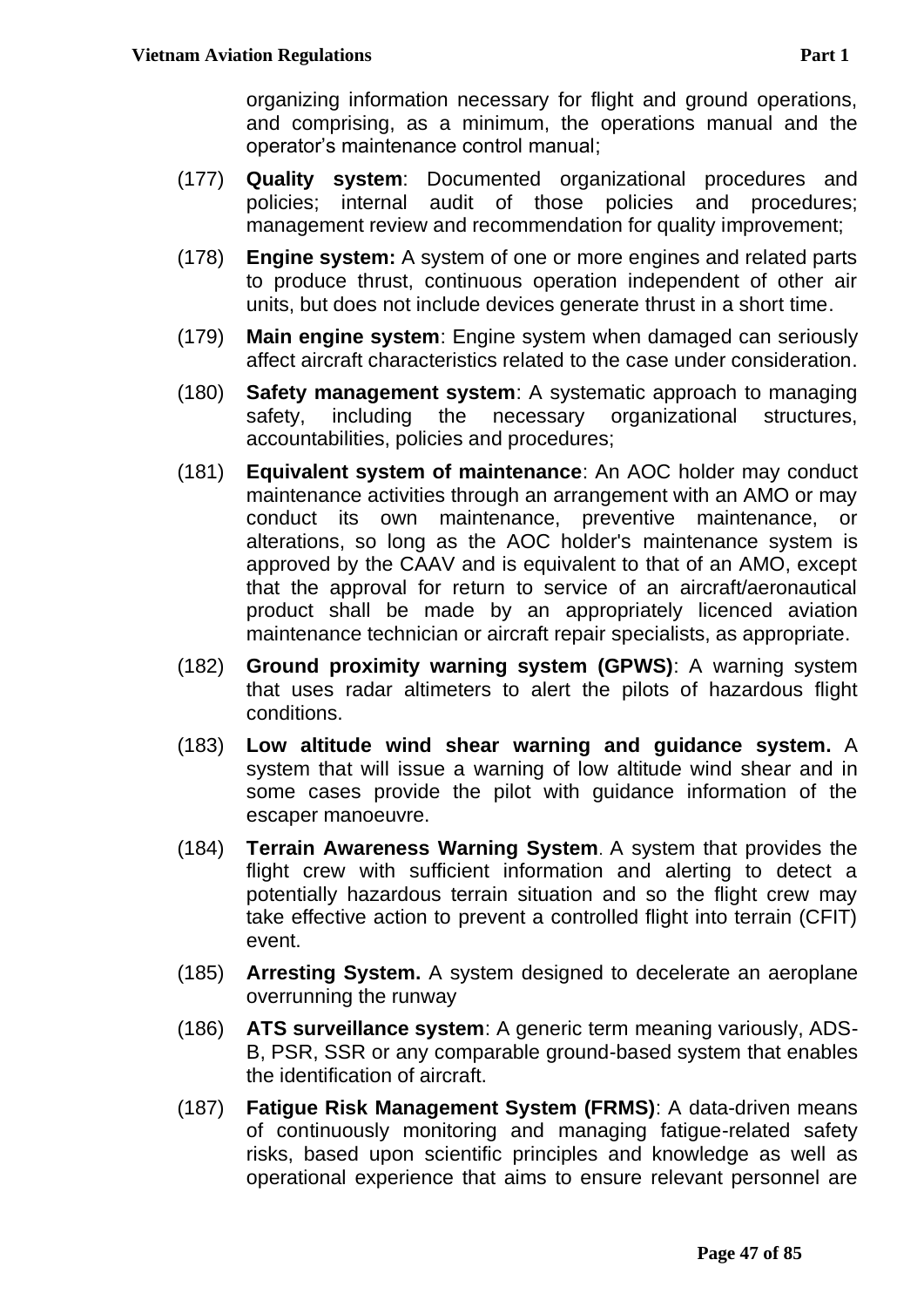organizing information necessary for flight and ground operations, and comprising, as a minimum, the operations manual and the operator's maintenance control manual;

- (177) **Quality system**: Documented organizational procedures and policies; internal audit of those policies and procedures; management review and recommendation for quality improvement;
- (178) **Engine system:** A system of one or more engines and related parts to produce thrust, continuous operation independent of other air units, but does not include devices generate thrust in a short time.
- (179) **Main engine system**: Engine system when damaged can seriously affect aircraft characteristics related to the case under consideration.
- (180) **Safety management system**: A systematic approach to managing safety, including the necessary organizational structures, accountabilities, policies and procedures;
- (181) **Equivalent system of maintenance**: An AOC holder may conduct maintenance activities through an arrangement with an AMO or may conduct its own maintenance, preventive maintenance, or alterations, so long as the AOC holder's maintenance system is approved by the CAAV and is equivalent to that of an AMO, except that the approval for return to service of an aircraft/aeronautical product shall be made by an appropriately licenced aviation maintenance technician or aircraft repair specialists, as appropriate.
- (182) **Ground proximity warning system (GPWS)**: A warning system that uses radar altimeters to alert the pilots of hazardous flight conditions.
- (183) **Low altitude wind shear warning and guidance system.** A system that will issue a warning of low altitude wind shear and in some cases provide the pilot with guidance information of the escaper manoeuvre.
- (184) **Terrain Awareness Warning System**. A system that provides the flight crew with sufficient information and alerting to detect a potentially hazardous terrain situation and so the flight crew may take effective action to prevent a controlled flight into terrain (CFIT) event.
- (185) **Arresting System.** A system designed to decelerate an aeroplane overrunning the runway
- (186) **ATS surveillance system**: A generic term meaning variously, ADS-B, PSR, SSR or any comparable ground-based system that enables the identification of aircraft.
- (187) **Fatigue Risk Management System (FRMS)**: A data-driven means of continuously monitoring and managing fatigue-related safety risks, based upon scientific principles and knowledge as well as operational experience that aims to ensure relevant personnel are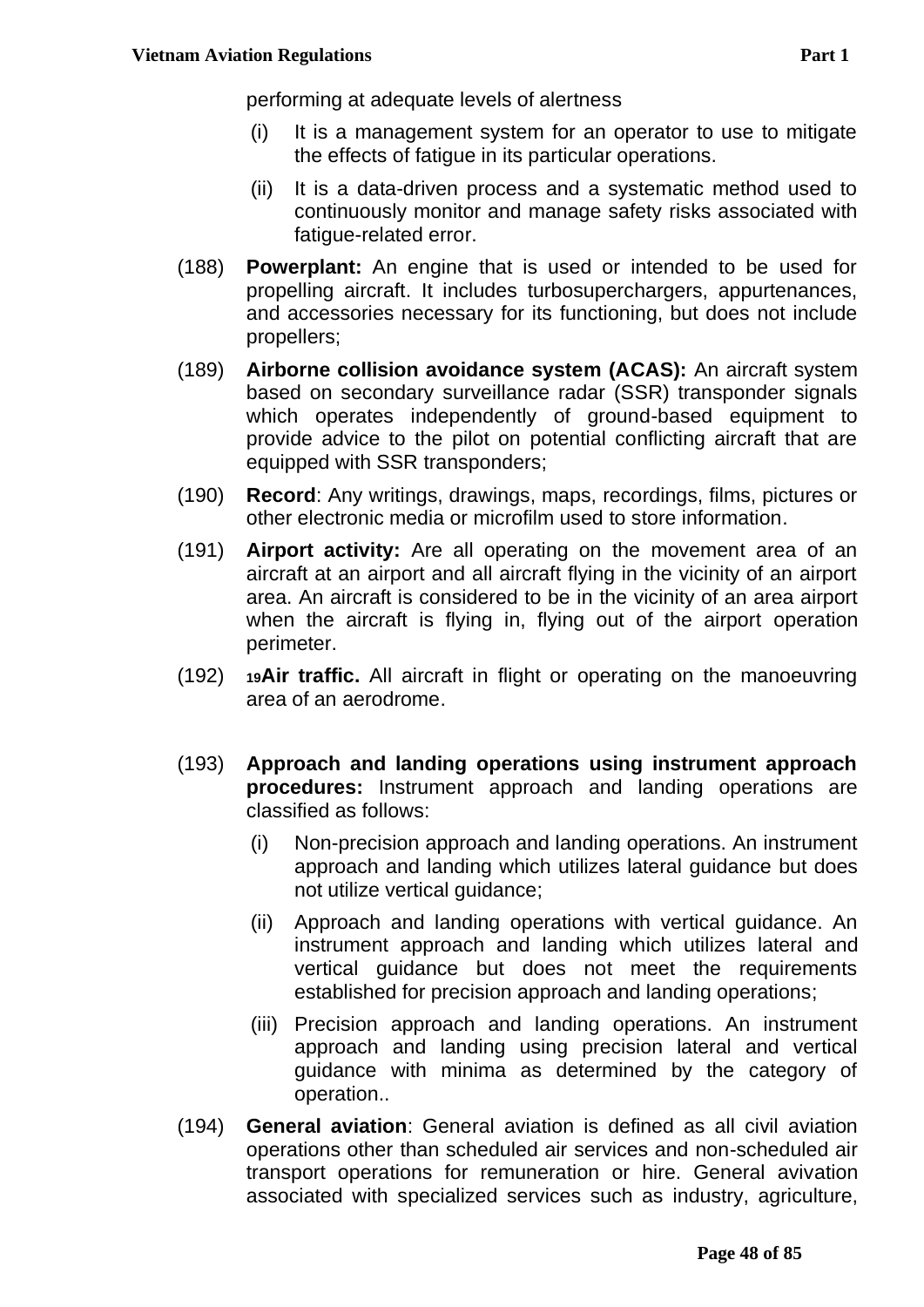performing at adequate levels of alertness

- (i) It is a management system for an operator to use to mitigate the effects of fatigue in its particular operations.
- (ii) It is a data-driven process and a systematic method used to continuously monitor and manage safety risks associated with fatigue-related error.
- (188) **Powerplant:** An engine that is used or intended to be used for propelling aircraft. It includes turbosuperchargers, appurtenances, and accessories necessary for its functioning, but does not include propellers;
- (189) **Airborne collision avoidance system (ACAS):** An aircraft system based on secondary surveillance radar (SSR) transponder signals which operates independently of ground-based equipment to provide advice to the pilot on potential conflicting aircraft that are equipped with SSR transponders;
- (190) **Record**: Any writings, drawings, maps, recordings, films, pictures or other electronic media or microfilm used to store information.
- (191) **Airport activity:** Are all operating on the movement area of an aircraft at an airport and all aircraft flying in the vicinity of an airport area. An aircraft is considered to be in the vicinity of an area airport when the aircraft is flying in, flying out of the airport operation perimeter.
- (192) **<sup>19</sup>Air traffic.** All aircraft in flight or operating on the manoeuvring area of an aerodrome.
- (193) **Approach and landing operations using instrument approach procedures:** Instrument approach and landing operations are classified as follows:
	- (i) Non-precision approach and landing operations. An instrument approach and landing which utilizes lateral guidance but does not utilize vertical guidance;
	- (ii) Approach and landing operations with vertical guidance. An instrument approach and landing which utilizes lateral and vertical guidance but does not meet the requirements established for precision approach and landing operations;
	- (iii) Precision approach and landing operations. An instrument approach and landing using precision lateral and vertical guidance with minima as determined by the category of operation..
- (194) **General aviation**: General aviation is defined as all civil aviation operations other than scheduled air services and non-scheduled air transport operations for remuneration or hire. General avivation associated with specialized services such as industry, agriculture,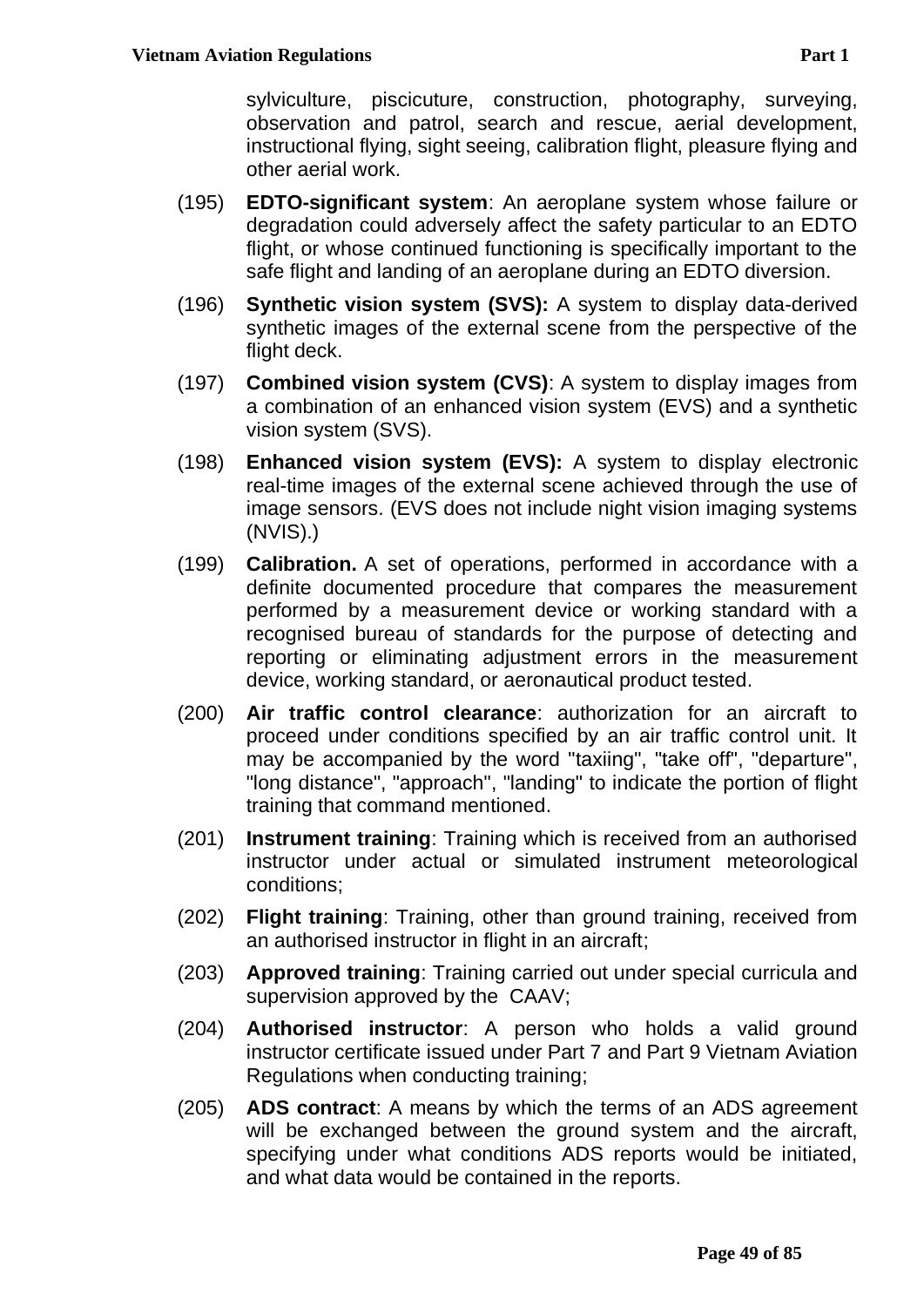sylviculture, piscicuture, construction, photography, surveying, observation and patrol, search and rescue, aerial development, instructional flying, sight seeing, calibration flight, pleasure flying and other aerial work.

- (195) **EDTO-significant system**: An aeroplane system whose failure or degradation could adversely affect the safety particular to an EDTO flight, or whose continued functioning is specifically important to the safe flight and landing of an aeroplane during an EDTO diversion.
- (196) **Synthetic vision system (SVS):** A system to display data-derived synthetic images of the external scene from the perspective of the flight deck.
- (197) **Combined vision system (CVS)**: A system to display images from a combination of an enhanced vision system (EVS) and a synthetic vision system (SVS).
- (198) **Enhanced vision system (EVS):** A system to display electronic real-time images of the external scene achieved through the use of image sensors. (EVS does not include night vision imaging systems (NVIS).)
- (199) **Calibration.** A set of operations, performed in accordance with a definite documented procedure that compares the measurement performed by a measurement device or working standard with a recognised bureau of standards for the purpose of detecting and reporting or eliminating adjustment errors in the measurement device, working standard, or aeronautical product tested.
- (200) **Air traffic control clearance**: authorization for an aircraft to proceed under conditions specified by an air traffic control unit. It may be accompanied by the word "taxiing", "take off", "departure", "long distance", "approach", "landing" to indicate the portion of flight training that command mentioned.
- (201) **Instrument training**: Training which is received from an authorised instructor under actual or simulated instrument meteorological conditions;
- (202) **Flight training**: Training, other than ground training, received from an authorised instructor in flight in an aircraft;
- (203) **Approved training**: Training carried out under special curricula and supervision approved by the CAAV;
- (204) **Authorised instructor**: A person who holds a valid ground instructor certificate issued under Part 7 and Part 9 Vietnam Aviation Regulations when conducting training;
- (205) **ADS contract**: A means by which the terms of an ADS agreement will be exchanged between the ground system and the aircraft, specifying under what conditions ADS reports would be initiated, and what data would be contained in the reports.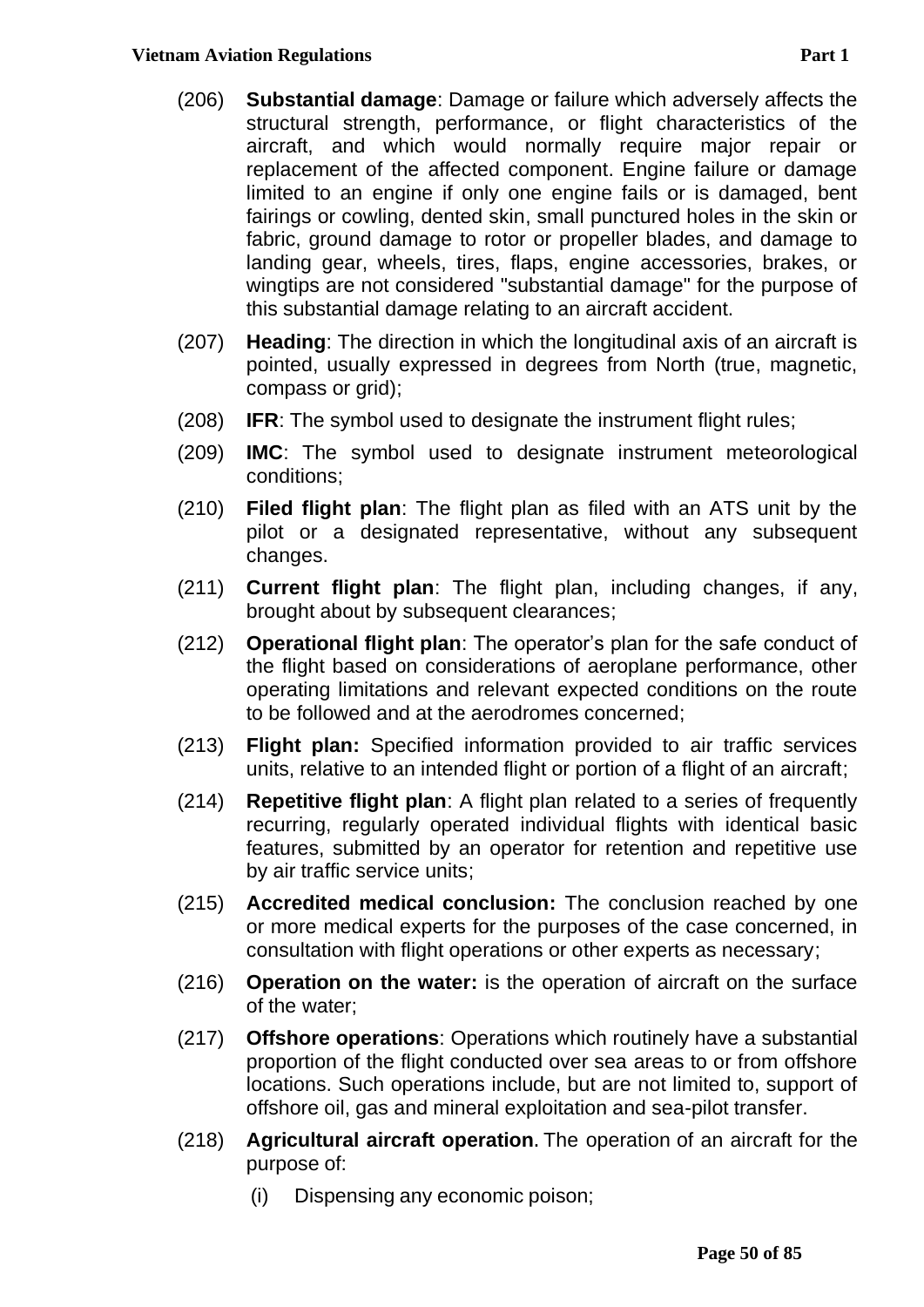- (206) **Substantial damage**: Damage or failure which adversely affects the structural strength, performance, or flight characteristics of the aircraft, and which would normally require major repair or replacement of the affected component. Engine failure or damage limited to an engine if only one engine fails or is damaged, bent fairings or cowling, dented skin, small punctured holes in the skin or fabric, ground damage to rotor or propeller blades, and damage to landing gear, wheels, tires, flaps, engine accessories, brakes, or wingtips are not considered "substantial damage" for the purpose of this substantial damage relating to an aircraft accident.
- (207) **Heading**: The direction in which the longitudinal axis of an aircraft is pointed, usually expressed in degrees from North (true, magnetic, compass or grid);
- (208) **IFR**: The symbol used to designate the instrument flight rules;
- (209) **IMC**: The symbol used to designate instrument meteorological conditions;
- (210) **Filed flight plan**: The flight plan as filed with an ATS unit by the pilot or a designated representative, without any subsequent changes.
- (211) **Current flight plan**: The flight plan, including changes, if any, brought about by subsequent clearances;
- (212) **Operational flight plan**: The operator's plan for the safe conduct of the flight based on considerations of aeroplane performance, other operating limitations and relevant expected conditions on the route to be followed and at the aerodromes concerned;
- (213) **Flight plan:** Specified information provided to air traffic services units, relative to an intended flight or portion of a flight of an aircraft;
- (214) **Repetitive flight plan**: A flight plan related to a series of frequently recurring, regularly operated individual flights with identical basic features, submitted by an operator for retention and repetitive use by air traffic service units;
- (215) **Accredited medical conclusion:** The conclusion reached by one or more medical experts for the purposes of the case concerned, in consultation with flight operations or other experts as necessary;
- (216) **Operation on the water:** is the operation of aircraft on the surface of the water;
- (217) **Offshore operations**: Operations which routinely have a substantial proportion of the flight conducted over sea areas to or from offshore locations. Such operations include, but are not limited to, support of offshore oil, gas and mineral exploitation and sea-pilot transfer.
- (218) **Agricultural aircraft operation.** The operation of an aircraft for the purpose of:
	- (i) Dispensing any economic poison;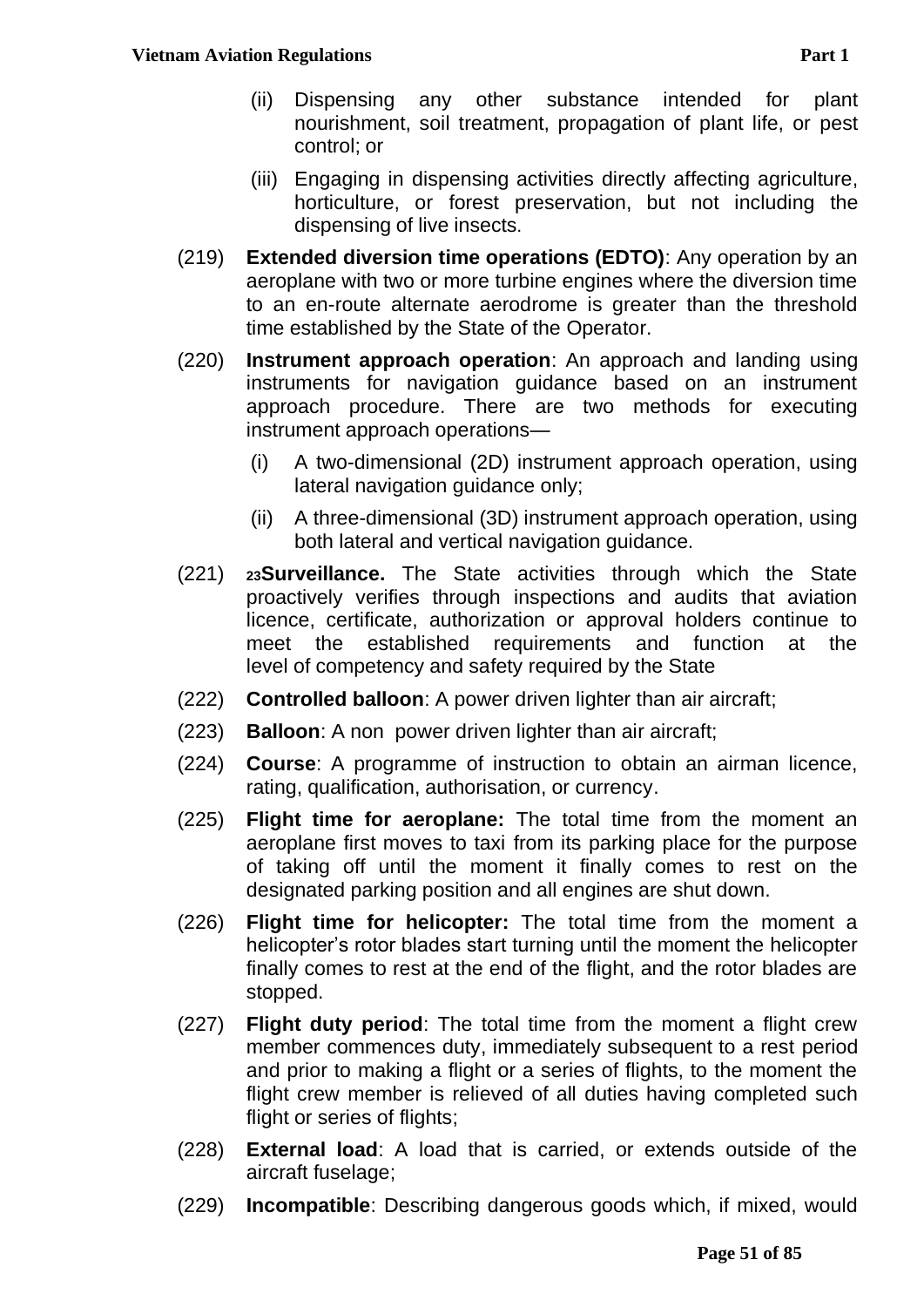- (ii) Dispensing any other substance intended for plant nourishment, soil treatment, propagation of plant life, or pest control; or
- (iii) Engaging in dispensing activities directly affecting agriculture, horticulture, or forest preservation, but not including the dispensing of live insects.
- (219) **Extended diversion time operations (EDTO)**: Any operation by an aeroplane with two or more turbine engines where the diversion time to an en-route alternate aerodrome is greater than the threshold time established by the State of the Operator.
- (220) **Instrument approach operation**: An approach and landing using instruments for navigation guidance based on an instrument approach procedure. There are two methods for executing instrument approach operations—
	- (i) A two-dimensional (2D) instrument approach operation, using lateral navigation guidance only:
	- (ii) A three-dimensional (3D) instrument approach operation, using both lateral and vertical navigation guidance.
- (221) **<sup>23</sup>Surveillance.** The State activities through which the State proactively verifies through inspections and audits that aviation licence, certificate, authorization or approval holders continue to meet the established requirements and function at the level of competency and safety required by the State
- (222) **Controlled balloon**: A power driven lighter than air aircraft;
- (223) **Balloon**: A non power driven lighter than air aircraft;
- (224) **Course**: A programme of instruction to obtain an airman licence, rating, qualification, authorisation, or currency.
- (225) **Flight time for aeroplane:** The total time from the moment an aeroplane first moves to taxi from its parking place for the purpose of taking off until the moment it finally comes to rest on the designated parking position and all engines are shut down.
- (226) **Flight time for helicopter:** The total time from the moment a helicopter's rotor blades start turning until the moment the helicopter finally comes to rest at the end of the flight, and the rotor blades are stopped.
- (227) **Flight duty period**: The total time from the moment a flight crew member commences duty, immediately subsequent to a rest period and prior to making a flight or a series of flights, to the moment the flight crew member is relieved of all duties having completed such flight or series of flights;
- (228) **External load**: A load that is carried, or extends outside of the aircraft fuselage;
- (229) **Incompatible**: Describing dangerous goods which, if mixed, would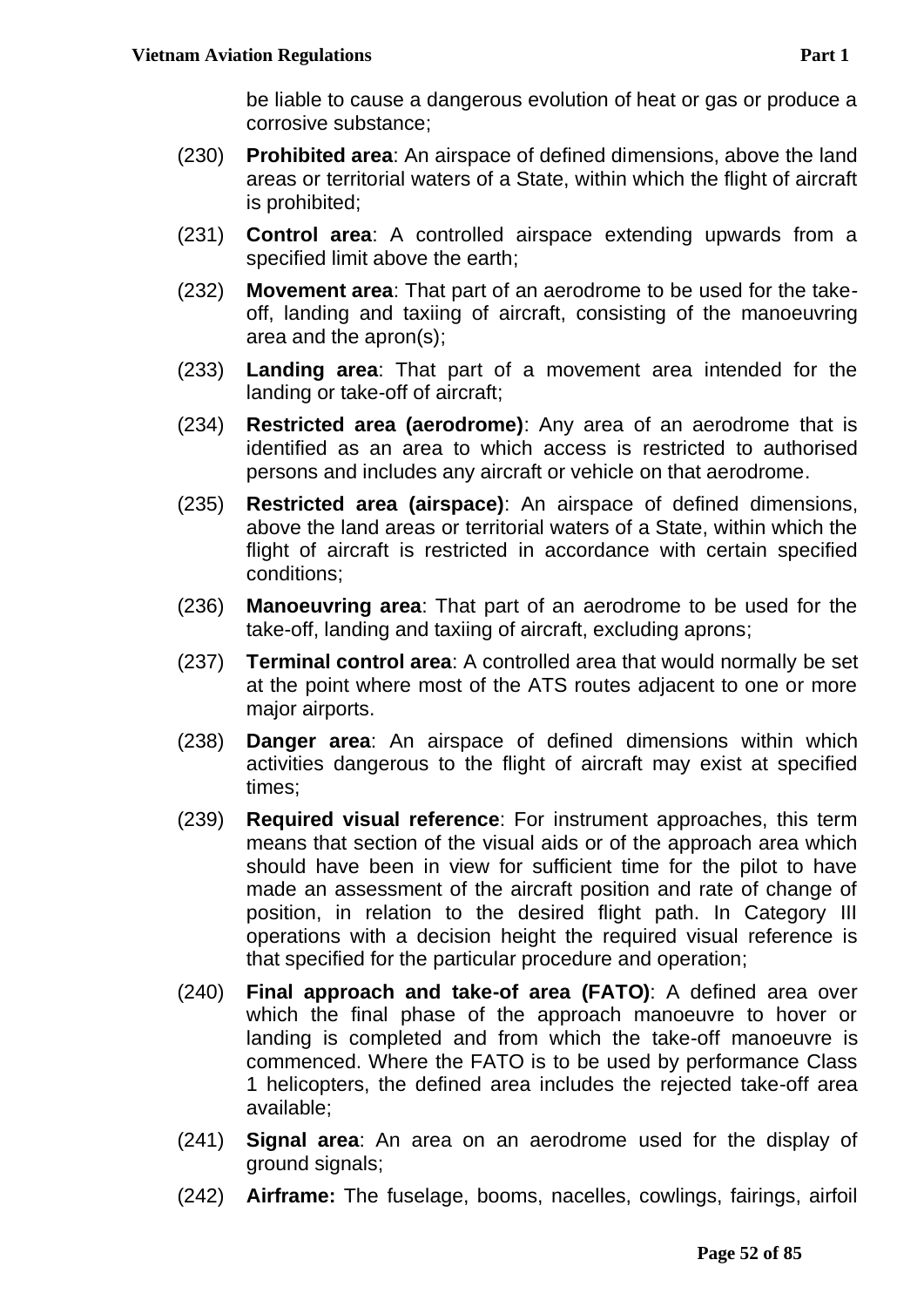be liable to cause a dangerous evolution of heat or gas or produce a corrosive substance;

- (230) **Prohibited area**: An airspace of defined dimensions, above the land areas or territorial waters of a State, within which the flight of aircraft is prohibited;
- (231) **Control area**: A controlled airspace extending upwards from a specified limit above the earth;
- (232) **Movement area**: That part of an aerodrome to be used for the takeoff, landing and taxiing of aircraft, consisting of the manoeuvring area and the apron(s);
- (233) **Landing area**: That part of a movement area intended for the landing or take-off of aircraft;
- (234) **Restricted area (aerodrome)**: Any area of an aerodrome that is identified as an area to which access is restricted to authorised persons and includes any aircraft or vehicle on that aerodrome.
- (235) **Restricted area (airspace)**: An airspace of defined dimensions, above the land areas or territorial waters of a State, within which the flight of aircraft is restricted in accordance with certain specified conditions;
- (236) **Manoeuvring area**: That part of an aerodrome to be used for the take-off, landing and taxiing of aircraft, excluding aprons;
- (237) **Terminal control area**: A controlled area that would normally be set at the point where most of the ATS routes adjacent to one or more major airports.
- (238) **Danger area**: An airspace of defined dimensions within which activities dangerous to the flight of aircraft may exist at specified times;
- (239) **Required visual reference**: For instrument approaches, this term means that section of the visual aids or of the approach area which should have been in view for sufficient time for the pilot to have made an assessment of the aircraft position and rate of change of position, in relation to the desired flight path. In Category III operations with a decision height the required visual reference is that specified for the particular procedure and operation;
- (240) **Final approach and take-of area (FATO)**: A defined area over which the final phase of the approach manoeuvre to hover or landing is completed and from which the take-off manoeuvre is commenced. Where the FATO is to be used by performance Class 1 helicopters, the defined area includes the rejected take-off area available;
- (241) **Signal area**: An area on an aerodrome used for the display of ground signals;
- (242) **Airframe:** The fuselage, booms, nacelles, cowlings, fairings, airfoil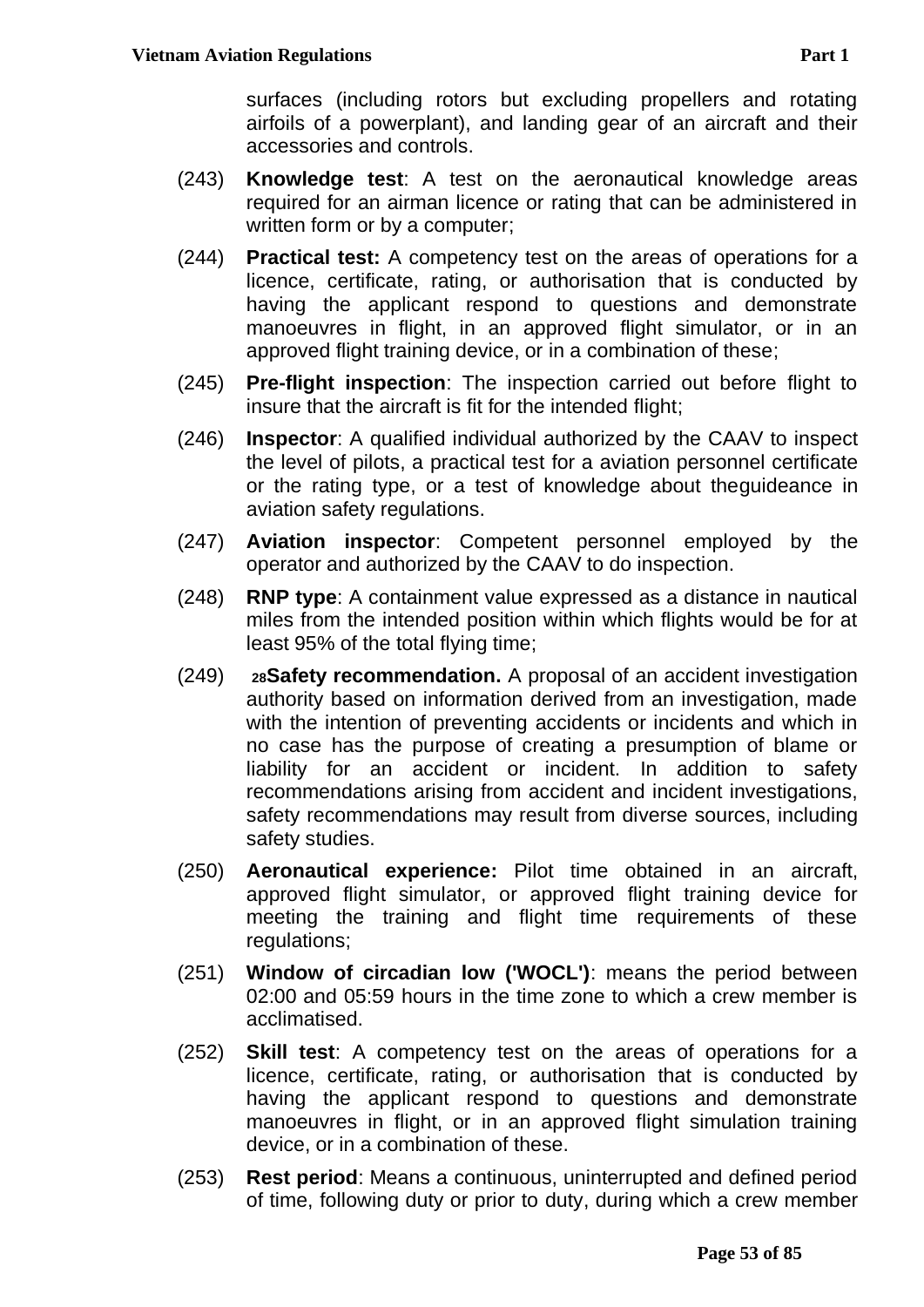surfaces (including rotors but excluding propellers and rotating airfoils of a powerplant), and landing gear of an aircraft and their accessories and controls.

- (243) **Knowledge test**: A test on the aeronautical knowledge areas required for an airman licence or rating that can be administered in written form or by a computer;
- (244) **Practical test:** A competency test on the areas of operations for a licence, certificate, rating, or authorisation that is conducted by having the applicant respond to questions and demonstrate manoeuvres in flight, in an approved flight simulator, or in an approved flight training device, or in a combination of these;
- (245) **Pre-flight inspection**: The inspection carried out before flight to insure that the aircraft is fit for the intended flight;
- (246) **Inspector**: A qualified individual authorized by the CAAV to inspect the level of pilots, a practical test for a aviation personnel certificate or the rating type, or a test of knowledge about theguideance in aviation safety regulations.
- (247) **Aviation inspector**: Competent personnel employed by the operator and authorized by the CAAV to do inspection.
- (248) **RNP type**: A containment value expressed as a distance in nautical miles from the intended position within which flights would be for at least 95% of the total flying time;
- (249) **<sup>28</sup>Safety recommendation.** A proposal of an accident investigation authority based on information derived from an investigation, made with the intention of preventing accidents or incidents and which in no case has the purpose of creating a presumption of blame or liability for an accident or incident. In addition to safety recommendations arising from accident and incident investigations, safety recommendations may result from diverse sources, including safety studies.
- (250) **Aeronautical experience:** Pilot time obtained in an aircraft, approved flight simulator, or approved flight training device for meeting the training and flight time requirements of these regulations;
- (251) **Window of circadian low ('WOCL')**: means the period between 02:00 and 05:59 hours in the time zone to which a crew member is acclimatised.
- (252) **Skill test**: A competency test on the areas of operations for a licence, certificate, rating, or authorisation that is conducted by having the applicant respond to questions and demonstrate manoeuvres in flight, or in an approved flight simulation training device, or in a combination of these.
- (253) **Rest period**: Means a continuous, uninterrupted and defined period of time, following duty or prior to duty, during which a crew member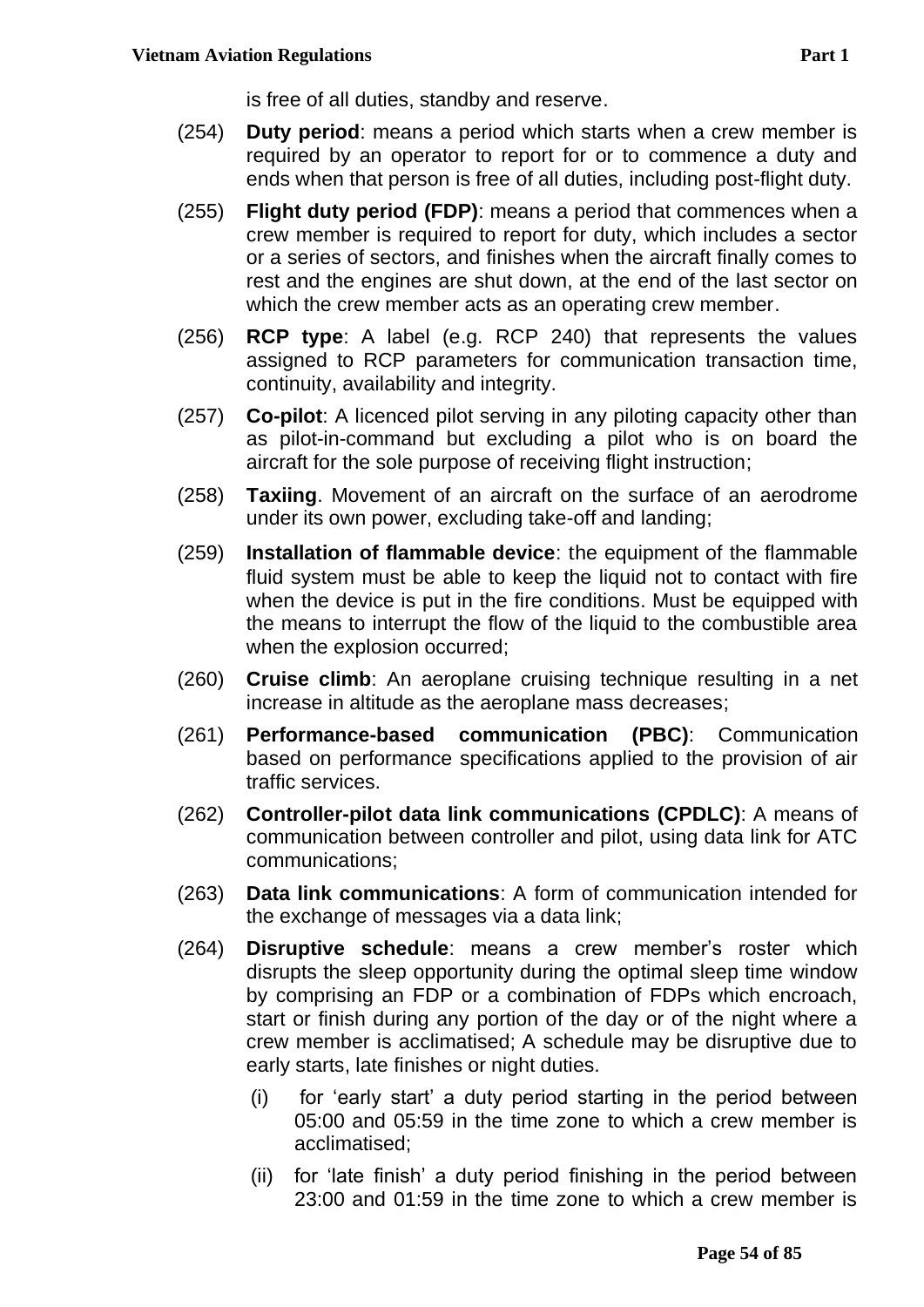- (254) **Duty period**: means a period which starts when a crew member is required by an operator to report for or to commence a duty and ends when that person is free of all duties, including post-flight duty.
- (255) **Flight duty period (FDP)**: means a period that commences when a crew member is required to report for duty, which includes a sector or a series of sectors, and finishes when the aircraft finally comes to rest and the engines are shut down, at the end of the last sector on which the crew member acts as an operating crew member.
- (256) **RCP type**: A label (e.g. RCP 240) that represents the values assigned to RCP parameters for communication transaction time, continuity, availability and integrity.
- (257) **Co-pilot**: A licenced pilot serving in any piloting capacity other than as pilot-in-command but excluding a pilot who is on board the aircraft for the sole purpose of receiving flight instruction;
- (258) **Taxiing**. Movement of an aircraft on the surface of an aerodrome under its own power, excluding take-off and landing;
- (259) **Installation of flammable device**: the equipment of the flammable fluid system must be able to keep the liquid not to contact with fire when the device is put in the fire conditions. Must be equipped with the means to interrupt the flow of the liquid to the combustible area when the explosion occurred;
- (260) **Cruise climb**: An aeroplane cruising technique resulting in a net increase in altitude as the aeroplane mass decreases;
- (261) **Performance-based communication (PBC)**: Communication based on performance specifications applied to the provision of air traffic services.
- (262) **Controller-pilot data link communications (CPDLC)**: A means of communication between controller and pilot, using data link for ATC communications;
- (263) **Data link communications**: A form of communication intended for the exchange of messages via a data link;
- (264) **Disruptive schedule**: means a crew member's roster which disrupts the sleep opportunity during the optimal sleep time window by comprising an FDP or a combination of FDPs which encroach, start or finish during any portion of the day or of the night where a crew member is acclimatised; A schedule may be disruptive due to early starts, late finishes or night duties.
	- (i) for 'early start' a duty period starting in the period between 05:00 and 05:59 in the time zone to which a crew member is acclimatised;
	- (ii) for 'late finish' a duty period finishing in the period between 23:00 and 01:59 in the time zone to which a crew member is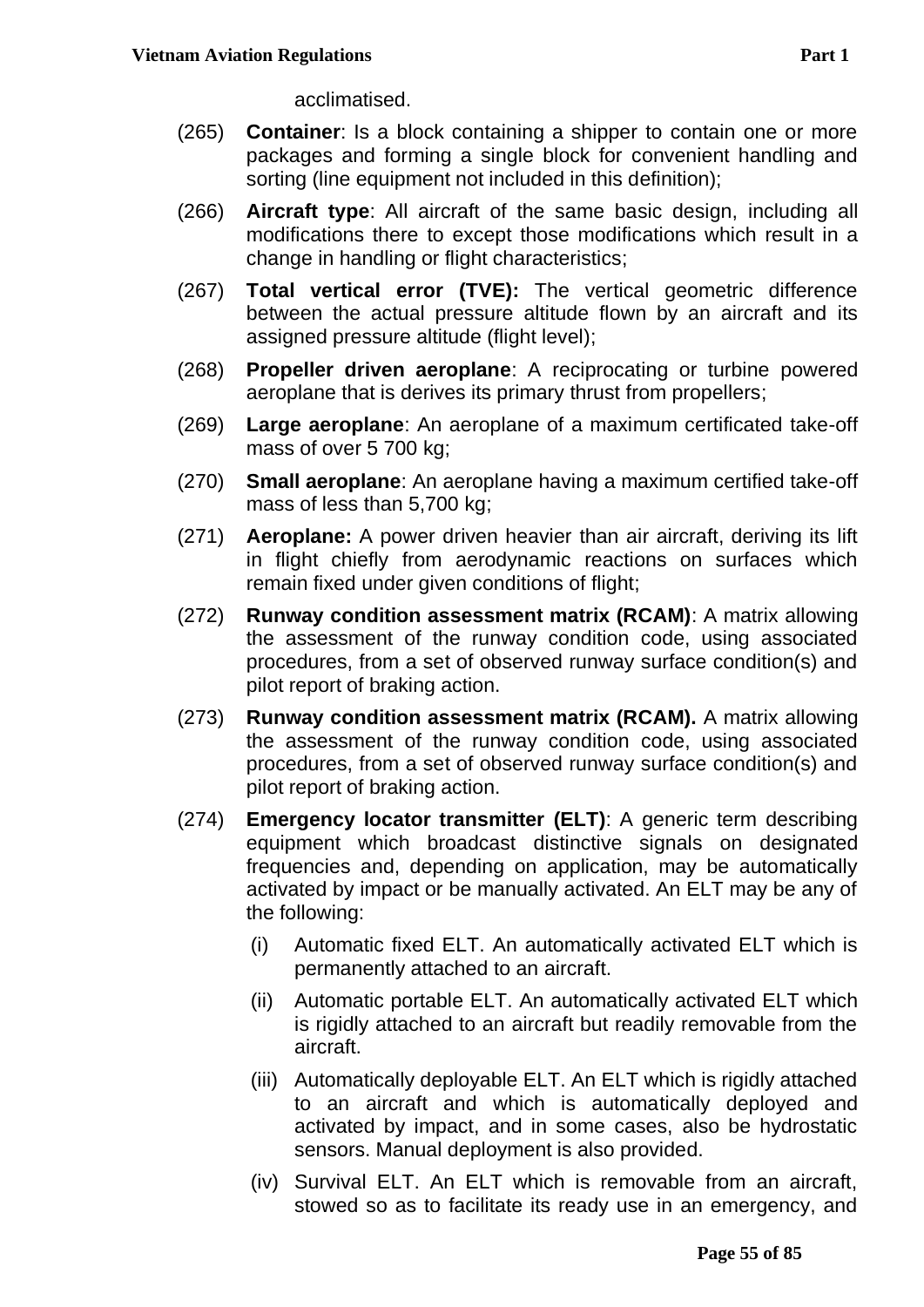acclimatised.

- (265) **Container**: Is a block containing a shipper to contain one or more packages and forming a single block for convenient handling and sorting (line equipment not included in this definition);
- (266) **Aircraft type**: All aircraft of the same basic design, including all modifications there to except those modifications which result in a change in handling or flight characteristics;
- (267) **Total vertical error (TVE):** The vertical geometric difference between the actual pressure altitude flown by an aircraft and its assigned pressure altitude (flight level);
- (268) **Propeller driven aeroplane**: A reciprocating or turbine powered aeroplane that is derives its primary thrust from propellers;
- (269) **Large aeroplane**: An aeroplane of a maximum certificated take-off mass of over 5 700 kg;
- (270) **Small aeroplane**: An aeroplane having a maximum certified take-off mass of less than 5,700 kg;
- (271) **Aeroplane:** A power driven heavier than air aircraft, deriving its lift in flight chiefly from aerodynamic reactions on surfaces which remain fixed under given conditions of flight;
- (272) **Runway condition assessment matrix (RCAM)**: A matrix allowing the assessment of the runway condition code, using associated procedures, from a set of observed runway surface condition(s) and pilot report of braking action.
- (273) **Runway condition assessment matrix (RCAM).** A matrix allowing the assessment of the runway condition code, using associated procedures, from a set of observed runway surface condition(s) and pilot report of braking action.
- (274) **Emergency locator transmitter (ELT)**: A generic term describing equipment which broadcast distinctive signals on designated frequencies and, depending on application, may be automatically activated by impact or be manually activated. An ELT may be any of the following:
	- (i) Automatic fixed ELT. An automatically activated ELT which is permanently attached to an aircraft.
	- (ii) Automatic portable ELT. An automatically activated ELT which is rigidly attached to an aircraft but readily removable from the aircraft.
	- (iii) Automatically deployable ELT. An ELT which is rigidly attached to an aircraft and which is automatically deployed and activated by impact, and in some cases, also be hydrostatic sensors. Manual deployment is also provided.
	- (iv) Survival ELT. An ELT which is removable from an aircraft, stowed so as to facilitate its ready use in an emergency, and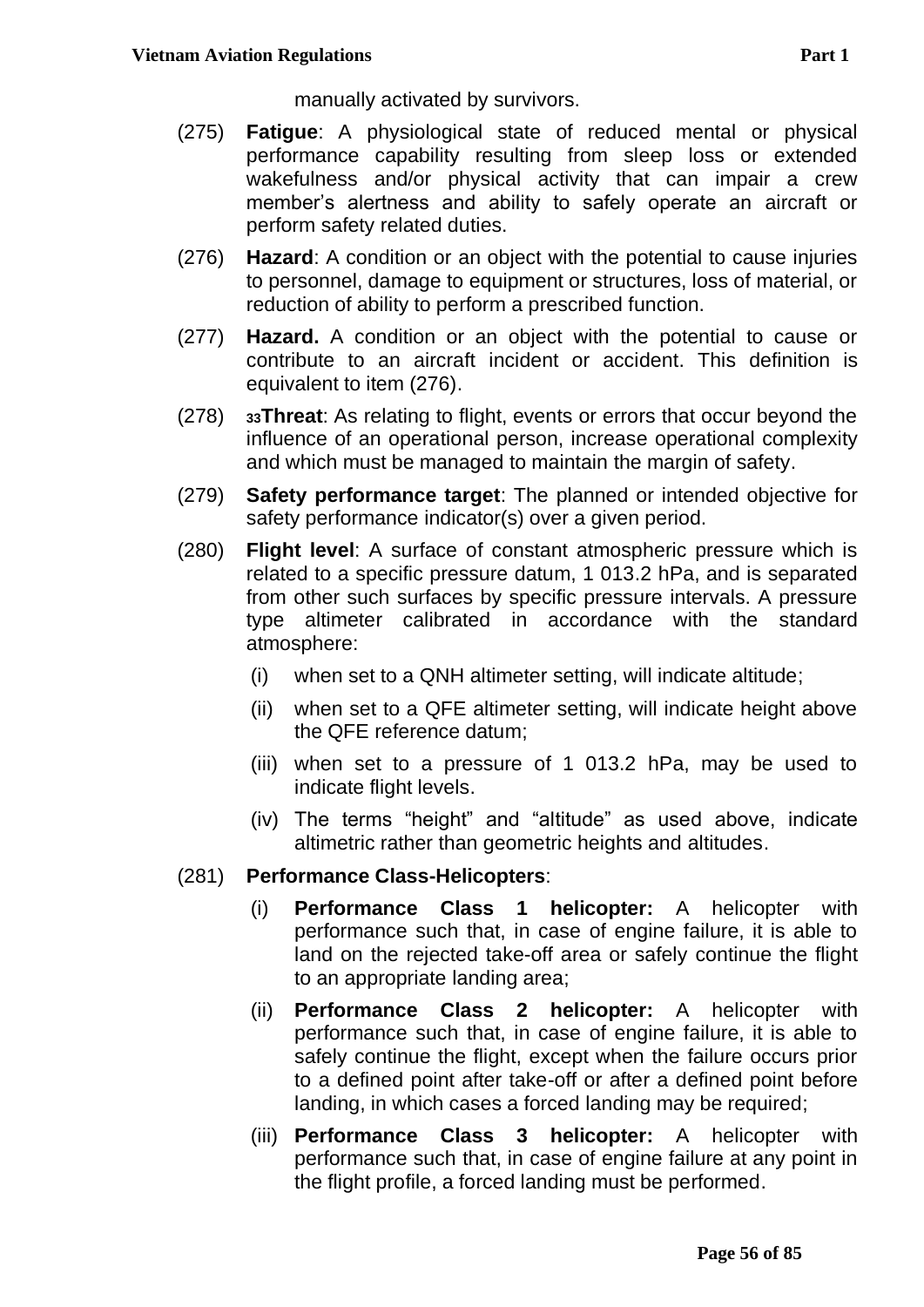manually activated by survivors.

- (275) **Fatigue**: A physiological state of reduced mental or physical performance capability resulting from sleep loss or extended wakefulness and/or physical activity that can impair a crew member's alertness and ability to safely operate an aircraft or perform safety related duties.
- (276) **Hazard**: A condition or an object with the potential to cause injuries to personnel, damage to equipment or structures, loss of material, or reduction of ability to perform a prescribed function.
- (277) **Hazard.** A condition or an object with the potential to cause or contribute to an aircraft incident or accident. This definition is equivalent to item (276).
- (278) **<sup>33</sup>Threat**: As relating to flight, events or errors that occur beyond the influence of an operational person, increase operational complexity and which must be managed to maintain the margin of safety.
- (279) **Safety performance target**: The planned or intended objective for safety performance indicator(s) over a given period.
- (280) **Flight level**: A surface of constant atmospheric pressure which is related to a specific pressure datum, 1 013.2 hPa, and is separated from other such surfaces by specific pressure intervals. A pressure type altimeter calibrated in accordance with the standard atmosphere:
	- (i) when set to a QNH altimeter setting, will indicate altitude;
	- (ii) when set to a QFE altimeter setting, will indicate height above the QFE reference datum;
	- (iii) when set to a pressure of 1 013.2 hPa, may be used to indicate flight levels.
	- (iv) The terms "height" and "altitude" as used above, indicate altimetric rather than geometric heights and altitudes.

## (281) **Performance Class-Helicopters**:

- (i) **Performance Class 1 helicopter:** A helicopter with performance such that, in case of engine failure, it is able to land on the rejected take-off area or safely continue the flight to an appropriate landing area;
- (ii) **Performance Class 2 helicopter:** A helicopter with performance such that, in case of engine failure, it is able to safely continue the flight, except when the failure occurs prior to a defined point after take-off or after a defined point before landing, in which cases a forced landing may be required;
- (iii) **Performance Class 3 helicopter:** A helicopter with performance such that, in case of engine failure at any point in the flight profile, a forced landing must be performed.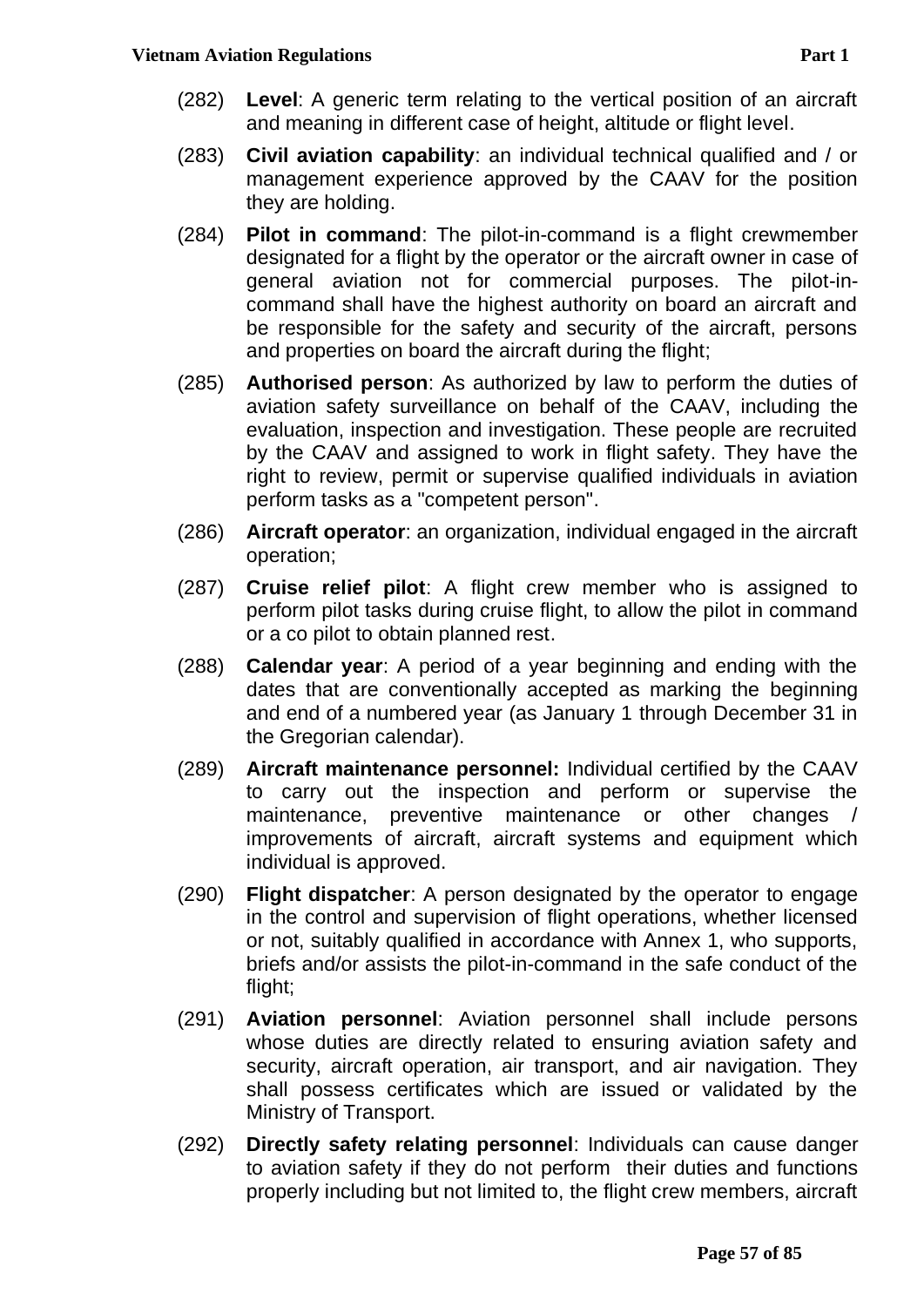- (283) **Civil aviation capability**: an individual technical qualified and / or management experience approved by the CAAV for the position they are holding.
- (284) **Pilot in command**: The pilot-in-command is a flight crewmember designated for a flight by the operator or the aircraft owner in case of general aviation not for commercial purposes. The pilot-incommand shall have the highest authority on board an aircraft and be responsible for the safety and security of the aircraft, persons and properties on board the aircraft during the flight;
- (285) **Authorised person**: As authorized by law to perform the duties of aviation safety surveillance on behalf of the CAAV, including the evaluation, inspection and investigation. These people are recruited by the CAAV and assigned to work in flight safety. They have the right to review, permit or supervise qualified individuals in aviation perform tasks as a "competent person".
- (286) **Aircraft operator**: an organization, individual engaged in the aircraft operation;
- (287) **Cruise relief pilot**: A flight crew member who is assigned to perform pilot tasks during cruise flight, to allow the pilot in command or a co pilot to obtain planned rest.
- (288) **Calendar year**: A period of a year beginning and ending with the dates that are conventionally accepted as marking the beginning and end of a numbered year (as January 1 through December 31 in the Gregorian calendar).
- (289) **Aircraft maintenance personnel:** Individual certified by the CAAV to carry out the inspection and perform or supervise the maintenance, preventive maintenance or other changes / improvements of aircraft, aircraft systems and equipment which individual is approved.
- (290) **Flight dispatcher**: A person designated by the operator to engage in the control and supervision of flight operations, whether licensed or not, suitably qualified in accordance with Annex 1, who supports, briefs and/or assists the pilot-in-command in the safe conduct of the flight;
- (291) **Aviation personnel**: Aviation personnel shall include persons whose duties are directly related to ensuring aviation safety and security, aircraft operation, air transport, and air navigation. They shall possess certificates which are issued or validated by the Ministry of Transport.
- (292) **Directly safety relating personnel**: Individuals can cause danger to aviation safety if they do not perform their duties and functions properly including but not limited to, the flight crew members, aircraft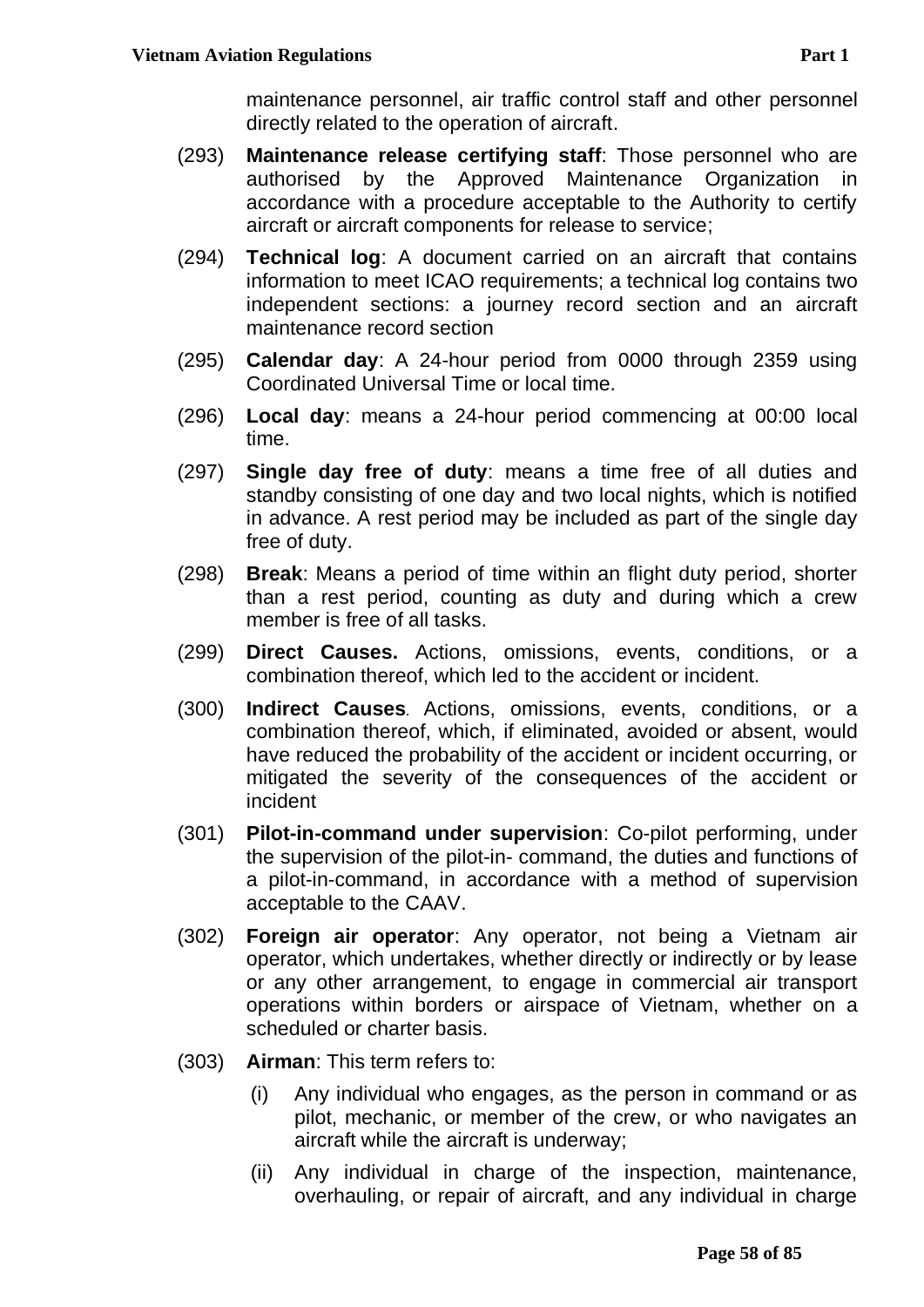- (293) **Maintenance release certifying staff**: Those personnel who are authorised by the Approved Maintenance Organization in accordance with a procedure acceptable to the Authority to certify aircraft or aircraft components for release to service;
- (294) **Technical log**: A document carried on an aircraft that contains information to meet ICAO requirements; a technical log contains two independent sections: a journey record section and an aircraft maintenance record section
- (295) **Calendar day**: A 24-hour period from 0000 through 2359 using Coordinated Universal Time or local time.
- (296) **Local day**: means a 24-hour period commencing at 00:00 local time.
- (297) **Single day free of duty**: means a time free of all duties and standby consisting of one day and two local nights, which is notified in advance. A rest period may be included as part of the single day free of duty.
- (298) **Break**: Means a period of time within an flight duty period, shorter than a rest period, counting as duty and during which a crew member is free of all tasks.
- (299) **Direct Causes.** Actions, omissions, events, conditions, or a combination thereof, which led to the accident or incident.
- (300) **Indirect Causes***.* Actions, omissions, events, conditions, or a combination thereof, which, if eliminated, avoided or absent, would have reduced the probability of the accident or incident occurring, or mitigated the severity of the consequences of the accident or incident
- (301) **Pilot-in-command under supervision**: Co-pilot performing, under the supervision of the pilot-in- command, the duties and functions of a pilot-in-command, in accordance with a method of supervision acceptable to the CAAV.
- (302) **Foreign air operator**: Any operator, not being a Vietnam air operator, which undertakes, whether directly or indirectly or by lease or any other arrangement, to engage in commercial air transport operations within borders or airspace of Vietnam, whether on a scheduled or charter basis.
- (303) **Airman**: This term refers to:
	- (i) Any individual who engages, as the person in command or as pilot, mechanic, or member of the crew, or who navigates an aircraft while the aircraft is underway;
	- (ii) Any individual in charge of the inspection, maintenance, overhauling, or repair of aircraft, and any individual in charge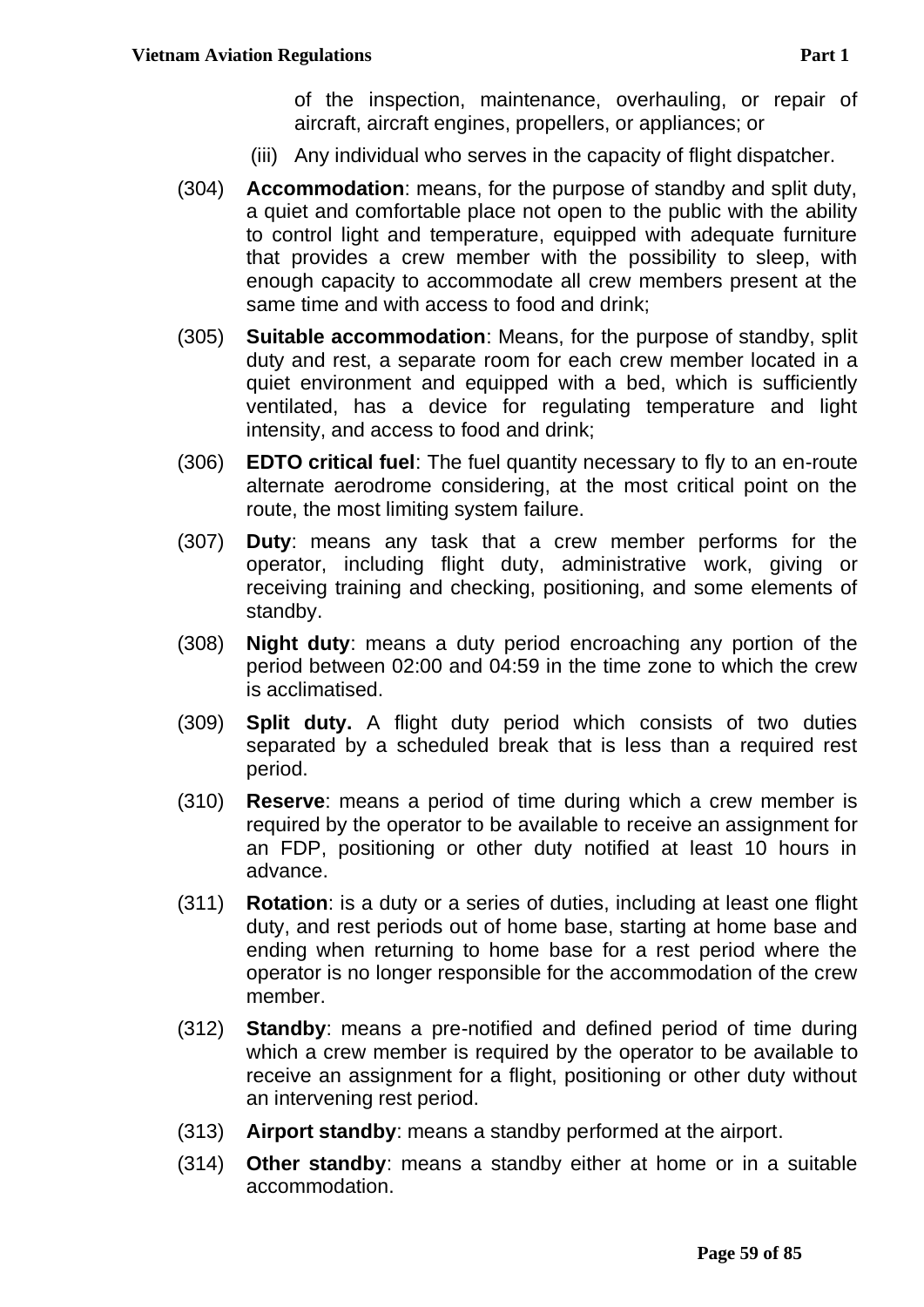- (iii) Any individual who serves in the capacity of flight dispatcher.
- (304) **Accommodation**: means, for the purpose of standby and split duty, a quiet and comfortable place not open to the public with the ability to control light and temperature, equipped with adequate furniture that provides a crew member with the possibility to sleep, with enough capacity to accommodate all crew members present at the same time and with access to food and drink;
- (305) **Suitable accommodation**: Means, for the purpose of standby, split duty and rest, a separate room for each crew member located in a quiet environment and equipped with a bed, which is sufficiently ventilated, has a device for regulating temperature and light intensity, and access to food and drink;
- (306) **EDTO critical fuel**: The fuel quantity necessary to fly to an en-route alternate aerodrome considering, at the most critical point on the route, the most limiting system failure.
- (307) **Duty**: means any task that a crew member performs for the operator, including flight duty, administrative work, giving or receiving training and checking, positioning, and some elements of standby.
- (308) **Night duty**: means a duty period encroaching any portion of the period between 02:00 and 04:59 in the time zone to which the crew is acclimatised.
- (309) **Split duty.** A flight duty period which consists of two duties separated by a scheduled break that is less than a required rest period.
- (310) **Reserve**: means a period of time during which a crew member is required by the operator to be available to receive an assignment for an FDP, positioning or other duty notified at least 10 hours in advance.
- (311) **Rotation**: is a duty or a series of duties, including at least one flight duty, and rest periods out of home base, starting at home base and ending when returning to home base for a rest period where the operator is no longer responsible for the accommodation of the crew member.
- (312) **Standby**: means a pre-notified and defined period of time during which a crew member is required by the operator to be available to receive an assignment for a flight, positioning or other duty without an intervening rest period.
- (313) **Airport standby**: means a standby performed at the airport.
- (314) **Other standby**: means a standby either at home or in a suitable accommodation.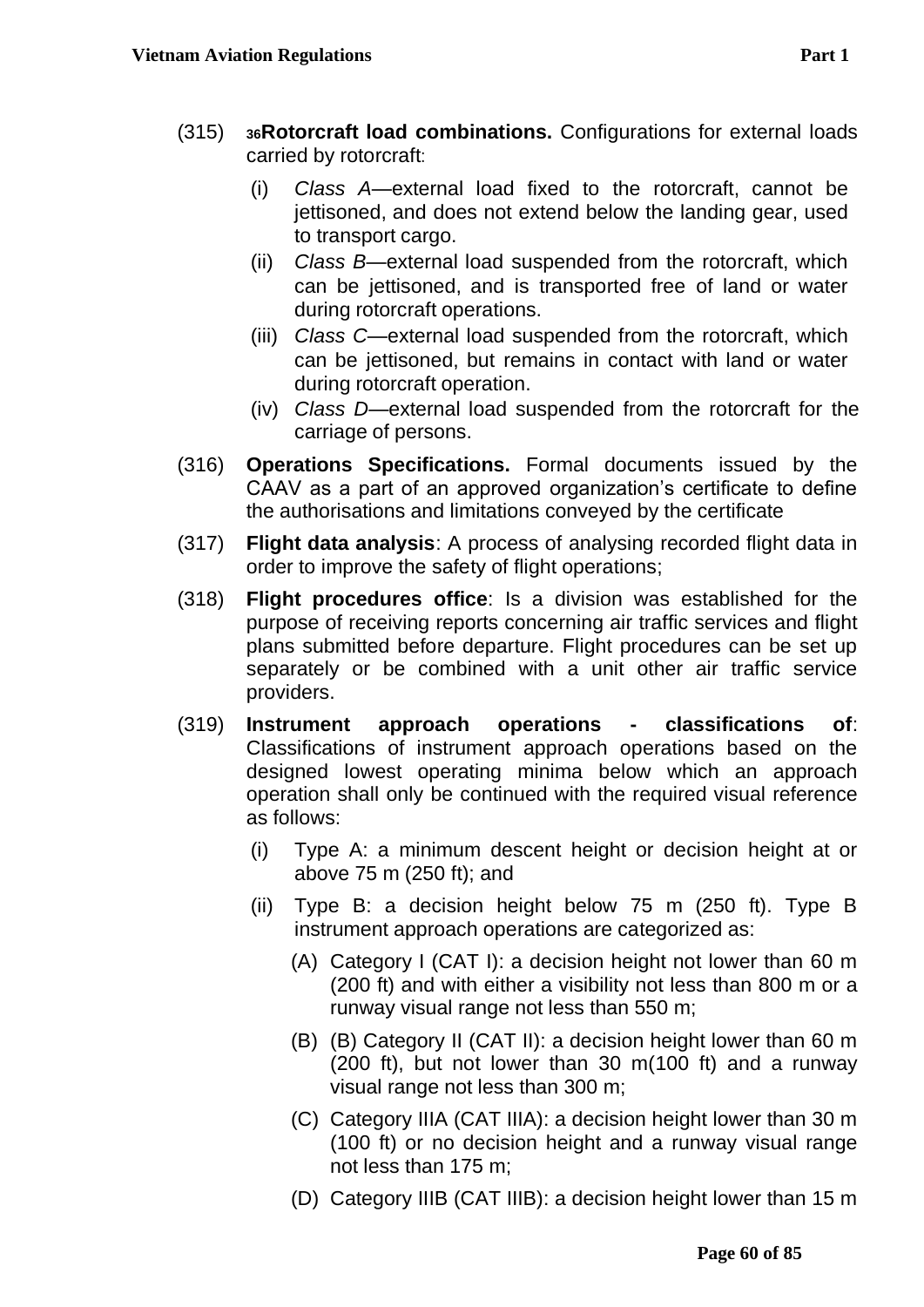- (315) **<sup>36</sup>Rotorcraft load combinations.** Configurations for external loads carried by rotorcraft:
	- (i) *Class A—*external load fixed to the rotorcraft, cannot be jettisoned, and does not extend below the landing gear, used to transport cargo.
	- (ii) *Class B*—external load suspended from the rotorcraft, which can be jettisoned, and is transported free of land or water during rotorcraft operations.
	- (iii) *Class C*—external load suspended from the rotorcraft, which can be jettisoned, but remains in contact with land or water during rotorcraft operation.
	- (iv) *Class D*—external load suspended from the rotorcraft for the carriage of persons.
- (316) **Operations Specifications.** Formal documents issued by the CAAV as a part of an approved organization's certificate to define the authorisations and limitations conveyed by the certificate
- (317) **Flight data analysis**: A process of analysing recorded flight data in order to improve the safety of flight operations;
- (318) **Flight procedures office**: Is a division was established for the purpose of receiving reports concerning air traffic services and flight plans submitted before departure. Flight procedures can be set up separately or be combined with a unit other air traffic service providers.
- (319) **Instrument approach operations - classifications of**: Classifications of instrument approach operations based on the designed lowest operating minima below which an approach operation shall only be continued with the required visual reference as follows:
	- (i) Type A: a minimum descent height or decision height at or above 75 m (250 ft); and
	- (ii) Type B: a decision height below 75 m (250 ft). Type B instrument approach operations are categorized as:
		- (A) Category I (CAT I): a decision height not lower than 60 m (200 ft) and with either a visibility not less than 800 m or a runway visual range not less than 550 m;
		- (B) (B) Category II (CAT II): a decision height lower than 60 m (200 ft), but not lower than 30 m(100 ft) and a runway visual range not less than 300 m;
		- (C) Category IIIA (CAT IIIA): a decision height lower than 30 m (100 ft) or no decision height and a runway visual range not less than 175 m;
		- (D) Category IIIB (CAT IIIB): a decision height lower than 15 m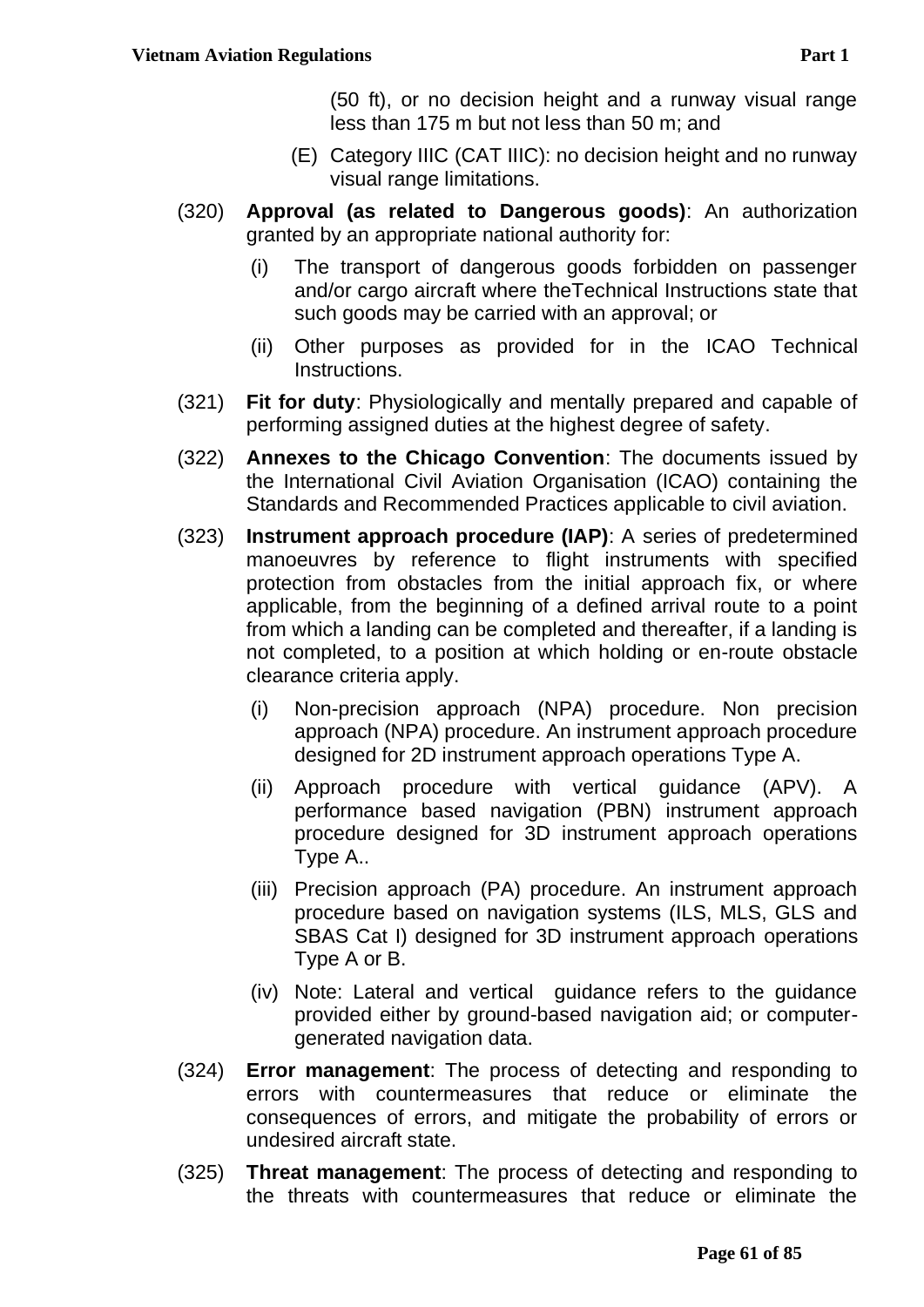- (E) Category IIIC (CAT IIIC): no decision height and no runway visual range limitations.
- (320) **Approval (as related to Dangerous goods)**: An authorization granted by an appropriate national authority for:
	- (i) The transport of dangerous goods forbidden on passenger and/or cargo aircraft where theTechnical Instructions state that such goods may be carried with an approval; or
	- (ii) Other purposes as provided for in the ICAO Technical Instructions.
- (321) **Fit for duty**: Physiologically and mentally prepared and capable of performing assigned duties at the highest degree of safety.
- (322) **Annexes to the Chicago Convention**: The documents issued by the International Civil Aviation Organisation (ICAO) containing the Standards and Recommended Practices applicable to civil aviation.
- (323) **Instrument approach procedure (IAP)**: A series of predetermined manoeuvres by reference to flight instruments with specified protection from obstacles from the initial approach fix, or where applicable, from the beginning of a defined arrival route to a point from which a landing can be completed and thereafter, if a landing is not completed, to a position at which holding or en-route obstacle clearance criteria apply.
	- (i) Non-precision approach (NPA) procedure. Non precision approach (NPA) procedure. An instrument approach procedure designed for 2D instrument approach operations Type A.
	- (ii) Approach procedure with vertical guidance (APV). A performance based navigation (PBN) instrument approach procedure designed for 3D instrument approach operations Type A..
	- (iii) Precision approach (PA) procedure. An instrument approach procedure based on navigation systems (ILS, MLS, GLS and SBAS Cat I) designed for 3D instrument approach operations Type A or B.
	- (iv) Note: Lateral and vertical guidance refers to the guidance provided either by ground-based navigation aid; or computergenerated navigation data.
- (324) **Error management**: The process of detecting and responding to errors with countermeasures that reduce or eliminate the consequences of errors, and mitigate the probability of errors or undesired aircraft state.
- (325) **Threat management**: The process of detecting and responding to the threats with countermeasures that reduce or eliminate the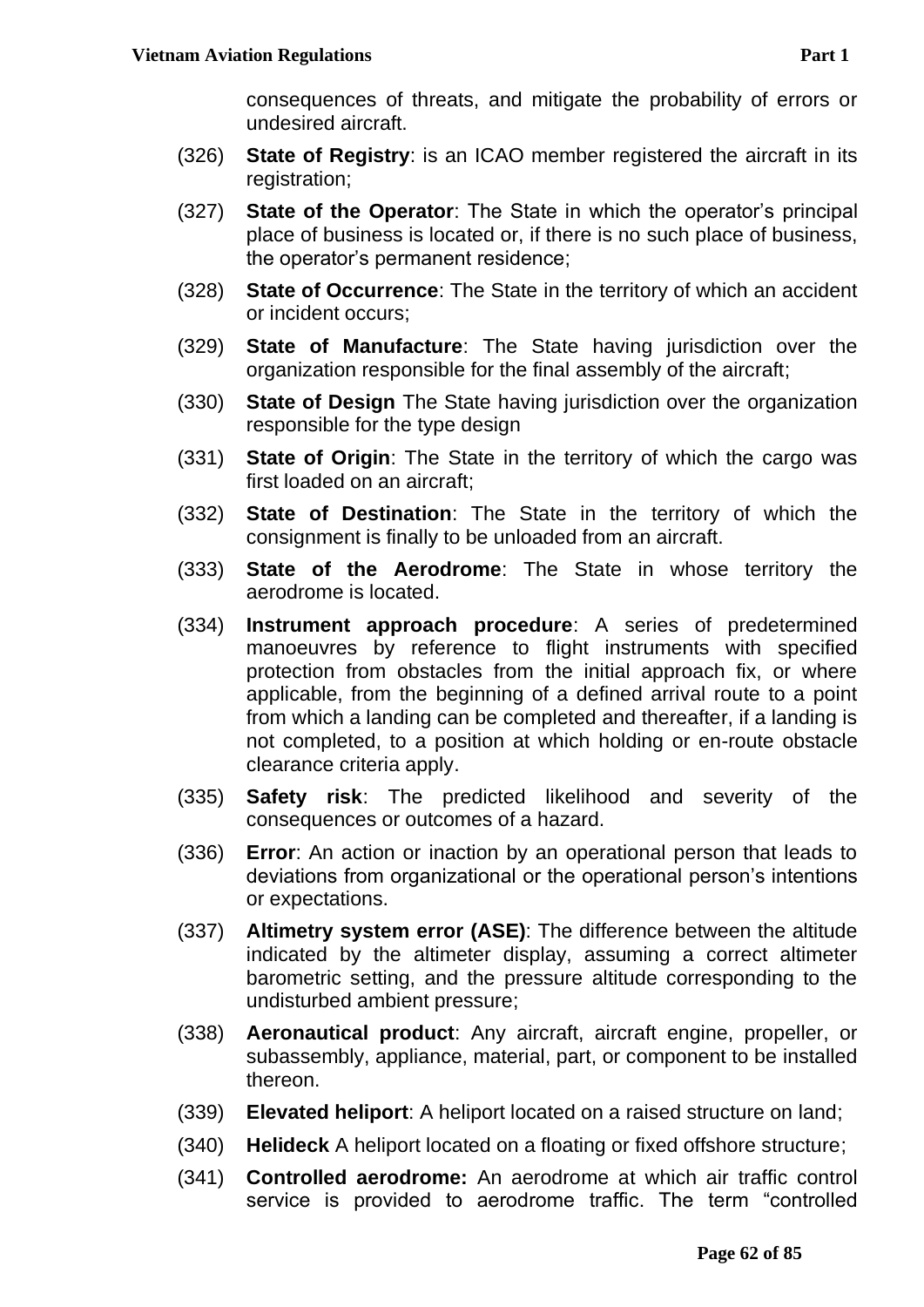consequences of threats, and mitigate the probability of errors or undesired aircraft.

- (326) **State of Registry**: is an ICAO member registered the aircraft in its registration;
- (327) **State of the Operator**: The State in which the operator's principal place of business is located or, if there is no such place of business, the operator's permanent residence;
- (328) **State of Occurrence**: The State in the territory of which an accident or incident occurs;
- (329) **State of Manufacture**: The State having jurisdiction over the organization responsible for the final assembly of the aircraft;
- (330) **State of Design** The State having jurisdiction over the organization responsible for the type design
- (331) **State of Origin**: The State in the territory of which the cargo was first loaded on an aircraft;
- (332) **State of Destination**: The State in the territory of which the consignment is finally to be unloaded from an aircraft.
- (333) **State of the Aerodrome**: The State in whose territory the aerodrome is located.
- (334) **Instrument approach procedure**: A series of predetermined manoeuvres by reference to flight instruments with specified protection from obstacles from the initial approach fix, or where applicable, from the beginning of a defined arrival route to a point from which a landing can be completed and thereafter, if a landing is not completed, to a position at which holding or en-route obstacle clearance criteria apply.
- (335) **Safety risk**: The predicted likelihood and severity of the consequences or outcomes of a hazard.
- (336) **Error**: An action or inaction by an operational person that leads to deviations from organizational or the operational person's intentions or expectations.
- (337) **Altimetry system error (ASE)**: The difference between the altitude indicated by the altimeter display, assuming a correct altimeter barometric setting, and the pressure altitude corresponding to the undisturbed ambient pressure;
- (338) **Aeronautical product**: Any aircraft, aircraft engine, propeller, or subassembly, appliance, material, part, or component to be installed thereon.
- (339) **Elevated heliport**: A heliport located on a raised structure on land;
- (340) **Helideck** A heliport located on a floating or fixed offshore structure;
- (341) **Controlled aerodrome:** An aerodrome at which air traffic control service is provided to aerodrome traffic. The term "controlled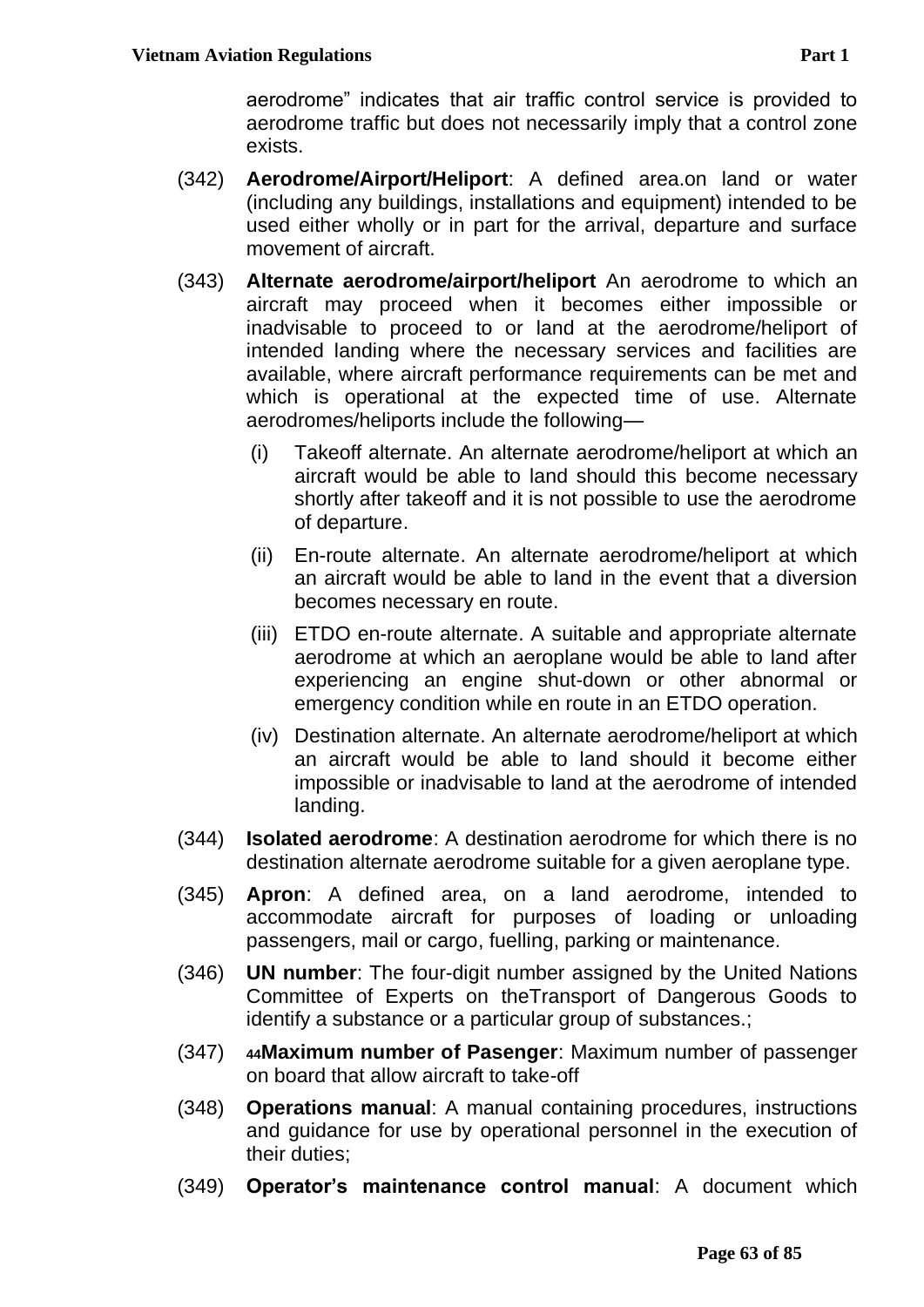aerodrome" indicates that air traffic control service is provided to aerodrome traffic but does not necessarily imply that a control zone exists.

- (342) **Aerodrome/Airport/Heliport**: A defined area.on land or water (including any buildings, installations and equipment) intended to be used either wholly or in part for the arrival, departure and surface movement of aircraft.
- (343) **Alternate aerodrome/airport/heliport** An aerodrome to which an aircraft may proceed when it becomes either impossible or inadvisable to proceed to or land at the aerodrome/heliport of intended landing where the necessary services and facilities are available, where aircraft performance requirements can be met and which is operational at the expected time of use. Alternate aerodromes/heliports include the following—
	- (i) Takeoff alternate. An alternate aerodrome/heliport at which an aircraft would be able to land should this become necessary shortly after takeoff and it is not possible to use the aerodrome of departure.
	- (ii) En-route alternate. An alternate aerodrome/heliport at which an aircraft would be able to land in the event that a diversion becomes necessary en route.
	- (iii) ETDO en-route alternate. A suitable and appropriate alternate aerodrome at which an aeroplane would be able to land after experiencing an engine shut-down or other abnormal or emergency condition while en route in an ETDO operation.
	- (iv) Destination alternate. An alternate aerodrome/heliport at which an aircraft would be able to land should it become either impossible or inadvisable to land at the aerodrome of intended landing.
- (344) **Isolated aerodrome**: A destination aerodrome for which there is no destination alternate aerodrome suitable for a given aeroplane type.
- (345) **Apron**: A defined area, on a land aerodrome, intended to accommodate aircraft for purposes of loading or unloading passengers, mail or cargo, fuelling, parking or maintenance.
- (346) **UN number**: The four-digit number assigned by the United Nations Committee of Experts on theTransport of Dangerous Goods to identify a substance or a particular group of substances.;
- (347) **<sup>44</sup>Maximum number of Pasenger**: Maximum number of passenger on board that allow aircraft to take-off
- (348) **Operations manual**: A manual containing procedures, instructions and guidance for use by operational personnel in the execution of their duties;
- (349) **Operator's maintenance control manual**: A document which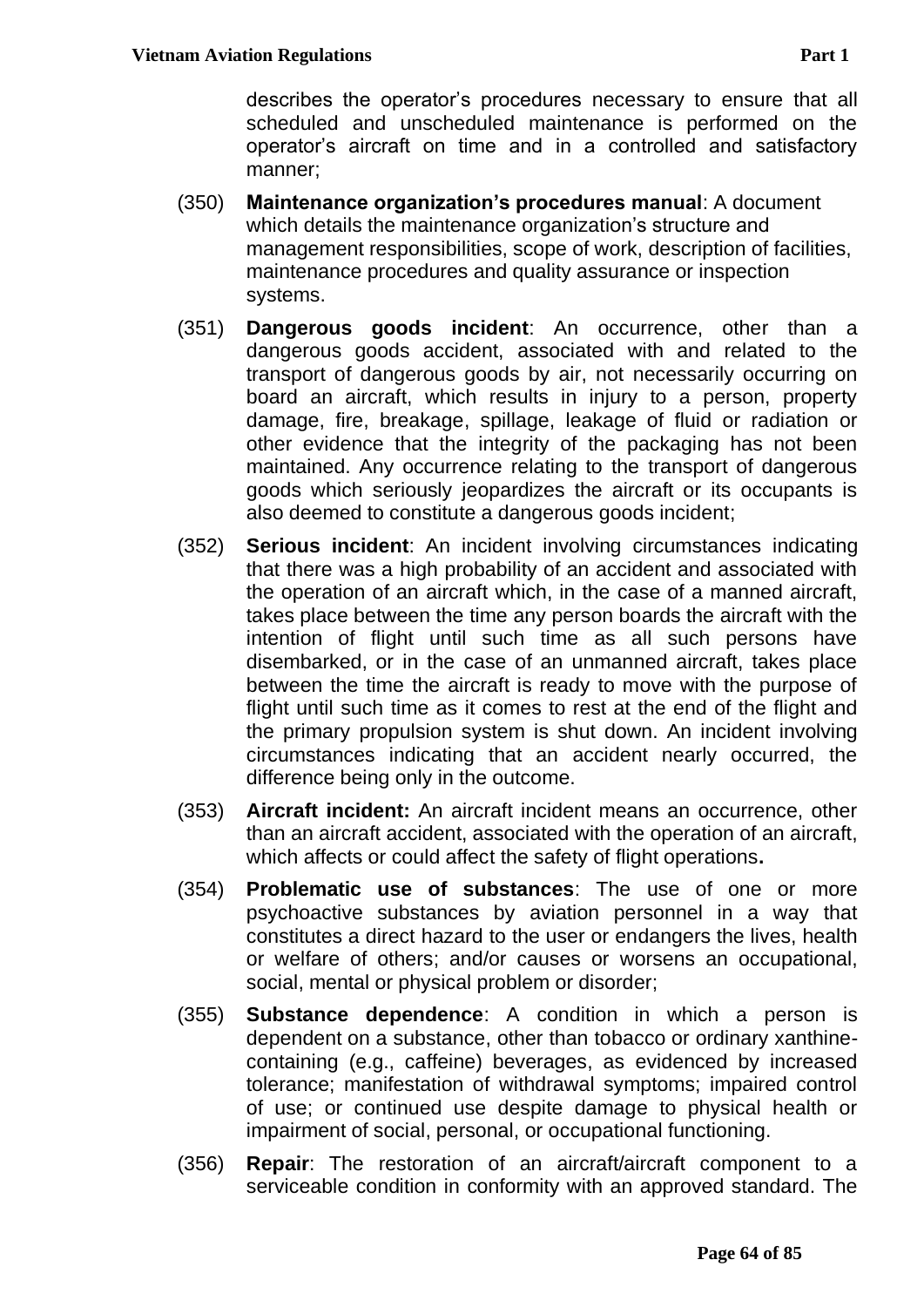describes the operator's procedures necessary to ensure that all scheduled and unscheduled maintenance is performed on the operator's aircraft on time and in a controlled and satisfactory manner;

- (350) **Maintenance organization's procedures manual**: A document which details the maintenance organization's structure and management responsibilities, scope of work, description of facilities, maintenance procedures and quality assurance or inspection systems.
- (351) **Dangerous goods incident**: An occurrence, other than a dangerous goods accident, associated with and related to the transport of dangerous goods by air, not necessarily occurring on board an aircraft, which results in injury to a person, property damage, fire, breakage, spillage, leakage of fluid or radiation or other evidence that the integrity of the packaging has not been maintained. Any occurrence relating to the transport of dangerous goods which seriously jeopardizes the aircraft or its occupants is also deemed to constitute a dangerous goods incident;
- (352) **Serious incident**: An incident involving circumstances indicating that there was a high probability of an accident and associated with the operation of an aircraft which, in the case of a manned aircraft, takes place between the time any person boards the aircraft with the intention of flight until such time as all such persons have disembarked, or in the case of an unmanned aircraft, takes place between the time the aircraft is ready to move with the purpose of flight until such time as it comes to rest at the end of the flight and the primary propulsion system is shut down. An incident involving circumstances indicating that an accident nearly occurred, the difference being only in the outcome.
- (353) **Aircraft incident:** An aircraft incident means an occurrence, other than an aircraft accident, associated with the operation of an aircraft, which affects or could affect the safety of flight operations**.**
- (354) **Problematic use of substances**: The use of one or more psychoactive substances by aviation personnel in a way that constitutes a direct hazard to the user or endangers the lives, health or welfare of others; and/or causes or worsens an occupational, social, mental or physical problem or disorder;
- (355) **Substance dependence**: A condition in which a person is dependent on a substance, other than tobacco or ordinary xanthinecontaining (e.g., caffeine) beverages, as evidenced by increased tolerance; manifestation of withdrawal symptoms; impaired control of use; or continued use despite damage to physical health or impairment of social, personal, or occupational functioning.
- (356) **Repair**: The restoration of an aircraft/aircraft component to a serviceable condition in conformity with an approved standard. The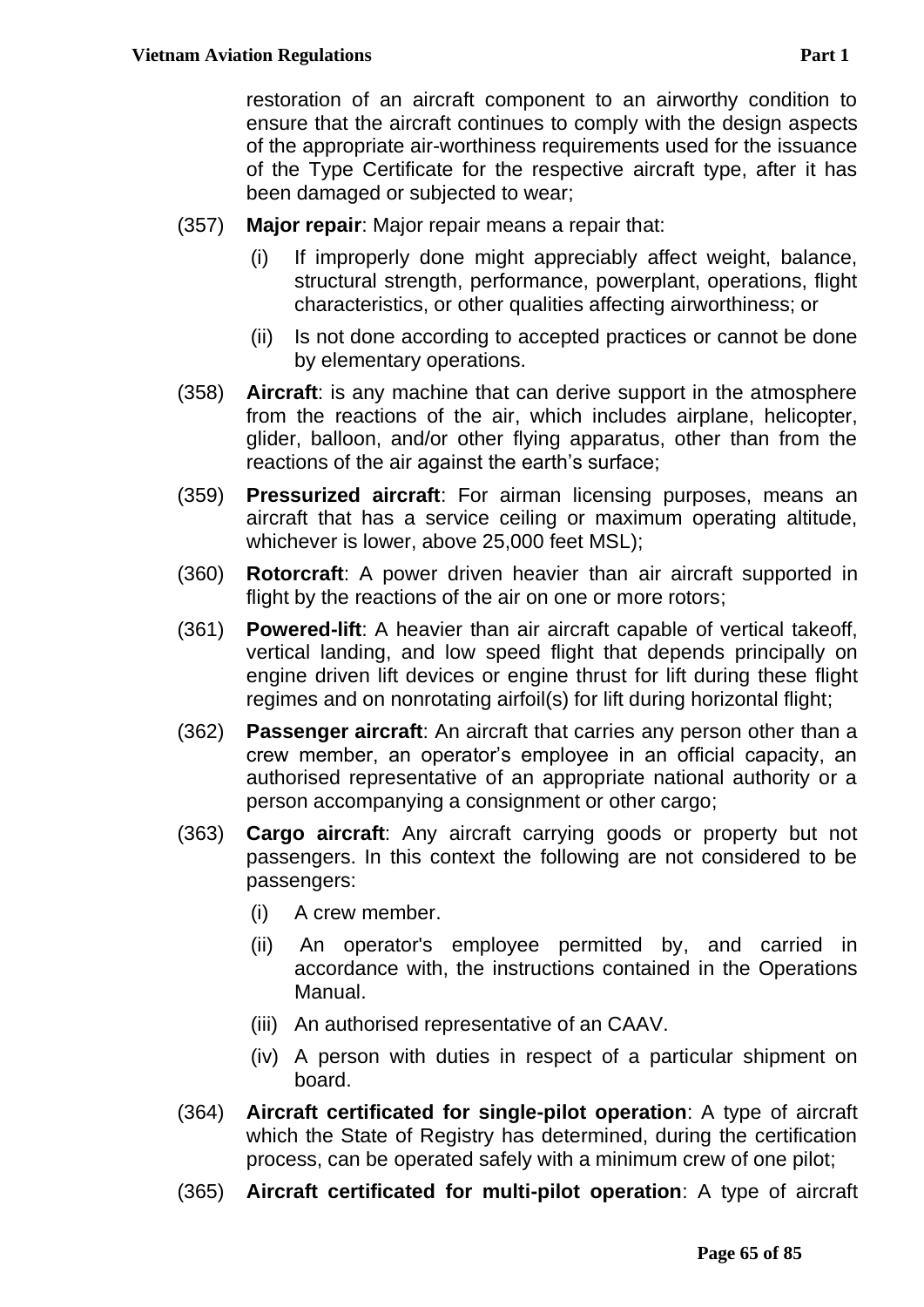restoration of an aircraft component to an airworthy condition to ensure that the aircraft continues to comply with the design aspects of the appropriate air-worthiness requirements used for the issuance of the Type Certificate for the respective aircraft type, after it has been damaged or subjected to wear;

- (357) **Major repair**: Major repair means a repair that:
	- (i) If improperly done might appreciably affect weight, balance, structural strength, performance, powerplant, operations, flight characteristics, or other qualities affecting airworthiness; or
	- (ii) Is not done according to accepted practices or cannot be done by elementary operations.
- (358) **Aircraft**: is any machine that can derive support in the atmosphere from the reactions of the air, which includes airplane, helicopter, glider, balloon, and/or other flying apparatus, other than from the reactions of the air against the earth's surface;
- (359) **Pressurized aircraft**: For airman licensing purposes, means an aircraft that has a service ceiling or maximum operating altitude, whichever is lower, above 25,000 feet MSL);
- (360) **Rotorcraft**: A power driven heavier than air aircraft supported in flight by the reactions of the air on one or more rotors;
- (361) **Powered-lift**: A heavier than air aircraft capable of vertical takeoff, vertical landing, and low speed flight that depends principally on engine driven lift devices or engine thrust for lift during these flight regimes and on nonrotating airfoil(s) for lift during horizontal flight;
- (362) **Passenger aircraft**: An aircraft that carries any person other than a crew member, an operator's employee in an official capacity, an authorised representative of an appropriate national authority or a person accompanying a consignment or other cargo;
- (363) **Cargo aircraft**: Any aircraft carrying goods or property but not passengers. In this context the following are not considered to be passengers:
	- (i) A crew member.
	- (ii) An operator's employee permitted by, and carried in accordance with, the instructions contained in the Operations Manual.
	- (iii) An authorised representative of an CAAV.
	- (iv) A person with duties in respect of a particular shipment on board.
- (364) **Aircraft certificated for single-pilot operation**: A type of aircraft which the State of Registry has determined, during the certification process, can be operated safely with a minimum crew of one pilot;
- (365) **Aircraft certificated for multi-pilot operation**: A type of aircraft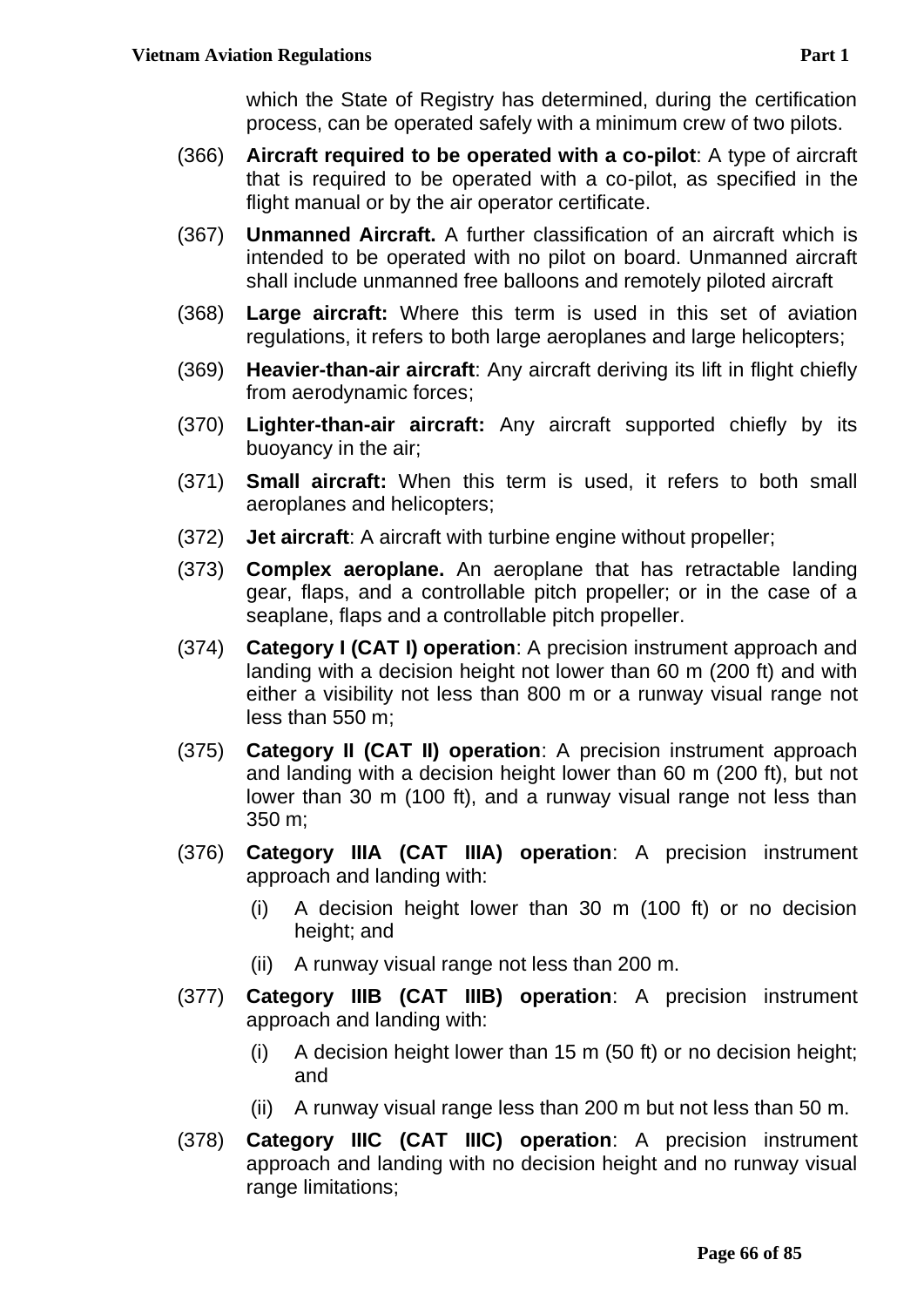- (366) **Aircraft required to be operated with a co-pilot**: A type of aircraft that is required to be operated with a co-pilot, as specified in the flight manual or by the air operator certificate.
- (367) **Unmanned Aircraft.** A further classification of an aircraft which is intended to be operated with no pilot on board. Unmanned aircraft shall include unmanned free balloons and remotely piloted aircraft
- (368) **Large aircraft:** Where this term is used in this set of aviation regulations, it refers to both large aeroplanes and large helicopters;
- (369) **Heavier-than-air aircraft**: Any aircraft deriving its lift in flight chiefly from aerodynamic forces;
- (370) **Lighter-than-air aircraft:** Any aircraft supported chiefly by its buoyancy in the air;
- (371) **Small aircraft:** When this term is used, it refers to both small aeroplanes and helicopters;
- (372) **Jet aircraft**: A aircraft with turbine engine without propeller;
- (373) **Complex aeroplane.** An aeroplane that has retractable landing gear, flaps, and a controllable pitch propeller; or in the case of a seaplane, flaps and a controllable pitch propeller.
- (374) **Category I (CAT I) operation**: A precision instrument approach and landing with a decision height not lower than 60 m (200 ft) and with either a visibility not less than 800 m or a runway visual range not less than 550 m;
- (375) **Category II (CAT II) operation**: A precision instrument approach and landing with a decision height lower than 60 m (200 ft), but not lower than 30 m (100 ft), and a runway visual range not less than 350 m;
- (376) **Category IIIA (CAT IIIA) operation**: A precision instrument approach and landing with:
	- (i) A decision height lower than 30 m (100 ft) or no decision height; and
	- (ii) A runway visual range not less than 200 m.
- (377) **Category IIIB (CAT IIIB) operation**: A precision instrument approach and landing with:
	- (i) A decision height lower than 15 m (50 ft) or no decision height; and
	- (ii) A runway visual range less than 200 m but not less than 50 m.
- (378) **Category IIIC (CAT IIIC) operation**: A precision instrument approach and landing with no decision height and no runway visual range limitations;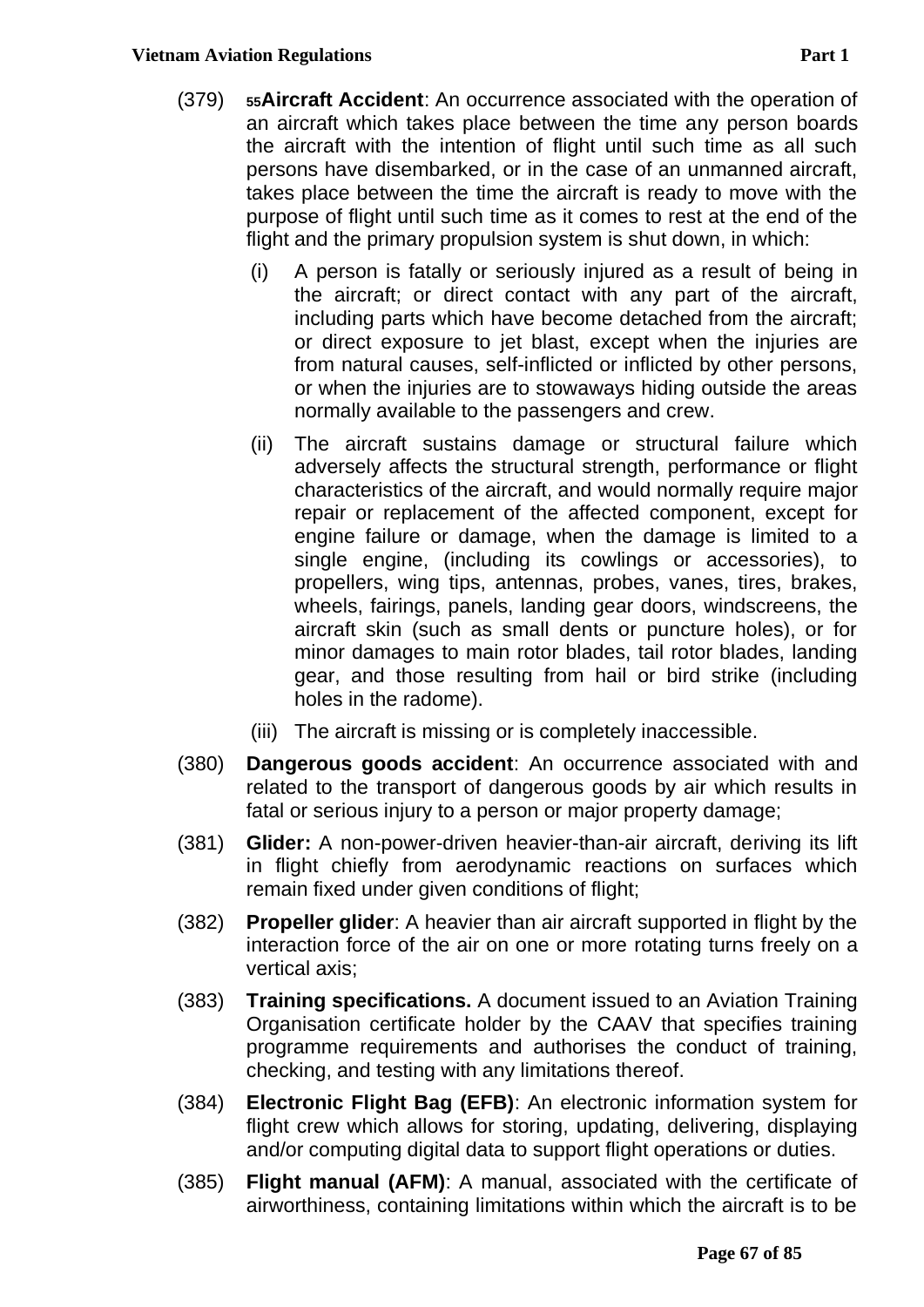- (379) **<sup>55</sup>Aircraft Accident**: An occurrence associated with the operation of an aircraft which takes place between the time any person boards the aircraft with the intention of flight until such time as all such persons have disembarked, or in the case of an unmanned aircraft, takes place between the time the aircraft is ready to move with the purpose of flight until such time as it comes to rest at the end of the flight and the primary propulsion system is shut down, in which:
	- (i) A person is fatally or seriously injured as a result of being in the aircraft; or direct contact with any part of the aircraft, including parts which have become detached from the aircraft; or direct exposure to jet blast, except when the injuries are from natural causes, self-inflicted or inflicted by other persons, or when the injuries are to stowaways hiding outside the areas normally available to the passengers and crew.
	- (ii) The aircraft sustains damage or structural failure which adversely affects the structural strength, performance or flight characteristics of the aircraft, and would normally require major repair or replacement of the affected component, except for engine failure or damage, when the damage is limited to a single engine, (including its cowlings or accessories), to propellers, wing tips, antennas, probes, vanes, tires, brakes, wheels, fairings, panels, landing gear doors, windscreens, the aircraft skin (such as small dents or puncture holes), or for minor damages to main rotor blades, tail rotor blades, landing gear, and those resulting from hail or bird strike (including holes in the radome).
	- (iii) The aircraft is missing or is completely inaccessible.
- (380) **Dangerous goods accident**: An occurrence associated with and related to the transport of dangerous goods by air which results in fatal or serious injury to a person or major property damage;
- (381) **Glider:** A non-power-driven heavier-than-air aircraft, deriving its lift in flight chiefly from aerodynamic reactions on surfaces which remain fixed under given conditions of flight;
- (382) **Propeller glider**: A heavier than air aircraft supported in flight by the interaction force of the air on one or more rotating turns freely on a vertical axis;
- (383) **Training specifications.** A document issued to an Aviation Training Organisation certificate holder by the CAAV that specifies training programme requirements and authorises the conduct of training, checking, and testing with any limitations thereof.
- (384) **Electronic Flight Bag (EFB)**: An electronic information system for flight crew which allows for storing, updating, delivering, displaying and/or computing digital data to support flight operations or duties.
- (385) **Flight manual (AFM)**: A manual, associated with the certificate of airworthiness, containing limitations within which the aircraft is to be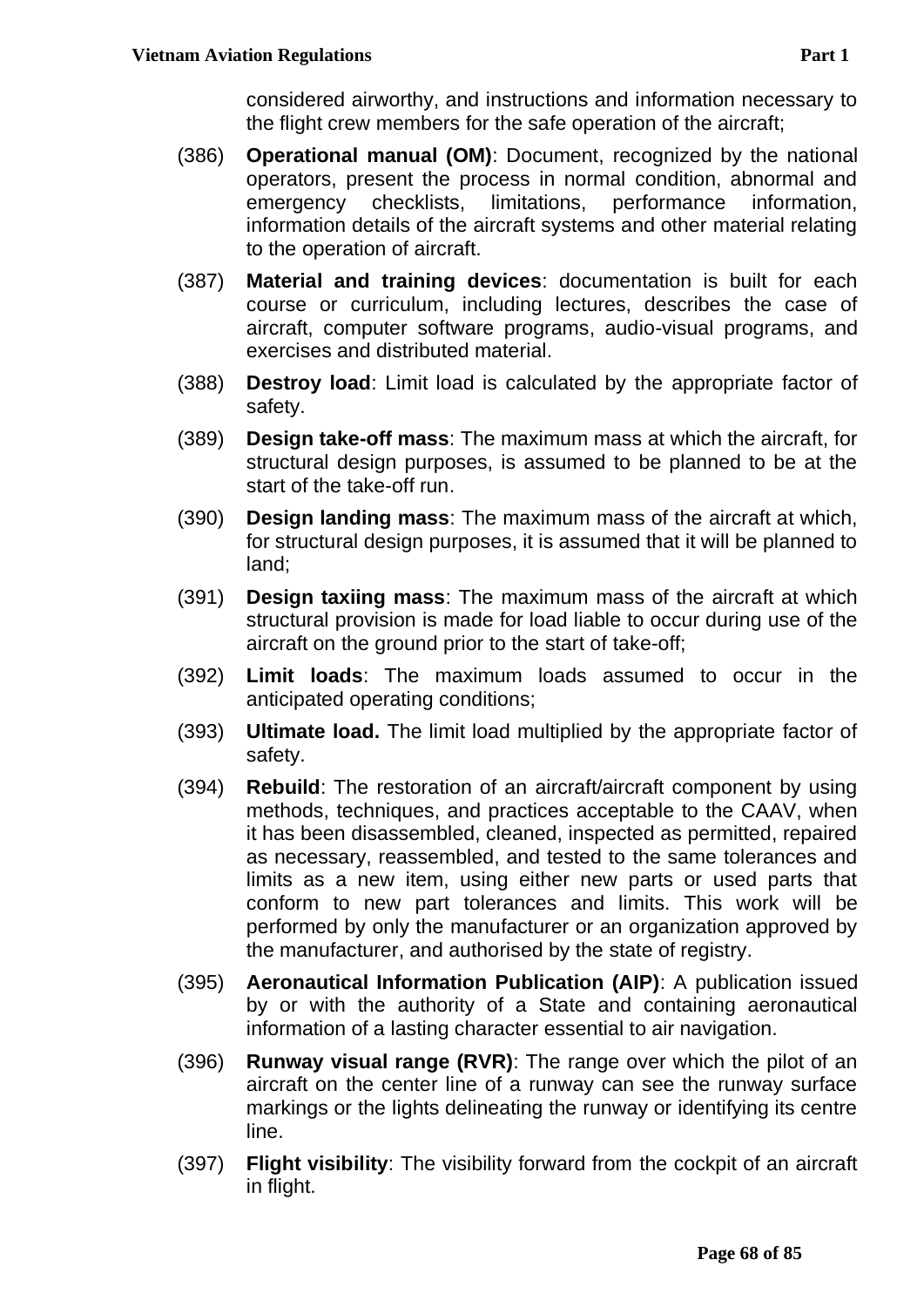considered airworthy, and instructions and information necessary to the flight crew members for the safe operation of the aircraft;

- (386) **Operational manual (OM)**: Document, recognized by the national operators, present the process in normal condition, abnormal and emergency checklists, limitations, performance information, information details of the aircraft systems and other material relating to the operation of aircraft.
- (387) **Material and training devices**: documentation is built for each course or curriculum, including lectures, describes the case of aircraft, computer software programs, audio-visual programs, and exercises and distributed material.
- (388) **Destroy load**: Limit load is calculated by the appropriate factor of safety.
- (389) **Design take-off mass**: The maximum mass at which the aircraft, for structural design purposes, is assumed to be planned to be at the start of the take-off run.
- (390) **Design landing mass**: The maximum mass of the aircraft at which, for structural design purposes, it is assumed that it will be planned to land;
- (391) **Design taxiing mass**: The maximum mass of the aircraft at which structural provision is made for load liable to occur during use of the aircraft on the ground prior to the start of take-off;
- (392) **Limit loads**: The maximum loads assumed to occur in the anticipated operating conditions;
- (393) **Ultimate load.** The limit load multiplied by the appropriate factor of safety.
- (394) **Rebuild**: The restoration of an aircraft/aircraft component by using methods, techniques, and practices acceptable to the CAAV, when it has been disassembled, cleaned, inspected as permitted, repaired as necessary, reassembled, and tested to the same tolerances and limits as a new item, using either new parts or used parts that conform to new part tolerances and limits. This work will be performed by only the manufacturer or an organization approved by the manufacturer, and authorised by the state of registry.
- (395) **Aeronautical Information Publication (AIP)**: A publication issued by or with the authority of a State and containing aeronautical information of a lasting character essential to air navigation.
- (396) **Runway visual range (RVR)**: The range over which the pilot of an aircraft on the center line of a runway can see the runway surface markings or the lights delineating the runway or identifying its centre line.
- (397) **Flight visibility**: The visibility forward from the cockpit of an aircraft in flight.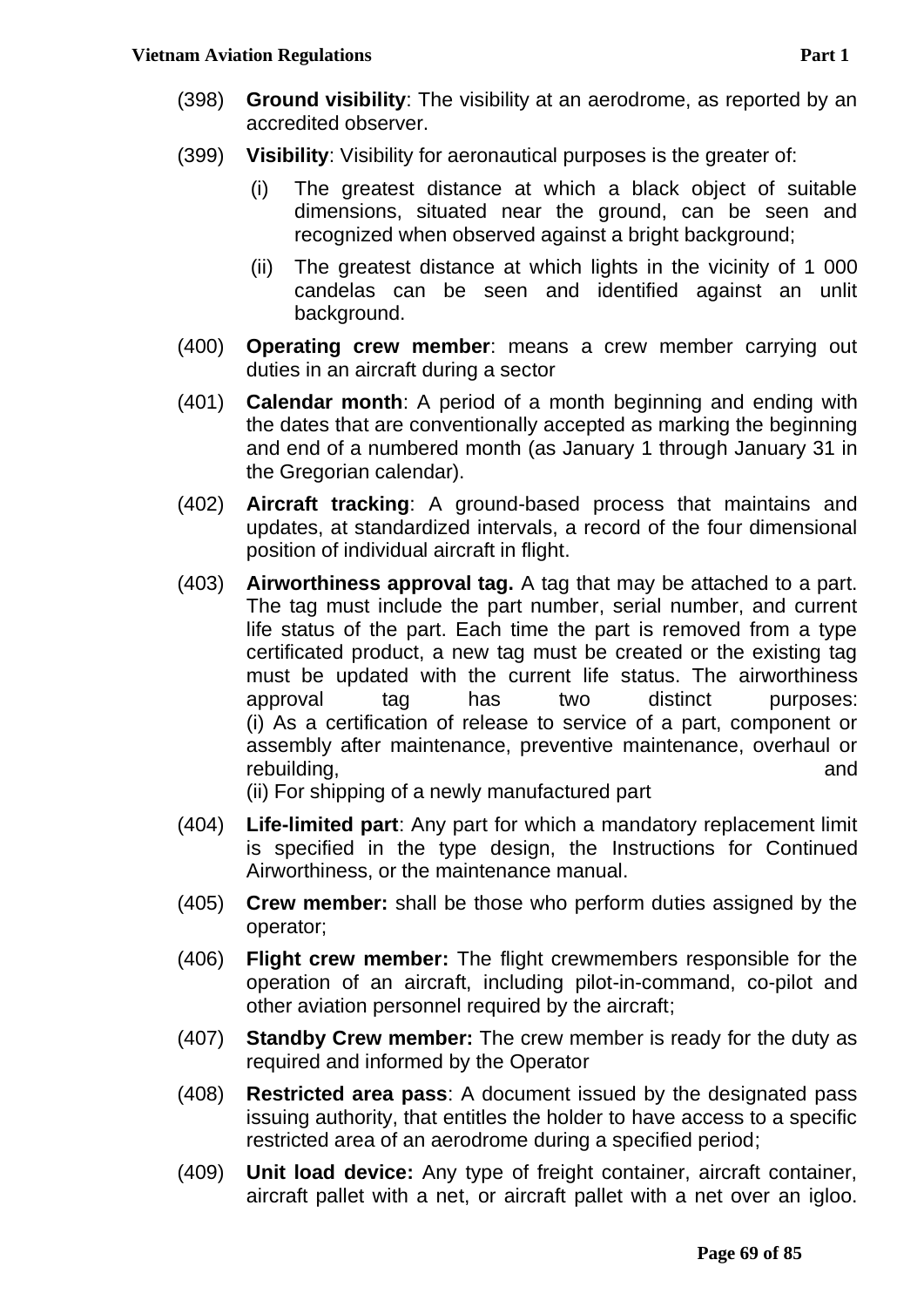- (398) **Ground visibility**: The visibility at an aerodrome, as reported by an accredited observer.
- (399) **Visibility**: Visibility for aeronautical purposes is the greater of:
	- (i) The greatest distance at which a black object of suitable dimensions, situated near the ground, can be seen and recognized when observed against a bright background;
	- (ii) The greatest distance at which lights in the vicinity of 1 000 candelas can be seen and identified against an unlit background.
- (400) **Operating crew member**: means a crew member carrying out duties in an aircraft during a sector
- (401) **Calendar month**: A period of a month beginning and ending with the dates that are conventionally accepted as marking the beginning and end of a numbered month (as January 1 through January 31 in the Gregorian calendar).
- (402) **Aircraft tracking**: A ground-based process that maintains and updates, at standardized intervals, a record of the four dimensional position of individual aircraft in flight.
- (403) **Airworthiness approval tag.** A tag that may be attached to a part. The tag must include the part number, serial number, and current life status of the part. Each time the part is removed from a type certificated product, a new tag must be created or the existing tag must be updated with the current life status. The airworthiness approval tag has two distinct purposes: (i) As a certification of release to service of a part, component or assembly after maintenance, preventive maintenance, overhaul or rebuilding, and the state of the state of the state of the state of the state of the state of the state of the state of the state of the state of the state of the state of the state of the state of the state of the state o

(ii) For shipping of a newly manufactured part

- (404) **Life-limited part**: Any part for which a mandatory replacement limit is specified in the type design, the Instructions for Continued Airworthiness, or the maintenance manual.
- (405) **Crew member:** shall be those who perform duties assigned by the operator;
- (406) **Flight crew member:** The flight crewmembers responsible for the operation of an aircraft, including pilot-in-command, co-pilot and other aviation personnel required by the aircraft;
- (407) **Standby Crew member:** The crew member is ready for the duty as required and informed by the Operator
- (408) **Restricted area pass**: A document issued by the designated pass issuing authority, that entitles the holder to have access to a specific restricted area of an aerodrome during a specified period;
- (409) **Unit load device:** Any type of freight container, aircraft container, aircraft pallet with a net, or aircraft pallet with a net over an igloo.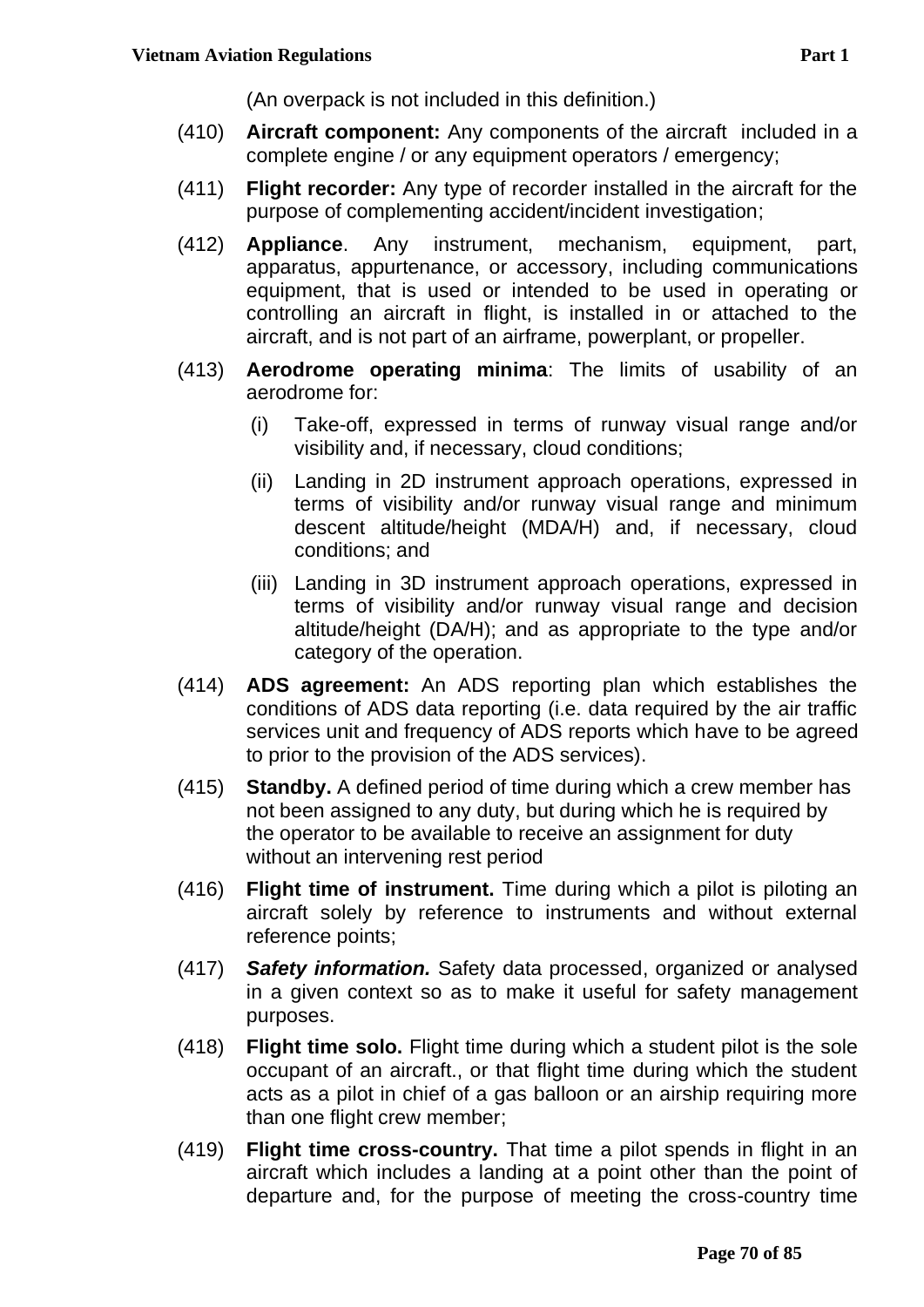- (410) **Aircraft component:** Any components of the aircraft included in a complete engine / or any equipment operators / emergency;
- (411) **Flight recorder:** Any type of recorder installed in the aircraft for the purpose of complementing accident/incident investigation;
- (412) **Appliance**. Any instrument, mechanism, equipment, part, apparatus, appurtenance, or accessory, including communications equipment, that is used or intended to be used in operating or controlling an aircraft in flight, is installed in or attached to the aircraft, and is not part of an airframe, powerplant, or propeller.
- (413) **Aerodrome operating minima**: The limits of usability of an aerodrome for:
	- (i) Take-off, expressed in terms of runway visual range and/or visibility and, if necessary, cloud conditions;
	- (ii) Landing in 2D instrument approach operations, expressed in terms of visibility and/or runway visual range and minimum descent altitude/height (MDA/H) and, if necessary, cloud conditions; and
	- (iii) Landing in 3D instrument approach operations, expressed in terms of visibility and/or runway visual range and decision altitude/height (DA/H); and as appropriate to the type and/or category of the operation.
- (414) **ADS agreement:** An ADS reporting plan which establishes the conditions of ADS data reporting (i.e. data required by the air traffic services unit and frequency of ADS reports which have to be agreed to prior to the provision of the ADS services).
- (415) **Standby.** A defined period of time during which a crew member has not been assigned to any duty, but during which he is required by the operator to be available to receive an assignment for duty without an intervening rest period
- (416) **Flight time of instrument.** Time during which a pilot is piloting an aircraft solely by reference to instruments and without external reference points;
- (417) *Safety information.* Safety data processed, organized or analysed in a given context so as to make it useful for safety management purposes.
- (418) **Flight time solo.** Flight time during which a student pilot is the sole occupant of an aircraft., or that flight time during which the student acts as a pilot in chief of a gas balloon or an airship requiring more than one flight crew member;
- (419) **Flight time cross-country.** That time a pilot spends in flight in an aircraft which includes a landing at a point other than the point of departure and, for the purpose of meeting the cross-country time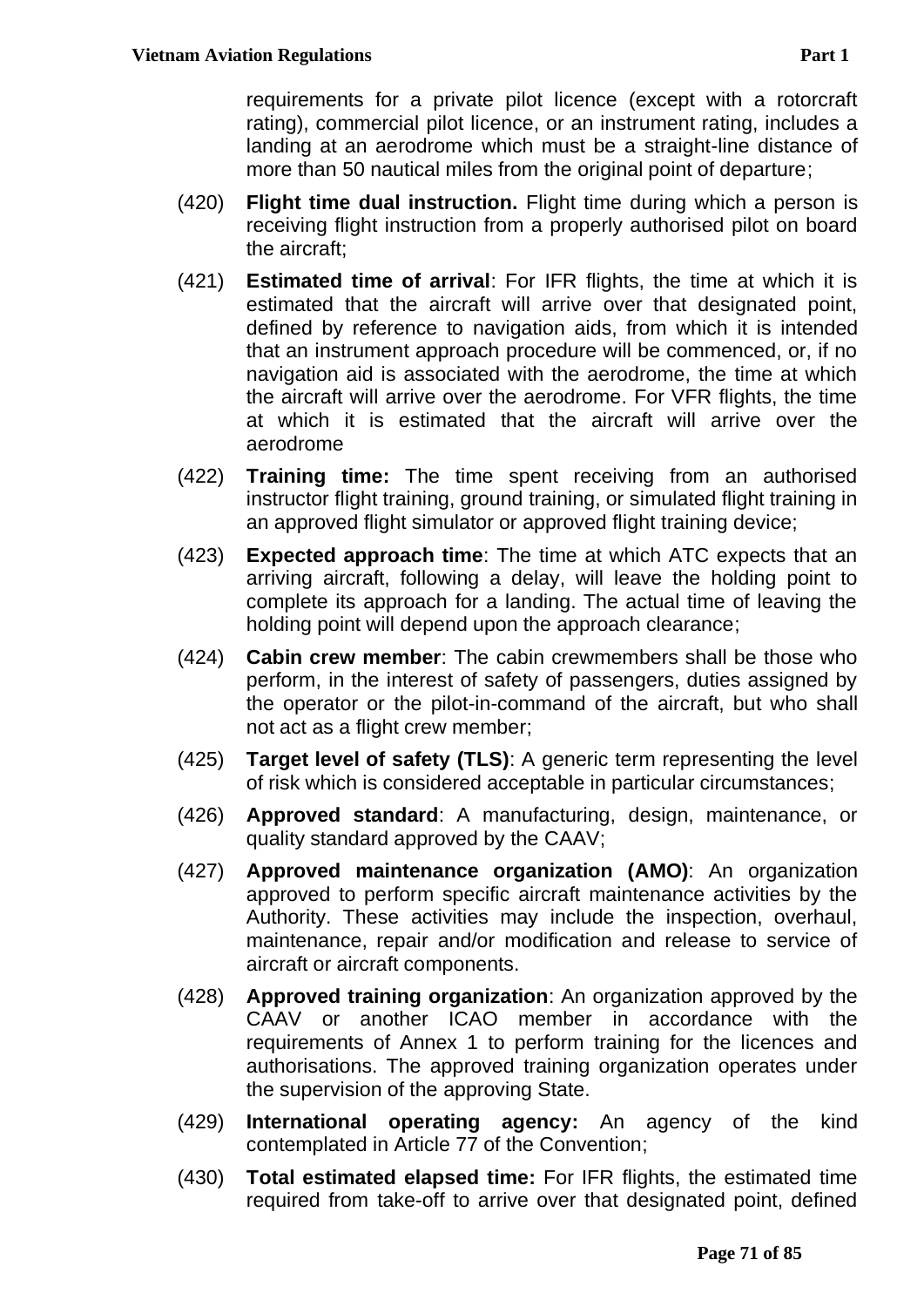(420) **Flight time dual instruction.** Flight time during which a person is receiving flight instruction from a properly authorised pilot on board the aircraft;

more than 50 nautical miles from the original point of departure;

- (421) **Estimated time of arrival**: For IFR flights, the time at which it is estimated that the aircraft will arrive over that designated point, defined by reference to navigation aids, from which it is intended that an instrument approach procedure will be commenced, or, if no navigation aid is associated with the aerodrome, the time at which the aircraft will arrive over the aerodrome. For VFR flights, the time at which it is estimated that the aircraft will arrive over the aerodrome
- (422) **Training time:** The time spent receiving from an authorised instructor flight training, ground training, or simulated flight training in an approved flight simulator or approved flight training device;
- (423) **Expected approach time**: The time at which ATC expects that an arriving aircraft, following a delay, will leave the holding point to complete its approach for a landing. The actual time of leaving the holding point will depend upon the approach clearance;
- (424) **Cabin crew member**: The cabin crewmembers shall be those who perform, in the interest of safety of passengers, duties assigned by the operator or the pilot-in-command of the aircraft, but who shall not act as a flight crew member;
- (425) **Target level of safety (TLS)**: A generic term representing the level of risk which is considered acceptable in particular circumstances;
- (426) **Approved standard**: A manufacturing, design, maintenance, or quality standard approved by the CAAV;
- (427) **Approved maintenance organization (AMO)**: An organization approved to perform specific aircraft maintenance activities by the Authority. These activities may include the inspection, overhaul, maintenance, repair and/or modification and release to service of aircraft or aircraft components.
- (428) **Approved training organization**: An organization approved by the CAAV or another ICAO member in accordance with the requirements of Annex 1 to perform training for the licences and authorisations. The approved training organization operates under the supervision of the approving State.
- (429) **International operating agency:** An agency of the kind contemplated in Article 77 of the Convention;
- (430) **Total estimated elapsed time:** For IFR flights, the estimated time required from take-off to arrive over that designated point, defined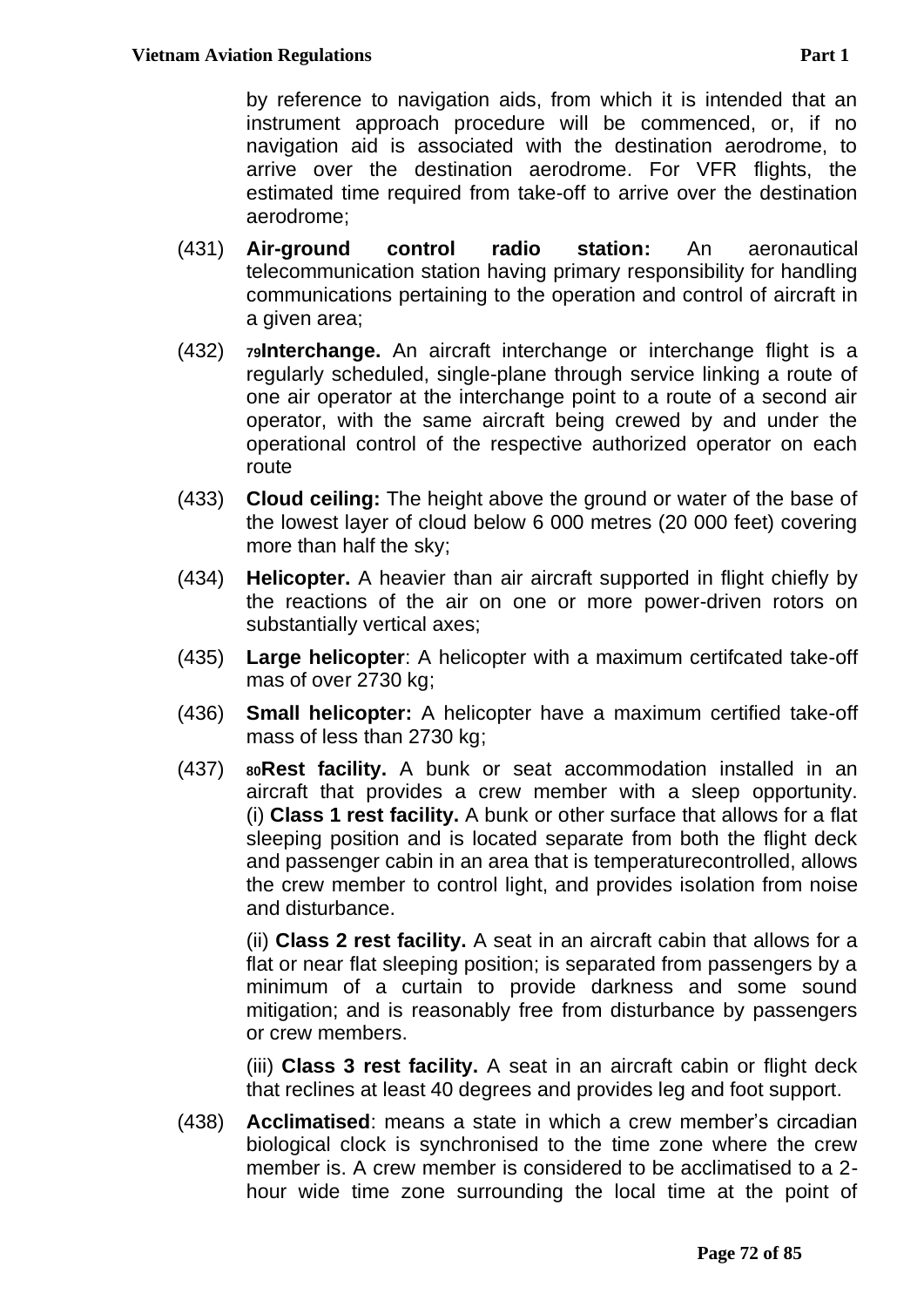by reference to navigation aids, from which it is intended that an instrument approach procedure will be commenced, or, if no navigation aid is associated with the destination aerodrome, to arrive over the destination aerodrome. For VFR flights, the estimated time required from take-off to arrive over the destination aerodrome;

- (431) **Air-ground control radio station:** An aeronautical telecommunication station having primary responsibility for handling communications pertaining to the operation and control of aircraft in a given area;
- (432) **<sup>79</sup>Interchange.** An aircraft interchange or interchange flight is a regularly scheduled, single-plane through service linking a route of one air operator at the interchange point to a route of a second air operator, with the same aircraft being crewed by and under the operational control of the respective authorized operator on each route
- (433) **Cloud ceiling:** The height above the ground or water of the base of the lowest layer of cloud below 6 000 metres (20 000 feet) covering more than half the sky;
- (434) **Helicopter.** A heavier than air aircraft supported in flight chiefly by the reactions of the air on one or more power-driven rotors on substantially vertical axes;
- (435) **Large helicopter**: A helicopter with a maximum certifcated take-off mas of over 2730 kg;
- (436) **Small helicopter:** A helicopter have a maximum certified take-off mass of less than 2730 kg;
- (437) **<sup>80</sup>Rest facility.** A bunk or seat accommodation installed in an aircraft that provides a crew member with a sleep opportunity. (i) **Class 1 rest facility.** A bunk or other surface that allows for a flat sleeping position and is located separate from both the flight deck and passenger cabin in an area that is temperaturecontrolled, allows the crew member to control light, and provides isolation from noise and disturbance.

(ii) **Class 2 rest facility.** A seat in an aircraft cabin that allows for a flat or near flat sleeping position; is separated from passengers by a minimum of a curtain to provide darkness and some sound mitigation; and is reasonably free from disturbance by passengers or crew members.

(iii) **Class 3 rest facility.** A seat in an aircraft cabin or flight deck that reclines at least 40 degrees and provides leg and foot support.

(438) **Acclimatised**: means a state in which a crew member's circadian biological clock is synchronised to the time zone where the crew member is. A crew member is considered to be acclimatised to a 2 hour wide time zone surrounding the local time at the point of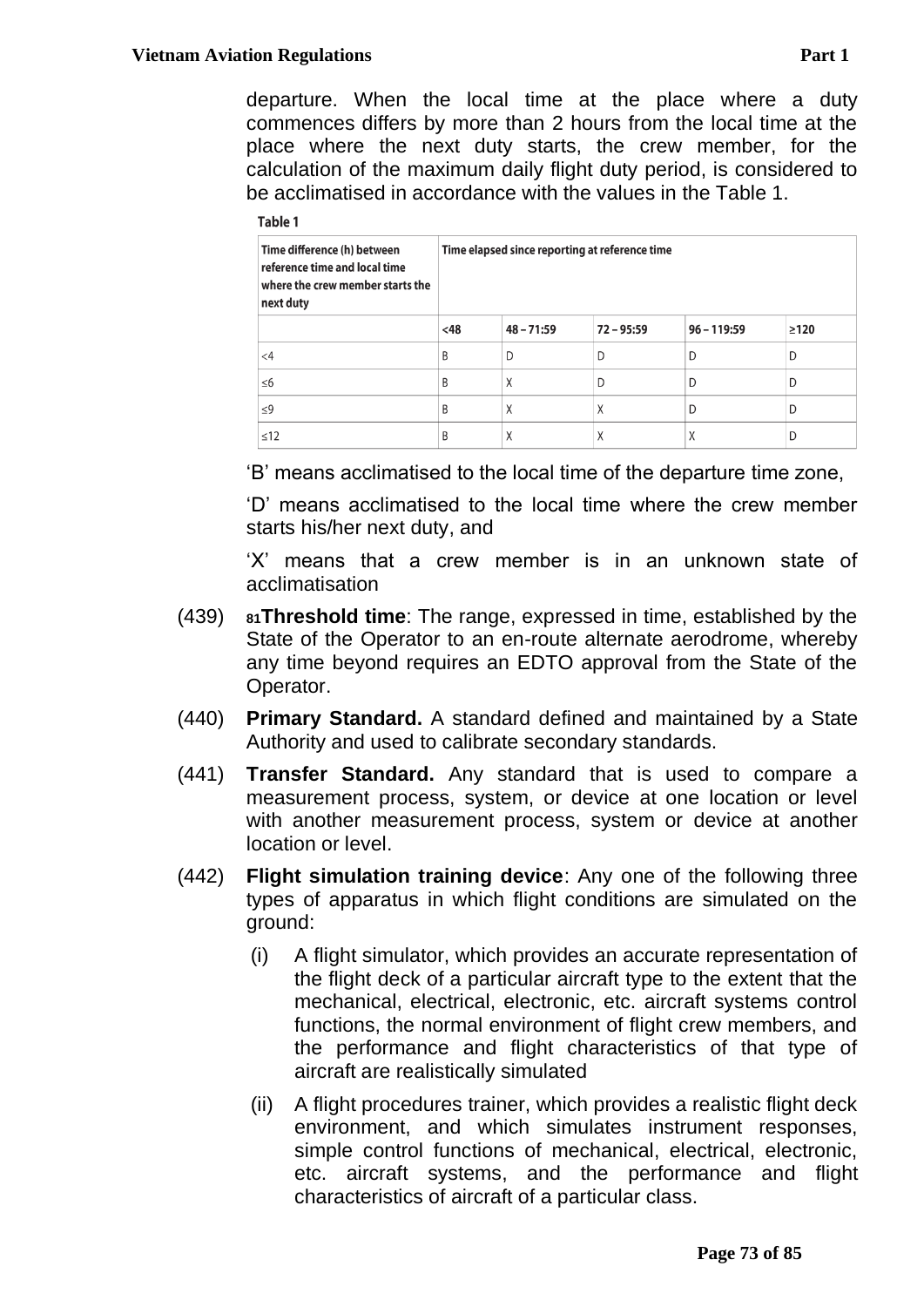departure. When the local time at the place where a duty commences differs by more than 2 hours from the local time at the place where the next duty starts, the crew member, for the calculation of the maximum daily flight duty period, is considered to be acclimatised in accordance with the values in the Table 1.

Table 1

| Time difference (h) between<br>reference time and local time<br>where the crew member starts the<br>next duty | Time elapsed since reporting at reference time |              |              |               |            |
|---------------------------------------------------------------------------------------------------------------|------------------------------------------------|--------------|--------------|---------------|------------|
|                                                                                                               | <48                                            | $48 - 71:59$ | $72 - 95:59$ | $96 - 119:59$ | $\geq$ 120 |
| $\leq$ 4                                                                                                      | B                                              | D            | D            | D             | D          |
| $\leq 6$                                                                                                      | B                                              | Χ            | D            | D             |            |
| $\leq$ 9                                                                                                      | B                                              | X            | Χ            | D             | D          |
| $\leq$ 12                                                                                                     | B                                              | Χ            | Χ            | Χ             |            |

'B' means acclimatised to the local time of the departure time zone,

'D' means acclimatised to the local time where the crew member starts his/her next duty, and

'X' means that a crew member is in an unknown state of acclimatisation

- (439) **<sup>81</sup>Threshold time**: The range, expressed in time, established by the State of the Operator to an en-route alternate aerodrome, whereby any time beyond requires an EDTO approval from the State of the Operator.
- (440) **Primary Standard.** A standard defined and maintained by a State Authority and used to calibrate secondary standards.
- (441) **Transfer Standard.** Any standard that is used to compare a measurement process, system, or device at one location or level with another measurement process, system or device at another location or level.
- (442) **Flight simulation training device**: Any one of the following three types of apparatus in which flight conditions are simulated on the ground:
	- (i) A flight simulator, which provides an accurate representation of the flight deck of a particular aircraft type to the extent that the mechanical, electrical, electronic, etc. aircraft systems control functions, the normal environment of flight crew members, and the performance and flight characteristics of that type of aircraft are realistically simulated
	- (ii) A flight procedures trainer, which provides a realistic flight deck environment, and which simulates instrument responses, simple control functions of mechanical, electrical, electronic, etc. aircraft systems, and the performance and flight characteristics of aircraft of a particular class.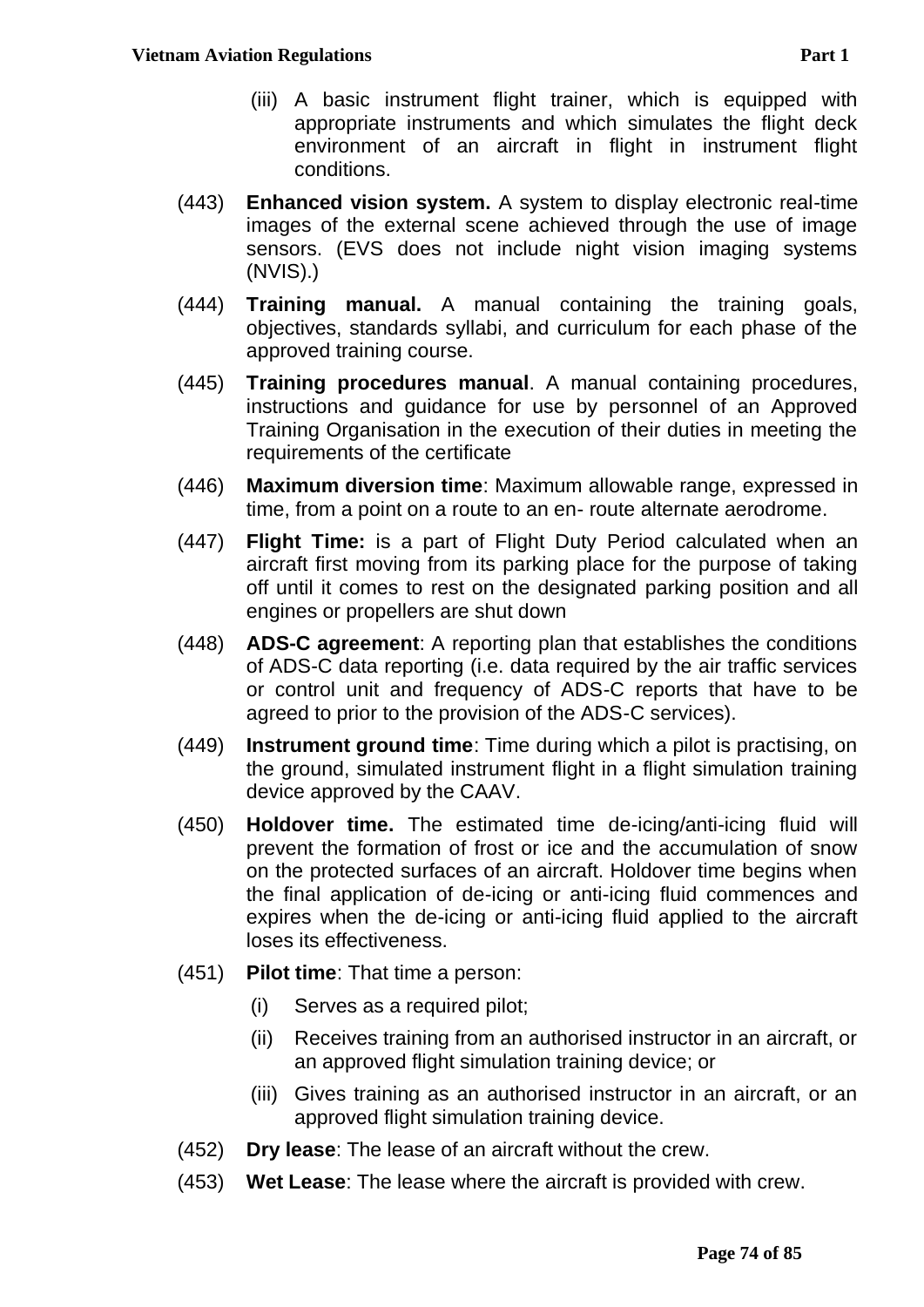- (iii) A basic instrument flight trainer, which is equipped with appropriate instruments and which simulates the flight deck environment of an aircraft in flight in instrument flight conditions.
- (443) **Enhanced vision system.** A system to display electronic real-time images of the external scene achieved through the use of image sensors. (EVS does not include night vision imaging systems (NVIS).)
- (444) **Training manual.** A manual containing the training goals, objectives, standards syllabi, and curriculum for each phase of the approved training course.
- (445) **Training procedures manual**. A manual containing procedures, instructions and guidance for use by personnel of an Approved Training Organisation in the execution of their duties in meeting the requirements of the certificate
- (446) **Maximum diversion time**: Maximum allowable range, expressed in time, from a point on a route to an en- route alternate aerodrome.
- (447) **Flight Time:** is a part of Flight Duty Period calculated when an aircraft first moving from its parking place for the purpose of taking off until it comes to rest on the designated parking position and all engines or propellers are shut down
- (448) **ADS-C agreement**: A reporting plan that establishes the conditions of ADS-C data reporting (i.e. data required by the air traffic services or control unit and frequency of ADS-C reports that have to be agreed to prior to the provision of the ADS-C services).
- (449) **Instrument ground time**: Time during which a pilot is practising, on the ground, simulated instrument flight in a flight simulation training device approved by the CAAV.
- (450) **Holdover time.** The estimated time de-icing/anti-icing fluid will prevent the formation of frost or ice and the accumulation of snow on the protected surfaces of an aircraft. Holdover time begins when the final application of de-icing or anti-icing fluid commences and expires when the de-icing or anti-icing fluid applied to the aircraft loses its effectiveness.
- (451) **Pilot time**: That time a person:
	- (i) Serves as a required pilot;
	- (ii) Receives training from an authorised instructor in an aircraft, or an approved flight simulation training device; or
	- (iii) Gives training as an authorised instructor in an aircraft, or an approved flight simulation training device.
- (452) **Dry lease**: The lease of an aircraft without the crew.
- (453) **Wet Lease**: The lease where the aircraft is provided with crew.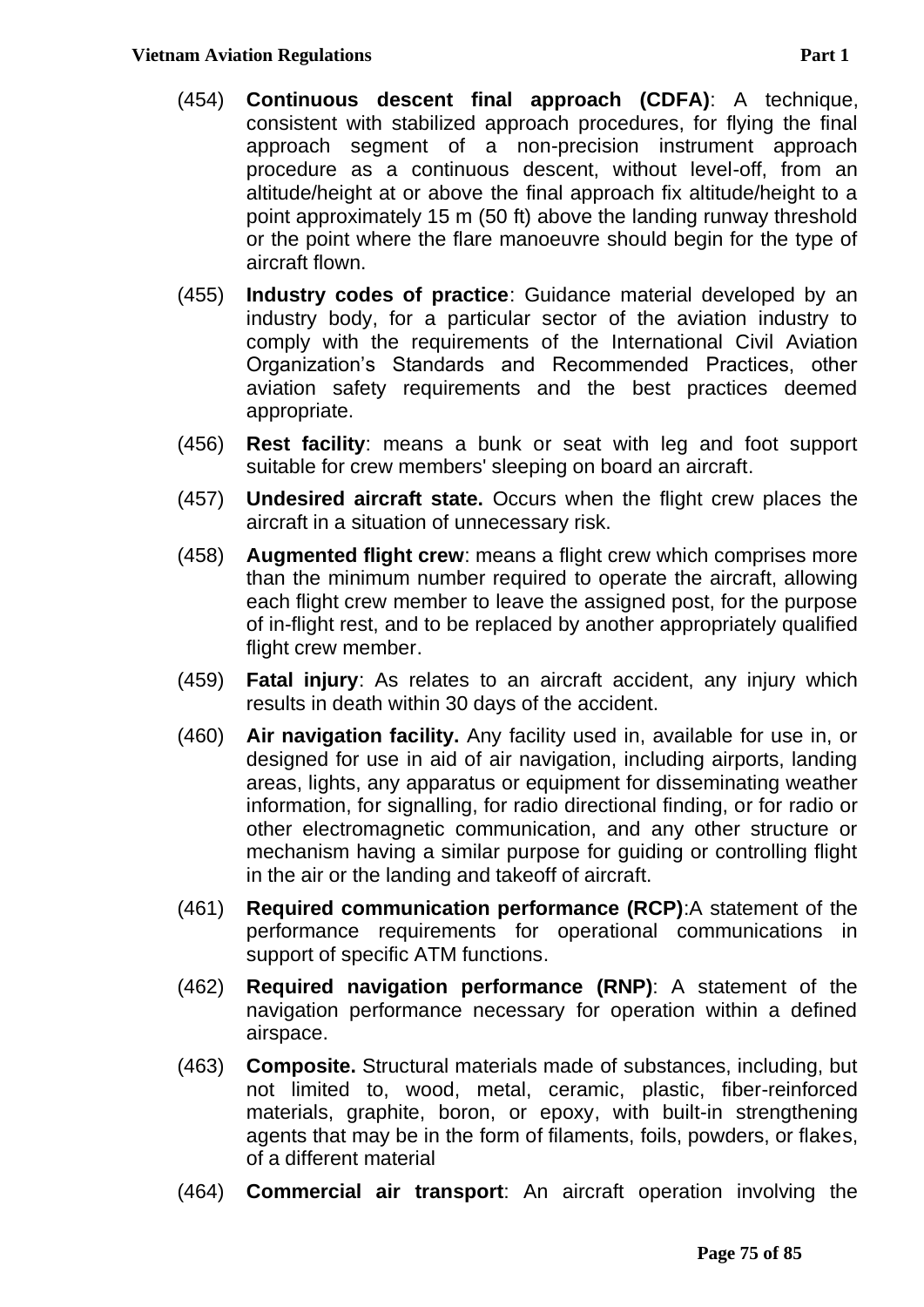- (454) **Continuous descent final approach (CDFA)**: A technique, consistent with stabilized approach procedures, for flying the final approach segment of a non-precision instrument approach procedure as a continuous descent, without level-off, from an altitude/height at or above the final approach fix altitude/height to a point approximately 15 m (50 ft) above the landing runway threshold or the point where the flare manoeuvre should begin for the type of aircraft flown.
- (455) **Industry codes of practice**: Guidance material developed by an industry body, for a particular sector of the aviation industry to comply with the requirements of the International Civil Aviation Organization's Standards and Recommended Practices, other aviation safety requirements and the best practices deemed appropriate.
- (456) **Rest facility**: means a bunk or seat with leg and foot support suitable for crew members' sleeping on board an aircraft.
- (457) **Undesired aircraft state.** Occurs when the flight crew places the aircraft in a situation of unnecessary risk.
- (458) **Augmented flight crew**: means a flight crew which comprises more than the minimum number required to operate the aircraft, allowing each flight crew member to leave the assigned post, for the purpose of in-flight rest, and to be replaced by another appropriately qualified flight crew member.
- (459) **Fatal injury**: As relates to an aircraft accident, any injury which results in death within 30 days of the accident.
- (460) **Air navigation facility.** Any facility used in, available for use in, or designed for use in aid of air navigation, including airports, landing areas, lights, any apparatus or equipment for disseminating weather information, for signalling, for radio directional finding, or for radio or other electromagnetic communication, and any other structure or mechanism having a similar purpose for guiding or controlling flight in the air or the landing and takeoff of aircraft.
- (461) **Required communication performance (RCP)**:A statement of the performance requirements for operational communications in support of specific ATM functions.
- (462) **Required navigation performance (RNP)**: A statement of the navigation performance necessary for operation within a defined airspace.
- (463) **Composite.** Structural materials made of substances, including, but not limited to, wood, metal, ceramic, plastic, fiber-reinforced materials, graphite, boron, or epoxy, with built-in strengthening agents that may be in the form of filaments, foils, powders, or flakes, of a different material
- (464) **Commercial air transport**: An aircraft operation involving the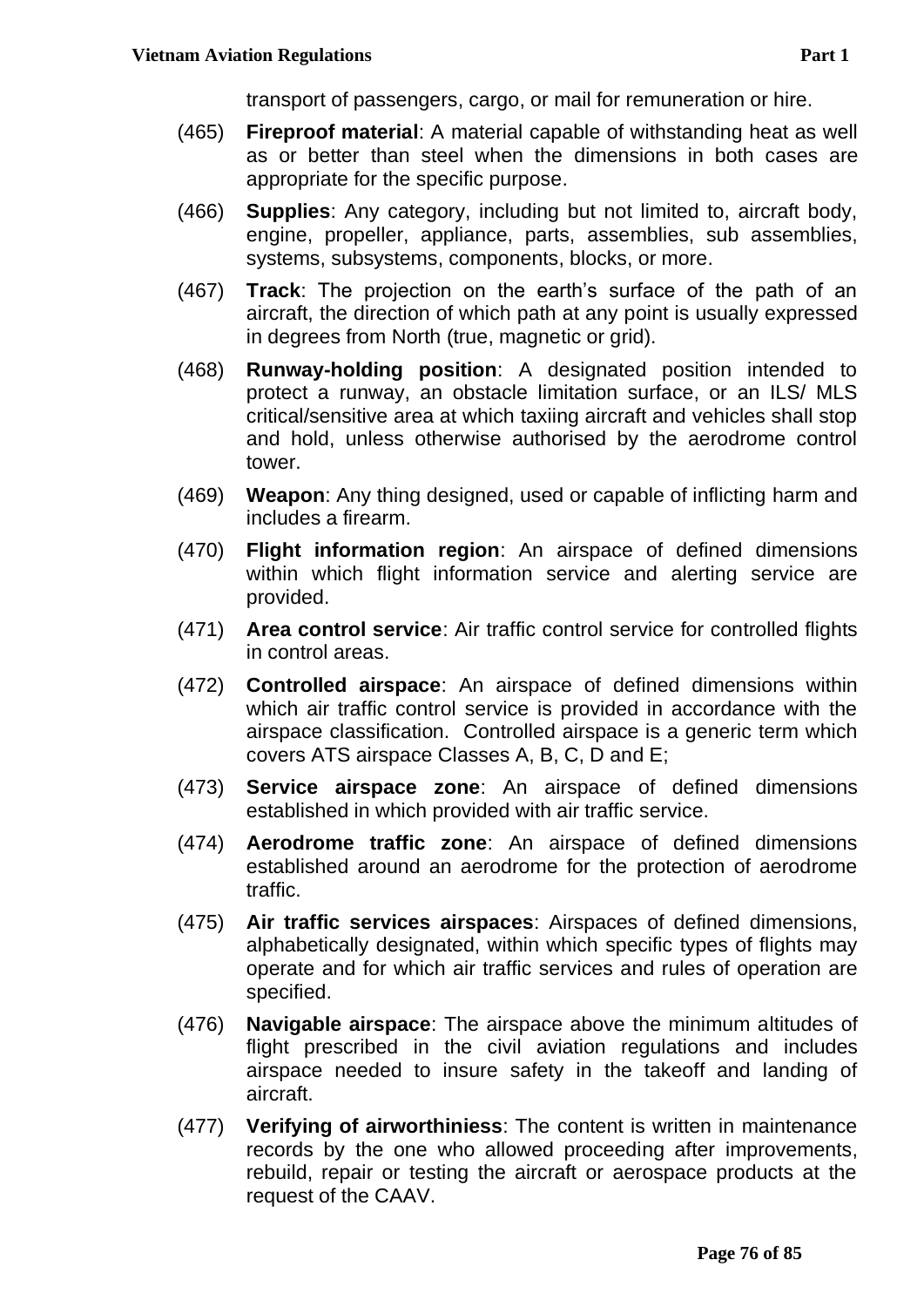transport of passengers, cargo, or mail for remuneration or hire.

- (465) **Fireproof material**: A material capable of withstanding heat as well as or better than steel when the dimensions in both cases are appropriate for the specific purpose.
- (466) **Supplies**: Any category, including but not limited to, aircraft body, engine, propeller, appliance, parts, assemblies, sub assemblies, systems, subsystems, components, blocks, or more.
- (467) **Track**: The projection on the earth's surface of the path of an aircraft, the direction of which path at any point is usually expressed in degrees from North (true, magnetic or grid).
- (468) **Runway-holding position**: A designated position intended to protect a runway, an obstacle limitation surface, or an ILS/ MLS critical/sensitive area at which taxiing aircraft and vehicles shall stop and hold, unless otherwise authorised by the aerodrome control tower.
- (469) **Weapon**: Any thing designed, used or capable of inflicting harm and includes a firearm.
- (470) **Flight information region**: An airspace of defined dimensions within which flight information service and alerting service are provided.
- (471) **Area control service**: Air traffic control service for controlled flights in control areas.
- (472) **Controlled airspace**: An airspace of defined dimensions within which air traffic control service is provided in accordance with the airspace classification. Controlled airspace is a generic term which covers ATS airspace Classes A, B, C, D and E;
- (473) **Service airspace zone**: An airspace of defined dimensions established in which provided with air traffic service.
- (474) **Aerodrome traffic zone**: An airspace of defined dimensions established around an aerodrome for the protection of aerodrome traffic.
- (475) **Air traffic services airspaces**: Airspaces of defined dimensions, alphabetically designated, within which specific types of flights may operate and for which air traffic services and rules of operation are specified.
- (476) **Navigable airspace**: The airspace above the minimum altitudes of flight prescribed in the civil aviation regulations and includes airspace needed to insure safety in the takeoff and landing of aircraft.
- (477) **Verifying of airworthiniess**: The content is written in maintenance records by the one who allowed proceeding after improvements, rebuild, repair or testing the aircraft or aerospace products at the request of the CAAV.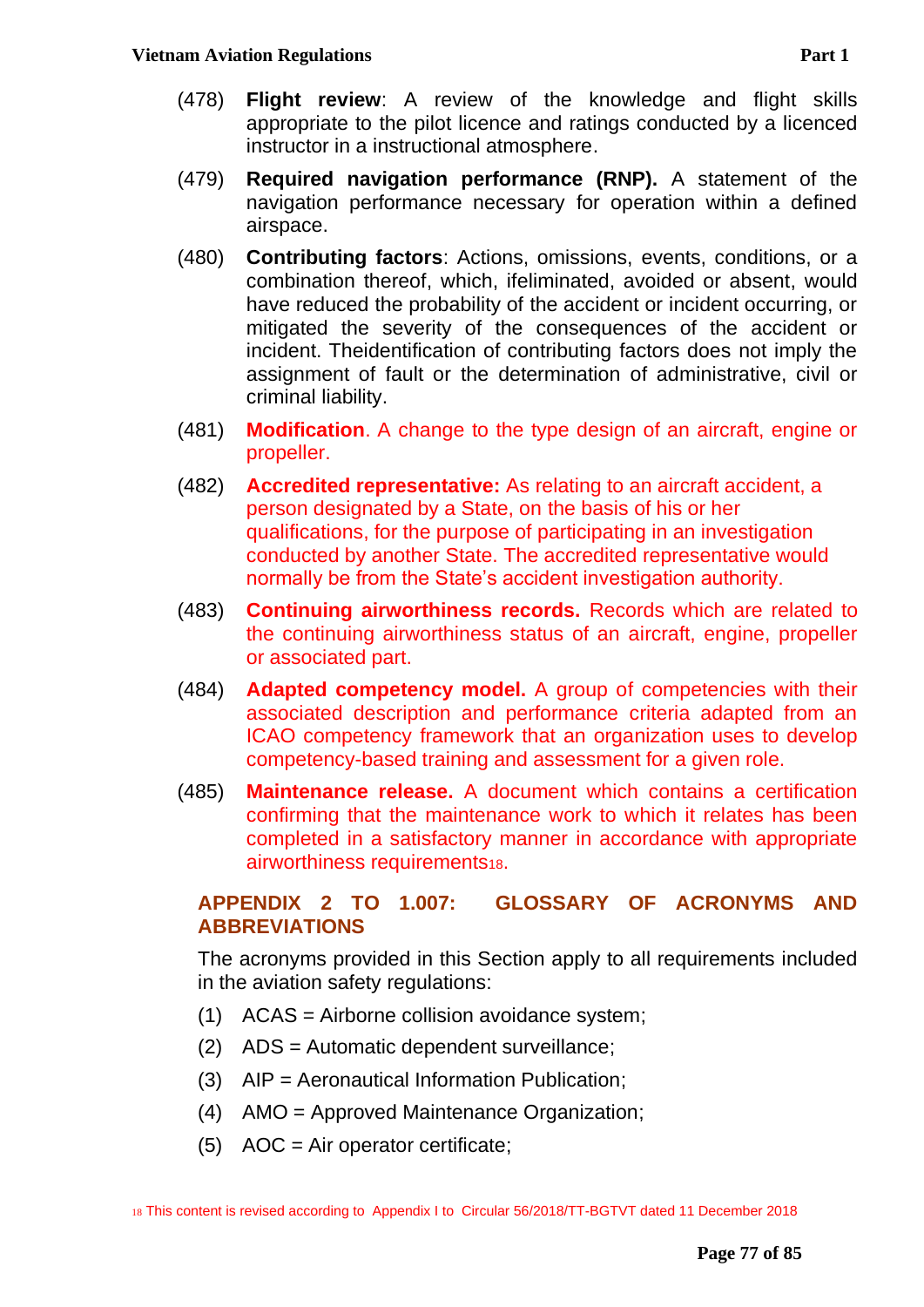- (478) **Flight review**: A review of the knowledge and flight skills appropriate to the pilot licence and ratings conducted by a licenced instructor in a instructional atmosphere.
- (479) **Required navigation performance (RNP).** A statement of the navigation performance necessary for operation within a defined airspace.
- (480) **Contributing factors**: Actions, omissions, events, conditions, or a combination thereof, which, ifeliminated, avoided or absent, would have reduced the probability of the accident or incident occurring, or mitigated the severity of the consequences of the accident or incident. Theidentification of contributing factors does not imply the assignment of fault or the determination of administrative, civil or criminal liability.
- (481) **Modification**. A change to the type design of an aircraft, engine or propeller.
- (482) **Accredited representative:** As relating to an aircraft accident, a person designated by a State, on the basis of his or her qualifications, for the purpose of participating in an investigation conducted by another State. The accredited representative would normally be from the State's accident investigation authority.
- (483) **Continuing airworthiness records.** Records which are related to the continuing airworthiness status of an aircraft, engine, propeller or associated part.
- (484) **Adapted competency model.** A group of competencies with their associated description and performance criteria adapted from an ICAO competency framework that an organization uses to develop competency-based training and assessment for a given role.
- (485) **Maintenance release.** A document which contains a certification confirming that the maintenance work to which it relates has been completed in a satisfactory manner in accordance with appropriate airworthiness requirements18.

### **APPENDIX 2 TO 1.007: GLOSSARY OF ACRONYMS AND ABBREVIATIONS**

The acronyms provided in this Section apply to all requirements included in the aviation safety regulations:

- (1) ACAS = Airborne collision avoidance system;
- (2) ADS = Automatic dependent surveillance;
- (3) AIP = Aeronautical Information Publication;
- (4) AMO = Approved Maintenance Organization;
- $(5)$  AOC = Air operator certificate;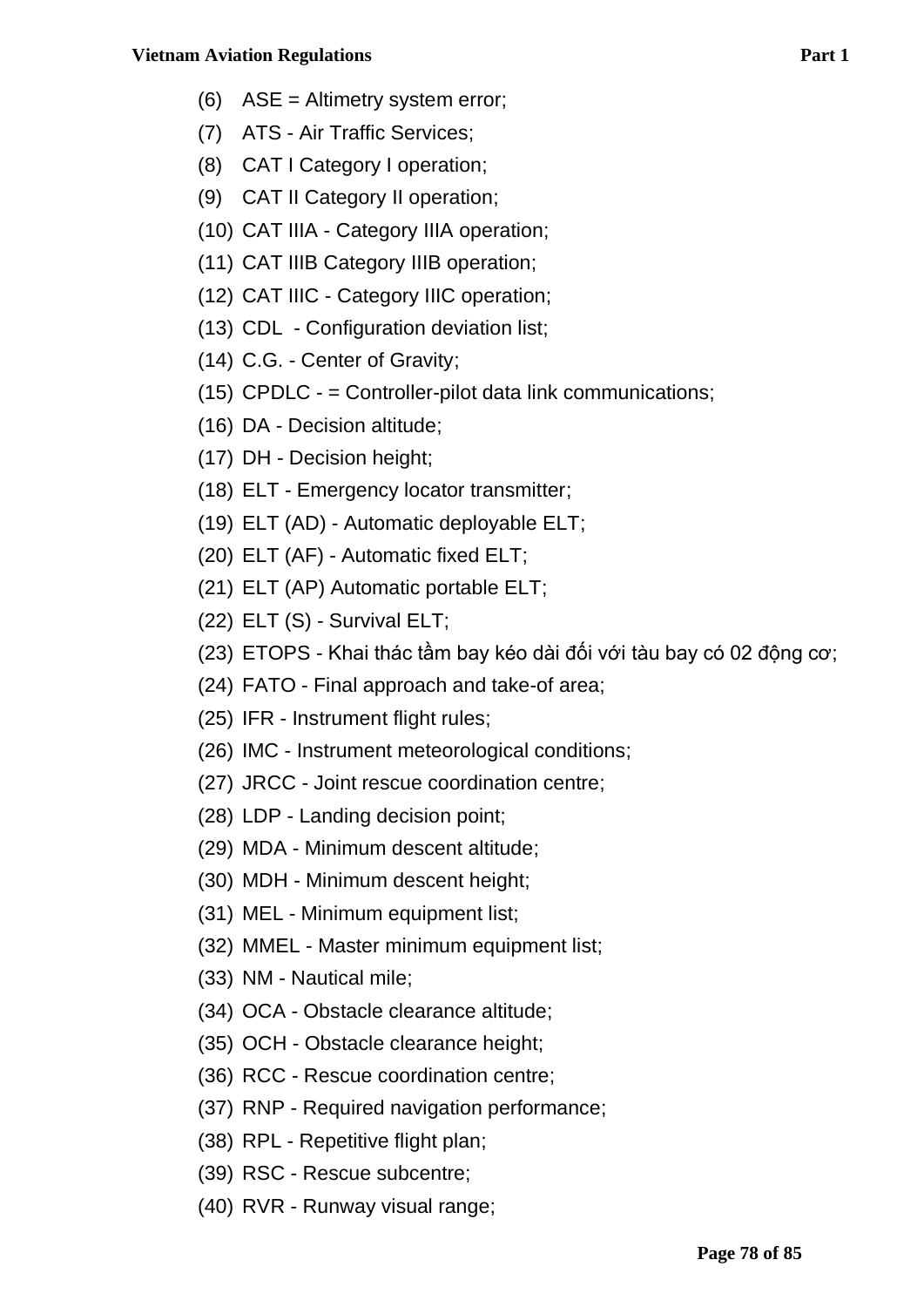- (6) ASE = Altimetry system error;
- (7) ATS Air Traffic Services;
- (8) CAT I Category I operation;
- (9) CAT II Category II operation;
- (10) CAT IIIA Category IIIA operation;
- (11) CAT IIIB Category IIIB operation;
- (12) CAT IIIC Category IIIC operation;
- (13) CDL Configuration deviation list;
- (14) C.G. Center of Gravity;
- (15) CPDLC = Controller-pilot data link communications;
- (16) DA Decision altitude;
- (17) DH Decision height;
- (18) ELT Emergency locator transmitter;
- (19) ELT (AD) Automatic deployable ELT;
- (20) ELT (AF) Automatic fixed ELT;
- (21) ELT (AP) Automatic portable ELT;
- (22) ELT (S) Survival ELT;
- (23) ETOPS Khai thác tầm bay kéo dài đối với tàu bay có 02 động cơ;
- (24) FATO Final approach and take-of area;
- (25) IFR Instrument flight rules;
- (26) IMC Instrument meteorological conditions;
- (27) JRCC Joint rescue coordination centre;
- (28) LDP Landing decision point;
- (29) MDA Minimum descent altitude;
- (30) MDH Minimum descent height;
- (31) MEL Minimum equipment list;
- (32) MMEL Master minimum equipment list;
- (33) NM Nautical mile;
- (34) OCA Obstacle clearance altitude;
- (35) OCH Obstacle clearance height;
- (36) RCC Rescue coordination centre;
- (37) RNP Required navigation performance;
- (38) RPL Repetitive flight plan;
- (39) RSC Rescue subcentre;
- (40) RVR Runway visual range;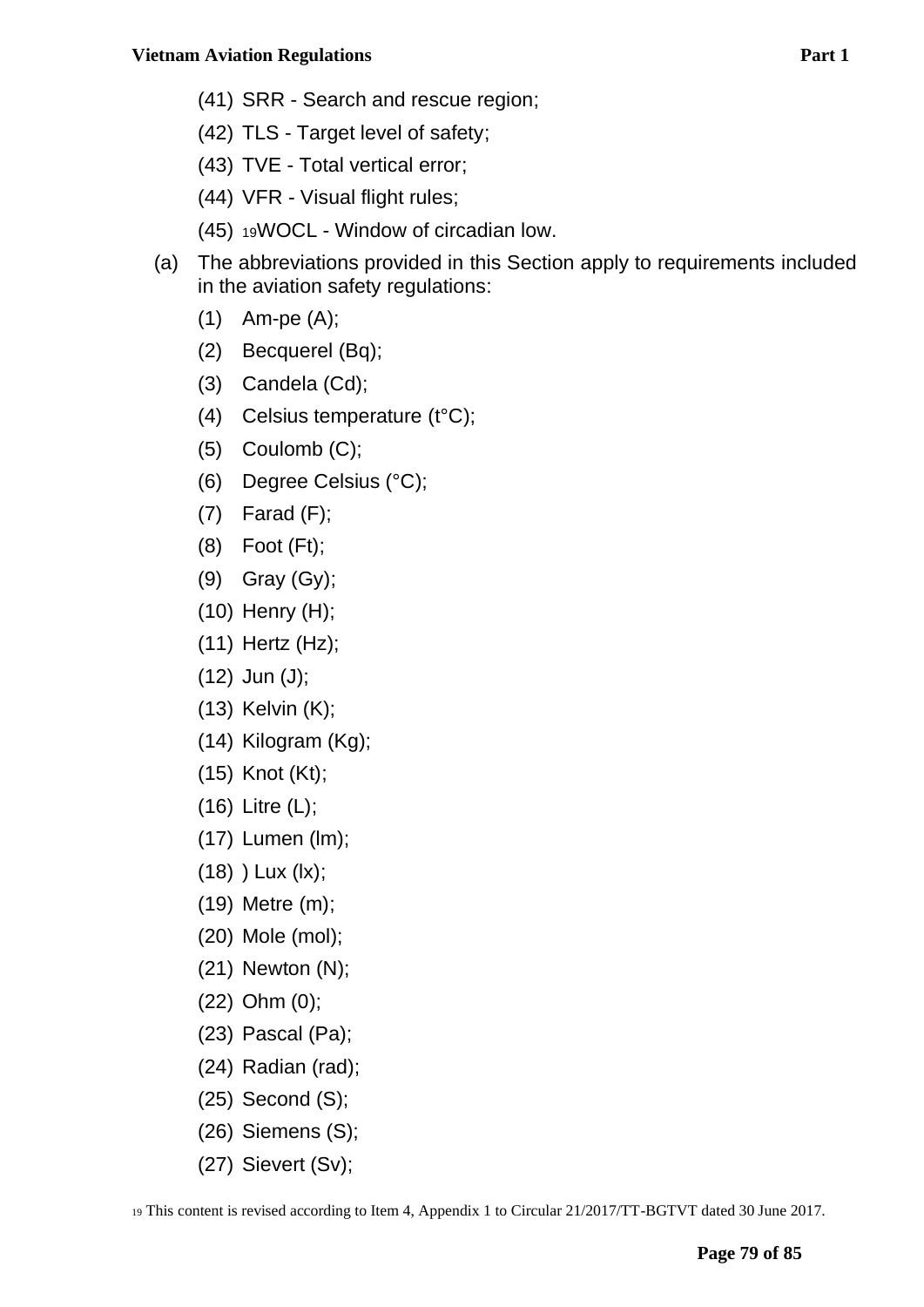- (42) TLS Target level of safety;
- (43) TVE Total vertical error;
- (44) VFR Visual flight rules;
- (45) <sup>19</sup>WOCL Window of circadian low.
- (a) The abbreviations provided in this Section apply to requirements included in the aviation safety regulations:
	- (1) Am-pe (A);
	- (2) Becquerel (Bq);
	- (3) Candela (Cd);
	- (4) Celsius temperature (t°C);
	- (5) Coulomb (C);
	- (6) Degree Celsius (°C);
	- (7) Farad (F);
	- (8) Foot (Ft);
	- (9) Gray (Gy);
	- (10) Henry (H);
	- (11) Hertz (Hz);
	- (12) Jun (J);
	- (13) Kelvin (K);
	- (14) Kilogram (Kg);
	- (15) Knot (Kt);
	- (16) Litre (L);
	- (17) Lumen (lm);
	- (18) ) Lux (lx);
	- (19) Metre (m);
	- (20) Mole (mol);
	- (21) Newton (N);
	- (22) Ohm (0);
	- (23) Pascal (Pa);
	- (24) Radian (rad);
	- (25) Second (S);
	- (26) Siemens (S);
	- (27) Sievert (Sv);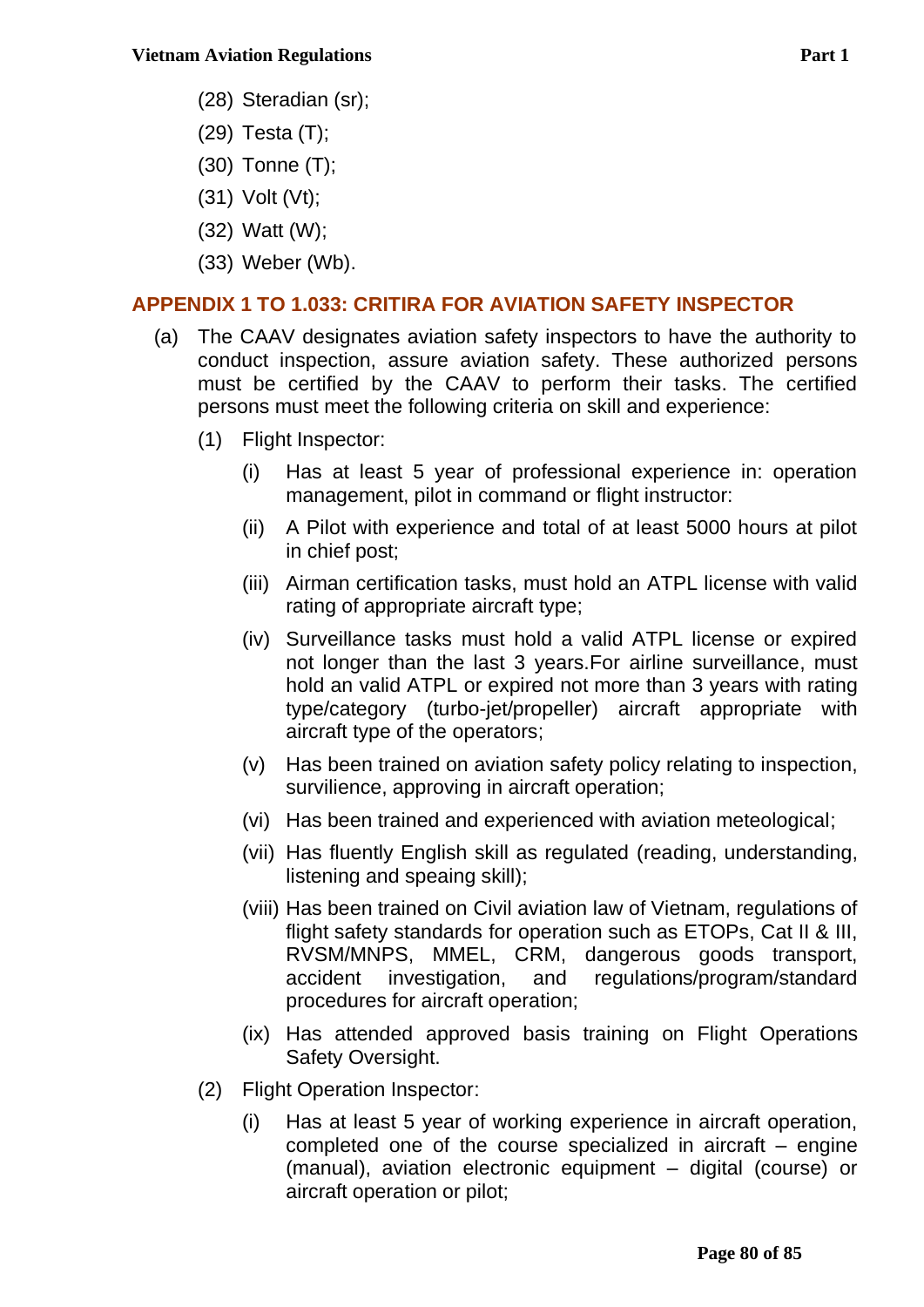- (28) Steradian (sr);
- (29) Testa (T);
- (30) Tonne (T);
- (31) Volt (Vt);
- (32) Watt (W);
- (33) Weber (Wb).

#### **APPENDIX 1 TO 1.033: CRITIRA FOR AVIATION SAFETY INSPECTOR**

- (a) The CAAV designates aviation safety inspectors to have the authority to conduct inspection, assure aviation safety. These authorized persons must be certified by the CAAV to perform their tasks. The certified persons must meet the following criteria on skill and experience:
	- (1) Flight Inspector:
		- (i) Has at least 5 year of professional experience in: operation management, pilot in command or flight instructor:
		- (ii) A Pilot with experience and total of at least 5000 hours at pilot in chief post;
		- (iii) Airman certification tasks, must hold an ATPL license with valid rating of appropriate aircraft type;
		- (iv) Surveillance tasks must hold a valid ATPL license or expired not longer than the last 3 years.For airline surveillance, must hold an valid ATPL or expired not more than 3 years with rating type/category (turbo-jet/propeller) aircraft appropriate with aircraft type of the operators;
		- (v) Has been trained on aviation safety policy relating to inspection, survilience, approving in aircraft operation;
		- (vi) Has been trained and experienced with aviation meteological;
		- (vii) Has fluently English skill as regulated (reading, understanding, listening and speaing skill);
		- (viii) Has been trained on Civil aviation law of Vietnam, regulations of flight safety standards for operation such as ETOPs, Cat II & III, RVSM/MNPS, MMEL, CRM, dangerous goods transport, accident investigation, and regulations/program/standard procedures for aircraft operation;
		- (ix) Has attended approved basis training on Flight Operations Safety Oversight.
	- (2) Flight Operation Inspector:
		- (i) Has at least 5 year of working experience in aircraft operation, completed one of the course specialized in aircraft – engine (manual), aviation electronic equipment – digital (course) or aircraft operation or pilot;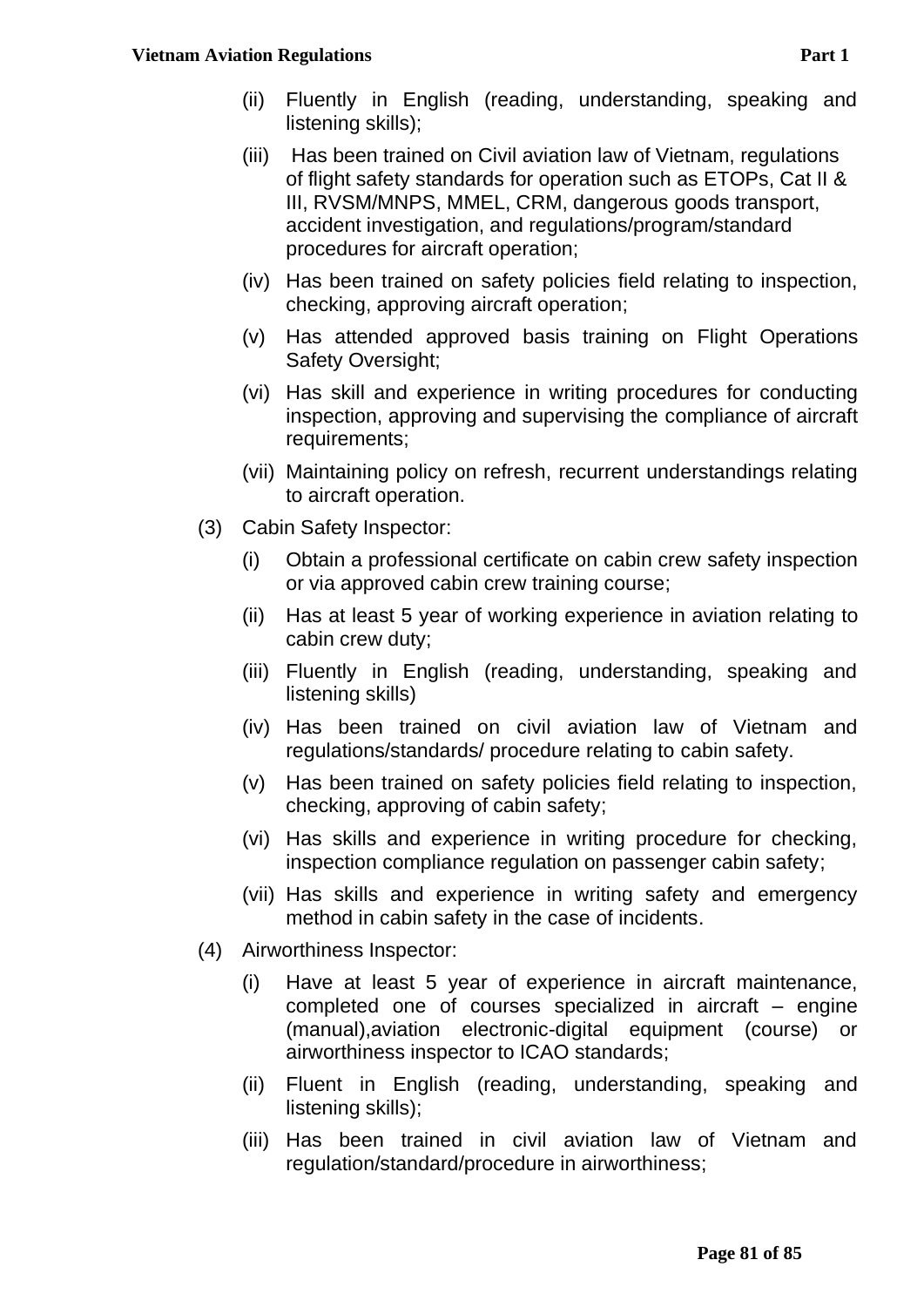#### **Vietnam Aviation Regulations** *Part 1**Part 1*

- (ii) Fluently in English (reading, understanding, speaking and listening skills);
- (iii) Has been trained on Civil aviation law of Vietnam, regulations of flight safety standards for operation such as ETOPs, Cat II & III, RVSM/MNPS, MMEL, CRM, dangerous goods transport, accident investigation, and regulations/program/standard procedures for aircraft operation;
- (iv) Has been trained on safety policies field relating to inspection, checking, approving aircraft operation;
- (v) Has attended approved basis training on Flight Operations Safety Oversight;
- (vi) Has skill and experience in writing procedures for conducting inspection, approving and supervising the compliance of aircraft requirements;
- (vii) Maintaining policy on refresh, recurrent understandings relating to aircraft operation.
- (3) Cabin Safety Inspector:
	- (i) Obtain a professional certificate on cabin crew safety inspection or via approved cabin crew training course;
	- (ii) Has at least 5 year of working experience in aviation relating to cabin crew duty;
	- (iii) Fluently in English (reading, understanding, speaking and listening skills)
	- (iv) Has been trained on civil aviation law of Vietnam and regulations/standards/ procedure relating to cabin safety.
	- (v) Has been trained on safety policies field relating to inspection, checking, approving of cabin safety;
	- (vi) Has skills and experience in writing procedure for checking, inspection compliance regulation on passenger cabin safety;
	- (vii) Has skills and experience in writing safety and emergency method in cabin safety in the case of incidents.
- (4) Airworthiness Inspector:
	- (i) Have at least 5 year of experience in aircraft maintenance, completed one of courses specialized in aircraft – engine (manual),aviation electronic-digital equipment (course) or airworthiness inspector to ICAO standards;
	- (ii) Fluent in English (reading, understanding, speaking and listening skills);
	- (iii) Has been trained in civil aviation law of Vietnam and regulation/standard/procedure in airworthiness;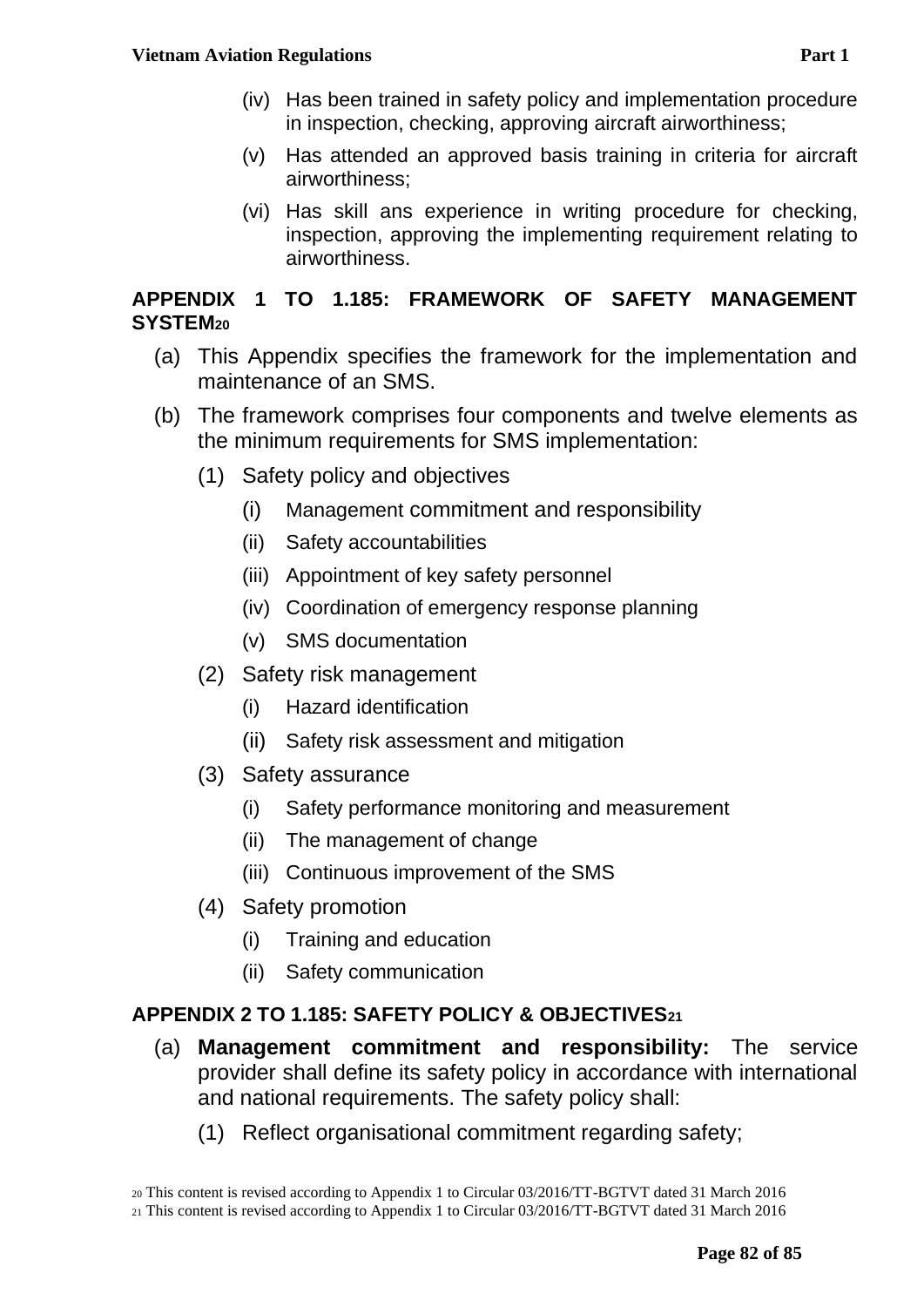- (iv) Has been trained in safety policy and implementation procedure in inspection, checking, approving aircraft airworthiness;
- (v) Has attended an approved basis training in criteria for aircraft airworthiness;
- (vi) Has skill ans experience in writing procedure for checking, inspection, approving the implementing requirement relating to airworthiness.

## **APPENDIX 1 TO 1.185: FRAMEWORK OF SAFETY MANAGEMENT SYSTEM<sup>20</sup>**

- (a) This Appendix specifies the framework for the implementation and maintenance of an SMS.
- (b) The framework comprises four components and twelve elements as the minimum requirements for SMS implementation:
	- (1) Safety policy and objectives
		- (i) Management commitment and responsibility
		- (ii) Safety accountabilities
		- (iii) Appointment of key safety personnel
		- (iv) Coordination of emergency response planning
		- (v) SMS documentation
	- (2) Safety risk management
		- (i) Hazard identification
		- (ii) Safety risk assessment and mitigation
	- (3) Safety assurance
		- (i) Safety performance monitoring and measurement
		- (ii) The management of change
		- (iii) Continuous improvement of the SMS
	- (4) Safety promotion
		- (i) Training and education
		- (ii) Safety communication

### **APPENDIX 2 TO 1.185: SAFETY POLICY & OBJECTIVES<sup>21</sup>**

- (a) **Management commitment and responsibility:** The service provider shall define its safety policy in accordance with international and national requirements. The safety policy shall:
	- (1) Reflect organisational commitment regarding safety;

<sup>20</sup> This content is revised according to Appendix 1 to Circular 03/2016/TT-BGTVT dated 31 March 2016

<sup>21</sup> This content is revised according to Appendix 1 to Circular 03/2016/TT-BGTVT dated 31 March 2016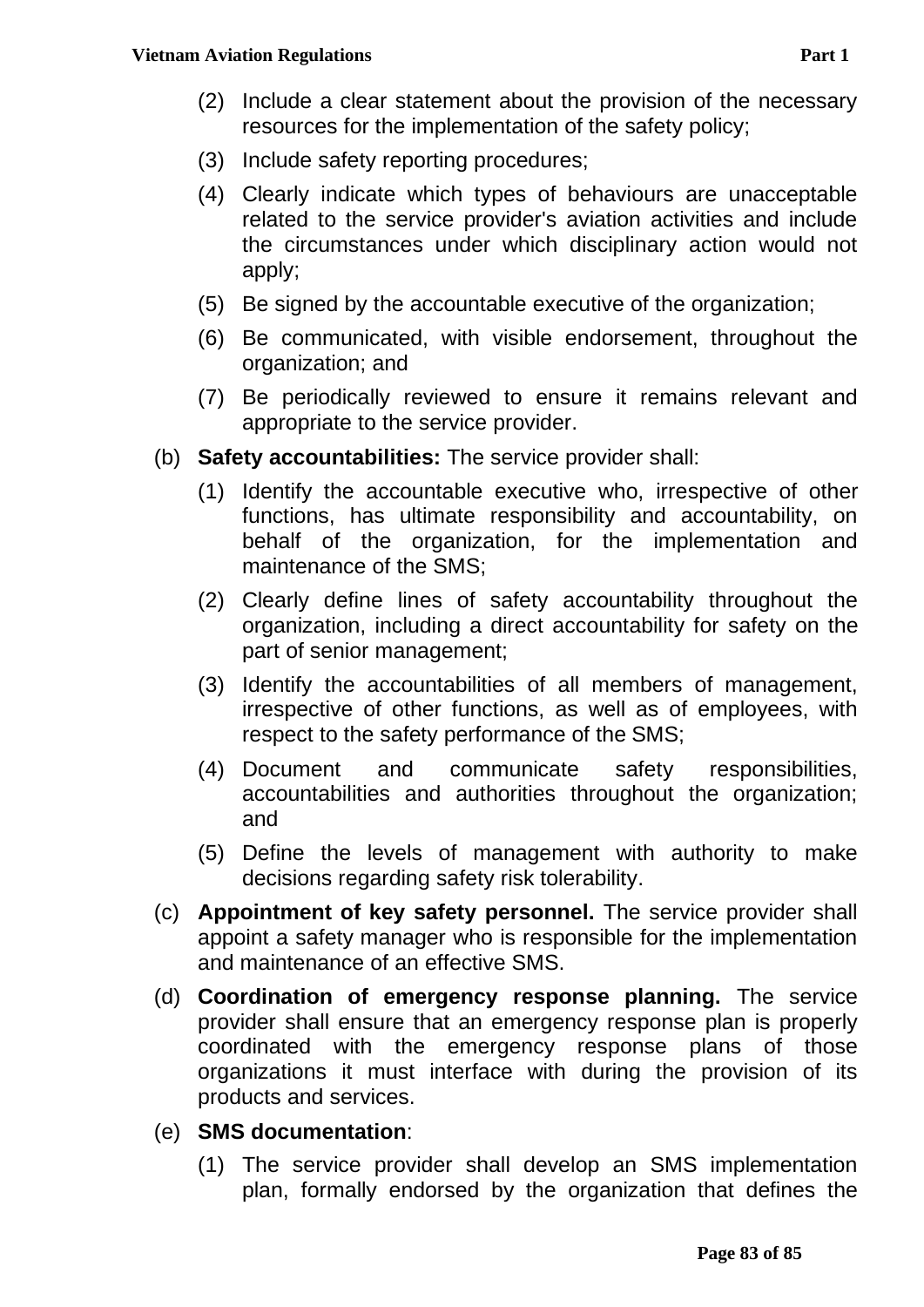- (2) Include a clear statement about the provision of the necessary resources for the implementation of the safety policy;
- (3) Include safety reporting procedures;
- (4) Clearly indicate which types of behaviours are unacceptable related to the service provider's aviation activities and include the circumstances under which disciplinary action would not apply;
- (5) Be signed by the accountable executive of the organization;
- (6) Be communicated, with visible endorsement, throughout the organization; and
- (7) Be periodically reviewed to ensure it remains relevant and appropriate to the service provider.
- (b) **Safety accountabilities:** The service provider shall:
	- (1) Identify the accountable executive who, irrespective of other functions, has ultimate responsibility and accountability, on behalf of the organization, for the implementation and maintenance of the SMS;
	- (2) Clearly define lines of safety accountability throughout the organization, including a direct accountability for safety on the part of senior management;
	- (3) Identify the accountabilities of all members of management, irrespective of other functions, as well as of employees, with respect to the safety performance of the SMS;
	- (4) Document and communicate safety responsibilities, accountabilities and authorities throughout the organization; and
	- (5) Define the levels of management with authority to make decisions regarding safety risk tolerability.
- (c) **Appointment of key safety personnel.** The service provider shall appoint a safety manager who is responsible for the implementation and maintenance of an effective SMS.
- (d) **Coordination of emergency response planning.** The service provider shall ensure that an emergency response plan is properly coordinated with the emergency response plans of those organizations it must interface with during the provision of its products and services.

## (e) **SMS documentation**:

(1) The service provider shall develop an SMS implementation plan, formally endorsed by the organization that defines the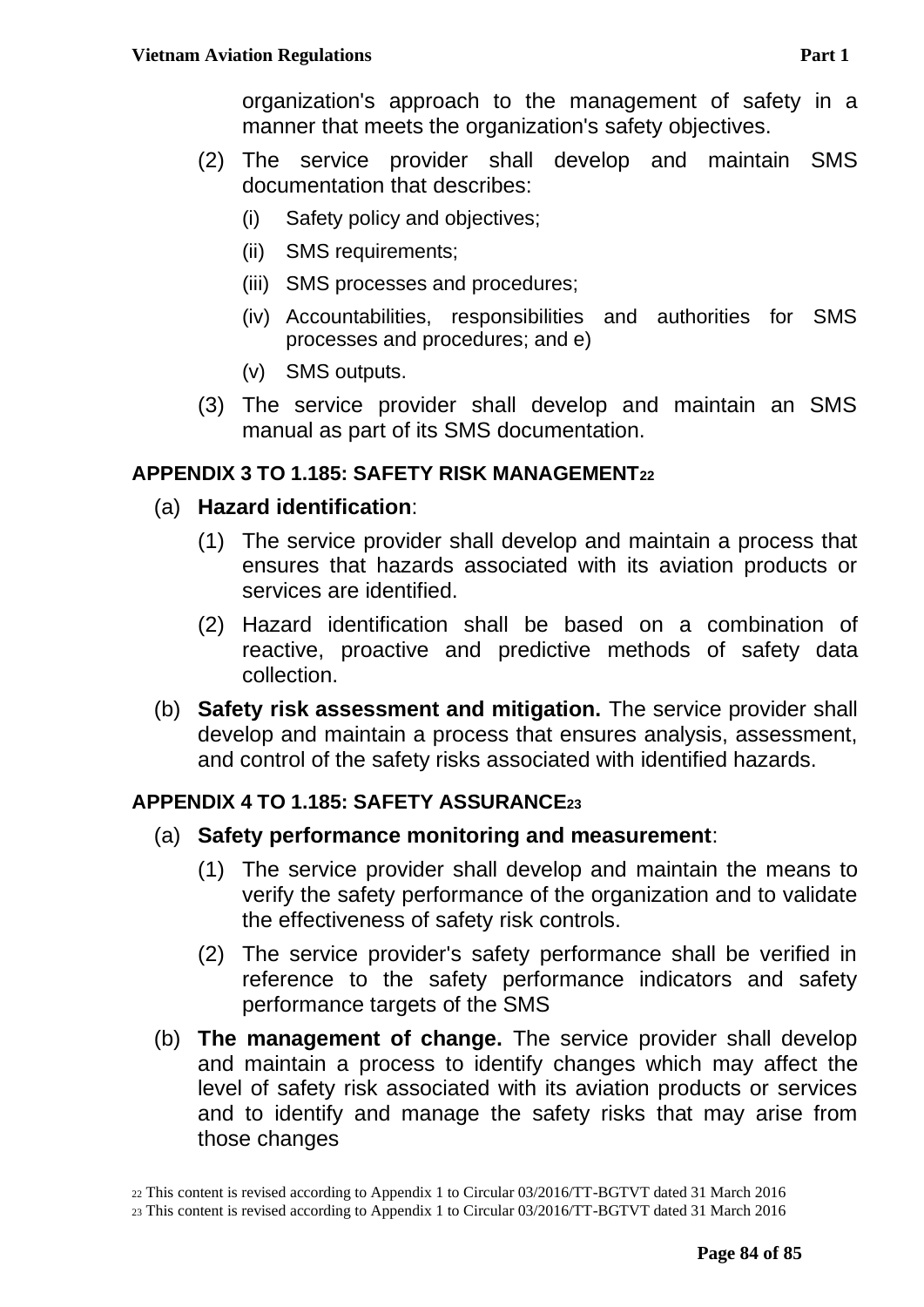organization's approach to the management of safety in a manner that meets the organization's safety objectives.

- (2) The service provider shall develop and maintain SMS documentation that describes:
	- (i) Safety policy and objectives;
	- (ii) SMS requirements;
	- (iii) SMS processes and procedures;
	- (iv) Accountabilities, responsibilities and authorities for SMS processes and procedures; and e)
	- (v) SMS outputs.
- (3) The service provider shall develop and maintain an SMS manual as part of its SMS documentation.

# **APPENDIX 3 TO 1.185: SAFETY RISK MANAGEMENT<sup>22</sup>**

# (a) **Hazard identification**:

- (1) The service provider shall develop and maintain a process that ensures that hazards associated with its aviation products or services are identified.
- (2) Hazard identification shall be based on a combination of reactive, proactive and predictive methods of safety data collection.
- (b) **Safety risk assessment and mitigation.** The service provider shall develop and maintain a process that ensures analysis, assessment, and control of the safety risks associated with identified hazards.

## **APPENDIX 4 TO 1.185: SAFETY ASSURANCE<sup>23</sup>**

- (a) **Safety performance monitoring and measurement**:
	- (1) The service provider shall develop and maintain the means to verify the safety performance of the organization and to validate the effectiveness of safety risk controls.
	- (2) The service provider's safety performance shall be verified in reference to the safety performance indicators and safety performance targets of the SMS
- (b) **The management of change.** The service provider shall develop and maintain a process to identify changes which may affect the level of safety risk associated with its aviation products or services and to identify and manage the safety risks that may arise from those changes

<sup>22</sup> This content is revised according to Appendix 1 to Circular 03/2016/TT-BGTVT dated 31 March 2016

<sup>23</sup> This content is revised according to Appendix 1 to Circular 03/2016/TT-BGTVT dated 31 March 2016